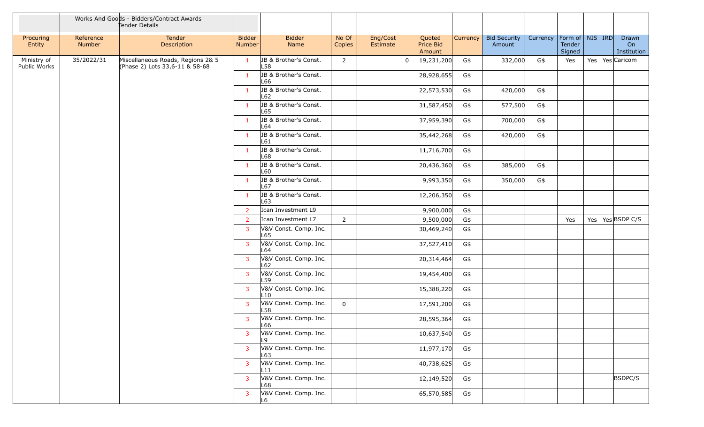|                             |                     | Works And Goods - Bidders/Contract Awards<br>Tender Details         |                         |                               |                 |                      |                               |                 |                               |                                |                  |  |                            |
|-----------------------------|---------------------|---------------------------------------------------------------------|-------------------------|-------------------------------|-----------------|----------------------|-------------------------------|-----------------|-------------------------------|--------------------------------|------------------|--|----------------------------|
| Procuring<br>Entity         | Reference<br>Number | Tender<br>Description                                               | <b>Bidder</b><br>Number | <b>Bidder</b><br>Name         | No Of<br>Copies | Eng/Cost<br>Estimate | Quoted<br>Price Bid<br>Amount | <b>Currency</b> | <b>Bid Security</b><br>Amount | Currency   Form of   NIS   IRD | Tender<br>Signed |  | Drawn<br>On<br>Institution |
| Ministry of<br>Public Works | 35/2022/31          | Miscellaneous Roads, Regions 2& 5<br>(Phase 2) Lots 33,6-11 & 58-68 | $\mathbf{1}$            | JB & Brother's Const.<br>L58  | $\overline{2}$  |                      | 19,231,200                    | G\$             | 332,000                       | G\$                            | Yes              |  | Yes   Yes Caricom          |
|                             |                     |                                                                     | -1                      | JB & Brother's Const.<br>L66  |                 |                      | 28,928,655                    | G\$             |                               |                                |                  |  |                            |
|                             |                     |                                                                     | $\mathbf{1}$            | JB & Brother's Const.<br>L62  |                 |                      | 22,573,530                    | G\$             | 420,000                       | G\$                            |                  |  |                            |
|                             |                     |                                                                     | $\mathbf{1}$            | JB & Brother's Const.<br>L65  |                 |                      | 31,587,450                    | G\$             | 577,500                       | G\$                            |                  |  |                            |
|                             |                     |                                                                     | $\mathbf{1}$            | JB & Brother's Const.<br>L64  |                 |                      | 37,959,390                    | G\$             | 700,000                       | G\$                            |                  |  |                            |
|                             |                     |                                                                     | $\mathbf{1}$            | JB & Brother's Const.<br>L61  |                 |                      | 35,442,268                    | G\$             | 420,000                       | G\$                            |                  |  |                            |
|                             |                     |                                                                     | $\mathbf{1}$            | JB & Brother's Const.<br>L68  |                 |                      | 11,716,700                    | G\$             |                               |                                |                  |  |                            |
|                             |                     |                                                                     | $\mathbf{1}$            | JB & Brother's Const.<br>L60  |                 |                      | 20,436,360                    | G\$             | 385,000                       | G\$                            |                  |  |                            |
|                             |                     |                                                                     | $\mathbf{1}$            | JB & Brother's Const.<br>L67  |                 |                      | 9,993,350                     | G\$             | 350,000                       | G\$                            |                  |  |                            |
|                             |                     |                                                                     | $\mathbf{1}$            | JB & Brother's Const.<br>L63  |                 |                      | 12,206,350                    | G\$             |                               |                                |                  |  |                            |
|                             |                     |                                                                     | 2                       | Ican Investment L9            |                 |                      | 9,900,000                     | G\$             |                               |                                |                  |  |                            |
|                             |                     |                                                                     | $\overline{2}$          | Ican Investment L7            | $2^{\circ}$     |                      | 9,500,000                     | G\$             |                               |                                | Yes              |  | Yes   Yes BSDP C/S         |
|                             |                     |                                                                     | 3                       | V&V Const. Comp. Inc.<br>L65  |                 |                      | 30,469,240                    | G\$             |                               |                                |                  |  |                            |
|                             |                     |                                                                     | $\overline{3}$          | V&V Const. Comp. Inc.<br>L64  |                 |                      | 37,527,410                    | G\$             |                               |                                |                  |  |                            |
|                             |                     |                                                                     | 3                       | V&V Const. Comp. Inc.<br>L62  |                 |                      | 20,314,464                    | G\$             |                               |                                |                  |  |                            |
|                             |                     |                                                                     | 3                       | V&V Const. Comp. Inc.<br>L59  |                 |                      | 19,454,400                    | G\$             |                               |                                |                  |  |                            |
|                             |                     |                                                                     | 3                       | V&V Const. Comp. Inc.<br>L10  |                 |                      | 15,388,220                    | G\$             |                               |                                |                  |  |                            |
|                             |                     |                                                                     | 3                       | V&V Const. Comp. Inc.<br>L58  | $\mathbf 0$     |                      | 17,591,200                    | G\$             |                               |                                |                  |  |                            |
|                             |                     |                                                                     | 3                       | V&V Const. Comp. Inc.<br>∣Lbb |                 |                      | 28,595,364                    | G\$             |                               |                                |                  |  |                            |
|                             |                     |                                                                     | 3                       | V&V Const. Comp. Inc.<br>L9   |                 |                      | 10,637,540                    | G\$             |                               |                                |                  |  |                            |
|                             |                     |                                                                     | $\overline{3}$          | V&V Const. Comp. Inc.<br>L63  |                 |                      | 11,977,170                    | G\$             |                               |                                |                  |  |                            |
|                             |                     |                                                                     | 3                       | V&V Const. Comp. Inc.<br>L11  |                 |                      | 40,738,625                    | G\$             |                               |                                |                  |  |                            |
|                             |                     |                                                                     | 3                       | V&V Const. Comp. Inc.<br>L68  |                 |                      | 12,149,520                    | G\$             |                               |                                |                  |  | BSDPC/S                    |
|                             |                     |                                                                     | 3                       | V&V Const. Comp. Inc.<br>L6   |                 |                      | 65,570,585                    | G\$             |                               |                                |                  |  |                            |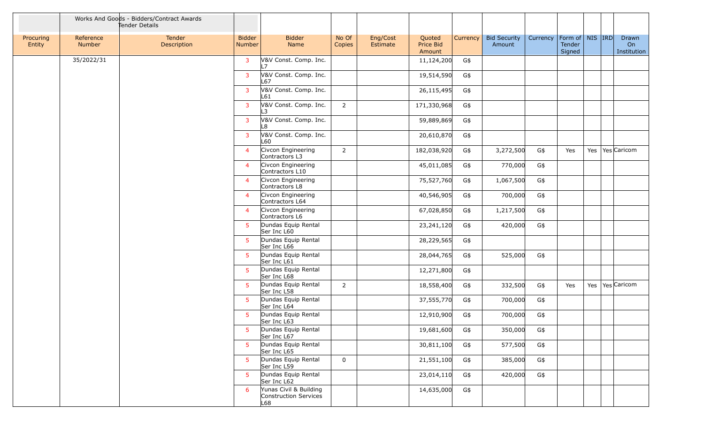|                     |                     | Works And Goods - Bidders/Contract Awards<br>Tender Details |                                |                                                        |                 |                      |                                      |          |                               |          |                                         |  |                            |
|---------------------|---------------------|-------------------------------------------------------------|--------------------------------|--------------------------------------------------------|-----------------|----------------------|--------------------------------------|----------|-------------------------------|----------|-----------------------------------------|--|----------------------------|
| Procuring<br>Entity | Reference<br>Number | Tender<br>Description                                       | <b>Bidder</b><br><b>Number</b> | <b>Bidder</b><br>Name                                  | No Of<br>Copies | Eng/Cost<br>Estimate | Quoted<br><b>Price Bid</b><br>Amount | Currency | <b>Bid Security</b><br>Amount | Currency | Form of   NIS   IRD<br>Tender<br>Signed |  | Drawn<br>On<br>Institution |
|                     | 35/2022/31          |                                                             | 3                              | V&V Const. Comp. Inc.<br> 7                            |                 |                      | 11,124,200                           | G\$      |                               |          |                                         |  |                            |
|                     |                     |                                                             | 3                              | V&V Const. Comp. Inc.<br>L67                           |                 |                      | 19,514,590                           | G\$      |                               |          |                                         |  |                            |
|                     |                     |                                                             | 3                              | V&V Const. Comp. Inc.<br>L61                           |                 |                      | 26,115,495                           | G\$      |                               |          |                                         |  |                            |
|                     |                     |                                                             | 3                              | V&V Const. Comp. Inc.<br>L3                            | $\overline{2}$  |                      | 171,330,968                          | G\$      |                               |          |                                         |  |                            |
|                     |                     |                                                             | 3                              | V&V Const. Comp. Inc.<br>L8                            |                 |                      | 59,889,869                           | G\$      |                               |          |                                         |  |                            |
|                     |                     |                                                             | 3                              | V&V Const. Comp. Inc.<br>L60                           |                 |                      | 20,610,870                           | G\$      |                               |          |                                         |  |                            |
|                     |                     |                                                             | $\overline{4}$                 | Civcon Engineering<br>Contractors L3                   | $2^{\circ}$     |                      | 182,038,920                          | G\$      | 3,272,500                     | G\$      | Yes                                     |  | Yes   Yes   Caricom        |
|                     |                     |                                                             | $\overline{4}$                 | Civcon Engineering<br>Contractors L10                  |                 |                      | 45,011,085                           | G\$      | 770,000                       | G\$      |                                         |  |                            |
|                     |                     |                                                             | $\overline{4}$                 | Civcon Engineering<br>Contractors L8                   |                 |                      | 75,527,760                           | G\$      | 1,067,500                     | G\$      |                                         |  |                            |
|                     |                     |                                                             | $\overline{4}$                 | Civcon Engineering<br>Contractors L64                  |                 |                      | 40,546,905                           | G\$      | 700,000                       | G\$      |                                         |  |                            |
|                     |                     |                                                             | $\overline{4}$                 | Civcon Engineering<br>Contractors L6                   |                 |                      | 67,028,850                           | G\$      | 1,217,500                     | G\$      |                                         |  |                            |
|                     |                     |                                                             | $5^{\circ}$                    | Dundas Equip Rental<br>Ser Inc L60                     |                 |                      | 23,241,120                           | G\$      | 420,000                       | G\$      |                                         |  |                            |
|                     |                     |                                                             | $5^{\circ}$                    | Dundas Equip Rental<br>Ser Inc L66                     |                 |                      | 28,229,565                           | G\$      |                               |          |                                         |  |                            |
|                     |                     |                                                             | 5                              | Dundas Equip Rental<br>Ser Inc L61                     |                 |                      | 28,044,765                           | G\$      | 525,000                       | G\$      |                                         |  |                            |
|                     |                     |                                                             | 5 <sup>5</sup>                 | Dundas Equip Rental<br>Ser Inc L68                     |                 |                      | 12,271,800                           | G\$      |                               |          |                                         |  |                            |
|                     |                     |                                                             | 5                              | Dundas Equip Rental<br>Ser Inc L58                     | $\overline{2}$  |                      | 18,558,400                           | G\$      | 332,500                       | G\$      | Yes                                     |  | Yes   Yes   Caricom        |
|                     |                     |                                                             | 5                              | Dundas Equip Rental<br>Ser Inc L64                     |                 |                      | 37,555,770                           | G\$      | 700,000                       | G\$      |                                         |  |                            |
|                     |                     |                                                             | 5                              | Dundas Equip Rental<br>Ser Inc L63                     |                 |                      | 12,910,900                           | G\$      | 700,000                       | G\$      |                                         |  |                            |
|                     |                     |                                                             | 5                              | Dundas Equip Rental<br>Ser Inc L67                     |                 |                      | 19,681,600                           | G\$      | 350,000                       | G\$      |                                         |  |                            |
|                     |                     |                                                             | $5^{\circ}$                    | Dundas Equip Rental<br>Ser Inc L65                     |                 |                      | 30,811,100                           | G\$      | 577,500                       | G\$      |                                         |  |                            |
|                     |                     |                                                             | $5^{\circ}$                    | Dundas Equip Rental<br>Ser Inc L59                     | $\overline{0}$  |                      | 21,551,100                           | G\$      | 385,000                       | G\$      |                                         |  |                            |
|                     |                     |                                                             | 5 <sup>5</sup>                 | Dundas Equip Rental<br>Ser Inc L62                     |                 |                      | 23,014,110                           | G\$      | 420,000                       | G\$      |                                         |  |                            |
|                     |                     |                                                             | 6                              | Yunas Civil & Building<br>Construction Services<br>L68 |                 |                      | 14,635,000                           | G\$      |                               |          |                                         |  |                            |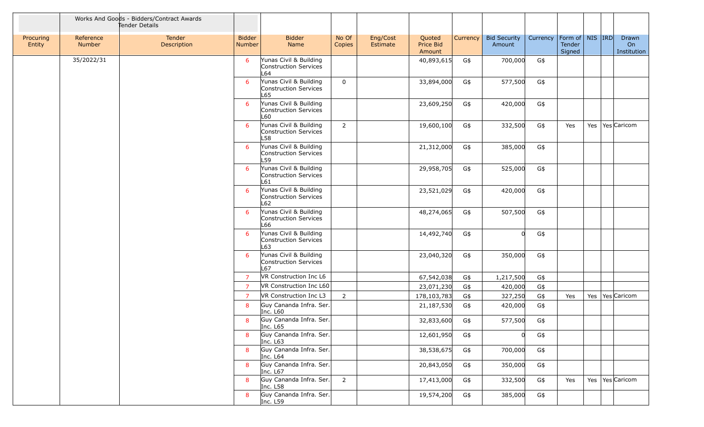|                     |                     | Works And Goods - Bidders/Contract Awards<br>Tender Details |                                |                                                        |                 |                      |                               |                 |                               |          |                                           |  |                            |
|---------------------|---------------------|-------------------------------------------------------------|--------------------------------|--------------------------------------------------------|-----------------|----------------------|-------------------------------|-----------------|-------------------------------|----------|-------------------------------------------|--|----------------------------|
| Procuring<br>Entity | Reference<br>Number | Tender<br>Description                                       | <b>Bidder</b><br><b>Number</b> | <b>Bidder</b><br>Name                                  | No Of<br>Copies | Eng/Cost<br>Estimate | Quoted<br>Price Bid<br>Amount | <b>Currency</b> | <b>Bid Security</b><br>Amount | Currency | Form of   NIS   IRD  <br>Tender<br>Signed |  | Drawn<br>On<br>Institution |
|                     | 35/2022/31          |                                                             | 6                              | Yunas Civil & Building<br>Construction Services<br>L64 |                 |                      | 40,893,615                    | G\$             | 700,000                       | G\$      |                                           |  |                            |
|                     |                     |                                                             | 6                              | Yunas Civil & Building<br>Construction Services<br>L65 | $\mathbf 0$     |                      | 33,894,000                    | G\$             | 577,500                       | G\$      |                                           |  |                            |
|                     |                     |                                                             | 6                              | Yunas Civil & Building<br>Construction Services<br>L60 |                 |                      | 23,609,250                    | G\$             | 420,000                       | G\$      |                                           |  |                            |
|                     |                     |                                                             | 6                              | Yunas Civil & Building<br>Construction Services<br>L58 | $\overline{2}$  |                      | 19,600,100                    | G\$             | 332,500                       | G\$      | Yes                                       |  | Yes   Yes   Caricom        |
|                     |                     |                                                             | 6                              | Yunas Civil & Building<br>Construction Services<br>L59 |                 |                      | 21,312,000                    | G\$             | 385,000                       | G\$      |                                           |  |                            |
|                     |                     |                                                             | 6                              | Yunas Civil & Building<br>Construction Services<br>L61 |                 |                      | 29,958,705                    | G\$             | 525,000                       | G\$      |                                           |  |                            |
|                     |                     |                                                             | 6                              | Yunas Civil & Building<br>Construction Services<br>L62 |                 |                      | 23,521,029                    | G\$             | 420,000                       | G\$      |                                           |  |                            |
|                     |                     |                                                             | 6                              | Yunas Civil & Building<br>Construction Services<br>L66 |                 |                      | 48,274,065                    | G\$             | 507,500                       | G\$      |                                           |  |                            |
|                     |                     |                                                             | 6                              | Yunas Civil & Building<br>Construction Services<br>L63 |                 |                      | 14,492,740                    | G\$             |                               | $G\$     |                                           |  |                            |
|                     |                     |                                                             | 6                              | Yunas Civil & Building<br>Construction Services<br>L67 |                 |                      | 23,040,320                    | G\$             | 350,000                       | G\$      |                                           |  |                            |
|                     |                     |                                                             | $\overline{7}$                 | VR Construction Inc L6                                 |                 |                      | 67,542,038                    | G\$             | 1,217,500                     | G\$      |                                           |  |                            |
|                     |                     |                                                             | $\overline{7}$                 | VR Construction Inc L60                                |                 |                      | 23,071,230                    | G\$             | 420,000                       | $G\$     |                                           |  |                            |
|                     |                     |                                                             | $\overline{7}$                 | VR Construction Inc L3                                 | $\overline{2}$  |                      | 178,103,783                   | G\$             | 327,250                       | G\$      | Yes                                       |  | Yes   Yes   Caricom        |
|                     |                     |                                                             | 8                              | Guy Cananda Infra. Ser.<br>Inc. L60                    |                 |                      | 21,187,530                    | G\$             | 420,000                       | G\$      |                                           |  |                            |
|                     |                     |                                                             | 8                              | Guy Cananda Infra. Ser.<br>Inc. L65                    |                 |                      | 32,833,600                    | G\$             | 577,500                       | G\$      |                                           |  |                            |
|                     |                     |                                                             | 8                              | Guy Cananda Infra. Ser.<br>Inc. L63                    |                 |                      | 12,601,950                    | G\$             | U                             | G\$      |                                           |  |                            |
|                     |                     |                                                             | 8                              | Guy Cananda Infra. Ser.<br>Inc. L64                    |                 |                      | 38,538,675                    | G\$             | 700,000                       | G\$      |                                           |  |                            |
|                     |                     |                                                             | 8                              | Guy Cananda Infra. Ser.<br>Inc. L67                    |                 |                      | 20,843,050                    | G\$             | 350,000                       | G\$      |                                           |  |                            |
|                     |                     |                                                             | 8                              | Guy Cananda Infra. Ser.<br>Inc. L58                    | $2^{\circ}$     |                      | 17,413,000                    | G\$             | 332,500                       | G\$      | Yes                                       |  | Yes   Yes   Caricom        |
|                     |                     |                                                             | 8                              | Guy Cananda Infra. Ser.<br>Inc. L59                    |                 |                      | 19,574,200                    | G\$             | 385,000                       | G\$      |                                           |  |                            |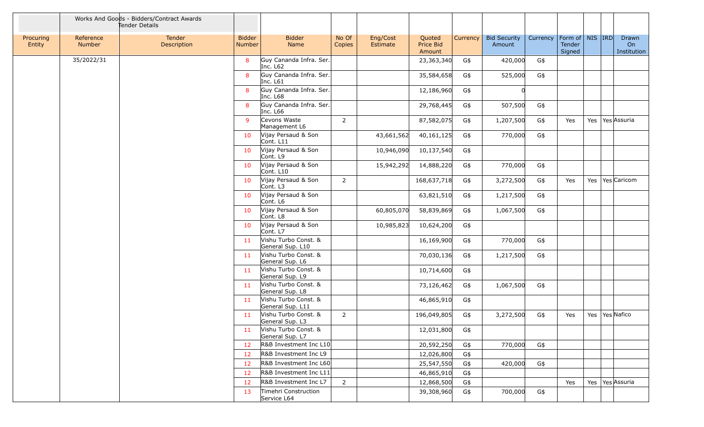|                     |                     | Works And Goods - Bidders/Contract Awards<br>Tender Details |                                |                                          |                 |                      |                                      |          |                               |          |                                         |     |                            |
|---------------------|---------------------|-------------------------------------------------------------|--------------------------------|------------------------------------------|-----------------|----------------------|--------------------------------------|----------|-------------------------------|----------|-----------------------------------------|-----|----------------------------|
| Procuring<br>Entity | Reference<br>Number | <b>Tender</b><br>Description                                | <b>Bidder</b><br><b>Number</b> | <b>Bidder</b><br>Name                    | No Of<br>Copies | Eng/Cost<br>Estimate | Quoted<br><b>Price Bid</b><br>Amount | Currency | <b>Bid Security</b><br>Amount | Currency | Form of   NIS   IRD<br>Tender<br>Signed |     | Drawn<br>On<br>Institution |
|                     | 35/2022/31          |                                                             | 8                              | Guy Cananda Infra. Ser.<br>Inc. L62      |                 |                      | 23,363,340                           | G\$      | 420,000                       | G\$      |                                         |     |                            |
|                     |                     |                                                             | 8                              | Guy Cananda Infra. Ser.<br>Inc. L61      |                 |                      | 35,584,658                           | G\$      | 525,000                       | G\$      |                                         |     |                            |
|                     |                     |                                                             | 8                              | Guy Cananda Infra. Ser.<br>Inc. L68      |                 |                      | 12,186,960                           | G\$      | Ωl                            |          |                                         |     |                            |
|                     |                     |                                                             | 8                              | Guy Cananda Infra. Ser.<br>Inc. L66      |                 |                      | 29,768,445                           | G\$      | 507,500                       | G\$      |                                         |     |                            |
|                     |                     |                                                             | 9                              | Cevons Waste<br>Management L6            | $\overline{2}$  |                      | 87,582,075                           | G\$      | 1,207,500                     | G\$      | Yes                                     |     | Yes   Yes   Assuria        |
|                     |                     |                                                             | 10                             | Vijay Persaud & Son<br>Cont. L11         |                 | 43,661,562           | 40,161,125                           | G\$      | 770,000                       | G\$      |                                         |     |                            |
|                     |                     |                                                             | 10                             | Vijay Persaud & Son<br>Cont. L9          |                 | 10,946,090           | 10,137,540                           | G\$      |                               |          |                                         |     |                            |
|                     |                     |                                                             | 10                             | Vijay Persaud & Son<br>Cont. L10         |                 | 15,942,292           | 14,888,220                           | G\$      | 770,000                       | G\$      |                                         |     |                            |
|                     |                     |                                                             | 10                             | Vijay Persaud & Son<br>Cont. L3          | $2^{\circ}$     |                      | 168,637,718                          | G\$      | 3,272,500                     | G\$      | Yes                                     | Yes | Yes Caricom                |
|                     |                     |                                                             | 10                             | Vijay Persaud & Son<br>Cont. L6          |                 |                      | 63,821,510                           | G\$      | 1,217,500                     | G\$      |                                         |     |                            |
|                     |                     |                                                             | 10                             | Vijay Persaud & Son<br>Cont. L8          |                 | 60,805,070           | 58,839,869                           | G\$      | 1,067,500                     | G\$      |                                         |     |                            |
|                     |                     |                                                             | 10                             | Vijay Persaud & Son<br>Cont. L7          |                 | 10,985,823           | 10,624,200                           | G\$      |                               |          |                                         |     |                            |
|                     |                     |                                                             | 11                             | Vishu Turbo Const. &<br>General Sup. L10 |                 |                      | 16,169,900                           | G\$      | 770,000                       | G\$      |                                         |     |                            |
|                     |                     |                                                             | 11                             | Vishu Turbo Const. &<br>General Sup. L6  |                 |                      | 70,030,136                           | G\$      | 1,217,500                     | G\$      |                                         |     |                            |
|                     |                     |                                                             | 11                             | Vishu Turbo Const. &<br>General Sup. L9  |                 |                      | 10,714,600                           | G\$      |                               |          |                                         |     |                            |
|                     |                     |                                                             | 11                             | Vishu Turbo Const. &<br>General Sup. L8  |                 |                      | 73,126,462                           | G\$      | 1,067,500                     | G\$      |                                         |     |                            |
|                     |                     |                                                             | 11                             | Vishu Turbo Const. &<br>General Sup. L11 |                 |                      | 46,865,910                           | G\$      |                               |          |                                         |     |                            |
|                     |                     |                                                             | 11                             | Vishu Turbo Const. &<br>General Sup. L3  | $\overline{2}$  |                      | 196,049,805                          | G\$      | 3,272,500                     | G\$      | Yes                                     |     | Yes   Yes   Nafico         |
|                     |                     |                                                             | 11                             | Vishu Turbo Const. &<br>General Sup. L7  |                 |                      | 12,031,800                           | G\$      |                               |          |                                         |     |                            |
|                     |                     |                                                             | 12                             | R&B Investment Inc L10                   |                 |                      | 20,592,250                           | G\$      | 770,000                       | G\$      |                                         |     |                            |
|                     |                     |                                                             | 12                             | R&B Investment Inc L9                    |                 |                      | 12,026,800                           | G\$      |                               |          |                                         |     |                            |
|                     |                     |                                                             | 12                             | R&B Investment Inc L60                   |                 |                      | 25,547,550                           | G\$      | 420,000                       | G\$      |                                         |     |                            |
|                     |                     |                                                             | 12                             | R&B Investment Inc L11                   |                 |                      | 46,865,910                           | G\$      |                               |          |                                         |     |                            |
|                     |                     |                                                             | 12                             | R&B Investment Inc L7                    | $\overline{2}$  |                      | 12,868,500                           | G\$      |                               |          | Yes                                     |     | Yes   Yes   Assuria        |
|                     |                     |                                                             | 13                             | Timehri Construction<br>Service L64      |                 |                      | 39,308,960                           | G\$      | 700,000                       | G\$      |                                         |     |                            |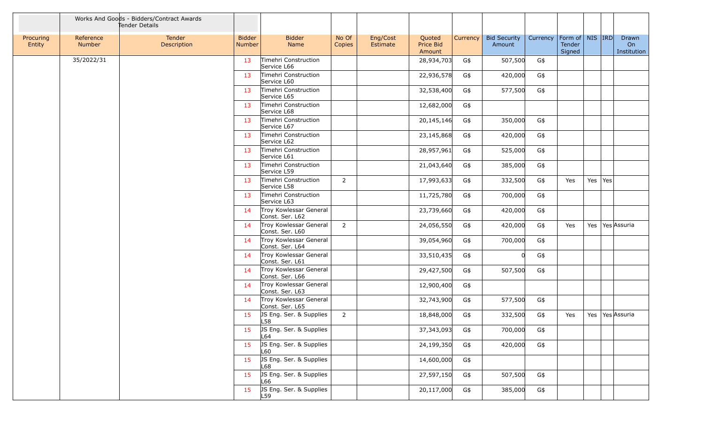|                     |                     | Works And Goods - Bidders/Contract Awards<br>Tender Details |                                |                                           |                 |                      |                               |                 |                               |          |                                          |     |     |                            |
|---------------------|---------------------|-------------------------------------------------------------|--------------------------------|-------------------------------------------|-----------------|----------------------|-------------------------------|-----------------|-------------------------------|----------|------------------------------------------|-----|-----|----------------------------|
| Procuring<br>Entity | Reference<br>Number | Tender<br>Description                                       | <b>Bidder</b><br><b>Number</b> | <b>Bidder</b><br>Name                     | No Of<br>Copies | Eng/Cost<br>Estimate | Quoted<br>Price Bid<br>Amount | <b>Currency</b> | <b>Bid Security</b><br>Amount | Currency | Form of   NIS   IRD <br>Tender<br>Signed |     |     | Drawn<br>On<br>Institution |
|                     | 35/2022/31          |                                                             | 13                             | Timehri Construction<br>Service L66       |                 |                      | 28,934,703                    | G\$             | 507,500                       | G\$      |                                          |     |     |                            |
|                     |                     |                                                             | 13                             | Timehri Construction<br>Service L60       |                 |                      | 22,936,578                    | G\$             | 420,000                       | G\$      |                                          |     |     |                            |
|                     |                     |                                                             | 13                             | Timehri Construction<br>Service L65       |                 |                      | 32,538,400                    | G\$             | 577,500                       | $G\$     |                                          |     |     |                            |
|                     |                     |                                                             | 13                             | Timehri Construction<br>Service L68       |                 |                      | 12,682,000                    | G\$             |                               |          |                                          |     |     |                            |
|                     |                     |                                                             | 13                             | Timehri Construction<br>Service L67       |                 |                      | 20,145,146                    | G\$             | 350,000                       | G\$      |                                          |     |     |                            |
|                     |                     |                                                             | 13                             | Timehri Construction<br>Service L62       |                 |                      | 23,145,868                    | G\$             | 420,000                       | G\$      |                                          |     |     |                            |
|                     |                     |                                                             | 13                             | Timehri Construction<br>Service L61       |                 |                      | 28,957,961                    | G\$             | 525,000                       | G\$      |                                          |     |     |                            |
|                     |                     |                                                             | 13                             | Timehri Construction<br>Service L59       |                 |                      | 21,043,640                    | G\$             | 385,000                       | G\$      |                                          |     |     |                            |
|                     |                     |                                                             | 13                             | Timehri Construction<br>Service L58       | $\overline{2}$  |                      | 17,993,633                    | G\$             | 332,500                       | G\$      | Yes                                      | Yes | Yes |                            |
|                     |                     |                                                             | 13                             | Timehri Construction<br>Service L63       |                 |                      | 11,725,780                    | G\$             | 700,000                       | G\$      |                                          |     |     |                            |
|                     |                     |                                                             | 14                             | Troy Kowlessar General<br>Const. Ser. L62 |                 |                      | 23,739,660                    | G\$             | 420,000                       | G\$      |                                          |     |     |                            |
|                     |                     |                                                             | 14                             | Troy Kowlessar General<br>Const. Ser. L60 | $\overline{2}$  |                      | 24,056,550                    | G\$             | 420,000                       | G\$      | Yes                                      |     |     | Yes Yes Assuria            |
|                     |                     |                                                             | 14                             | Troy Kowlessar General<br>Const. Ser. L64 |                 |                      | 39,054,960                    | G\$             | 700,000                       | G\$      |                                          |     |     |                            |
|                     |                     |                                                             | 14                             | Troy Kowlessar General<br>Const. Ser. L61 |                 |                      | 33,510,435                    | G\$             | U                             | G\$      |                                          |     |     |                            |
|                     |                     |                                                             | 14                             | Troy Kowlessar General<br>Const. Ser. L66 |                 |                      | 29,427,500                    | G\$             | 507,500                       | G\$      |                                          |     |     |                            |
|                     |                     |                                                             | 14                             | Troy Kowlessar General<br>Const. Ser. L63 |                 |                      | 12,900,400                    | G\$             |                               |          |                                          |     |     |                            |
|                     |                     |                                                             | 14                             | Troy Kowlessar General<br>Const. Ser. L65 |                 |                      | 32,743,900                    | G\$             | 577,500                       | G\$      |                                          |     |     |                            |
|                     |                     |                                                             | 15                             | JS Eng. Ser. & Supplies<br>L58            | $\overline{2}$  |                      | 18,848,000                    | G\$             | 332,500                       | G\$      | Yes                                      |     |     | Yes   Yes Assuria          |
|                     |                     |                                                             | 15                             | JS Eng. Ser. & Supplies<br>L64            |                 |                      | 37,343,093                    | G\$             | 700,000                       | G\$      |                                          |     |     |                            |
|                     |                     |                                                             | 15                             | JS Eng. Ser. & Supplies<br>L60            |                 |                      | 24,199,350                    | G\$             | 420,000                       | G\$      |                                          |     |     |                            |
|                     |                     |                                                             | 15                             | JS Eng. Ser. & Supplies<br>L68            |                 |                      | 14,600,000                    | G\$             |                               |          |                                          |     |     |                            |
|                     |                     |                                                             | 15                             | JS Eng. Ser. & Supplies<br>L66            |                 |                      | 27,597,150                    | G\$             | 507,500                       | G\$      |                                          |     |     |                            |
|                     |                     |                                                             | 15                             | JS Eng. Ser. & Supplies<br>L59            |                 |                      | 20,117,000                    | G\$             | 385,000                       | G\$      |                                          |     |     |                            |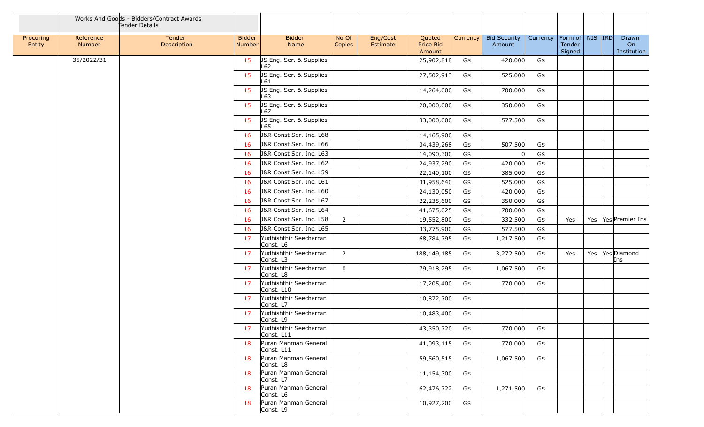|                     |                     | Works And Goods - Bidders/Contract Awards<br>Tender Details |                                |                                      |                 |                      |                               |          |                               |          |                                         |  |                            |
|---------------------|---------------------|-------------------------------------------------------------|--------------------------------|--------------------------------------|-----------------|----------------------|-------------------------------|----------|-------------------------------|----------|-----------------------------------------|--|----------------------------|
| Procuring<br>Entity | Reference<br>Number | Tender<br>Description                                       | <b>Bidder</b><br><b>Number</b> | <b>Bidder</b><br>Name                | No Of<br>Copies | Eng/Cost<br>Estimate | Quoted<br>Price Bid<br>Amount | Currency | <b>Bid Security</b><br>Amount | Currency | Form of   NIS   IRD<br>Tender<br>Signed |  | Drawn<br>On<br>Institution |
|                     | 35/2022/31          |                                                             | 15                             | JS Eng. Ser. & Supplies<br>L62       |                 |                      | 25,902,818                    | G\$      | 420,000                       | G\$      |                                         |  |                            |
|                     |                     |                                                             | 15                             | JS Eng. Ser. & Supplies<br>L61       |                 |                      | 27,502,913                    | G\$      | 525,000                       | G\$      |                                         |  |                            |
|                     |                     |                                                             | 15                             | JS Eng. Ser. & Supplies<br>L63       |                 |                      | 14,264,000                    | G\$      | 700,000                       | G\$      |                                         |  |                            |
|                     |                     |                                                             | 15                             | JS Eng. Ser. & Supplies<br>L67       |                 |                      | 20,000,000                    | G\$      | 350,000                       | G\$      |                                         |  |                            |
|                     |                     |                                                             | 15                             | JS Eng. Ser. & Supplies<br>L65       |                 |                      | 33,000,000                    | G\$      | 577,500                       | G\$      |                                         |  |                            |
|                     |                     |                                                             | 16                             | J&R Const Ser. Inc. L68              |                 |                      | 14,165,900                    | G\$      |                               |          |                                         |  |                            |
|                     |                     |                                                             | 16                             | J&R Const Ser. Inc. L66              |                 |                      | 34,439,268                    | G\$      | 507,500                       | G\$      |                                         |  |                            |
|                     |                     |                                                             | 16                             | J&R Const Ser. Inc. L63              |                 |                      | 14,090,300                    | G\$      |                               | G\$      |                                         |  |                            |
|                     |                     |                                                             | 16                             | J&R Const Ser. Inc. L62              |                 |                      | 24,937,290                    | G\$      | 420,000                       | G\$      |                                         |  |                            |
|                     |                     |                                                             | 16                             | J&R Const Ser. Inc. L59              |                 |                      | 22,140,100                    | G\$      | 385,000                       | G\$      |                                         |  |                            |
|                     |                     |                                                             | 16                             | J&R Const Ser. Inc. L61              |                 |                      | 31,958,640                    | G\$      | 525,000                       | G\$      |                                         |  |                            |
|                     |                     |                                                             | 16                             | J&R Const Ser. Inc. L60              |                 |                      | 24,130,050                    | G\$      | 420,000                       | G\$      |                                         |  |                            |
|                     |                     |                                                             | 16                             | J&R Const Ser. Inc. L67              |                 |                      | 22,235,600                    | G\$      | 350,000                       | G\$      |                                         |  |                            |
|                     |                     |                                                             | 16                             | J&R Const Ser. Inc. L64              |                 |                      | 41,675,025                    | G\$      | 700,000                       | G\$      |                                         |  |                            |
|                     |                     |                                                             | 16                             | J&R Const Ser. Inc. L58              | $\overline{2}$  |                      | 19,552,800                    | G\$      | 332,500                       | G\$      | Yes                                     |  | Yes   Yes   Premier Ins    |
|                     |                     |                                                             | 16                             | J&R Const Ser. Inc. L65              |                 |                      | 33,775,900                    | G\$      | 577,500                       | G\$      |                                         |  |                            |
|                     |                     |                                                             | 17                             | Yudhishthir Seecharran<br>Const. L6  |                 |                      | 68,784,795                    | G\$      | 1,217,500                     | G\$      |                                         |  |                            |
|                     |                     |                                                             | 17                             | Yudhishthir Seecharran<br>Const. L3  | $\overline{2}$  |                      | 188,149,185                   | G\$      | 3,272,500                     | G\$      | Yes                                     |  | Yes   Yes   Diamond<br>Ins |
|                     |                     |                                                             | 17                             | Yudhishthir Seecharran<br>Const. L8  | $\mathbf 0$     |                      | 79,918,295                    | G\$      | 1,067,500                     | G\$      |                                         |  |                            |
|                     |                     |                                                             | 17                             | Yudhishthir Seecharran<br>Const. L10 |                 |                      | 17,205,400                    | G\$      | 770,000                       | G\$      |                                         |  |                            |
|                     |                     |                                                             | 17                             | Yudhishthir Seecharran<br>Const. L7  |                 |                      | 10,872,700                    | G\$      |                               |          |                                         |  |                            |
|                     |                     |                                                             | 17                             | Yudhishthir Seecharran<br>Const. L9  |                 |                      | 10,483,400                    | G\$      |                               |          |                                         |  |                            |
|                     |                     |                                                             | 17                             | Yudhishthir Seecharran<br>Const. L11 |                 |                      | 43,350,720                    | G\$      | 770,000                       | G\$      |                                         |  |                            |
|                     |                     |                                                             | 18                             | Puran Manman General<br>Const. L11   |                 |                      | 41,093,115                    | G\$      | 770,000                       | G\$      |                                         |  |                            |
|                     |                     |                                                             | 18                             | Puran Manman General<br>Const. L8    |                 |                      | 59,560,515                    | G\$      | 1,067,500                     | G\$      |                                         |  |                            |
|                     |                     |                                                             | 18                             | Puran Manman General<br>Const. L7    |                 |                      | 11,154,300                    | G\$      |                               |          |                                         |  |                            |
|                     |                     |                                                             | 18                             | Puran Manman General<br>Const. L6    |                 |                      | 62,476,722                    | G\$      | 1,271,500                     | G\$      |                                         |  |                            |
|                     |                     |                                                             | 18                             | Puran Manman General<br>Const. L9    |                 |                      | 10,927,200                    | G\$      |                               |          |                                         |  |                            |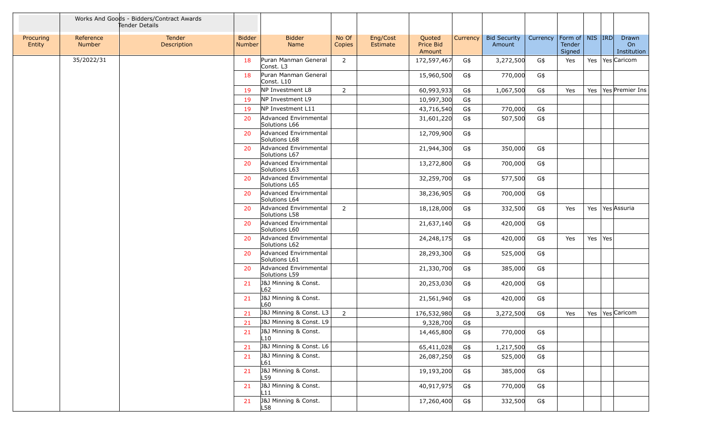|                     |                     | Works And Goods - Bidders/Contract Awards<br>Tender Details |                                |                                        |                 |                      |                               |          |                               |          |                                         |         |                            |
|---------------------|---------------------|-------------------------------------------------------------|--------------------------------|----------------------------------------|-----------------|----------------------|-------------------------------|----------|-------------------------------|----------|-----------------------------------------|---------|----------------------------|
| Procuring<br>Entity | Reference<br>Number | Tender<br>Description                                       | <b>Bidder</b><br><b>Number</b> | <b>Bidder</b><br>Name                  | No Of<br>Copies | Eng/Cost<br>Estimate | Quoted<br>Price Bid<br>Amount | Currency | <b>Bid Security</b><br>Amount | Currency | Form of   NIS   IRD<br>Tender<br>Signed |         | Drawn<br>On<br>Institution |
|                     | 35/2022/31          |                                                             | 18                             | Puran Manman General<br>Const. L3      | $\overline{2}$  |                      | 172,597,467                   | G\$      | 3,272,500                     | G\$      | Yes                                     |         | Yes   Yes   Caricom        |
|                     |                     |                                                             | 18                             | Puran Manman General<br>Const. L10     |                 |                      | 15,960,500                    | G\$      | 770,000                       | G\$      |                                         |         |                            |
|                     |                     |                                                             | 19                             | NP Investment L8                       | $\overline{2}$  |                      | 60,993,933                    | G\$      | 1,067,500                     | G\$      | Yes                                     |         | Yes   Yes   Premier Ins    |
|                     |                     |                                                             | 19                             | NP Investment L9                       |                 |                      | 10,997,300                    | G\$      |                               |          |                                         |         |                            |
|                     |                     |                                                             | 19                             | NP Investment L11                      |                 |                      | 43,716,540                    | G\$      | 770,000                       | G\$      |                                         |         |                            |
|                     |                     |                                                             | 20                             | Advanced Envirnmental<br>Solutions L66 |                 |                      | 31,601,220                    | G\$      | 507,500                       | G\$      |                                         |         |                            |
|                     |                     |                                                             | 20                             | Advanced Envirnmental<br>Solutions L68 |                 |                      | 12,709,900                    | G\$      |                               |          |                                         |         |                            |
|                     |                     |                                                             | 20                             | Advanced Envirnmental<br>Solutions L67 |                 |                      | 21,944,300                    | G\$      | 350,000                       | G\$      |                                         |         |                            |
|                     |                     |                                                             | 20                             | Advanced Envirnmental<br>Solutions L63 |                 |                      | 13,272,800                    | G\$      | 700,000                       | G\$      |                                         |         |                            |
|                     |                     |                                                             | 20                             | Advanced Envirnmental<br>Solutions L65 |                 |                      | 32,259,700                    | G\$      | 577,500                       | G\$      |                                         |         |                            |
|                     |                     |                                                             | 20                             | Advanced Envirnmental<br>Solutions L64 |                 |                      | 38,236,905                    | G\$      | 700,000                       | G\$      |                                         |         |                            |
|                     |                     |                                                             | 20                             | Advanced Envirnmental<br>Solutions L58 | $2^{\circ}$     |                      | 18,128,000                    | G\$      | 332,500                       | G\$      | Yes                                     |         | Yes   Yes Assuria          |
|                     |                     |                                                             | 20                             | Advanced Envirnmental<br>Solutions L60 |                 |                      | 21,637,140                    | G\$      | 420,000                       | G\$      |                                         |         |                            |
|                     |                     |                                                             | 20                             | Advanced Envirnmental<br>Solutions L62 |                 |                      | 24,248,175                    | G\$      | 420,000                       | G\$      | Yes                                     | Yes Yes |                            |
|                     |                     |                                                             | 20                             | Advanced Envirnmental<br>Solutions L61 |                 |                      | 28,293,300                    | G\$      | 525,000                       | G\$      |                                         |         |                            |
|                     |                     |                                                             | 20                             | Advanced Envirnmental<br>Solutions L59 |                 |                      | 21,330,700                    | G\$      | 385,000                       | G\$      |                                         |         |                            |
|                     |                     |                                                             | 21                             | J&J Minning & Const.<br>L62            |                 |                      | 20,253,030                    | G\$      | 420,000                       | G\$      |                                         |         |                            |
|                     |                     |                                                             | 21                             | J&J Minning & Const.<br>L60            |                 |                      | 21,561,940                    | G\$      | 420,000                       | G\$      |                                         |         |                            |
|                     |                     |                                                             | 21                             | J&J Minning & Const. L3                | $\overline{2}$  |                      | 176,532,980                   | G\$      | 3,272,500                     | G\$      | Yes                                     |         | Yes   Yes   Caricom        |
|                     |                     |                                                             | 21                             | J&J Minning & Const. L9                |                 |                      | 9,328,700                     | G\$      |                               |          |                                         |         |                            |
|                     |                     |                                                             | 21                             | J&J Minning & Const.<br>L10            |                 |                      | 14,465,800                    | G\$      | 770,000                       | G\$      |                                         |         |                            |
|                     |                     |                                                             | 21                             | J&J Minning & Const. L6                |                 |                      | 65,411,028                    | G\$      | 1,217,500                     | G\$      |                                         |         |                            |
|                     |                     |                                                             | 21                             | J&J Minning & Const.<br>L61            |                 |                      | 26,087,250                    | G\$      | 525,000                       | G\$      |                                         |         |                            |
|                     |                     |                                                             | 21                             | J&J Minning & Const.<br>L59            |                 |                      | 19,193,200                    | G\$      | 385,000                       | G\$      |                                         |         |                            |
|                     |                     |                                                             | 21                             | J&J Minning & Const.<br>L11            |                 |                      | 40,917,975                    | G\$      | 770,000                       | G\$      |                                         |         |                            |
|                     |                     |                                                             | 21                             | J&J Minning & Const.<br>L58            |                 |                      | 17,260,400                    | G\$      | 332,500                       | G\$      |                                         |         |                            |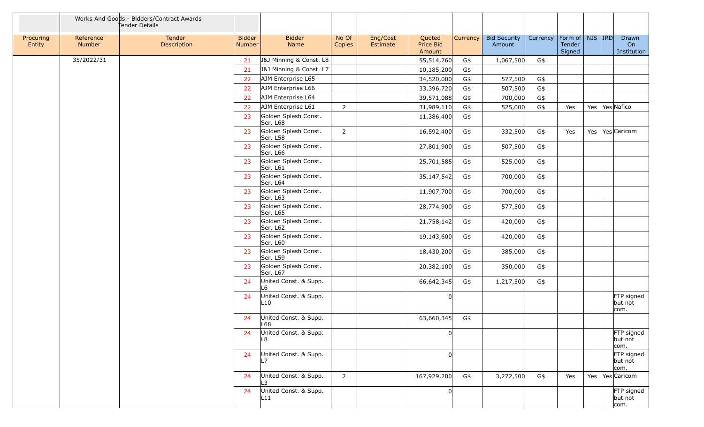|                     |                     | Works And Goods - Bidders/Contract Awards<br>Tender Details |                                |                                  |                 |                      |                               |          |                               |          |                                         |  |                               |
|---------------------|---------------------|-------------------------------------------------------------|--------------------------------|----------------------------------|-----------------|----------------------|-------------------------------|----------|-------------------------------|----------|-----------------------------------------|--|-------------------------------|
| Procuring<br>Entity | Reference<br>Number | Tender<br>Description                                       | <b>Bidder</b><br><b>Number</b> | <b>Bidder</b><br>Name            | No Of<br>Copies | Eng/Cost<br>Estimate | Quoted<br>Price Bid<br>Amount | Currency | <b>Bid Security</b><br>Amount | Currency | Form of   NIS   IRD<br>Tender<br>Signed |  | Drawn<br>On<br>Institution    |
|                     | 35/2022/31          |                                                             | 21                             | J&J Minning & Const. L8          |                 |                      | 55,514,760                    | G\$      | 1,067,500                     | G\$      |                                         |  |                               |
|                     |                     |                                                             | 21                             | J&J Minning & Const. L7          |                 |                      | 10,185,200                    | G\$      |                               |          |                                         |  |                               |
|                     |                     |                                                             | 22                             | AJM Enterprise L65               |                 |                      | 34,520,000                    | G\$      | 577,500                       | $G\$     |                                         |  |                               |
|                     |                     |                                                             | 22                             | AJM Enterprise L66               |                 |                      | 33,396,720                    | G\$      | 507,500                       | G\$      |                                         |  |                               |
|                     |                     |                                                             | 22                             | AJM Enterprise L64               |                 |                      | 39,571,088                    | G\$      | 700,000                       | G\$      |                                         |  |                               |
|                     |                     |                                                             | 22                             | AJM Enterprise L61               | $2^{\circ}$     |                      | 31,989,110                    | G\$      | 525,000                       | G\$      | Yes                                     |  | Yes   Yes   Nafico            |
|                     |                     |                                                             | 23                             | Golden Splash Const.<br>Ser. L68 |                 |                      | 11,386,400                    | G\$      |                               |          |                                         |  |                               |
|                     |                     |                                                             | 23                             | Golden Splash Const.<br>Ser. L58 | $2^{\circ}$     |                      | 16,592,400                    | G\$      | 332,500                       | G\$      | Yes                                     |  | Yes   Yes   Caricom           |
|                     |                     |                                                             | 23                             | Golden Splash Const.<br>Ser. L66 |                 |                      | 27,801,900                    | G\$      | 507,500                       | G\$      |                                         |  |                               |
|                     |                     |                                                             | 23                             | Golden Splash Const.<br>Ser. L61 |                 |                      | 25,701,585                    | G\$      | 525,000                       | G\$      |                                         |  |                               |
|                     |                     |                                                             | 23                             | Golden Splash Const.<br>Ser. L64 |                 |                      | 35,147,542                    | G\$      | 700,000                       | G\$      |                                         |  |                               |
|                     |                     |                                                             | 23                             | Golden Splash Const.<br>Ser. L63 |                 |                      | 11,907,700                    | G\$      | 700,000                       | G\$      |                                         |  |                               |
|                     |                     |                                                             | 23                             | Golden Splash Const.<br>Ser. L65 |                 |                      | 28,774,900                    | G\$      | 577,500                       | $G\$     |                                         |  |                               |
|                     |                     |                                                             | 23                             | Golden Splash Const.<br>Ser. L62 |                 |                      | 21,758,142                    | G\$      | 420,000                       | G\$      |                                         |  |                               |
|                     |                     |                                                             | 23                             | Golden Splash Const.<br>Ser. L60 |                 |                      | 19,143,600                    | G\$      | 420,000                       | G\$      |                                         |  |                               |
|                     |                     |                                                             | 23                             | Golden Splash Const.<br>Ser. L59 |                 |                      | 18,430,200                    | G\$      | 385,000                       | G\$      |                                         |  |                               |
|                     |                     |                                                             | 23                             | Golden Splash Const.<br>Ser. L67 |                 |                      | 20,382,100                    | G\$      | 350,000                       | G\$      |                                         |  |                               |
|                     |                     |                                                             | 24                             | United Const. & Supp.<br>L6      |                 |                      | 66,642,345                    | G\$      | 1,217,500                     | G\$      |                                         |  |                               |
|                     |                     |                                                             | 24                             | United Const. & Supp.<br>L10     |                 |                      |                               |          |                               |          |                                         |  | FTP signed<br>but not<br>com. |
|                     |                     |                                                             | 24                             | United Const. & Supp.<br>L68     |                 |                      | 63,660,345                    | G\$      |                               |          |                                         |  |                               |
|                     |                     |                                                             | 24                             | United Const. & Supp.<br>L8      |                 |                      |                               |          |                               |          |                                         |  | FTP signed<br>but not<br>com. |
|                     |                     |                                                             | 24                             | United Const. & Supp.<br>l 7     |                 |                      |                               |          |                               |          |                                         |  | FTP signed<br>but not<br>com. |
|                     |                     |                                                             | 24                             | United Const. & Supp.<br>L3      | $2^{\circ}$     |                      | 167,929,200                   | G\$      | 3,272,500                     | G\$      | Yes                                     |  | Yes   Yes   Caricom           |
|                     |                     |                                                             | 24                             | United Const. & Supp.<br>L11     |                 |                      |                               |          |                               |          |                                         |  | FTP signed<br>but not<br>com. |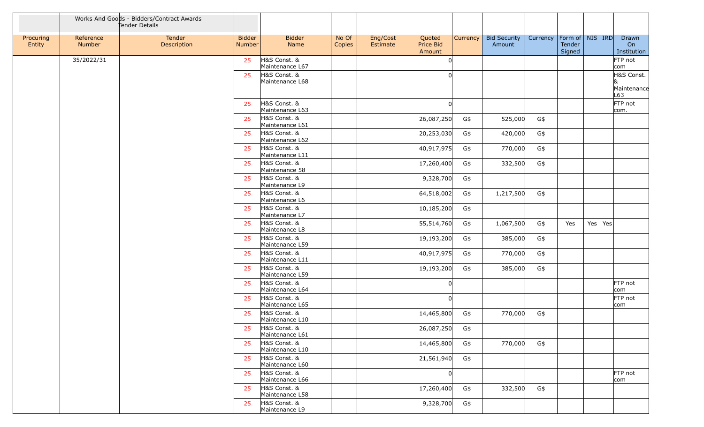|                     |                     | Works And Goods - Bidders/Contract Awards<br>Tender Details |                         |                                 |                 |                      |                               |          |                               |          |                                         |         |                            |
|---------------------|---------------------|-------------------------------------------------------------|-------------------------|---------------------------------|-----------------|----------------------|-------------------------------|----------|-------------------------------|----------|-----------------------------------------|---------|----------------------------|
| Procuring<br>Entity | Reference<br>Number | Tender<br>Description                                       | <b>Bidder</b><br>Number | <b>Bidder</b><br>Name           | No Of<br>Copies | Eng/Cost<br>Estimate | Quoted<br>Price Bid<br>Amount | Currency | <b>Bid Security</b><br>Amount | Currency | Form of   NIS   IRD<br>Tender<br>Signed |         | Drawn<br>On<br>Institution |
|                     | 35/2022/31          |                                                             | 25                      | H&S Const. &<br>Maintenance L67 |                 |                      | O                             |          |                               |          |                                         |         | FTP not<br>com             |
|                     |                     |                                                             | 25                      | H&S Const. &<br>Maintenance L68 |                 |                      |                               |          |                               |          |                                         |         | H&S Const.                 |
|                     |                     |                                                             |                         |                                 |                 |                      |                               |          |                               |          |                                         |         | Maintenance<br>L63         |
|                     |                     |                                                             | 25                      | H&S Const. &<br>Maintenance L63 |                 |                      |                               |          |                               |          |                                         |         | FTP not<br>com.            |
|                     |                     |                                                             | 25                      | H&S Const. &<br>Maintenance L61 |                 |                      | 26,087,250                    | G\$      | 525,000                       | G\$      |                                         |         |                            |
|                     |                     |                                                             | 25                      | H&S Const. &<br>Maintenance L62 |                 |                      | 20,253,030                    | G\$      | 420,000                       | G\$      |                                         |         |                            |
|                     |                     |                                                             | 25                      | H&S Const. &<br>Maintenance L11 |                 |                      | 40,917,975                    | G\$      | 770,000                       | G\$      |                                         |         |                            |
|                     |                     |                                                             | 25                      | H&S Const. &<br>Maintenance 58  |                 |                      | 17,260,400                    | G\$      | 332,500                       | G\$      |                                         |         |                            |
|                     |                     |                                                             | 25                      | H&S Const. &<br>Maintenance L9  |                 |                      | 9,328,700                     | G\$      |                               |          |                                         |         |                            |
|                     |                     |                                                             | 25                      | H&S Const. &<br>Maintenance L6  |                 |                      | 64,518,002                    | G\$      | 1,217,500                     | G\$      |                                         |         |                            |
|                     |                     |                                                             | 25                      | H&S Const. &<br>Maintenance L7  |                 |                      | 10,185,200                    | G\$      |                               |          |                                         |         |                            |
|                     |                     |                                                             | 25                      | H&S Const. &<br>Maintenance L8  |                 |                      | 55,514,760                    | G\$      | 1,067,500                     | G\$      | Yes                                     | Yes Yes |                            |
|                     |                     |                                                             | 25                      | H&S Const. &<br>Maintenance L59 |                 |                      | 19,193,200                    | G\$      | 385,000                       | G\$      |                                         |         |                            |
|                     |                     |                                                             | 25                      | H&S Const. &<br>Maintenance L11 |                 |                      | 40,917,975                    | G\$      | 770,000                       | G\$      |                                         |         |                            |
|                     |                     |                                                             | 25                      | H&S Const. &<br>Maintenance L59 |                 |                      | 19,193,200                    | G\$      | 385,000                       | G\$      |                                         |         |                            |
|                     |                     |                                                             | 25                      | H&S Const. &<br>Maintenance L64 |                 |                      |                               |          |                               |          |                                         |         | FTP not<br>com             |
|                     |                     |                                                             | 25                      | H&S Const. &<br>Maintenance L65 |                 |                      |                               |          |                               |          |                                         |         | FTP not<br>com             |
|                     |                     |                                                             | 25                      | H&S Const. &<br>Maintenance L10 |                 |                      | 14,465,800                    | G\$      | 770,000                       | G\$      |                                         |         |                            |
|                     |                     |                                                             | 25                      | H&S Const. &<br>Maintenance L61 |                 |                      | 26,087,250                    | G\$      |                               |          |                                         |         |                            |
|                     |                     |                                                             | 25                      | H&S Const. &<br>Maintenance L10 |                 |                      | 14,465,800                    | G\$      | 770,000                       | G\$      |                                         |         |                            |
|                     |                     |                                                             | 25                      | H&S Const. &<br>Maintenance L60 |                 |                      | 21,561,940                    | G\$      |                               |          |                                         |         |                            |
|                     |                     |                                                             | 25                      | H&S Const. &<br>Maintenance L66 |                 |                      |                               |          |                               |          |                                         |         | FTP not<br>com             |
|                     |                     |                                                             | 25                      | H&S Const. &<br>Maintenance L58 |                 |                      | 17,260,400                    | G\$      | 332,500                       | G\$      |                                         |         |                            |
|                     |                     |                                                             | 25                      | H&S Const. &<br>Maintenance L9  |                 |                      | 9,328,700                     | G\$      |                               |          |                                         |         |                            |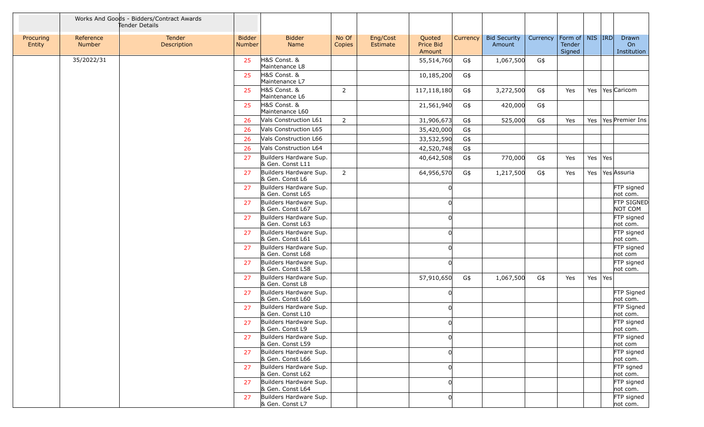|                     |                     | Works And Goods - Bidders/Contract Awards<br>Tender Details |                                |                                            |                 |                      |                               |          |                               |          |                                         |         |                              |
|---------------------|---------------------|-------------------------------------------------------------|--------------------------------|--------------------------------------------|-----------------|----------------------|-------------------------------|----------|-------------------------------|----------|-----------------------------------------|---------|------------------------------|
| Procuring<br>Entity | Reference<br>Number | Tender<br>Description                                       | <b>Bidder</b><br><b>Number</b> | <b>Bidder</b><br>Name                      | No Of<br>Copies | Eng/Cost<br>Estimate | Quoted<br>Price Bid<br>Amount | Currency | <b>Bid Security</b><br>Amount | Currency | Form of   NIS   IRD<br>Tender<br>Signed |         | Drawn<br>On<br>Institution   |
|                     | 35/2022/31          |                                                             | 25                             | H&S Const. &<br>Maintenance L8             |                 |                      | 55,514,760                    | G\$      | 1,067,500                     | G\$      |                                         |         |                              |
|                     |                     |                                                             | 25                             | H&S Const. &<br>Maintenance L7             |                 |                      | 10,185,200                    | G\$      |                               |          |                                         |         |                              |
|                     |                     |                                                             | 25                             | H&S Const. &<br>Maintenance L6             | 2               |                      | 117,118,180                   | G\$      | 3,272,500                     | G\$      | Yes                                     |         | Yes   Yes   Caricom          |
|                     |                     |                                                             | 25                             | H&S Const. &<br>Maintenance L60            |                 |                      | 21,561,940                    | G\$      | 420,000                       | G\$      |                                         |         |                              |
|                     |                     |                                                             | 26                             | Vals Construction L61                      | $\overline{2}$  |                      | 31,906,673                    | G\$      | 525,000                       | G\$      | Yes                                     |         | Yes   Yes   Premier Ins      |
|                     |                     |                                                             | 26                             | Vals Construction L65                      |                 |                      | 35,420,000                    | G\$      |                               |          |                                         |         |                              |
|                     |                     |                                                             | 26                             | Vals Construction L66                      |                 |                      | 33,532,590                    | G\$      |                               |          |                                         |         |                              |
|                     |                     |                                                             | 26                             | Vals Construction L64                      |                 |                      | 42,520,748                    | G\$      |                               |          |                                         |         |                              |
|                     |                     |                                                             | 27                             | Builders Hardware Sup.<br>& Gen. Const L11 |                 |                      | 40,642,508                    | G\$      | 770,000                       | G\$      | Yes                                     | Yes Yes |                              |
|                     |                     |                                                             | 27                             | Builders Hardware Sup.<br>& Gen. Const L6  | $\overline{2}$  |                      | 64,956,570                    | G\$      | 1,217,500                     | G\$      | Yes                                     |         | Yes Yes Assuria              |
|                     |                     |                                                             | 27                             | Builders Hardware Sup.<br>& Gen. Const L65 |                 |                      |                               |          |                               |          |                                         |         | FTP signed<br>not com.       |
|                     |                     |                                                             | 27                             | Builders Hardware Sup.<br>& Gen. Const L67 |                 |                      |                               |          |                               |          |                                         |         | <b>FTP SIGNED</b><br>NOT COM |
|                     |                     |                                                             | 27                             | Builders Hardware Sup.<br>& Gen. Const L63 |                 |                      |                               |          |                               |          |                                         |         | FTP signed<br>not com.       |
|                     |                     |                                                             | 27                             | Builders Hardware Sup.<br>& Gen. Const L61 |                 |                      |                               |          |                               |          |                                         |         | FTP signed<br>not com.       |
|                     |                     |                                                             | 27                             | Builders Hardware Sup.<br>& Gen. Const L68 |                 |                      |                               |          |                               |          |                                         |         | FTP signed<br>not com        |
|                     |                     |                                                             | 27                             | Builders Hardware Sup.<br>& Gen. Const L58 |                 |                      |                               |          |                               |          |                                         |         | FTP signed<br>not com.       |
|                     |                     |                                                             | 27                             | Builders Hardware Sup.<br>& Gen. Const L8  |                 |                      | 57,910,650                    | G\$      | 1,067,500                     | G\$      | Yes                                     | Yes Yes |                              |
|                     |                     |                                                             | 27                             | Builders Hardware Sup.<br>& Gen. Const L60 |                 |                      |                               |          |                               |          |                                         |         | FTP Signed<br>not com.       |
|                     |                     |                                                             | 27                             | Builders Hardware Sup.<br>& Gen. Const L10 |                 |                      |                               |          |                               |          |                                         |         | FTP Signed<br>not com.       |
|                     |                     |                                                             | 27                             | Builders Hardware Sup.<br>& Gen. Const L9  |                 |                      |                               |          |                               |          |                                         |         | FTP signed<br>not com.       |
|                     |                     |                                                             | 27                             | Builders Hardware Sup.<br>& Gen. Const L59 |                 |                      | U                             |          |                               |          |                                         |         | FTP signed<br>not com        |
|                     |                     |                                                             | 27                             | Builders Hardware Sup.<br>& Gen. Const L66 |                 |                      |                               |          |                               |          |                                         |         | FTP signed<br>not com.       |
|                     |                     |                                                             | 27                             | Builders Hardware Sup.<br>& Gen. Const L62 |                 |                      |                               |          |                               |          |                                         |         | FTP sgned<br>not com.        |
|                     |                     |                                                             | 27                             | Builders Hardware Sup.<br>& Gen. Const L64 |                 |                      |                               |          |                               |          |                                         |         | FTP signed<br>not com.       |
|                     |                     |                                                             | 27                             | Builders Hardware Sup.<br>& Gen. Const L7  |                 |                      |                               |          |                               |          |                                         |         | FTP signed<br>not com.       |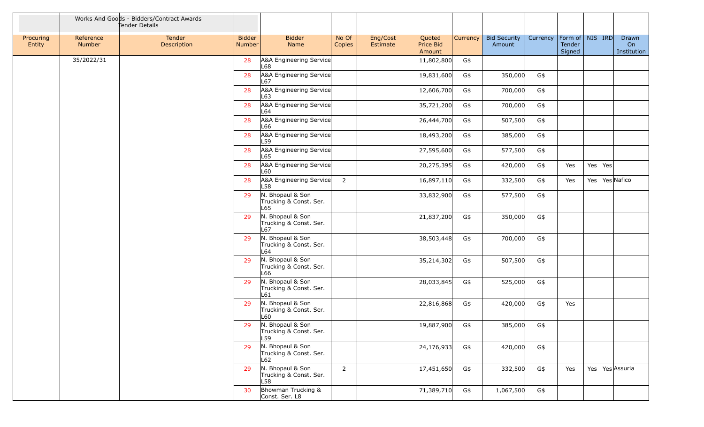|                     |                     | Works And Goods - Bidders/Contract Awards<br>Tender Details |                                |                                                   |                 |                      |                               |          |                               |          |                                           |         |                            |
|---------------------|---------------------|-------------------------------------------------------------|--------------------------------|---------------------------------------------------|-----------------|----------------------|-------------------------------|----------|-------------------------------|----------|-------------------------------------------|---------|----------------------------|
| Procuring<br>Entity | Reference<br>Number | Tender<br>Description                                       | <b>Bidder</b><br><b>Number</b> | <b>Bidder</b><br>Name                             | No Of<br>Copies | Eng/Cost<br>Estimate | Quoted<br>Price Bid<br>Amount | Currency | <b>Bid Security</b><br>Amount | Currency | Form of   NIS   IRD  <br>Tender<br>Signed |         | Drawn<br>On<br>Institution |
|                     | 35/2022/31          |                                                             | 28                             | A&A Engineering Service<br>L68                    |                 |                      | 11,802,800                    | G\$      |                               |          |                                           |         |                            |
|                     |                     |                                                             | 28                             | A&A Engineering Service<br>L67                    |                 |                      | 19,831,600                    | G\$      | 350,000                       | G\$      |                                           |         |                            |
|                     |                     |                                                             | 28                             | A&A Engineering Service<br>L63                    |                 |                      | 12,606,700                    | G\$      | 700,000                       | G\$      |                                           |         |                            |
|                     |                     |                                                             | 28                             | A&A Engineering Service<br>L64                    |                 |                      | 35,721,200                    | G\$      | 700,000                       | G\$      |                                           |         |                            |
|                     |                     |                                                             | 28                             | A&A Engineering Service<br>L66                    |                 |                      | 26,444,700                    | G\$      | 507,500                       | G\$      |                                           |         |                            |
|                     |                     |                                                             | 28                             | A&A Engineering Service<br>L59                    |                 |                      | 18,493,200                    | G\$      | 385,000                       | G\$      |                                           |         |                            |
|                     |                     |                                                             | 28                             | A&A Engineering Service<br>L65                    |                 |                      | 27,595,600                    | G\$      | 577,500                       | G\$      |                                           |         |                            |
|                     |                     |                                                             | 28                             | A&A Engineering Service<br>L60                    |                 |                      | 20,275,395                    | G\$      | 420,000                       | G\$      | Yes                                       | Yes Yes |                            |
|                     |                     |                                                             | 28                             | A&A Engineering Service<br>L58                    | $\overline{2}$  |                      | 16,897,110                    | G\$      | 332,500                       | G\$      | Yes                                       |         | Yes   Yes Nafico           |
|                     |                     |                                                             | 29                             | N. Bhopaul & Son<br>Trucking & Const. Ser.<br>L65 |                 |                      | 33,832,900                    | G\$      | 577,500                       | G\$      |                                           |         |                            |
|                     |                     |                                                             | 29                             | N. Bhopaul & Son<br>Trucking & Const. Ser.<br>L67 |                 |                      | 21,837,200                    | G\$      | 350,000                       | G\$      |                                           |         |                            |
|                     |                     |                                                             | 29                             | N. Bhopaul & Son<br>Trucking & Const. Ser.<br>L64 |                 |                      | 38,503,448                    | G\$      | 700,000                       | G\$      |                                           |         |                            |
|                     |                     |                                                             | 29                             | N. Bhopaul & Son<br>Trucking & Const. Ser.<br>L66 |                 |                      | 35,214,302                    | G\$      | 507,500                       | G\$      |                                           |         |                            |
|                     |                     |                                                             | 29                             | N. Bhopaul & Son<br>Trucking & Const. Ser.<br>L61 |                 |                      | 28,033,845                    | G\$      | 525,000                       | G\$      |                                           |         |                            |
|                     |                     |                                                             | 29                             | N. Bhopaul & Son<br>Trucking & Const. Ser.<br>L60 |                 |                      | 22,816,868                    | G\$      | 420,000                       | G\$      | Yes                                       |         |                            |
|                     |                     |                                                             | 29                             | N. Bhopaul & Son<br>Trucking & Const. Ser.<br>L59 |                 |                      | 19,887,900 G\$                |          | 385,000 G\$                   |          |                                           |         |                            |
|                     |                     |                                                             | 29                             | N. Bhopaul & Son<br>Trucking & Const. Ser.<br>L62 |                 |                      | 24,176,933                    | G\$      | 420,000                       | G\$      |                                           |         |                            |
|                     |                     |                                                             | 29                             | N. Bhopaul & Son<br>Trucking & Const. Ser.<br>L58 | $\overline{2}$  |                      | 17,451,650                    | G\$      | 332,500                       | G\$      | Yes                                       |         | Yes   Yes Assuria          |
|                     |                     |                                                             | 30                             | Bhowman Trucking &<br>Const. Ser. L8              |                 |                      | 71,389,710                    | G\$      | 1,067,500                     | G\$      |                                           |         |                            |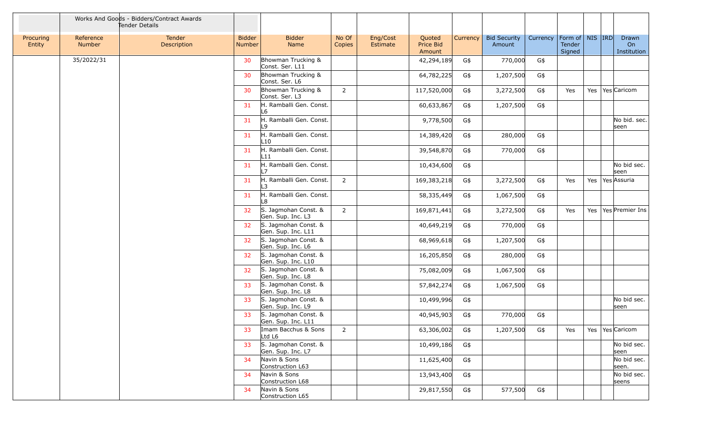|                     |                     | Works And Goods - Bidders/Contract Awards<br>Tender Details |                                |                                            |                 |                      |                               |          |                               |          |                                         |     |                            |
|---------------------|---------------------|-------------------------------------------------------------|--------------------------------|--------------------------------------------|-----------------|----------------------|-------------------------------|----------|-------------------------------|----------|-----------------------------------------|-----|----------------------------|
| Procuring<br>Entity | Reference<br>Number | Tender<br>Description                                       | <b>Bidder</b><br><b>Number</b> | <b>Bidder</b><br>Name                      | No Of<br>Copies | Eng/Cost<br>Estimate | Quoted<br>Price Bid<br>Amount | Currency | <b>Bid Security</b><br>Amount | Currency | Form of   NIS  IRD <br>Tender<br>Signed |     | Drawn<br>On<br>Institution |
|                     | 35/2022/31          |                                                             | 30                             | Bhowman Trucking &<br>Const. Ser. L11      |                 |                      | 42,294,189                    | G\$      | 770,000                       | G\$      |                                         |     |                            |
|                     |                     |                                                             | 30                             | Bhowman Trucking &<br>Const. Ser. L6       |                 |                      | 64,782,225                    | G\$      | 1,207,500                     | G\$      |                                         |     |                            |
|                     |                     |                                                             | 30                             | Bhowman Trucking &<br>Const. Ser. L3       | $\overline{2}$  |                      | 117,520,000                   | G\$      | 3,272,500                     | G\$      | Yes                                     |     | Yes   Yes   Caricom        |
|                     |                     |                                                             | 31                             | H. Ramballi Gen. Const.<br>L6              |                 |                      | 60,633,867                    | G\$      | 1,207,500                     | G\$      |                                         |     |                            |
|                     |                     |                                                             | 31                             | H. Ramballi Gen. Const.<br>۱۹              |                 |                      | 9,778,500                     | G\$      |                               |          |                                         |     | No bid. sec.<br>seen       |
|                     |                     |                                                             | 31                             | H. Ramballi Gen. Const.<br>L10             |                 |                      | 14,389,420                    | G\$      | 280,000                       | G\$      |                                         |     |                            |
|                     |                     |                                                             | 31                             | H. Ramballi Gen. Const.<br>L11             |                 |                      | 39,548,870                    | G\$      | 770,000                       | G\$      |                                         |     |                            |
|                     |                     |                                                             | 31                             | H. Ramballi Gen. Const.<br>7               |                 |                      | 10,434,600                    | G\$      |                               |          |                                         |     | No bid sec.<br>seen        |
|                     |                     |                                                             | 31                             | H. Ramballi Gen. Const.<br>3               | $\overline{2}$  |                      | 169,383,218                   | G\$      | 3,272,500                     | G\$      | Yes                                     | Yes | Yes Assuria                |
|                     |                     |                                                             | 31                             | H. Ramballi Gen. Const.<br>L8              |                 |                      | 58,335,449                    | G\$      | 1,067,500                     | G\$      |                                         |     |                            |
|                     |                     |                                                             | 32                             | S. Jagmohan Const. &<br>Gen. Sup. Inc. L3  | $2^{\circ}$     |                      | 169,871,441                   | G\$      | 3,272,500                     | G\$      | Yes                                     |     | Yes   Yes   Premier Ins    |
|                     |                     |                                                             | 32                             | S. Jagmohan Const. &<br>Gen. Sup. Inc. L11 |                 |                      | 40,649,219                    | G\$      | 770,000                       | G\$      |                                         |     |                            |
|                     |                     |                                                             | 32                             | S. Jagmohan Const. &<br>Gen. Sup. Inc. L6  |                 |                      | 68,969,618                    | G\$      | 1,207,500                     | G\$      |                                         |     |                            |
|                     |                     |                                                             | 32                             | S. Jagmohan Const. &<br>Gen. Sup. Inc. L10 |                 |                      | 16,205,850                    | G\$      | 280,000                       | G\$      |                                         |     |                            |
|                     |                     |                                                             | 32                             | S. Jagmohan Const. &<br>Gen. Sup. Inc. L8  |                 |                      | 75,082,009                    | G\$      | 1,067,500                     | G\$      |                                         |     |                            |
|                     |                     |                                                             | 33                             | S. Jagmohan Const. &<br>Gen. Sup. Inc. L8  |                 |                      | 57,842,274                    | G\$      | 1,067,500                     | G\$      |                                         |     |                            |
|                     |                     |                                                             | 33                             | S. Jagmohan Const. &<br>Gen. Sup. Inc. L9  |                 |                      | 10,499,996                    | G\$      |                               |          |                                         |     | No bid sec.<br>seen        |
|                     |                     |                                                             | 33                             | S. Jagmohan Const. &<br>Gen. Sup. Inc. L11 |                 |                      | 40,945,903                    | G\$      | 770,000                       | G\$      |                                         |     |                            |
|                     |                     |                                                             | 33                             | Imam Bacchus & Sons<br>Ltd L6              | 2               |                      | 63,306,002                    | G\$      | 1,207,500                     | G\$      | Yes                                     |     | Yes   Yes   Caricom        |
|                     |                     |                                                             | 33                             | S. Jagmohan Const. &<br>Gen. Sup. Inc. L7  |                 |                      | 10,499,186                    | G\$      |                               |          |                                         |     | No bid sec.<br>seen        |
|                     |                     |                                                             | 34                             | Navin & Sons<br>Construction L63           |                 |                      | 11,625,400                    | G\$      |                               |          |                                         |     | No bid sec.<br>seen.       |
|                     |                     |                                                             | 34                             | Navin & Sons<br>Construction L68           |                 |                      | 13,943,400                    | G\$      |                               |          |                                         |     | No bid sec.<br>seens       |
|                     |                     |                                                             | 34                             | Navin & Sons<br>Construction L65           |                 |                      | 29,817,550                    | G\$      | 577,500                       | G\$      |                                         |     |                            |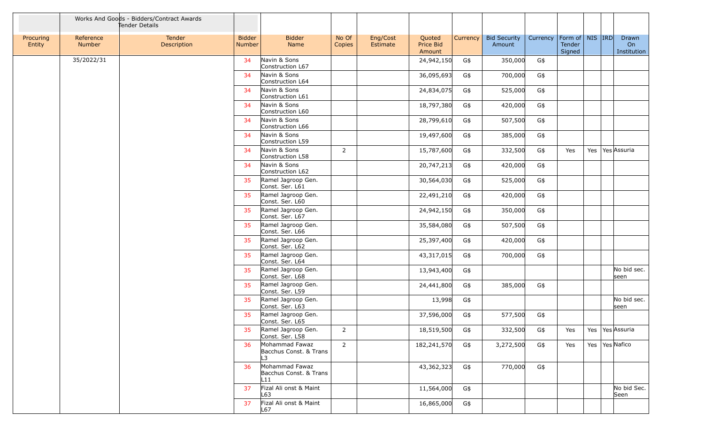|                     |                     | Works And Goods - Bidders/Contract Awards<br>Tender Details |                                |                                                 |                 |                      |                               |          |                               |          |                                         |  |                            |
|---------------------|---------------------|-------------------------------------------------------------|--------------------------------|-------------------------------------------------|-----------------|----------------------|-------------------------------|----------|-------------------------------|----------|-----------------------------------------|--|----------------------------|
| Procuring<br>Entity | Reference<br>Number | Tender<br>Description                                       | <b>Bidder</b><br><b>Number</b> | <b>Bidder</b><br>Name                           | No Of<br>Copies | Eng/Cost<br>Estimate | Quoted<br>Price Bid<br>Amount | Currency | <b>Bid Security</b><br>Amount | Currency | Form of   NIS   IRD<br>Tender<br>Signed |  | Drawn<br>On<br>Institution |
|                     | 35/2022/31          |                                                             | 34                             | Navin & Sons<br>Construction L67                |                 |                      | 24,942,150                    | G\$      | 350,000                       | G\$      |                                         |  |                            |
|                     |                     |                                                             | 34                             | Navin & Sons<br>Construction L64                |                 |                      | 36,095,693                    | G\$      | 700,000                       | G\$      |                                         |  |                            |
|                     |                     |                                                             | 34                             | Navin & Sons<br>Construction L61                |                 |                      | 24,834,075                    | G\$      | 525,000                       | G\$      |                                         |  |                            |
|                     |                     |                                                             | 34                             | Navin & Sons<br>Construction L60                |                 |                      | 18,797,380                    | G\$      | 420,000                       | G\$      |                                         |  |                            |
|                     |                     |                                                             | 34                             | Navin & Sons<br>Construction L66                |                 |                      | 28,799,610                    | G\$      | 507,500                       | G\$      |                                         |  |                            |
|                     |                     |                                                             | 34                             | Navin & Sons<br>Construction L59                |                 |                      | 19,497,600                    | G\$      | 385,000                       | G\$      |                                         |  |                            |
|                     |                     |                                                             | 34                             | Navin & Sons<br>Construction L58                | $\overline{2}$  |                      | 15,787,600                    | G\$      | 332,500                       | G\$      | Yes                                     |  | Yes Yes Assuria            |
|                     |                     |                                                             | 34                             | Navin & Sons<br>Construction L62                |                 |                      | 20,747,213                    | G\$      | 420,000                       | G\$      |                                         |  |                            |
|                     |                     |                                                             | 35                             | Ramel Jagroop Gen.<br>Const. Ser. L61           |                 |                      | 30,564,030                    | G\$      | 525,000                       | G\$      |                                         |  |                            |
|                     |                     |                                                             | 35                             | Ramel Jagroop Gen.<br>Const. Ser. L60           |                 |                      | 22,491,210                    | G\$      | 420,000                       | G\$      |                                         |  |                            |
|                     |                     |                                                             | 35                             | Ramel Jagroop Gen.<br>Const. Ser. L67           |                 |                      | 24,942,150                    | G\$      | 350,000                       | G\$      |                                         |  |                            |
|                     |                     |                                                             | 35                             | Ramel Jagroop Gen.<br>Const. Ser. L66           |                 |                      | 35,584,080                    | G\$      | 507,500                       | G\$      |                                         |  |                            |
|                     |                     |                                                             | 35                             | Ramel Jagroop Gen.<br>Const. Ser. L62           |                 |                      | 25,397,400                    | G\$      | 420,000                       | G\$      |                                         |  |                            |
|                     |                     |                                                             | 35                             | Ramel Jagroop Gen.<br>Const. Ser. L64           |                 |                      | 43,317,015                    | G\$      | 700,000                       | G\$      |                                         |  |                            |
|                     |                     |                                                             | 35                             | Ramel Jagroop Gen.<br>Const. Ser. L68           |                 |                      | 13,943,400                    | G\$      |                               |          |                                         |  | No bid sec.<br>seen        |
|                     |                     |                                                             | 35                             | Ramel Jagroop Gen.<br>Const. Ser. L59           |                 |                      | 24,441,800                    | G\$      | 385,000                       | G\$      |                                         |  |                            |
|                     |                     |                                                             | 35                             | Ramel Jagroop Gen.<br>Const. Ser. L63           |                 |                      | 13,998                        | G\$      |                               |          |                                         |  | No bid sec.<br>seen        |
|                     |                     |                                                             | 35                             | Ramel Jagroop Gen.<br>Const. Ser. L65           |                 |                      | 37,596,000                    | G\$      | 577,500                       | G\$      |                                         |  |                            |
|                     |                     |                                                             | 35                             | Ramel Jagroop Gen.<br>Const. Ser. L58           | $\overline{2}$  |                      | 18,519,500                    | G\$      | 332,500                       | G\$      | Yes                                     |  | Yes Yes Assuria            |
|                     |                     |                                                             | 36                             | Mohammad Fawaz<br>Bacchus Const. & Trans<br>L3  | $2^{\circ}$     |                      | 182,241,570                   | G\$      | 3,272,500                     | G\$      | Yes                                     |  | Yes   Yes Nafico           |
|                     |                     |                                                             | 36                             | Mohammad Fawaz<br>Bacchus Const. & Trans<br>L11 |                 |                      | 43,362,323                    | G\$      | 770,000                       | G\$      |                                         |  |                            |
|                     |                     |                                                             | 37                             | Fizal Ali onst & Maint<br>L63                   |                 |                      | 11,564,000                    | G\$      |                               |          |                                         |  | No bid Sec.<br>Seen        |
|                     |                     |                                                             | 37                             | Fizal Ali onst & Maint<br>L67                   |                 |                      | 16,865,000                    | G\$      |                               |          |                                         |  |                            |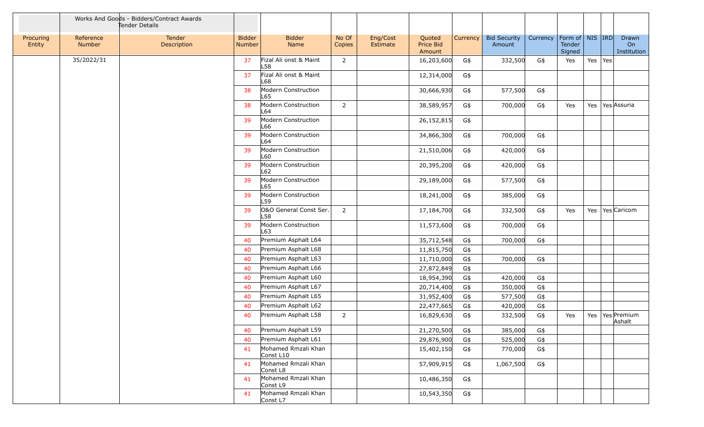|                     |                     | Works And Goods - Bidders/Contract Awards<br>Tender Details |                                |                                  |                 |                      |                               |          |                               |                                |                  |         |                            |
|---------------------|---------------------|-------------------------------------------------------------|--------------------------------|----------------------------------|-----------------|----------------------|-------------------------------|----------|-------------------------------|--------------------------------|------------------|---------|----------------------------|
| Procuring<br>Entity | Reference<br>Number | Tender<br>Description                                       | <b>Bidder</b><br><b>Number</b> | <b>Bidder</b><br>Name            | No Of<br>Copies | Eng/Cost<br>Estimate | Quoted<br>Price Bid<br>Amount | Currency | <b>Bid Security</b><br>Amount | Currency   Form of   NIS   IRD | Tender<br>Signed |         | Drawn<br>On<br>Institution |
|                     | 35/2022/31          |                                                             | 37                             | Fizal Ali onst & Maint<br>L58    | $\overline{2}$  |                      | 16,203,600                    | G\$      | 332,500                       | G\$                            | Yes              | Yes Yes |                            |
|                     |                     |                                                             | 37                             | Fizal Ali onst & Maint<br>-68    |                 |                      | 12,314,000                    | G\$      |                               |                                |                  |         |                            |
|                     |                     |                                                             | 38                             | Modern Construction<br>L65       |                 |                      | 30,666,930                    | G\$      | 577,500                       | G\$                            |                  |         |                            |
|                     |                     |                                                             | 38                             | Modern Construction<br>L64       | $\overline{2}$  |                      | 38,589,957                    | G\$      | 700,000                       | G\$                            | Yes              |         | Yes   Yes Assuria          |
|                     |                     |                                                             | 39                             | Modern Construction<br>-66       |                 |                      | 26,152,815                    | G\$      |                               |                                |                  |         |                            |
|                     |                     |                                                             | 39                             | Modern Construction<br>-64       |                 |                      | 34,866,300                    | G\$      | 700,000                       | G\$                            |                  |         |                            |
|                     |                     |                                                             | 39                             | Modern Construction<br>L60       |                 |                      | 21,510,006                    | G\$      | 420,000                       | G\$                            |                  |         |                            |
|                     |                     |                                                             | 39                             | Modern Construction<br>L62       |                 |                      | 20,395,200                    | G\$      | 420,000                       | G\$                            |                  |         |                            |
|                     |                     |                                                             | 39                             | Modern Construction<br>L65       |                 |                      | 29,189,000                    | G\$      | 577,500                       | G\$                            |                  |         |                            |
|                     |                     |                                                             | 39                             | Modern Construction<br>L59       |                 |                      | 18,241,000                    | G\$      | 385,000                       | G\$                            |                  |         |                            |
|                     |                     |                                                             | 39                             | O&O General Const Ser.<br>L58    | $\overline{2}$  |                      | 17,184,700                    | G\$      | 332,500                       | G\$                            | Yes              |         | Yes   Yes   Caricom        |
|                     |                     |                                                             | 39                             | Modern Construction<br>L63       |                 |                      | 11,573,600                    | G\$      | 700,000                       | G\$                            |                  |         |                            |
|                     |                     |                                                             | 40                             | Premium Asphalt L64              |                 |                      | 35,712,548                    | G\$      | 700,000                       | G\$                            |                  |         |                            |
|                     |                     |                                                             | 40                             | Premium Asphalt L68              |                 |                      | 11,815,750                    | G\$      |                               |                                |                  |         |                            |
|                     |                     |                                                             | 40                             | Premium Asphalt L63              |                 |                      | 11,710,000                    | G\$      | 700,000                       | G\$                            |                  |         |                            |
|                     |                     |                                                             | 40                             | Premium Asphalt L66              |                 |                      | 27,872,849                    | G\$      |                               |                                |                  |         |                            |
|                     |                     |                                                             | 40                             | Premium Asphalt L60              |                 |                      | 18,954,390                    | G\$      | 420,000                       | G\$                            |                  |         |                            |
|                     |                     |                                                             | 40                             | Premium Asphalt L67              |                 |                      | 20,714,400                    | G\$      | 350,000                       | $G\$                           |                  |         |                            |
|                     |                     |                                                             | 40                             | Premium Asphalt L65              |                 |                      | 31,952,400                    | G\$      | 577,500                       | G\$                            |                  |         |                            |
|                     |                     |                                                             | 40                             | Premium Asphalt L62              |                 |                      | 22,477,665                    | G\$      | 420,000                       | G\$                            |                  |         |                            |
|                     |                     |                                                             | 40                             | Premium Asphalt L58              | $\overline{2}$  |                      | 16,829,630                    | G\$      | 332,500                       | $G\$                           | Yes              | Yes     | Yes Premium<br>Ashalt      |
|                     |                     |                                                             | 40                             | Premium Asphalt L59              |                 |                      | 21,270,500                    | G\$      | 385,000                       | G\$                            |                  |         |                            |
|                     |                     |                                                             | 40                             | Premium Asphalt L61              |                 |                      | 29,876,900                    | G\$      | 525,000                       | G\$                            |                  |         |                            |
|                     |                     |                                                             | 41                             | Mohamed Rmzali Khan<br>Const L10 |                 |                      | 15,402,150                    | G\$      | 770,000                       | G\$                            |                  |         |                            |
|                     |                     |                                                             | 41                             | Mohamed Rmzali Khan<br>Const L8  |                 |                      | 57,909,915                    | G\$      | 1,067,500                     | G\$                            |                  |         |                            |
|                     |                     |                                                             | 41                             | Mohamed Rmzali Khan<br>Const L9  |                 |                      | 10,486,350                    | G\$      |                               |                                |                  |         |                            |
|                     |                     |                                                             | 41                             | Mohamed Rmzali Khan<br>Const L7  |                 |                      | 10,543,350                    | G\$      |                               |                                |                  |         |                            |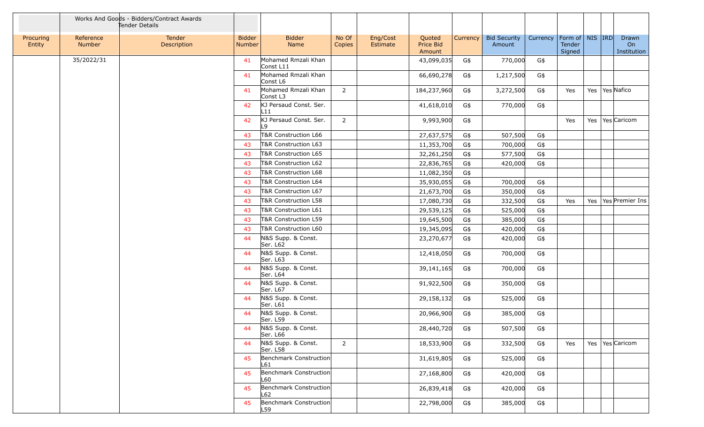|                     |                     | Works And Goods - Bidders/Contract Awards<br>Tender Details |                                |                                  |                 |                      |                               |          |                               |                                |                  |  |                            |
|---------------------|---------------------|-------------------------------------------------------------|--------------------------------|----------------------------------|-----------------|----------------------|-------------------------------|----------|-------------------------------|--------------------------------|------------------|--|----------------------------|
| Procuring<br>Entity | Reference<br>Number | Tender<br>Description                                       | <b>Bidder</b><br><b>Number</b> | <b>Bidder</b><br>Name            | No Of<br>Copies | Eng/Cost<br>Estimate | Quoted<br>Price Bid<br>Amount | Currency | <b>Bid Security</b><br>Amount | Currency   Form of   NIS   IRD | Tender<br>Signed |  | Drawn<br>On<br>Institution |
|                     | 35/2022/31          |                                                             | 41                             | Mohamed Rmzali Khan<br>Const L11 |                 |                      | 43,099,035                    | G\$      | 770,000                       | G\$                            |                  |  |                            |
|                     |                     |                                                             | 41                             | Mohamed Rmzali Khan<br>Const L6  |                 |                      | 66,690,278                    | G\$      | 1,217,500                     | G\$                            |                  |  |                            |
|                     |                     |                                                             | 41                             | Mohamed Rmzali Khan<br>Const L3  | $2^{\circ}$     |                      | 184,237,960                   | G\$      | 3,272,500                     | G\$                            | Yes              |  | Yes   Yes   Nafico         |
|                     |                     |                                                             | 42                             | KJ Persaud Const. Ser.<br>L11    |                 |                      | 41,618,010                    | G\$      | 770,000                       | G\$                            |                  |  |                            |
|                     |                     |                                                             | 42                             | KJ Persaud Const. Ser.<br>19     | $\overline{2}$  |                      | 9,993,900                     | G\$      |                               |                                | Yes              |  | Yes   Yes   Caricom        |
|                     |                     |                                                             | 43                             | T&R Construction L66             |                 |                      | 27,637,575                    | G\$      | 507,500                       | G\$                            |                  |  |                            |
|                     |                     |                                                             | 43                             | T&R Construction L63             |                 |                      | 11,353,700                    | G\$      | 700,000                       | G\$                            |                  |  |                            |
|                     |                     |                                                             | 43                             | T&R Construction L65             |                 |                      | 32,261,250                    | G\$      | 577,500                       | G\$                            |                  |  |                            |
|                     |                     |                                                             | 43                             | T&R Construction L62             |                 |                      | 22,836,765                    | G\$      | 420,000                       | G\$                            |                  |  |                            |
|                     |                     |                                                             | 43                             | T&R Construction L68             |                 |                      | 11,082,350                    | G\$      |                               |                                |                  |  |                            |
|                     |                     |                                                             | 43                             | T&R Construction L64             |                 |                      | 35,930,055                    | G\$      | 700,000                       | G\$                            |                  |  |                            |
|                     |                     |                                                             | 43                             | T&R Construction L67             |                 |                      | 21,673,700                    | G\$      | 350,000                       | G\$                            |                  |  |                            |
|                     |                     |                                                             | 43                             | T&R Construction L58             |                 |                      | 17,080,730                    | G\$      | 332,500                       | G\$                            | Yes              |  | Yes   Yes   Premier Ins    |
|                     |                     |                                                             | 43                             | T&R Construction L61             |                 |                      | 29,539,125                    | G\$      | 525,000                       | G\$                            |                  |  |                            |
|                     |                     |                                                             | 43                             | T&R Construction L59             |                 |                      | 19,645,500                    | G\$      | 385,000                       | G\$                            |                  |  |                            |
|                     |                     |                                                             | 43                             | T&R Construction L60             |                 |                      | 19,345,095                    | G\$      | 420,000                       | G\$                            |                  |  |                            |
|                     |                     |                                                             | 44                             | N&S Supp. & Const.<br>Ser. L62   |                 |                      | 23,270,677                    | G\$      | 420,000                       | G\$                            |                  |  |                            |
|                     |                     |                                                             | 44                             | N&S Supp. & Const.<br>Ser. L63   |                 |                      | 12,418,050                    | G\$      | 700,000                       | G\$                            |                  |  |                            |
|                     |                     |                                                             | 44                             | N&S Supp. & Const.<br>Ser. L64   |                 |                      | 39,141,165                    | G\$      | 700,000                       | G\$                            |                  |  |                            |
|                     |                     |                                                             | 44                             | N&S Supp. & Const.<br>Ser. L67   |                 |                      | 91,922,500                    | G\$      | 350,000                       | G\$                            |                  |  |                            |
|                     |                     |                                                             | 44                             | N&S Supp. & Const.<br>Ser. L61   |                 |                      | 29,158,132                    | G\$      | 525,000                       | G\$                            |                  |  |                            |
|                     |                     |                                                             | 44                             | N&S Supp. & Const.<br>Ser. L59   |                 |                      | 20,966,900                    | G\$      | 385,000                       | G\$                            |                  |  |                            |
|                     |                     |                                                             | 44                             | N&S Supp. & Const.<br>Ser. L66   |                 |                      | 28,440,720                    | G\$      | 507,500                       | G\$                            |                  |  |                            |
|                     |                     |                                                             | 44                             | N&S Supp. & Const.<br>Ser. L58   | $\overline{2}$  |                      | 18,533,900                    | G\$      | 332,500                       | G\$                            | Yes              |  | Yes   Yes Caricom          |
|                     |                     |                                                             | 45                             | Benchmark Construction<br>L61    |                 |                      | 31,619,805                    | G\$      | 525,000                       | G\$                            |                  |  |                            |
|                     |                     |                                                             | 45                             | Benchmark Construction<br>L60    |                 |                      | 27,168,800                    | G\$      | 420,000                       | G\$                            |                  |  |                            |
|                     |                     |                                                             | 45                             | Benchmark Construction<br>L62    |                 |                      | 26,839,418                    | G\$      | 420,000                       | G\$                            |                  |  |                            |
|                     |                     |                                                             | 45                             | Benchmark Construction<br>L59    |                 |                      | 22,798,000                    | G\$      | 385,000                       | G\$                            |                  |  |                            |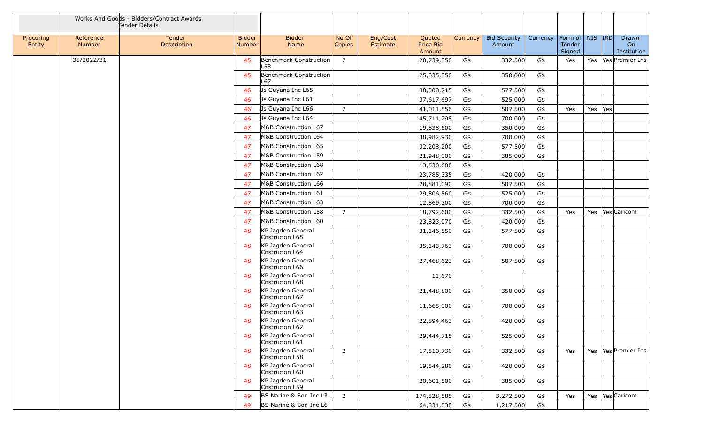|                     |                     | Works And Goods - Bidders/Contract Awards<br>Tender Details |                                |                                     |                 |                      |                               |                 |                               |          |                                         |         |                            |
|---------------------|---------------------|-------------------------------------------------------------|--------------------------------|-------------------------------------|-----------------|----------------------|-------------------------------|-----------------|-------------------------------|----------|-----------------------------------------|---------|----------------------------|
| Procuring<br>Entity | Reference<br>Number | Tender<br>Description                                       | <b>Bidder</b><br><b>Number</b> | <b>Bidder</b><br>Name               | No Of<br>Copies | Eng/Cost<br>Estimate | Quoted<br>Price Bid<br>Amount | <b>Currency</b> | <b>Bid Security</b><br>Amount | Currency | Form of   NIS   IRD<br>Tender<br>Signed |         | Drawn<br>On<br>Institution |
|                     | 35/2022/31          |                                                             | 45                             | Benchmark Construction<br>L58       | $\overline{2}$  |                      | 20,739,350                    | G\$             | 332,500                       | G\$      | Yes                                     |         | Yes   Yes   Premier Ins    |
|                     |                     |                                                             | 45                             | Benchmark Construction<br>L67       |                 |                      | 25,035,350                    | G\$             | 350,000                       | G\$      |                                         |         |                            |
|                     |                     |                                                             | 46                             | Js Guyana Inc L65                   |                 |                      | 38,308,715                    | G\$             | 577,500                       | G\$      |                                         |         |                            |
|                     |                     |                                                             | 46                             | Js Guyana Inc L61                   |                 |                      | 37,617,697                    | G\$             | 525,000                       | G\$      |                                         |         |                            |
|                     |                     |                                                             | 46                             | Js Guyana Inc L66                   | $\overline{2}$  |                      | 41,011,556                    | G\$             | 507,500                       | G\$      | Yes                                     | Yes Yes |                            |
|                     |                     |                                                             | 46                             | Js Guyana Inc L64                   |                 |                      | 45,711,298                    | G\$             | 700,000                       | G\$      |                                         |         |                            |
|                     |                     |                                                             | 47                             | M&B Construction L67                |                 |                      | 19,838,600                    | G\$             | 350,000                       | G\$      |                                         |         |                            |
|                     |                     |                                                             | 47                             | M&B Construction L64                |                 |                      | 38,982,930                    | G\$             | 700,000                       | G\$      |                                         |         |                            |
|                     |                     |                                                             | 47                             | M&B Construction L65                |                 |                      | 32,208,200                    | G\$             | 577,500                       | G\$      |                                         |         |                            |
|                     |                     |                                                             | 47                             | M&B Construction L59                |                 |                      | 21,948,000                    | G\$             | 385,000                       | G\$      |                                         |         |                            |
|                     |                     |                                                             | 47                             | M&B Construction L68                |                 |                      | 13,530,600                    | G\$             |                               |          |                                         |         |                            |
|                     |                     |                                                             | 47                             | M&B Construction L62                |                 |                      | 23,785,335                    | G\$             | 420,000                       | G\$      |                                         |         |                            |
|                     |                     |                                                             | 47                             | M&B Construction L66                |                 |                      | 28,881,090                    | G\$             | 507,500                       | G\$      |                                         |         |                            |
|                     |                     |                                                             | 47                             | M&B Construction L61                |                 |                      | 29,806,560                    | G\$             | 525,000                       | G\$      |                                         |         |                            |
|                     |                     |                                                             | 47                             | M&B Construction L63                |                 |                      | 12,869,300                    | G\$             | 700,000                       | G\$      |                                         |         |                            |
|                     |                     |                                                             | 47                             | M&B Construction L58                | $\overline{2}$  |                      | 18,792,600                    | G\$             | 332,500                       | G\$      | Yes                                     |         | Yes   Yes Caricom          |
|                     |                     |                                                             | 47                             | M&B Construction L60                |                 |                      | 23,823,070                    | G\$             | 420,000                       | G\$      |                                         |         |                            |
|                     |                     |                                                             | 48                             | KP Jagdeo General<br>Cnstrucion L65 |                 |                      | 31,146,550                    | G\$             | 577,500                       | G\$      |                                         |         |                            |
|                     |                     |                                                             | 48                             | KP Jagdeo General<br>Cnstrucion L64 |                 |                      | 35,143,763                    | G\$             | 700,000                       | G\$      |                                         |         |                            |
|                     |                     |                                                             | 48                             | KP Jagdeo General<br>Cnstrucion L66 |                 |                      | 27,468,623                    | G\$             | 507,500                       | G\$      |                                         |         |                            |
|                     |                     |                                                             | 48                             | KP Jagdeo General<br>Cnstrucion L68 |                 |                      | 11,670                        |                 |                               |          |                                         |         |                            |
|                     |                     |                                                             | 48                             | KP Jagdeo General<br>Cnstrucion L67 |                 |                      | 21,448,800                    | G\$             | 350,000                       | G\$      |                                         |         |                            |
|                     |                     |                                                             | 48                             | KP Jagdeo General<br>Cnstrucion L63 |                 |                      | 11,665,000                    | G\$             | 700,000                       | G\$      |                                         |         |                            |
|                     |                     |                                                             | 48                             | KP Jagdeo General<br>Cnstrucion L62 |                 |                      | 22,894,463                    | G\$             | 420,000                       | G\$      |                                         |         |                            |
|                     |                     |                                                             | 48                             | KP Jagdeo General<br>Cnstrucion L61 |                 |                      | 29,444,715                    | G\$             | 525,000                       | G\$      |                                         |         |                            |
|                     |                     |                                                             | 48                             | KP Jagdeo General<br>Cnstrucion L58 | $2^{\circ}$     |                      | 17,510,730                    | G\$             | 332,500                       | G\$      | Yes                                     |         | Yes   Yes   Premier Ins    |
|                     |                     |                                                             | 48                             | KP Jagdeo General<br>Cnstrucion L60 |                 |                      | 19,544,280                    | G\$             | 420,000                       | G\$      |                                         |         |                            |
|                     |                     |                                                             | 48                             | KP Jagdeo General<br>Cnstrucion L59 |                 |                      | 20,601,500                    | G\$             | 385,000                       | G\$      |                                         |         |                            |
|                     |                     |                                                             | 49                             | BS Narine & Son Inc L3              | $\overline{2}$  |                      | 174,528,585                   | G\$             | 3,272,500                     | G\$      | Yes                                     |         | Yes   Yes   Caricom        |
|                     |                     |                                                             | 49                             | BS Narine & Son Inc L6              |                 |                      | 64,831,038                    | G\$             | 1,217,500                     | G\$      |                                         |         |                            |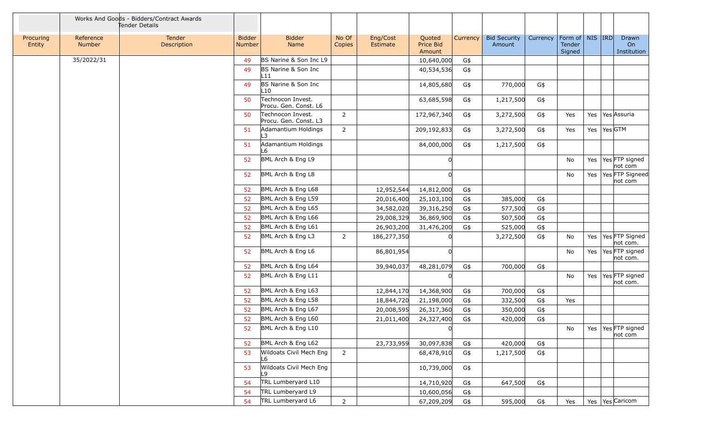|                     |                     | Works And Goods - Bidders/Contract Awards<br>Tender Details |                         |                                            |                 |                      |                                      |          |                               |          |                                         |                                     |                                  |
|---------------------|---------------------|-------------------------------------------------------------|-------------------------|--------------------------------------------|-----------------|----------------------|--------------------------------------|----------|-------------------------------|----------|-----------------------------------------|-------------------------------------|----------------------------------|
| Procuring<br>Entity | Reference<br>Number | Tender<br>Description                                       | <b>Bidder</b><br>Number | <b>Bidder</b><br>Name                      | No Of<br>Copies | Eng/Cost<br>Estimate | Quoted<br><b>Price Bid</b><br>Amount | Currency | <b>Bid Security</b><br>Amount | Currency | Form of   NIS   IRD<br>Tender<br>Signed |                                     | Drawn<br>On<br>Institution       |
|                     | 35/2022/31          |                                                             | 49                      | BS Narine & Son Inc L9                     |                 |                      | 10,640,000                           | G\$      |                               |          |                                         |                                     |                                  |
|                     |                     |                                                             | 49                      | BS Narine & Son Inc<br>L11                 |                 |                      | 40,534,536                           | G\$      |                               |          |                                         |                                     |                                  |
|                     |                     |                                                             | 49                      | BS Narine & Son Inc<br>L10                 |                 |                      | 14,805,680                           | G\$      | 770,000                       | G\$      |                                         |                                     |                                  |
|                     |                     |                                                             | 50                      | Technocon Invest.<br>Procu. Gen. Const. L6 |                 |                      | 63,685,598                           | G\$      | 1,217,500                     | G\$      |                                         |                                     |                                  |
|                     |                     |                                                             | 50                      | Technocon Invest.<br>Procu. Gen. Const. L3 | $\overline{2}$  |                      | 172,967,340                          | G\$      | 3,272,500                     | G\$      | Yes                                     |                                     | Yes Yes Assuria                  |
|                     |                     |                                                             | 51                      | Adamantium Holdings<br>∣3                  | $\overline{2}$  |                      | 209,192,833                          | G\$      | 3,272,500                     | G\$      | Yes                                     | Yes $\left  \text{Yes} \right $ GTM |                                  |
|                     |                     |                                                             | 51                      | Adamantium Holdings<br>L6                  |                 |                      | 84,000,000                           | G\$      | 1,217,500                     | G\$      |                                         |                                     |                                  |
|                     |                     |                                                             | 52                      | BML Arch & Eng L9                          |                 |                      |                                      |          |                               |          | No                                      |                                     | Yes   Yes FTP signed<br>not com  |
|                     |                     |                                                             | 52                      | BML Arch & Eng L8                          |                 |                      |                                      |          |                               |          | No                                      |                                     | Yes   Yes FTP Signeed<br>not com |
|                     |                     |                                                             | 52                      | BML Arch & Eng L68                         |                 | 12,952,544           | 14,812,000                           | G\$      |                               |          |                                         |                                     |                                  |
|                     |                     |                                                             | 52                      | BML Arch & Eng L59                         |                 | 20,016,400           | 25,103,100                           | G\$      | 385,000                       | G\$      |                                         |                                     |                                  |
|                     |                     |                                                             | 52                      | BML Arch & Eng L65                         |                 | 34,582,020           | 39,316,250                           | G\$      | 577,500                       | G\$      |                                         |                                     |                                  |
|                     |                     |                                                             | 52                      | BML Arch & Eng L66                         |                 | 29,008,329           | 36,869,900                           | G\$      | 507,500                       | G\$      |                                         |                                     |                                  |
|                     |                     |                                                             | 52                      | BML Arch & Eng L61                         |                 | 26,903,200           | 31,476,200                           | G\$      | 525,000                       | $G\$     |                                         |                                     |                                  |
|                     |                     |                                                             | 52                      | BML Arch & Eng L3                          | $\overline{2}$  | 186,277,350          |                                      |          | 3,272,500                     | G\$      | No                                      |                                     | Yes   Yes FTP Signed<br>not com. |
|                     |                     |                                                             | 52                      | BML Arch & Eng L6                          |                 | 86,801,954           |                                      |          |                               |          | No                                      |                                     | Yes   Yes FTP signed<br>not com. |
|                     |                     |                                                             | 52                      | BML Arch & Eng L64                         |                 | 39,940,037           | 48,281,079                           | G\$      | 700,000                       | G\$      |                                         |                                     |                                  |
|                     |                     |                                                             | 52                      | BML Arch & Eng L11                         |                 |                      |                                      |          |                               |          | No                                      |                                     | Yes   Yes FTP signed<br>not com. |
|                     |                     |                                                             | 52                      | BML Arch & Eng L63                         |                 | 12,844,170           | 14,368,900                           | G\$      | 700,000                       | $G\$     |                                         |                                     |                                  |
|                     |                     |                                                             | 52                      | BML Arch & Eng L58                         |                 | 18,844,720           | 21,198,000                           | G\$      | 332,500                       | G\$      | Yes                                     |                                     |                                  |
|                     |                     |                                                             | 52                      | BML Arch & Eng L67                         |                 | 20,008,595           | 26,317,360                           | G\$      | 350,000                       | G\$      |                                         |                                     |                                  |
|                     |                     |                                                             | 52                      | BML Arch & Eng L60                         |                 | 21,011,400           | 24,327,400                           | G\$      | 420,000                       | G\$      |                                         |                                     |                                  |
|                     |                     |                                                             | 52                      | BML Arch & Eng L10                         |                 |                      | 0                                    |          |                               |          | No                                      |                                     | Yes   Yes FTP signed<br>not com  |
|                     |                     |                                                             | 52                      | BML Arch & Eng L62                         |                 | 23,733,959           | 30,097,838                           | G\$      | 420,000                       | G\$      |                                         |                                     |                                  |
|                     |                     |                                                             | 53                      | Wildoats Civil Mech Eng<br>L6              | $\overline{2}$  |                      | 68,478,910                           | G\$      | 1,217,500                     | G\$      |                                         |                                     |                                  |
|                     |                     |                                                             | 53                      | Wildoats Civil Mech Eng<br>L9              |                 |                      | 10,739,000                           | G\$      |                               |          |                                         |                                     |                                  |
|                     |                     |                                                             | 54                      | TRL Lumberyard L10                         |                 |                      | 14,710,920                           | G\$      | 647,500                       | G\$      |                                         |                                     |                                  |
|                     |                     |                                                             | 54                      | TRL Lumberyard L9                          |                 |                      | 10,600,056                           | G\$      |                               |          |                                         |                                     |                                  |
|                     |                     |                                                             | 54                      | TRL Lumberyard L6                          | $\overline{2}$  |                      | 67,209,209                           | G\$      | 595,000                       | G\$      | Yes                                     |                                     | Yes   Yes   Caricom              |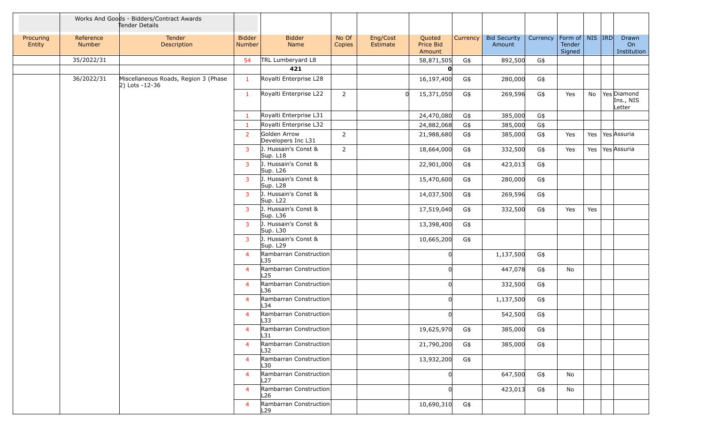|                     |                     | Works And Goods - Bidders/Contract Awards<br>Tender Details |                                |                                    |                 |                      |                               |          |                               |          |                                         |     |                                       |
|---------------------|---------------------|-------------------------------------------------------------|--------------------------------|------------------------------------|-----------------|----------------------|-------------------------------|----------|-------------------------------|----------|-----------------------------------------|-----|---------------------------------------|
| Procuring<br>Entity | Reference<br>Number | Tender<br>Description                                       | <b>Bidder</b><br><b>Number</b> | <b>Bidder</b><br>Name              | No Of<br>Copies | Eng/Cost<br>Estimate | Quoted<br>Price Bid<br>Amount | Currency | <b>Bid Security</b><br>Amount | Currency | Form of   NIS   IRD<br>Tender<br>Signed |     | Drawn<br>On<br>Institution            |
|                     | 35/2022/31          |                                                             | 54                             | TRL Lumberyard L8                  |                 |                      | 58,871,505                    | G\$      | 892,500                       | G\$      |                                         |     |                                       |
|                     |                     |                                                             |                                | 421                                |                 |                      | ŋ                             |          |                               |          |                                         |     |                                       |
|                     | 36/2022/31          | Miscellaneous Roads, Region 3 (Phase<br>$ 2)$ Lots -12-36   | 1                              | Royalti Enterprise L28             |                 |                      | 16,197,400                    | G\$      | 280,000                       | G\$      |                                         |     |                                       |
|                     |                     |                                                             | 1                              | Royalti Enterprise L22             | $2^{\circ}$     | $\Omega$             | 15,371,050                    | G\$      | 269,596                       | G\$      | Yes                                     |     | No Yes Diamond<br>Ins., NIS<br>Letter |
|                     |                     |                                                             | -1                             | Royalti Enterprise L31             |                 |                      | 24,470,080                    | G\$      | 385,000                       | G\$      |                                         |     |                                       |
|                     |                     |                                                             | -1                             | Royalti Enterprise L32             |                 |                      | 24,882,068                    | G\$      | 385,000                       | G\$      |                                         |     |                                       |
|                     |                     |                                                             | 2                              | Golden Arrow<br>Developers Inc L31 | $\overline{2}$  |                      | 21,988,680                    | G\$      | 385,000                       | G\$      | Yes                                     |     | Yes   Yes Assuria                     |
|                     |                     |                                                             | 3                              | J. Hussain's Const &<br>Sup. L18   | $2^{\circ}$     |                      | 18,664,000                    | G\$      | 332,500                       | G\$      | Yes                                     |     | Yes   Yes Assuria                     |
|                     |                     |                                                             | 3                              | J. Hussain's Const &<br>Sup. L26   |                 |                      | 22,901,000                    | G\$      | 423,013                       | G\$      |                                         |     |                                       |
|                     |                     |                                                             | 3                              | J. Hussain's Const &<br>Sup. L28   |                 |                      | 15,470,600                    | G\$      | 280,000                       | G\$      |                                         |     |                                       |
|                     |                     |                                                             | 3                              | J. Hussain's Const &<br>Sup. L22   |                 |                      | 14,037,500                    | G\$      | 269,596                       | G\$      |                                         |     |                                       |
|                     |                     |                                                             | 3                              | J. Hussain's Const &<br>Sup. L36   |                 |                      | 17,519,040                    | G\$      | 332,500                       | G\$      | Yes                                     | Yes |                                       |
|                     |                     |                                                             | 3                              | J. Hussain's Const &<br>Sup. L30   |                 |                      | 13,398,400                    | G\$      |                               |          |                                         |     |                                       |
|                     |                     |                                                             | 3                              | J. Hussain's Const &<br>Sup. L29   |                 |                      | 10,665,200                    | G\$      |                               |          |                                         |     |                                       |
|                     |                     |                                                             | $\overline{4}$                 | Rambarran Construction<br>L35      |                 |                      | 0l                            |          | 1,137,500                     | G\$      |                                         |     |                                       |
|                     |                     |                                                             | $\overline{4}$                 | Rambarran Construction<br>L25      |                 |                      | U                             |          | 447,078                       | G\$      | No                                      |     |                                       |
|                     |                     |                                                             | $\overline{4}$                 | Rambarran Construction<br>L36      |                 |                      |                               |          | 332,500                       | G\$      |                                         |     |                                       |
|                     |                     |                                                             | $\overline{4}$                 | Rambarran Construction<br>L34      |                 |                      | ΩI                            |          | 1,137,500                     | G\$      |                                         |     |                                       |
|                     |                     |                                                             | $\overline{\mathcal{A}}$       | Rambarran Construction<br>L33      |                 |                      | 0l                            |          | 542,500                       | G\$      |                                         |     |                                       |
|                     |                     |                                                             | $\overline{\mathcal{A}}$       | Rambarran Construction<br>L31      |                 |                      | 19,625,970                    | G\$      | 385,000                       | G\$      |                                         |     |                                       |
|                     |                     |                                                             | $\overline{4}$                 | Rambarran Construction<br>L32      |                 |                      | 21,790,200                    | G\$      | 385,000                       | G\$      |                                         |     |                                       |
|                     |                     |                                                             | $\overline{4}$                 | Rambarran Construction<br>L30      |                 |                      | 13,932,200                    | G\$      |                               |          |                                         |     |                                       |
|                     |                     |                                                             | $\overline{4}$                 | Rambarran Construction<br>L27      |                 |                      | 0l                            |          | 647,500                       | G\$      | No                                      |     |                                       |
|                     |                     |                                                             | $\overline{4}$                 | Rambarran Construction<br>L26      |                 |                      | ∩                             |          | 423,013                       | G\$      | No                                      |     |                                       |
|                     |                     |                                                             | $\overline{4}$                 | Rambarran Construction<br>L29      |                 |                      | 10,690,310                    | G\$      |                               |          |                                         |     |                                       |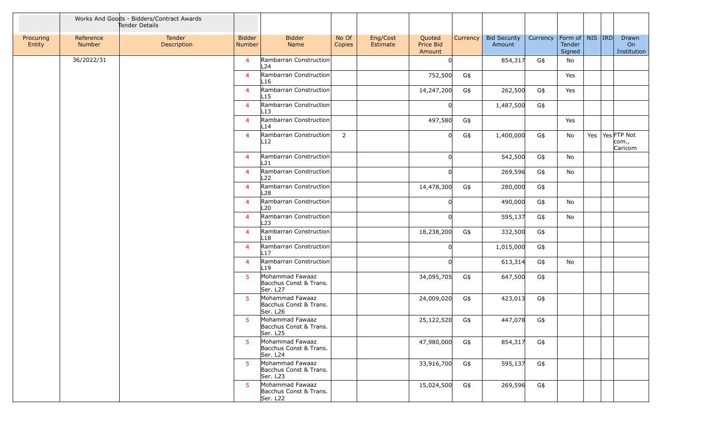|                     |                     | Works And Goods - Bidders/Contract Awards<br>Tender Details |                                |                                                                   |                 |                      |                               |                 |                               |          |                                         |  |                                       |
|---------------------|---------------------|-------------------------------------------------------------|--------------------------------|-------------------------------------------------------------------|-----------------|----------------------|-------------------------------|-----------------|-------------------------------|----------|-----------------------------------------|--|---------------------------------------|
| Procuring<br>Entity | Reference<br>Number | Tender<br>Description                                       | <b>Bidder</b><br><b>Number</b> | <b>Bidder</b><br>Name                                             | No Of<br>Copies | Eng/Cost<br>Estimate | Quoted<br>Price Bid<br>Amount | <b>Currency</b> | <b>Bid Security</b><br>Amount | Currency | Form of   NIS   IRD<br>Tender<br>Signed |  | Drawn<br>On<br>Institution            |
|                     | 36/2022/31          |                                                             | $\overline{4}$                 | Rambarran Construction<br>L24                                     |                 |                      | O                             |                 | 854,317                       | G\$      | No                                      |  |                                       |
|                     |                     |                                                             | 4                              | Rambarran Construction<br>L <sub>16</sub>                         |                 |                      | 752,500                       | G\$             |                               |          | Yes                                     |  |                                       |
|                     |                     |                                                             | 4                              | Rambarran Construction<br>L15                                     |                 |                      | 14,247,200                    | G\$             | 262,500                       | G\$      | Yes                                     |  |                                       |
|                     |                     |                                                             | $\overline{4}$                 | Rambarran Construction<br>L13                                     |                 |                      |                               |                 | 1,487,500                     | G\$      |                                         |  |                                       |
|                     |                     |                                                             | 4                              | Rambarran Construction<br>L14                                     |                 |                      | 497,580                       | G\$             |                               |          | Yes                                     |  |                                       |
|                     |                     |                                                             | 4                              | Rambarran Construction<br>L12                                     | $\overline{2}$  |                      |                               | G\$             | 1,400,000                     | G\$      | No                                      |  | Yes   Yes FTP Not<br>com.,<br>Caricom |
|                     |                     |                                                             | $\overline{4}$                 | Rambarran Construction<br>L21                                     |                 |                      | U                             |                 | 542,500                       | G\$      | No                                      |  |                                       |
|                     |                     |                                                             | 4                              | Rambarran Construction<br>L <sub>22</sub>                         |                 |                      |                               |                 | 269,596                       | G\$      | No                                      |  |                                       |
|                     |                     |                                                             | 4                              | Rambarran Construction<br>L <sub>28</sub>                         |                 |                      | 14,478,300                    | G\$             | 280,000                       | G\$      |                                         |  |                                       |
|                     |                     |                                                             | 4                              | Rambarran Construction<br>L <sub>20</sub>                         |                 |                      |                               |                 | 490,000                       | G\$      | No                                      |  |                                       |
|                     |                     |                                                             | 4                              | Rambarran Construction<br>L23                                     |                 |                      |                               |                 | 595,137                       | G\$      | No                                      |  |                                       |
|                     |                     |                                                             | 4                              | Rambarran Construction<br>L <sub>18</sub>                         |                 |                      | 18,238,200                    | G\$             | 332,500                       | G\$      |                                         |  |                                       |
|                     |                     |                                                             | 4                              | Rambarran Construction<br>L17                                     |                 |                      | n                             |                 | 1,015,000                     | G\$      |                                         |  |                                       |
|                     |                     |                                                             | $\overline{4}$                 | Rambarran Construction<br>L19                                     |                 |                      |                               |                 | 613,314                       | G\$      | No                                      |  |                                       |
|                     |                     |                                                             | 5                              | Mohammad Fawaaz<br>Bacchus Const & Trans.<br>Ser. L <sub>27</sub> |                 |                      | 34,095,705                    | G\$             | 647,500                       | G\$      |                                         |  |                                       |
|                     |                     |                                                             | 5                              | Mohammad Fawaaz<br>Bacchus Const & Trans.<br>Ser. L26             |                 |                      | 24,009,020                    | G\$             | 423,013                       | G\$      |                                         |  |                                       |
|                     |                     |                                                             | 5                              | Mohammad Fawaaz<br>Bacchus Const & Trans.<br>Ser. L25             |                 |                      | 25,122,520                    | G\$             | 447,078                       | G\$      |                                         |  |                                       |
|                     |                     |                                                             | 5                              | Mohammad Fawaaz<br>Bacchus Const & Trans.<br>Ser. L24             |                 |                      | 47,980,000                    | G\$             | 854,317                       | G\$      |                                         |  |                                       |
|                     |                     |                                                             | 5.                             | Mohammad Fawaaz<br>Bacchus Const & Trans.<br>Ser. L23             |                 |                      | 33,916,700                    | G\$             | 595,137                       | G\$      |                                         |  |                                       |
|                     |                     |                                                             | 5                              | Mohammad Fawaaz<br>Bacchus Const & Trans.<br>Ser. L22             |                 |                      | 15,024,500                    | G\$             | 269,596                       | G\$      |                                         |  |                                       |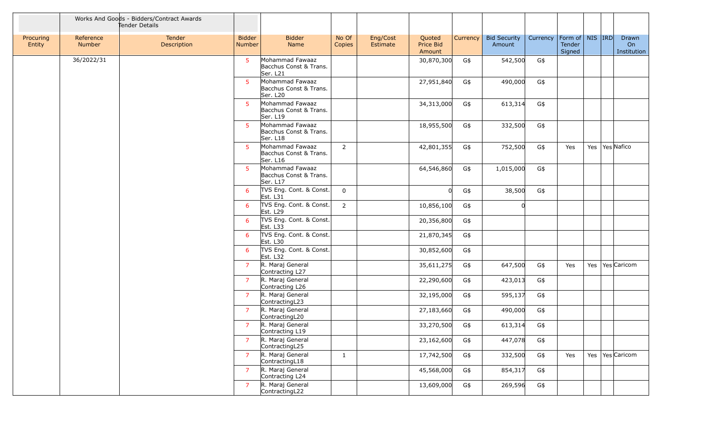|                     |                     | Works And Goods - Bidders/Contract Awards<br>Tender Details |                                |                                                       |                 |                      |                               |          |                               |          |                                         |  |                            |
|---------------------|---------------------|-------------------------------------------------------------|--------------------------------|-------------------------------------------------------|-----------------|----------------------|-------------------------------|----------|-------------------------------|----------|-----------------------------------------|--|----------------------------|
| Procuring<br>Entity | Reference<br>Number | Tender<br>Description                                       | <b>Bidder</b><br><b>Number</b> | <b>Bidder</b><br>Name                                 | No Of<br>Copies | Eng/Cost<br>Estimate | Quoted<br>Price Bid<br>Amount | Currency | <b>Bid Security</b><br>Amount | Currency | Form of   NIS   IRD<br>Tender<br>Signed |  | Drawn<br>On<br>Institution |
|                     | 36/2022/31          |                                                             | 5                              | Mohammad Fawaaz<br>Bacchus Const & Trans.<br>Ser. L21 |                 |                      | 30,870,300                    | G\$      | 542,500                       | G\$      |                                         |  |                            |
|                     |                     |                                                             | 5                              | Mohammad Fawaaz<br>Bacchus Const & Trans.<br>Ser. L20 |                 |                      | 27,951,840                    | G\$      | 490,000                       | G\$      |                                         |  |                            |
|                     |                     |                                                             | 5                              | Mohammad Fawaaz<br>Bacchus Const & Trans.<br>Ser. L19 |                 |                      | 34,313,000                    | G\$      | 613,314                       | G\$      |                                         |  |                            |
|                     |                     |                                                             | 5                              | Mohammad Fawaaz<br>Bacchus Const & Trans.<br>Ser. L18 |                 |                      | 18,955,500                    | G\$      | 332,500                       | G\$      |                                         |  |                            |
|                     |                     |                                                             | 5                              | Mohammad Fawaaz<br>Bacchus Const & Trans.<br>Ser. L16 | $\overline{2}$  |                      | 42,801,355                    | G\$      | 752,500                       | G\$      | Yes                                     |  | Yes   Yes   Nafico         |
|                     |                     |                                                             | 5                              | Mohammad Fawaaz<br>Bacchus Const & Trans.<br>Ser. L17 |                 |                      | 64,546,860                    | G\$      | 1,015,000                     | G\$      |                                         |  |                            |
|                     |                     |                                                             | 6                              | TVS Eng. Cont. & Const.<br>Est. L31                   | $\mathbf{0}$    |                      | U                             | G\$      | 38,500                        | G\$      |                                         |  |                            |
|                     |                     |                                                             | 6                              | TVS Eng. Cont. & Const.<br>Est. L29                   | $\overline{2}$  |                      | 10,856,100                    | G\$      |                               |          |                                         |  |                            |
|                     |                     |                                                             | 6                              | TVS Eng. Cont. & Const.<br>Est. L33                   |                 |                      | 20,356,800                    | G\$      |                               |          |                                         |  |                            |
|                     |                     |                                                             | 6                              | TVS Eng. Cont. & Const.<br>Est. L30                   |                 |                      | 21,870,345                    | G\$      |                               |          |                                         |  |                            |
|                     |                     |                                                             | 6                              | TVS Eng. Cont. & Const.<br>Est. L32                   |                 |                      | 30,852,600                    | G\$      |                               |          |                                         |  |                            |
|                     |                     |                                                             | $\overline{7}$                 | R. Maraj General<br>Contracting L27                   |                 |                      | 35,611,275                    | G\$      | 647,500                       | G\$      | Yes                                     |  | Yes   Yes   Caricom        |
|                     |                     |                                                             | $\overline{7}$                 | R. Maraj General<br>Contracting L26                   |                 |                      | 22,290,600                    | G\$      | 423,013                       | G\$      |                                         |  |                            |
|                     |                     |                                                             | $\overline{7}$                 | R. Maraj General<br>ContractingL23                    |                 |                      | 32,195,000                    | G\$      | 595,137                       | G\$      |                                         |  |                            |
|                     |                     |                                                             | 7                              | R. Maraj General<br>ContractingL20                    |                 |                      | 27,183,660                    | G\$      | 490,000                       | G\$      |                                         |  |                            |
|                     |                     |                                                             | $\overline{z}$                 | R. Maraj General<br>Contracting L19                   |                 |                      | 33,270,500                    | G\$      | 613,314                       | G\$      |                                         |  |                            |
|                     |                     |                                                             | $\overline{7}$                 | R. Maraj General<br>ContractingL25                    |                 |                      | 23,162,600                    | G\$      | 447,078                       | G\$      |                                         |  |                            |
|                     |                     |                                                             | $\overline{7}$                 | R. Maraj General<br>ContractingL18                    | $\mathbf{1}$    |                      | 17,742,500                    | G\$      | 332,500                       | G\$      | Yes                                     |  | Yes   Yes   Caricom        |
|                     |                     |                                                             | $\overline{7}$                 | R. Maraj General<br>Contracting L24                   |                 |                      | 45,568,000                    | G\$      | 854,317                       | G\$      |                                         |  |                            |
|                     |                     |                                                             | $\overline{7}$                 | R. Maraj General<br>ContractingL22                    |                 |                      | 13,609,000                    | G\$      | 269,596                       | G\$      |                                         |  |                            |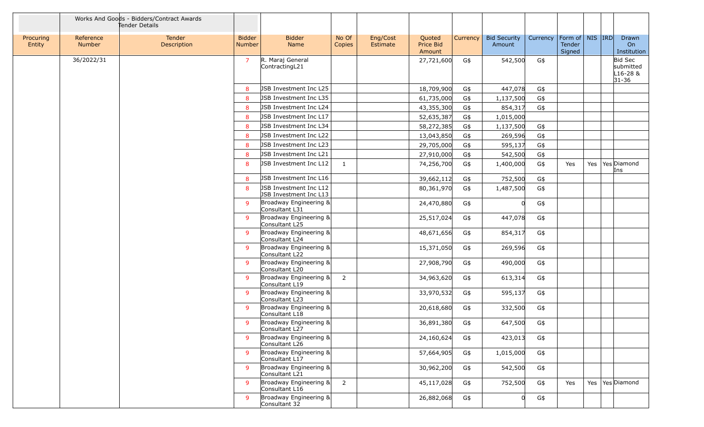|                     |                     | Works And Goods - Bidders/Contract Awards<br>Tender Details |                                |                                                  |                 |                      |                               |          |                               |          |                                         |  |                                               |
|---------------------|---------------------|-------------------------------------------------------------|--------------------------------|--------------------------------------------------|-----------------|----------------------|-------------------------------|----------|-------------------------------|----------|-----------------------------------------|--|-----------------------------------------------|
| Procuring<br>Entity | Reference<br>Number | Tender<br>Description                                       | <b>Bidder</b><br><b>Number</b> | <b>Bidder</b><br>Name                            | No Of<br>Copies | Eng/Cost<br>Estimate | Quoted<br>Price Bid<br>Amount | Currency | <b>Bid Security</b><br>Amount | Currency | Form of   NIS   IRD<br>Tender<br>Signed |  | Drawn<br>On<br>Institution                    |
|                     | 36/2022/31          |                                                             | $\overline{7}$                 | R. Maraj General<br>ContractingL21               |                 |                      | 27,721,600                    | G\$      | 542,500                       | G\$      |                                         |  | Bid Sec<br>submitted<br>L16-28 &<br>$31 - 36$ |
|                     |                     |                                                             | 8                              | JSB Investment Inc L25                           |                 |                      | 18,709,900                    | G\$      | 447,078                       | G\$      |                                         |  |                                               |
|                     |                     |                                                             | 8                              | JSB Investment Inc L35                           |                 |                      | 61,735,000                    | G\$      | 1,137,500                     | G\$      |                                         |  |                                               |
|                     |                     |                                                             | 8                              | <b>JSB Investment Inc L24</b>                    |                 |                      | 43,355,300                    | G\$      | 854,317                       | G\$      |                                         |  |                                               |
|                     |                     |                                                             | 8                              | JSB Investment Inc L17                           |                 |                      | 52,635,387                    | G\$      | 1,015,000                     |          |                                         |  |                                               |
|                     |                     |                                                             | 8                              | JSB Investment Inc L34                           |                 |                      | 58,272,385                    | G\$      | 1,137,500                     | G\$      |                                         |  |                                               |
|                     |                     |                                                             | 8                              | JSB Investment Inc L22                           |                 |                      | 13,043,850                    | G\$      | 269,596                       | G\$      |                                         |  |                                               |
|                     |                     |                                                             | 8                              | <b>JSB Investment Inc L23</b>                    |                 |                      | 29,705,000                    | G\$      | 595,137                       | G\$      |                                         |  |                                               |
|                     |                     |                                                             | 8                              | JSB Investment Inc L21                           |                 |                      | 27,910,000                    | G\$      | 542,500                       | G\$      |                                         |  |                                               |
|                     |                     |                                                             | 8                              | JSB Investment Inc L12                           | $\mathbf{1}$    |                      | 74,256,700                    | G\$      | 1,400,000                     | G\$      | Yes                                     |  | Yes   Yes   Diamond<br>Ins                    |
|                     |                     |                                                             | 8                              | JSB Investment Inc L16                           |                 |                      | 39,662,112                    | G\$      | 752,500                       | G\$      |                                         |  |                                               |
|                     |                     |                                                             | 8                              | JSB Investment Inc L12<br>JSB Investment Inc L13 |                 |                      | 80,361,970                    | G\$      | 1,487,500                     | G\$      |                                         |  |                                               |
|                     |                     |                                                             | $\mathsf{q}$                   | Broadway Engineering &<br>Consultant L31         |                 |                      | 24,470,880                    | G\$      |                               | G\$      |                                         |  |                                               |
|                     |                     |                                                             | 9                              | Broadway Engineering &<br>Consultant L25         |                 |                      | 25,517,024                    | G\$      | 447,078                       | G\$      |                                         |  |                                               |
|                     |                     |                                                             | 9                              | Broadway Engineering &<br>Consultant L24         |                 |                      | 48,671,656                    | G\$      | 854,317                       | G\$      |                                         |  |                                               |
|                     |                     |                                                             | 9                              | Broadway Engineering &<br>Consultant L22         |                 |                      | 15,371,050                    | G\$      | 269,596                       | G\$      |                                         |  |                                               |
|                     |                     |                                                             | 9                              | Broadway Engineering &<br>Consultant L20         |                 |                      | 27,908,790                    | G\$      | 490,000                       | G\$      |                                         |  |                                               |
|                     |                     |                                                             | 9                              | Broadway Engineering &<br>Consultant L19         | $\overline{2}$  |                      | 34,963,620                    | G\$      | 613,314                       | G\$      |                                         |  |                                               |
|                     |                     |                                                             | $\mathsf{q}$                   | Broadway Engineering &<br>Consultant L23         |                 |                      | 33,970,532                    | G\$      | 595,137                       | G\$      |                                         |  |                                               |
|                     |                     |                                                             | 9                              | Broadway Engineering &<br>Consultant L18         |                 |                      | 20,618,680                    | G\$      | 332,500                       | G\$      |                                         |  |                                               |
|                     |                     |                                                             | $\mathbf{Q}$                   | Broadway Engineering &<br>Consultant L27         |                 |                      | 36,891,380                    | G\$      | 647,500                       | G\$      |                                         |  |                                               |
|                     |                     |                                                             | 9                              | Broadway Engineering &<br>Consultant L26         |                 |                      | 24,160,624                    | G\$      | 423,013                       | G\$      |                                         |  |                                               |
|                     |                     |                                                             | 9                              | Broadway Engineering &<br>Consultant L17         |                 |                      | 57,664,905                    | G\$      | 1,015,000                     | G\$      |                                         |  |                                               |
|                     |                     |                                                             | 9                              | Broadway Engineering &<br>Consultant L21         |                 |                      | 30,962,200                    | G\$      | 542,500                       | G\$      |                                         |  |                                               |
|                     |                     |                                                             | $\mathsf{q}$                   | Broadway Engineering &<br>Consultant L16         | $\overline{2}$  |                      | 45,117,028                    | G\$      | 752,500                       | G\$      | Yes                                     |  | Yes   Yes Diamond                             |
|                     |                     |                                                             | 9                              | Broadway Engineering &<br>Consultant 32          |                 |                      | 26,882,068                    | G\$      |                               | G\$      |                                         |  |                                               |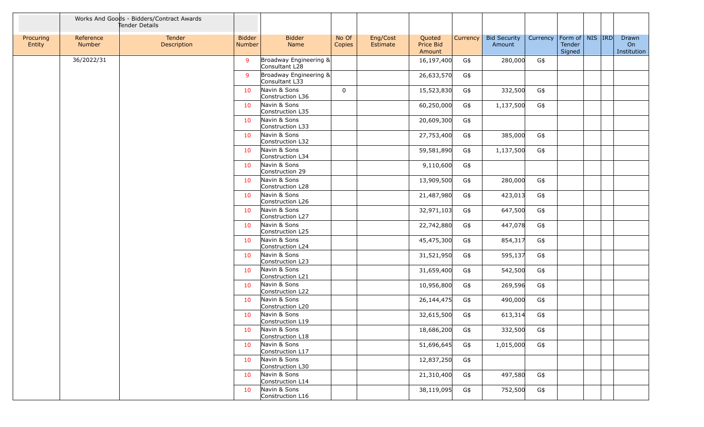|                     |                     | Works And Goods - Bidders/Contract Awards<br>Tender Details |                                |                                          |                 |                      |                               |          |                               |          |                                         |  |                            |
|---------------------|---------------------|-------------------------------------------------------------|--------------------------------|------------------------------------------|-----------------|----------------------|-------------------------------|----------|-------------------------------|----------|-----------------------------------------|--|----------------------------|
| Procuring<br>Entity | Reference<br>Number | Tender<br>Description                                       | <b>Bidder</b><br><b>Number</b> | <b>Bidder</b><br>Name                    | No Of<br>Copies | Eng/Cost<br>Estimate | Quoted<br>Price Bid<br>Amount | Currency | <b>Bid Security</b><br>Amount | Currency | Form of   NIS   IRD<br>Tender<br>Signed |  | Drawn<br>On<br>Institution |
|                     | 36/2022/31          |                                                             | 9                              | Broadway Engineering &<br>Consultant L28 |                 |                      | 16,197,400                    | G\$      | 280,000                       | G\$      |                                         |  |                            |
|                     |                     |                                                             | 9                              | Broadway Engineering &<br>Consultant L33 |                 |                      | 26,633,570                    | G\$      |                               |          |                                         |  |                            |
|                     |                     |                                                             | 10                             | Navin & Sons<br>Construction L36         | $\mathbf 0$     |                      | 15,523,830                    | G\$      | 332,500                       | G\$      |                                         |  |                            |
|                     |                     |                                                             | 10                             | Navin & Sons<br>Construction L35         |                 |                      | 60,250,000                    | G\$      | 1,137,500                     | G\$      |                                         |  |                            |
|                     |                     |                                                             | 10                             | Navin & Sons<br>Construction L33         |                 |                      | 20,609,300                    | G\$      |                               |          |                                         |  |                            |
|                     |                     |                                                             | 10                             | Navin & Sons<br>Construction L32         |                 |                      | 27,753,400                    | G\$      | 385,000                       | G\$      |                                         |  |                            |
|                     |                     |                                                             | 10                             | Navin & Sons<br>Construction L34         |                 |                      | 59,581,890                    | G\$      | 1,137,500                     | G\$      |                                         |  |                            |
|                     |                     |                                                             | 10                             | Navin & Sons<br>Construction 29          |                 |                      | 9,110,600                     | G\$      |                               |          |                                         |  |                            |
|                     |                     |                                                             | 10                             | Navin & Sons<br>Construction L28         |                 |                      | 13,909,500                    | G\$      | 280,000                       | G\$      |                                         |  |                            |
|                     |                     |                                                             | 10                             | Navin & Sons<br>Construction L26         |                 |                      | 21,487,980                    | G\$      | 423,013                       | G\$      |                                         |  |                            |
|                     |                     |                                                             | 10                             | Navin & Sons<br>Construction L27         |                 |                      | 32,971,103                    | G\$      | 647,500                       | G\$      |                                         |  |                            |
|                     |                     |                                                             | 10                             | Navin & Sons<br>Construction L25         |                 |                      | 22,742,880                    | G\$      | 447,078                       | G\$      |                                         |  |                            |
|                     |                     |                                                             | 10                             | Navin & Sons<br>Construction L24         |                 |                      | 45,475,300                    | G\$      | 854,317                       | G\$      |                                         |  |                            |
|                     |                     |                                                             | 10                             | Navin & Sons<br>Construction L23         |                 |                      | 31,521,950                    | G\$      | 595,137                       | G\$      |                                         |  |                            |
|                     |                     |                                                             | 10                             | Navin & Sons<br>Construction L21         |                 |                      | 31,659,400                    | G\$      | 542,500                       | G\$      |                                         |  |                            |
|                     |                     |                                                             | 10                             | Navin & Sons<br>Construction L22         |                 |                      | 10,956,800                    | G\$      | 269,596                       | G\$      |                                         |  |                            |
|                     |                     |                                                             | 10                             | Navin & Sons<br>Construction L20         |                 |                      | 26,144,475                    | G\$      | 490,000                       | G\$      |                                         |  |                            |
|                     |                     |                                                             | 10                             | Navin & Sons<br>Construction L19         |                 |                      | 32,615,500                    | G\$      | 613,314                       | G\$      |                                         |  |                            |
|                     |                     |                                                             | 10                             | Navin & Sons<br>Construction L18         |                 |                      | 18,686,200                    | G\$      | 332,500                       | G\$      |                                         |  |                            |
|                     |                     |                                                             | 10                             | Navin & Sons<br>Construction L17         |                 |                      | 51,696,645                    | G\$      | 1,015,000                     | G\$      |                                         |  |                            |
|                     |                     |                                                             | 10                             | Navin & Sons<br>Construction L30         |                 |                      | 12,837,250                    | G\$      |                               |          |                                         |  |                            |
|                     |                     |                                                             | 10                             | Navin & Sons<br>Construction L14         |                 |                      | 21,310,400                    | G\$      | 497,580                       | G\$      |                                         |  |                            |
|                     |                     |                                                             | 10                             | Navin & Sons<br>Construction L16         |                 |                      | 38,119,095                    | G\$      | 752,500                       | G\$      |                                         |  |                            |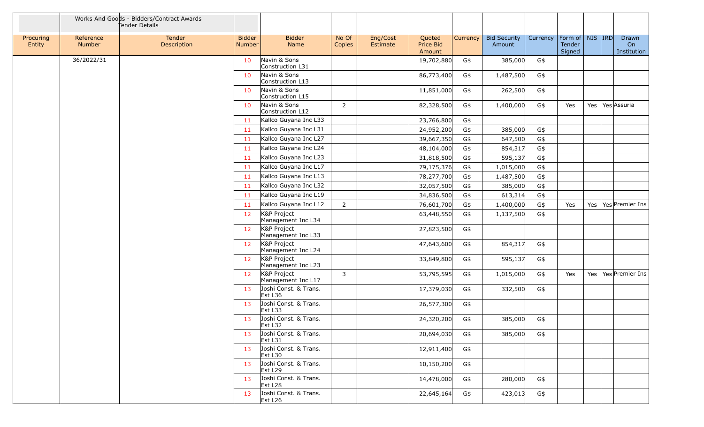|                     |                     | Works And Goods - Bidders/Contract Awards<br>Tender Details |                                |                                              |                 |                      |                               |          |                               |          |                                         |     |                            |
|---------------------|---------------------|-------------------------------------------------------------|--------------------------------|----------------------------------------------|-----------------|----------------------|-------------------------------|----------|-------------------------------|----------|-----------------------------------------|-----|----------------------------|
| Procuring<br>Entity | Reference<br>Number | Tender<br>Description                                       | <b>Bidder</b><br><b>Number</b> | <b>Bidder</b><br>Name                        | No Of<br>Copies | Eng/Cost<br>Estimate | Quoted<br>Price Bid<br>Amount | Currency | <b>Bid Security</b><br>Amount | Currency | Form of   NIS   IRD<br>Tender<br>Signed |     | Drawn<br>On<br>Institution |
|                     | 36/2022/31          |                                                             | 10                             | Navin & Sons<br>Construction L31             |                 |                      | 19,702,880                    | G\$      | 385,000                       | G\$      |                                         |     |                            |
|                     |                     |                                                             | 10                             | Navin & Sons<br>Construction L13             |                 |                      | 86,773,400                    | G\$      | 1,487,500                     | G\$      |                                         |     |                            |
|                     |                     |                                                             | 10                             | Navin & Sons<br>Construction L15             |                 |                      | 11,851,000                    | G\$      | 262,500                       | G\$      |                                         |     |                            |
|                     |                     |                                                             | 10                             | Navin & Sons<br>Construction L12             | $\overline{2}$  |                      | 82,328,500                    | G\$      | 1,400,000                     | G\$      | Yes                                     |     | Yes   Yes   Assuria        |
|                     |                     |                                                             | -11                            | Kallco Guyana Inc L33                        |                 |                      | 23,766,800                    | G\$      |                               |          |                                         |     |                            |
|                     |                     |                                                             | 11                             | Kallco Guyana Inc L31                        |                 |                      | 24,952,200                    | G\$      | 385,000                       | G\$      |                                         |     |                            |
|                     |                     |                                                             | 11                             | Kallco Guyana Inc L27                        |                 |                      | 39,667,350                    | G\$      | 647,500                       | G\$      |                                         |     |                            |
|                     |                     |                                                             | 11                             | Kallco Guyana Inc L24                        |                 |                      | 48,104,000                    | G\$      | 854,317                       | G\$      |                                         |     |                            |
|                     |                     |                                                             | 11                             | Kallco Guyana Inc L23                        |                 |                      | 31,818,500                    | G\$      | 595,137                       | G\$      |                                         |     |                            |
|                     |                     |                                                             | -11                            | Kallco Guyana Inc L17                        |                 |                      | 79,175,376                    | G\$      | 1,015,000                     | G\$      |                                         |     |                            |
|                     |                     |                                                             | 11                             | Kallco Guyana Inc L13                        |                 |                      | 78,277,700                    | G\$      | 1,487,500                     | G\$      |                                         |     |                            |
|                     |                     |                                                             | 11                             | Kallco Guyana Inc L32                        |                 |                      | 32,057,500                    | G\$      | 385,000                       | G\$      |                                         |     |                            |
|                     |                     |                                                             | 11                             | Kallco Guyana Inc L19                        |                 |                      | 34,836,500                    | G\$      | 613,314                       | G\$      |                                         |     |                            |
|                     |                     |                                                             | 11                             | Kallco Guyana Inc L12                        | $\overline{2}$  |                      | 76,601,700                    | G\$      | 1,400,000                     | G\$      | Yes                                     | Yes | Yes Premier Ins            |
|                     |                     |                                                             | 12                             | K&P Project<br>Management Inc L34            |                 |                      | 63,448,550                    | G\$      | 1,137,500                     | G\$      |                                         |     |                            |
|                     |                     |                                                             | 12                             | K&P Project<br>Management Inc L33            |                 |                      | 27,823,500                    | G\$      |                               |          |                                         |     |                            |
|                     |                     |                                                             | 12                             | K&P Project<br>Management Inc L24            |                 |                      | 47,643,600                    | G\$      | 854,317                       | G\$      |                                         |     |                            |
|                     |                     |                                                             | 12                             | K&P Project<br>Management Inc L23            |                 |                      | 33,849,800                    | G\$      | 595,137                       | G\$      |                                         |     |                            |
|                     |                     |                                                             | 12                             | K&P Project<br>Management Inc L17            | 3               |                      | 53,795,595                    | G\$      | 1,015,000                     | G\$      | Yes                                     |     | Yes   Yes   Premier Ins    |
|                     |                     |                                                             | 13                             | Joshi Const. & Trans.<br>Est L36             |                 |                      | 17,379,030                    | G\$      | 332,500                       | G\$      |                                         |     |                            |
|                     |                     |                                                             | 13                             | Joshi Const. & Trans.<br>Est L33             |                 |                      | 26,577,300                    | G\$      |                               |          |                                         |     |                            |
|                     |                     |                                                             | 13                             | Joshi Const. & Trans.<br>Est L32             |                 |                      | 24,320,200                    | G\$      | 385,000                       | G\$      |                                         |     |                            |
|                     |                     |                                                             | 13                             | Joshi Const. & Trans.<br>Est L31             |                 |                      | 20,694,030                    | G\$      | 385,000                       | G\$      |                                         |     |                            |
|                     |                     |                                                             | 13                             | Joshi Const. & Trans.<br>Est L30             |                 |                      | 12,911,400                    | G\$      |                               |          |                                         |     |                            |
|                     |                     |                                                             | 13                             | Joshi Const. & Trans.<br>Est L29             |                 |                      | 10,150,200                    | G\$      |                               |          |                                         |     |                            |
|                     |                     |                                                             | 13                             | Joshi Const. & Trans.<br>Est L <sub>28</sub> |                 |                      | 14,478,000                    | G\$      | 280,000                       | G\$      |                                         |     |                            |
|                     |                     |                                                             | 13                             | Joshi Const. & Trans.<br>Est L <sub>26</sub> |                 |                      | 22,645,164                    | G\$      | 423,013                       | G\$      |                                         |     |                            |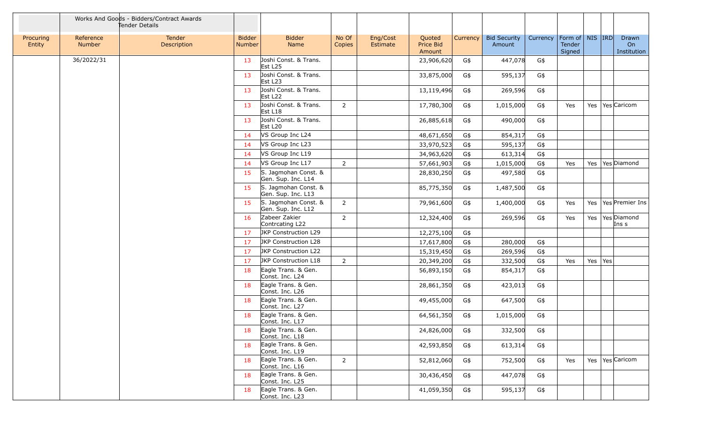|                     |                     | Works And Goods - Bidders/Contract Awards<br>Tender Details |                                |                                              |                 |                      |                               |          |                               |          |                                         |           |                            |
|---------------------|---------------------|-------------------------------------------------------------|--------------------------------|----------------------------------------------|-----------------|----------------------|-------------------------------|----------|-------------------------------|----------|-----------------------------------------|-----------|----------------------------|
| Procuring<br>Entity | Reference<br>Number | Tender<br>Description                                       | <b>Bidder</b><br><b>Number</b> | <b>Bidder</b><br>Name                        | No Of<br>Copies | Eng/Cost<br>Estimate | Quoted<br>Price Bid<br>Amount | Currency | <b>Bid Security</b><br>Amount | Currency | Form of   NIS   IRD<br>Tender<br>Signed |           | Drawn<br>On<br>Institution |
|                     | 36/2022/31          |                                                             | 13                             | Joshi Const. & Trans.<br>Est L <sub>25</sub> |                 |                      | 23,906,620                    | G\$      | 447,078                       | G\$      |                                         |           |                            |
|                     |                     |                                                             | 13                             | Joshi Const. & Trans.<br>Est L <sub>23</sub> |                 |                      | 33,875,000                    | G\$      | 595,137                       | G\$      |                                         |           |                            |
|                     |                     |                                                             | 13                             | Joshi Const. & Trans.<br>Est L <sub>22</sub> |                 |                      | 13,119,496                    | G\$      | 269,596                       | G\$      |                                         |           |                            |
|                     |                     |                                                             | 13                             | Joshi Const. & Trans.<br>Est L18             | $\overline{2}$  |                      | 17,780,300                    | G\$      | 1,015,000                     | G\$      | Yes                                     |           | Yes   Yes   Caricom        |
|                     |                     |                                                             | 13                             | Joshi Const. & Trans.<br>Est L20             |                 |                      | 26,885,618                    | G\$      | 490,000                       | G\$      |                                         |           |                            |
|                     |                     |                                                             | 14                             | VS Group Inc L24                             |                 |                      | 48,671,650                    | G\$      | 854,317                       | G\$      |                                         |           |                            |
|                     |                     |                                                             | -14                            | VS Group Inc L23                             |                 |                      | 33,970,523                    | G\$      | 595,137                       | G\$      |                                         |           |                            |
|                     |                     |                                                             | 14                             | VS Group Inc L19                             |                 |                      | 34,963,620                    | G\$      | 613,314                       | G\$      |                                         |           |                            |
|                     |                     |                                                             | 14                             | VS Group Inc L17                             | $\overline{2}$  |                      | 57,661,903                    | G\$      | 1,015,000                     | G\$      | Yes                                     |           | Yes   Yes   Diamond        |
|                     |                     |                                                             | 15                             | S. Jagmohan Const. &<br>Gen. Sup. Inc. L14   |                 |                      | 28,830,250                    | G\$      | 497,580                       | G\$      |                                         |           |                            |
|                     |                     |                                                             | 15                             | S. Jagmohan Const. &<br>Gen. Sup. Inc. L13   |                 |                      | 85,775,350                    | G\$      | 1,487,500                     | G\$      |                                         |           |                            |
|                     |                     |                                                             | 15                             | S. Jagmohan Const. &<br>Gen. Sup. Inc. L12   | $\overline{2}$  |                      | 79,961,600                    | G\$      | 1,400,000                     | G\$      | Yes                                     |           | Yes   Yes   Premier Ins    |
|                     |                     |                                                             | 16                             | Zabeer Zakier<br>Contrcating L22             | $\overline{2}$  |                      | 12,324,400                    | G\$      | 269,596                       | G\$      | Yes                                     |           | Yes   Yes Diamond<br>Ins s |
|                     |                     |                                                             | 17                             | JKP Construction L29                         |                 |                      | 12,275,100                    | G\$      |                               |          |                                         |           |                            |
|                     |                     |                                                             | 17                             | JKP Construction L28                         |                 |                      | 17,617,800                    | G\$      | 280,000                       | G\$      |                                         |           |                            |
|                     |                     |                                                             | 17                             | JKP Construction L22                         |                 |                      | 15,319,450                    | G\$      | 269,596                       | G\$      |                                         |           |                            |
|                     |                     |                                                             | 17                             | JKP Construction L18                         | $2^{\circ}$     |                      | 20,349,200                    | G\$      | 332,500                       | G\$      | Yes                                     | Yes   Yes |                            |
|                     |                     |                                                             | 18                             | Eagle Trans. & Gen.<br>Const. Inc. L24       |                 |                      | 56,893,150                    | G\$      | 854,317                       | G\$      |                                         |           |                            |
|                     |                     |                                                             | 18                             | Eagle Trans. & Gen.<br>Const. Inc. L26       |                 |                      | 28,861,350                    | G\$      | 423,013                       | G\$      |                                         |           |                            |
|                     |                     |                                                             | 18                             | Eagle Trans. & Gen.<br>Const. Inc. L27       |                 |                      | 49,455,000                    | G\$      | 647,500                       | G\$      |                                         |           |                            |
|                     |                     |                                                             | 18                             | Eagle Trans. & Gen.<br>Const. Inc. L17       |                 |                      | 64,561,350                    | G\$      | 1,015,000                     | G\$      |                                         |           |                            |
|                     |                     |                                                             | 18                             | Eagle Trans. & Gen.<br>Const. Inc. L18       |                 |                      | 24,826,000                    | G\$      | 332,500                       | G\$      |                                         |           |                            |
|                     |                     |                                                             | 18                             | Eagle Trans. & Gen.<br>Const. Inc. L19       |                 |                      | 42,593,850                    | G\$      | 613,314                       | G\$      |                                         |           |                            |
|                     |                     |                                                             | 18                             | Eagle Trans. & Gen.<br>Const. Inc. L16       | $\overline{2}$  |                      | 52,812,060                    | G\$      | 752,500                       | G\$      | Yes                                     |           | Yes   Yes   Caricom        |
|                     |                     |                                                             | 18                             | Eagle Trans. & Gen.<br>Const. Inc. L25       |                 |                      | 30,436,450                    | G\$      | 447,078                       | G\$      |                                         |           |                            |
|                     |                     |                                                             | 18                             | Eagle Trans. & Gen.<br>Const. Inc. L23       |                 |                      | 41,059,350                    | G\$      | 595,137                       | G\$      |                                         |           |                            |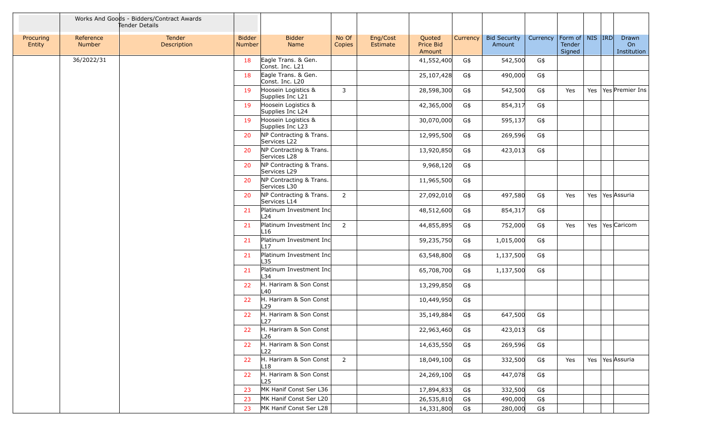|                     |                     | Works And Goods - Bidders/Contract Awards<br>Tender Details |                                |                                            |                 |                      |                               |          |                               |          |                                         |  |                            |
|---------------------|---------------------|-------------------------------------------------------------|--------------------------------|--------------------------------------------|-----------------|----------------------|-------------------------------|----------|-------------------------------|----------|-----------------------------------------|--|----------------------------|
| Procuring<br>Entity | Reference<br>Number | Tender<br>Description                                       | <b>Bidder</b><br><b>Number</b> | <b>Bidder</b><br>Name                      | No Of<br>Copies | Eng/Cost<br>Estimate | Quoted<br>Price Bid<br>Amount | Currency | <b>Bid Security</b><br>Amount | Currency | Form of   NIS   IRD<br>Tender<br>Signed |  | Drawn<br>On<br>Institution |
|                     | 36/2022/31          |                                                             | 18                             | Eagle Trans. & Gen.<br>Const. Inc. L21     |                 |                      | 41,552,400                    | G\$      | 542,500                       | G\$      |                                         |  |                            |
|                     |                     |                                                             | 18                             | Eagle Trans. & Gen.<br>Const. Inc. L20     |                 |                      | 25,107,428                    | G\$      | 490,000                       | G\$      |                                         |  |                            |
|                     |                     |                                                             | 19                             | Hoosein Logistics &<br>Supplies Inc L21    | 3               |                      | 28,598,300                    | G\$      | 542,500                       | G\$      | Yes                                     |  | Yes   Yes   Premier Ins    |
|                     |                     |                                                             | 19                             | Hoosein Logistics &<br>Supplies Inc L24    |                 |                      | 42,365,000                    | G\$      | 854,317                       | G\$      |                                         |  |                            |
|                     |                     |                                                             | 19                             | Hoosein Logistics &<br>Supplies Inc L23    |                 |                      | 30,070,000                    | G\$      | 595,137                       | G\$      |                                         |  |                            |
|                     |                     |                                                             | 20                             | NP Contracting & Trans.<br>Services L22    |                 |                      | 12,995,500                    | G\$      | 269,596                       | G\$      |                                         |  |                            |
|                     |                     |                                                             | 20                             | NP Contracting & Trans.<br>Services L28    |                 |                      | 13,920,850                    | G\$      | 423,013                       | G\$      |                                         |  |                            |
|                     |                     |                                                             | 20                             | NP Contracting & Trans.<br>Services L29    |                 |                      | 9,968,120                     | G\$      |                               |          |                                         |  |                            |
|                     |                     |                                                             | 20                             | NP Contracting & Trans.<br>Services L30    |                 |                      | 11,965,500                    | G\$      |                               |          |                                         |  |                            |
|                     |                     |                                                             | 20                             | NP Contracting & Trans.<br>Services L14    | $\overline{2}$  |                      | 27,092,010                    | G\$      | 497,580                       | G\$      | Yes                                     |  | Yes   Yes Assuria          |
|                     |                     |                                                             | 21                             | Platinum Investment Inc<br>L <sub>24</sub> |                 |                      | 48,512,600                    | G\$      | 854,317                       | G\$      |                                         |  |                            |
|                     |                     |                                                             | 21                             | Platinum Investment Inc<br>L16             | $\overline{2}$  |                      | 44,855,895                    | G\$      | 752,000                       | G\$      | Yes                                     |  | Yes   Yes   Caricom        |
|                     |                     |                                                             | 21                             | Platinum Investment Inc<br>L17             |                 |                      | 59,235,750                    | G\$      | 1,015,000                     | G\$      |                                         |  |                            |
|                     |                     |                                                             | 21                             | Platinum Investment Inc<br>L35             |                 |                      | 63,548,800                    | G\$      | 1,137,500                     | G\$      |                                         |  |                            |
|                     |                     |                                                             | 21                             | Platinum Investment Inc<br>L34             |                 |                      | 65,708,700                    | G\$      | 1,137,500                     | G\$      |                                         |  |                            |
|                     |                     |                                                             | 22                             | H. Hariram & Son Const<br>L40              |                 |                      | 13,299,850                    | G\$      |                               |          |                                         |  |                            |
|                     |                     |                                                             | 22                             | H. Hariram & Son Const<br>L <sub>29</sub>  |                 |                      | 10,449,950                    | G\$      |                               |          |                                         |  |                            |
|                     |                     |                                                             | 22                             | H. Hariram & Son Const<br>L27              |                 |                      | 35,149,884                    | G\$      | 647,500                       | G\$      |                                         |  |                            |
|                     |                     |                                                             | 22                             | H. Hariram & Son Const<br>L26              |                 |                      | 22,963,460                    | G\$      | 423,013                       | G\$      |                                         |  |                            |
|                     |                     |                                                             | 22                             | H. Hariram & Son Const<br>L22              |                 |                      | 14,635,550                    | G\$      | 269,596                       | G\$      |                                         |  |                            |
|                     |                     |                                                             | 22                             | H. Hariram & Son Const<br>L18              | $\overline{2}$  |                      | 18,049,100                    | G\$      | 332,500                       | G\$      | Yes                                     |  | Yes Yes Assuria            |
|                     |                     |                                                             | 22                             | H. Hariram & Son Const<br>L <sub>25</sub>  |                 |                      | 24,269,100                    | G\$      | 447,078                       | G\$      |                                         |  |                            |
|                     |                     |                                                             | 23                             | MK Hanif Const Ser L36                     |                 |                      | 17,894,833                    | G\$      | 332,500                       | G\$      |                                         |  |                            |
|                     |                     |                                                             | 23                             | MK Hanif Const Ser L20                     |                 |                      | 26,535,810                    | G\$      | 490,000                       | G\$      |                                         |  |                            |
|                     |                     |                                                             | 23                             | MK Hanif Const Ser L28                     |                 |                      | 14,331,800                    | G\$      | 280,000                       | G\$      |                                         |  |                            |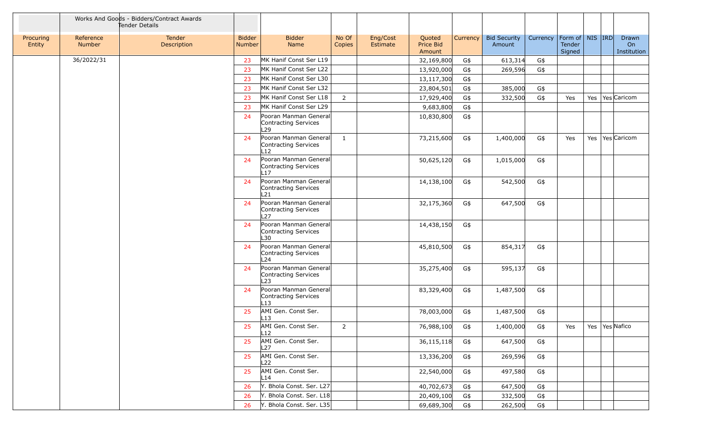|                     |                     | Works And Goods - Bidders/Contract Awards<br>Tender Details |                         |                                                                  |                 |                      |                               |          |                               |          |                                         |  |                            |
|---------------------|---------------------|-------------------------------------------------------------|-------------------------|------------------------------------------------------------------|-----------------|----------------------|-------------------------------|----------|-------------------------------|----------|-----------------------------------------|--|----------------------------|
| Procuring<br>Entity | Reference<br>Number | Tender<br>Description                                       | <b>Bidder</b><br>Number | <b>Bidder</b><br>Name                                            | No Of<br>Copies | Eng/Cost<br>Estimate | Quoted<br>Price Bid<br>Amount | Currency | <b>Bid Security</b><br>Amount | Currency | Form of   NIS  IRD <br>Tender<br>Signed |  | Drawn<br>On<br>Institution |
|                     | 36/2022/31          |                                                             | 23                      | MK Hanif Const Ser L19                                           |                 |                      | 32,169,800                    | G\$      | 613,314                       | G\$      |                                         |  |                            |
|                     |                     |                                                             | 23                      | MK Hanif Const Ser L22                                           |                 |                      | 13,920,000                    | G\$      | 269,596                       | G\$      |                                         |  |                            |
|                     |                     |                                                             | 23                      | MK Hanif Const Ser L30                                           |                 |                      | 13,117,300                    | G\$      |                               |          |                                         |  |                            |
|                     |                     |                                                             | 23                      | MK Hanif Const Ser L32                                           |                 |                      | 23,804,501                    | G\$      | 385,000                       | G\$      |                                         |  |                            |
|                     |                     |                                                             | 23                      | MK Hanif Const Ser L18                                           | $2^{\circ}$     |                      | 17,929,400                    | G\$      | 332,500                       | G\$      | Yes                                     |  | Yes   Yes Caricom          |
|                     |                     |                                                             | 23                      | MK Hanif Const Ser L29                                           |                 |                      | 9,683,800                     | G\$      |                               |          |                                         |  |                            |
|                     |                     |                                                             | 24                      | Pooran Manman General<br>Contracting Services<br>L <sub>29</sub> |                 |                      | 10,830,800                    | G\$      |                               |          |                                         |  |                            |
|                     |                     |                                                             | 24                      | Pooran Manman General<br>Contracting Services<br>l 12            | $\mathbf{1}$    |                      | 73,215,600                    | G\$      | 1,400,000                     | G\$      | Yes                                     |  | Yes   Yes   Caricom        |
|                     |                     |                                                             | 24                      | Pooran Manman General<br>Contracting Services<br>L17             |                 |                      | 50,625,120                    | G\$      | 1,015,000                     | G\$      |                                         |  |                            |
|                     |                     |                                                             | 24                      | Pooran Manman General<br>Contracting Services<br>L21             |                 |                      | 14,138,100                    | G\$      | 542,500                       | G\$      |                                         |  |                            |
|                     |                     |                                                             | 24                      | Pooran Manman General<br>Contracting Services<br>L27             |                 |                      | 32,175,360                    | G\$      | 647,500                       | G\$      |                                         |  |                            |
|                     |                     |                                                             | 24                      | Pooran Manman General<br>Contracting Services<br>L30             |                 |                      | 14,438,150                    | G\$      |                               |          |                                         |  |                            |
|                     |                     |                                                             | 24                      | Pooran Manman General<br>Contracting Services<br>L <sub>24</sub> |                 |                      | 45,810,500                    | G\$      | 854,317                       | G\$      |                                         |  |                            |
|                     |                     |                                                             | 24                      | Pooran Manman General<br>Contracting Services<br>L23             |                 |                      | 35,275,400                    | G\$      | 595,137                       | G\$      |                                         |  |                            |
|                     |                     |                                                             | 24                      | Pooran Manman General<br>Contracting Services<br>L13             |                 |                      | 83,329,400                    | G\$      | 1,487,500                     | G\$      |                                         |  |                            |
|                     |                     |                                                             | 25                      | AMI Gen. Const Ser.<br>L13                                       |                 |                      | 78,003,000                    | G\$      | 1,487,500                     | G\$      |                                         |  |                            |
|                     |                     |                                                             | 25                      | AMI Gen. Const Ser.<br>L12                                       | 2               |                      | 76,988,100                    | G\$      | 1,400,000                     | G\$      | Yes                                     |  | Yes   Yes   Nafico         |
|                     |                     |                                                             | 25                      | AMI Gen. Const Ser.<br>L27                                       |                 |                      | 36,115,118                    | G\$      | 647,500                       | G\$      |                                         |  |                            |
|                     |                     |                                                             | 25                      | AMI Gen. Const Ser.<br>L22                                       |                 |                      | 13,336,200                    | G\$      | 269,596                       | G\$      |                                         |  |                            |
|                     |                     |                                                             | 25                      | AMI Gen. Const Ser.<br>L14                                       |                 |                      | 22,540,000                    | G\$      | 497,580                       | G\$      |                                         |  |                            |
|                     |                     |                                                             | 26                      | Y. Bhola Const. Ser. L27                                         |                 |                      | 40,702,673                    | G\$      | 647,500                       | G\$      |                                         |  |                            |
|                     |                     |                                                             | 26                      | Y. Bhola Const. Ser. L18                                         |                 |                      | 20,409,100                    | G\$      | 332,500                       | G\$      |                                         |  |                            |
|                     |                     |                                                             | 26                      | Y. Bhola Const. Ser. L35                                         |                 |                      | 69,689,300                    | G\$      | 262,500                       | G\$      |                                         |  |                            |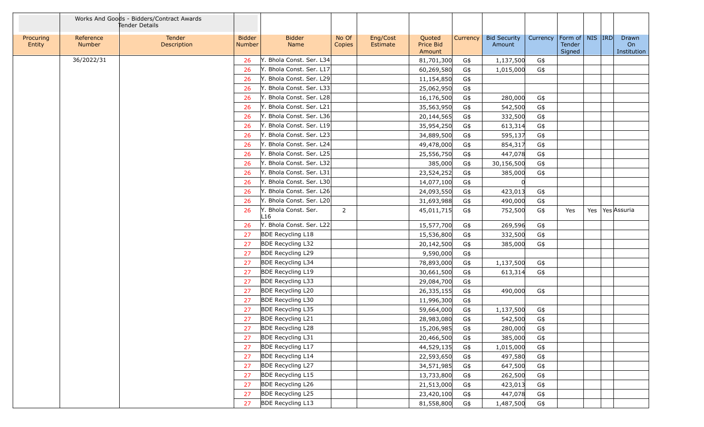|                     |                     | Works And Goods - Bidders/Contract Awards<br>Tender Details |                                |                             |                 |                      |                               |          |                               |          |                                         |                            |
|---------------------|---------------------|-------------------------------------------------------------|--------------------------------|-----------------------------|-----------------|----------------------|-------------------------------|----------|-------------------------------|----------|-----------------------------------------|----------------------------|
| Procuring<br>Entity | Reference<br>Number | Tender<br>Description                                       | <b>Bidder</b><br><b>Number</b> | <b>Bidder</b><br>Name       | No Of<br>Copies | Eng/Cost<br>Estimate | Quoted<br>Price Bid<br>Amount | Currency | <b>Bid Security</b><br>Amount | Currency | Form of   NIS   IRD<br>Tender<br>Signed | Drawn<br>On<br>Institution |
|                     | 36/2022/31          |                                                             | 26                             | Y. Bhola Const. Ser. L34    |                 |                      | 81,701,300                    | G\$      | 1,137,500                     | G\$      |                                         |                            |
|                     |                     |                                                             | 26                             | Y. Bhola Const. Ser. L17    |                 |                      | 60,269,580                    | G\$      | 1,015,000                     | G\$      |                                         |                            |
|                     |                     |                                                             | 26                             | Y. Bhola Const. Ser. L29    |                 |                      | 11,154,850                    | G\$      |                               |          |                                         |                            |
|                     |                     |                                                             | 26                             | Y. Bhola Const. Ser. L33    |                 |                      | 25,062,950                    | G\$      |                               |          |                                         |                            |
|                     |                     |                                                             | 26                             | Y. Bhola Const. Ser. L28    |                 |                      | 16,176,500                    | G\$      | 280,000                       | G\$      |                                         |                            |
|                     |                     |                                                             | 26                             | Y. Bhola Const. Ser. L21    |                 |                      | 35,563,950                    | G\$      | 542,500                       | G\$      |                                         |                            |
|                     |                     |                                                             | 26                             | Y. Bhola Const. Ser. L36    |                 |                      | 20,144,565                    | G\$      | 332,500                       | G\$      |                                         |                            |
|                     |                     |                                                             | 26                             | Y. Bhola Const. Ser. L19    |                 |                      | 35,954,250                    | G\$      | 613,314                       | G\$      |                                         |                            |
|                     |                     |                                                             | 26                             | Y. Bhola Const. Ser. L23    |                 |                      | 34,889,500                    | G\$      | 595,137                       | G\$      |                                         |                            |
|                     |                     |                                                             | 26                             | Y. Bhola Const. Ser. L24    |                 |                      | 49,478,000                    | G\$      | 854,317                       | G\$      |                                         |                            |
|                     |                     |                                                             | 26                             | Y. Bhola Const. Ser. L25    |                 |                      | 25,556,750                    | G\$      | 447,078                       | G\$      |                                         |                            |
|                     |                     |                                                             | 26                             | Y. Bhola Const. Ser. L32    |                 |                      | 385,000                       | G\$      | 30,156,500                    | G\$      |                                         |                            |
|                     |                     |                                                             | 26                             | Y. Bhola Const. Ser. L31    |                 |                      | 23,524,252                    | G\$      | 385,000                       | G\$      |                                         |                            |
|                     |                     |                                                             | 26                             | Y. Bhola Const. Ser. L30    |                 |                      | 14,077,100                    | G\$      |                               |          |                                         |                            |
|                     |                     |                                                             | 26                             | Y. Bhola Const. Ser. L26    |                 |                      | 24,093,550                    | G\$      | 423,013                       | G\$      |                                         |                            |
|                     |                     |                                                             | 26                             | Y. Bhola Const. Ser. L20    |                 |                      | 31,693,988                    | G\$      | 490,000                       | G\$      |                                         |                            |
|                     |                     |                                                             | 26                             | Y. Bhola Const. Ser.<br>L16 | $\overline{2}$  |                      | 45,011,715                    | G\$      | 752,500                       | G\$      | Yes                                     | Yes Yes Assuria            |
|                     |                     |                                                             | 26                             | Y. Bhola Const. Ser. L22    |                 |                      | 15,577,700                    | G\$      | 269,596                       | G\$      |                                         |                            |
|                     |                     |                                                             | 27                             | <b>BDE Recycling L18</b>    |                 |                      | 15,536,800                    | G\$      | 332,500                       | G\$      |                                         |                            |
|                     |                     |                                                             | 27                             | <b>BDE Recycling L32</b>    |                 |                      | 20,142,500                    | G\$      | 385,000                       | G\$      |                                         |                            |
|                     |                     |                                                             | 27                             | <b>BDE Recycling L29</b>    |                 |                      | 9,590,000                     | G\$      |                               |          |                                         |                            |
|                     |                     |                                                             | 27                             | <b>BDE Recycling L34</b>    |                 |                      | 78,893,000                    | G\$      | 1,137,500                     | G\$      |                                         |                            |
|                     |                     |                                                             | 27                             | <b>BDE Recycling L19</b>    |                 |                      | 30,661,500                    | G\$      | 613,314                       | G\$      |                                         |                            |
|                     |                     |                                                             | 27                             | <b>BDE Recycling L33</b>    |                 |                      | 29,084,700                    | G\$      |                               |          |                                         |                            |
|                     |                     |                                                             | 27                             | <b>BDE Recycling L20</b>    |                 |                      | 26,335,155                    | G\$      | 490,000                       | G\$      |                                         |                            |
|                     |                     |                                                             | 27                             | <b>BDE Recycling L30</b>    |                 |                      | 11,996,300                    | G\$      |                               |          |                                         |                            |
|                     |                     |                                                             | 27                             | <b>BDE Recycling L35</b>    |                 |                      | 59,664,000                    | G\$      | 1,137,500                     | G\$      |                                         |                            |
|                     |                     |                                                             | 27                             | <b>BDE Recycling L21</b>    |                 |                      | 28,983,080                    | G\$      | 542,500                       | G\$      |                                         |                            |
|                     |                     |                                                             | 27                             | <b>BDE Recycling L28</b>    |                 |                      | 15,206,985                    | G\$      | 280,000                       | G\$      |                                         |                            |
|                     |                     |                                                             | 27                             | <b>BDE Recycling L31</b>    |                 |                      | 20,466,500                    | G\$      | 385,000                       | G\$      |                                         |                            |
|                     |                     |                                                             | 27                             | <b>BDE Recycling L17</b>    |                 |                      | 44,529,135                    | G\$      | 1,015,000                     | G\$      |                                         |                            |
|                     |                     |                                                             | 27                             | <b>BDE Recycling L14</b>    |                 |                      | 22,593,650                    | G\$      | 497,580                       | G\$      |                                         |                            |
|                     |                     |                                                             | 27                             | <b>BDE Recycling L27</b>    |                 |                      | 34,571,985                    | G\$      | 647,500                       | G\$      |                                         |                            |
|                     |                     |                                                             | 27                             | <b>BDE Recycling L15</b>    |                 |                      | 13,733,800                    | G\$      | 262,500                       | G\$      |                                         |                            |
|                     |                     |                                                             | 27                             | <b>BDE Recycling L26</b>    |                 |                      | 21,513,000                    | G\$      | 423,013                       | G\$      |                                         |                            |
|                     |                     |                                                             | 27                             | <b>BDE Recycling L25</b>    |                 |                      | 23,420,100                    | G\$      | 447,078                       | G\$      |                                         |                            |
|                     |                     |                                                             | 27                             | <b>BDE Recycling L13</b>    |                 |                      | 81,558,800                    | G\$      | 1,487,500                     | G\$      |                                         |                            |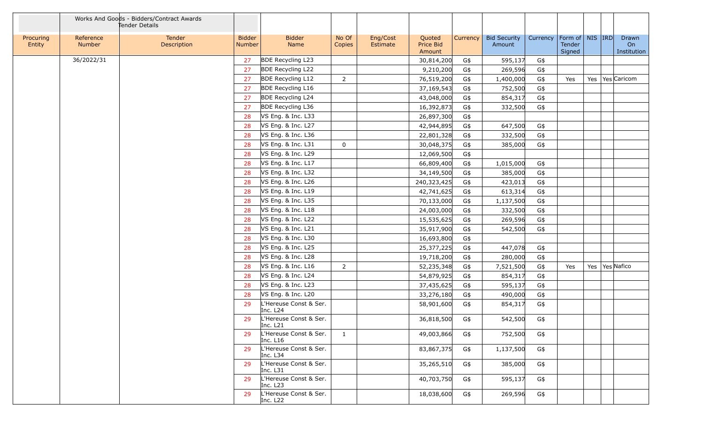|                     |                     | Works And Goods - Bidders/Contract Awards<br>Tender Details |                         |                                    |                 |                      |                               |          |                               |          |                                         |  |                            |
|---------------------|---------------------|-------------------------------------------------------------|-------------------------|------------------------------------|-----------------|----------------------|-------------------------------|----------|-------------------------------|----------|-----------------------------------------|--|----------------------------|
| Procuring<br>Entity | Reference<br>Number | Tender<br>Description                                       | <b>Bidder</b><br>Number | <b>Bidder</b><br>Name              | No Of<br>Copies | Eng/Cost<br>Estimate | Quoted<br>Price Bid<br>Amount | Currency | <b>Bid Security</b><br>Amount | Currency | Form of   NIS   IRD<br>Tender<br>Signed |  | Drawn<br>On<br>Institution |
|                     | 36/2022/31          |                                                             | 27                      | <b>BDE Recycling L23</b>           |                 |                      | 30,814,200                    | G\$      | 595,137                       | G\$      |                                         |  |                            |
|                     |                     |                                                             | 27                      | <b>BDE Recycling L22</b>           |                 |                      | 9,210,200                     | G\$      | 269,596                       | G\$      |                                         |  |                            |
|                     |                     |                                                             | 27                      | <b>BDE Recycling L12</b>           | $\overline{2}$  |                      | 76,519,200                    | G\$      | 1,400,000                     | G\$      | Yes                                     |  | Yes   Yes   Caricom        |
|                     |                     |                                                             | 27                      | <b>BDE Recycling L16</b>           |                 |                      | 37,169,543                    | G\$      | 752,500                       | G\$      |                                         |  |                            |
|                     |                     |                                                             | 27                      | <b>BDE Recycling L24</b>           |                 |                      | 43,048,000                    | G\$      | 854,317                       | G\$      |                                         |  |                            |
|                     |                     |                                                             | 27                      | <b>BDE Recycling L36</b>           |                 |                      | 16,392,873                    | G\$      | 332,500                       | G\$      |                                         |  |                            |
|                     |                     |                                                             | 28                      | VS Eng. & Inc. L33                 |                 |                      | 26,897,300                    | G\$      |                               |          |                                         |  |                            |
|                     |                     |                                                             | 28                      | VS Eng. & Inc. L27                 |                 |                      | 42,944,895                    | G\$      | 647,500                       | G\$      |                                         |  |                            |
|                     |                     |                                                             | 28                      | VS Eng. & Inc. L36                 |                 |                      | 22,801,328                    | G\$      | 332,500                       | G\$      |                                         |  |                            |
|                     |                     |                                                             | 28                      | VS Eng. & Inc. L31                 | $\mathbf 0$     |                      | 30,048,375                    | G\$      | 385,000                       | G\$      |                                         |  |                            |
|                     |                     |                                                             | 28                      | VS Eng. & Inc. L29                 |                 |                      | 12,069,500                    | G\$      |                               |          |                                         |  |                            |
|                     |                     |                                                             | 28                      | VS Eng. & Inc. L17                 |                 |                      | 66,809,400                    | G\$      | 1,015,000                     | G\$      |                                         |  |                            |
|                     |                     |                                                             | 28                      | VS Eng. & Inc. L32                 |                 |                      | 34,149,500                    | G\$      | 385,000                       | G\$      |                                         |  |                            |
|                     |                     |                                                             | 28                      | VS Eng. & Inc. L26                 |                 |                      | 240,323,425                   | G\$      | 423,013                       | G\$      |                                         |  |                            |
|                     |                     |                                                             | 28                      | VS Eng. & Inc. L19                 |                 |                      | 42,741,625                    | G\$      | 613,314                       | G\$      |                                         |  |                            |
|                     |                     |                                                             | 28                      | VS Eng. & Inc. L35                 |                 |                      | 70,133,000                    | G\$      | 1,137,500                     | G\$      |                                         |  |                            |
|                     |                     |                                                             | 28                      | VS Eng. & Inc. L18                 |                 |                      | 24,003,000                    | G\$      | 332,500                       | G\$      |                                         |  |                            |
|                     |                     |                                                             | 28                      | VS Eng. & Inc. L22                 |                 |                      | 15,535,625                    | G\$      | 269,596                       | G\$      |                                         |  |                            |
|                     |                     |                                                             | 28                      | VS Eng. & Inc. L21                 |                 |                      | 35,917,900                    | G\$      | 542,500                       | G\$      |                                         |  |                            |
|                     |                     |                                                             | 28                      | VS Eng. & Inc. L30                 |                 |                      | 16,693,800                    | G\$      |                               |          |                                         |  |                            |
|                     |                     |                                                             | 28                      | VS Eng. & Inc. L25                 |                 |                      | 25,377,225                    | G\$      | 447,078                       | G\$      |                                         |  |                            |
|                     |                     |                                                             | 28                      | VS Eng. & Inc. L28                 |                 |                      | 19,718,200                    | G\$      | 280,000                       | G\$      |                                         |  |                            |
|                     |                     |                                                             | 28                      | VS Eng. & Inc. L16                 | $2^{\circ}$     |                      | 52,235,348                    | G\$      | 7,521,500                     | G\$      | Yes                                     |  | Yes   Yes   Nafico         |
|                     |                     |                                                             | 28                      | VS Eng. & Inc. L24                 |                 |                      | 54,879,925                    | G\$      | 854,317                       | G\$      |                                         |  |                            |
|                     |                     |                                                             | 28                      | VS Eng. & Inc. L23                 |                 |                      | 37,435,625                    | G\$      | 595,137                       | G\$      |                                         |  |                            |
|                     |                     |                                                             | 28                      | VS Eng. & Inc. L20                 |                 |                      | 33,276,180                    | G\$      | 490,000                       | G\$      |                                         |  |                            |
|                     |                     |                                                             | 29                      | L'Hereuse Const & Ser.<br>Inc. L24 |                 |                      | 58,901,600                    | G\$      | 854,317                       | G\$      |                                         |  |                            |
|                     |                     |                                                             | 29                      | L'Hereuse Const & Ser.<br>Inc. L21 |                 |                      | 36,818,500                    | G\$      | 542,500                       | G\$      |                                         |  |                            |
|                     |                     |                                                             | 29                      | L'Hereuse Const & Ser.<br>Inc. L16 | $\mathbf{1}$    |                      | 49,003,866                    | G\$      | 752,500                       | G\$      |                                         |  |                            |
|                     |                     |                                                             | 29                      | L'Hereuse Const & Ser.<br>Inc. L34 |                 |                      | 83,867,375                    | G\$      | 1,137,500                     | G\$      |                                         |  |                            |
|                     |                     |                                                             | 29                      | L'Hereuse Const & Ser.<br>Inc. L31 |                 |                      | 35,265,510                    | G\$      | 385,000                       | G\$      |                                         |  |                            |
|                     |                     |                                                             | 29                      | L'Hereuse Const & Ser.<br>Inc. L23 |                 |                      | 40,703,750                    | G\$      | 595,137                       | G\$      |                                         |  |                            |
|                     |                     |                                                             | 29                      | L'Hereuse Const & Ser.<br>Inc. L22 |                 |                      | 18,038,600                    | G\$      | 269,596                       | G\$      |                                         |  |                            |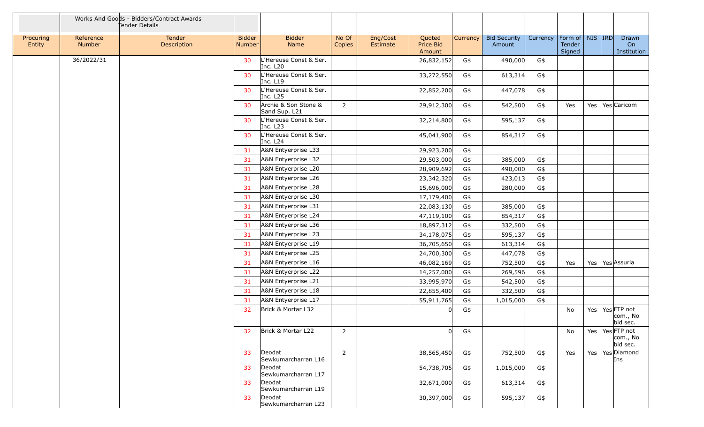|                     |                     | Works And Goods - Bidders/Contract Awards<br>Tender Details |                                |                                                |                 |                      |                               |                 |                               |          |                                          |  |                                             |
|---------------------|---------------------|-------------------------------------------------------------|--------------------------------|------------------------------------------------|-----------------|----------------------|-------------------------------|-----------------|-------------------------------|----------|------------------------------------------|--|---------------------------------------------|
| Procuring<br>Entity | Reference<br>Number | Tender<br>Description                                       | <b>Bidder</b><br><b>Number</b> | <b>Bidder</b><br>Name                          | No Of<br>Copies | Eng/Cost<br>Estimate | Quoted<br>Price Bid<br>Amount | <b>Currency</b> | <b>Bid Security</b><br>Amount | Currency | Form of   NIS   IRD <br>Tender<br>Signed |  | Drawn<br>On<br>Institution                  |
|                     | 36/2022/31          |                                                             | 30                             | L'Hereuse Const & Ser.<br>Inc. L <sub>20</sub> |                 |                      | 26,832,152                    | G\$             | 490,000                       | G\$      |                                          |  |                                             |
|                     |                     |                                                             | 30                             | L'Hereuse Const & Ser.<br>Inc. L19             |                 |                      | 33,272,550                    | G\$             | 613,314                       | G\$      |                                          |  |                                             |
|                     |                     |                                                             | 30                             | L'Hereuse Const & Ser.<br>Inc. L <sub>25</sub> |                 |                      | 22,852,200                    | G\$             | 447,078                       | G\$      |                                          |  |                                             |
|                     |                     |                                                             | 30                             | Archie & Son Stone &<br>Sand Sup. L21          | $\overline{2}$  |                      | 29,912,300                    | G\$             | 542,500                       | G\$      | Yes                                      |  | Yes   Yes   Caricom                         |
|                     |                     |                                                             | 30                             | L'Hereuse Const & Ser.<br>Inc. L <sub>23</sub> |                 |                      | 32,214,800                    | G\$             | 595,137                       | G\$      |                                          |  |                                             |
|                     |                     |                                                             | 30                             | L'Hereuse Const & Ser.<br>Inc. L24             |                 |                      | 45,041,900                    | G\$             | 854,317                       | G\$      |                                          |  |                                             |
|                     |                     |                                                             | 31                             | A&N Entyerprise L33                            |                 |                      | 29,923,200                    | G\$             |                               |          |                                          |  |                                             |
|                     |                     |                                                             | 31                             | A&N Entyerprise L32                            |                 |                      | 29,503,000                    | G\$             | 385,000                       | G\$      |                                          |  |                                             |
|                     |                     |                                                             | 31                             | A&N Entyerprise L20                            |                 |                      | 28,909,692                    | G\$             | 490,000                       | G\$      |                                          |  |                                             |
|                     |                     |                                                             | 31                             | A&N Entyerprise L26                            |                 |                      | 23,342,320                    | G\$             | 423,013                       | G\$      |                                          |  |                                             |
|                     |                     |                                                             | 31                             | A&N Entyerprise L28                            |                 |                      | 15,696,000                    | G\$             | 280,000                       | G\$      |                                          |  |                                             |
|                     |                     |                                                             | 31                             | A&N Entyerprise L30                            |                 |                      | 17,179,400                    | G\$             |                               |          |                                          |  |                                             |
|                     |                     |                                                             | 31                             | A&N Entyerprise L31                            |                 |                      | 22,083,130                    | G\$             | 385,000                       | G\$      |                                          |  |                                             |
|                     |                     |                                                             | 31                             | A&N Entyerprise L24                            |                 |                      | 47,119,100                    | G\$             | 854,317                       | G\$      |                                          |  |                                             |
|                     |                     |                                                             | 31                             | A&N Entyerprise L36                            |                 |                      | 18,897,312                    | G\$             | 332,500                       | G\$      |                                          |  |                                             |
|                     |                     |                                                             | 31                             | A&N Entyerprise L23                            |                 |                      | 34,178,075                    | G\$             | 595,137                       | G\$      |                                          |  |                                             |
|                     |                     |                                                             | 31                             | A&N Entyerprise L19                            |                 |                      | 36,705,650                    | G\$             | 613,314                       | G\$      |                                          |  |                                             |
|                     |                     |                                                             | 31                             | A&N Entyerprise L25                            |                 |                      | 24,700,300                    | G\$             | 447,078                       | $G\$     |                                          |  |                                             |
|                     |                     |                                                             | 31                             | A&N Entyerprise L16                            |                 |                      | 46,082,169                    | G\$             | 752,500                       | G\$      | Yes                                      |  | Yes Yes Assuria                             |
|                     |                     |                                                             | 31                             | A&N Entyerprise L22                            |                 |                      | 14,257,000                    | G\$             | 269,596                       | G\$      |                                          |  |                                             |
|                     |                     |                                                             | 31                             | A&N Entyerprise L21                            |                 |                      | 33,995,970                    | G\$             | 542,500                       | G\$      |                                          |  |                                             |
|                     |                     |                                                             | 31                             | A&N Entyerprise L18                            |                 |                      | 22,855,400                    | G\$             | 332,500                       | G\$      |                                          |  |                                             |
|                     |                     |                                                             | 31                             | A&N Entyerprise L17                            |                 |                      | 55,911,765                    | G\$             | 1,015,000                     | G\$      |                                          |  |                                             |
|                     |                     |                                                             | 32                             | Brick & Mortar L32                             |                 |                      |                               | G\$             |                               |          | No                                       |  | Yes   Yes FTP not<br>com., No<br>bid sec.   |
|                     |                     |                                                             | 32                             | Brick & Mortar L22                             | $\overline{2}$  |                      |                               | G\$             |                               |          | No                                       |  | Yes   Yes   FTP not<br>com., No<br>bid sec. |
|                     |                     |                                                             | 33                             | Deodat<br>Sewkumarcharran L16                  | $2^{\circ}$     |                      | 38,565,450                    | G\$             | 752,500                       | G\$      | Yes                                      |  | Yes   Yes   Diamond<br>Ins                  |
|                     |                     |                                                             | 33                             | Deodat<br>Sewkumarcharran L17                  |                 |                      | 54,738,705                    | G\$             | 1,015,000                     | G\$      |                                          |  |                                             |
|                     |                     |                                                             | 33                             | Deodat<br>Sewkumarcharran L19                  |                 |                      | 32,671,000                    | G\$             | 613,314                       | G\$      |                                          |  |                                             |
|                     |                     |                                                             | 33                             | Deodat<br>Sewkumarcharran L23                  |                 |                      | 30,397,000                    | G\$             | 595,137                       | G\$      |                                          |  |                                             |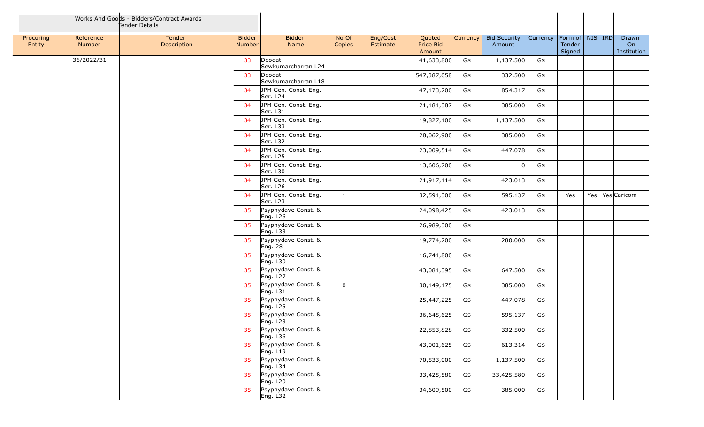|                     |                     | Works And Goods - Bidders/Contract Awards<br>Tender Details |                                |                                             |                 |                      |                               |          |                               |          |                                         |  |                            |
|---------------------|---------------------|-------------------------------------------------------------|--------------------------------|---------------------------------------------|-----------------|----------------------|-------------------------------|----------|-------------------------------|----------|-----------------------------------------|--|----------------------------|
| Procuring<br>Entity | Reference<br>Number | Tender<br>Description                                       | <b>Bidder</b><br><b>Number</b> | <b>Bidder</b><br>Name                       | No Of<br>Copies | Eng/Cost<br>Estimate | Quoted<br>Price Bid<br>Amount | Currency | <b>Bid Security</b><br>Amount | Currency | Form of   NIS   IRD<br>Tender<br>Signed |  | Drawn<br>On<br>Institution |
|                     | 36/2022/31          |                                                             | 33                             | Deodat<br>Sewkumarcharran L24               |                 |                      | 41,633,800                    | G\$      | 1,137,500                     | G\$      |                                         |  |                            |
|                     |                     |                                                             | 33                             | Deodat<br>Sewkumarcharran L18               |                 |                      | 547,387,058                   | G\$      | 332,500                       | G\$      |                                         |  |                            |
|                     |                     |                                                             | 34                             | JPM Gen. Const. Eng.<br>Ser. L24            |                 |                      | 47,173,200                    | G\$      | 854,317                       | G\$      |                                         |  |                            |
|                     |                     |                                                             | 34                             | JPM Gen. Const. Eng.<br>Ser. L31            |                 |                      | 21, 181, 387                  | G\$      | 385,000                       | G\$      |                                         |  |                            |
|                     |                     |                                                             | 34                             | JPM Gen. Const. Eng.<br>Ser. L33            |                 |                      | 19,827,100                    | G\$      | 1,137,500                     | G\$      |                                         |  |                            |
|                     |                     |                                                             | 34                             | JPM Gen. Const. Eng.<br>Ser. L32            |                 |                      | 28,062,900                    | G\$      | 385,000                       | G\$      |                                         |  |                            |
|                     |                     |                                                             | 34                             | JPM Gen. Const. Eng.<br>Ser. L25            |                 |                      | 23,009,514                    | G\$      | 447,078                       | G\$      |                                         |  |                            |
|                     |                     |                                                             | 34                             | JPM Gen. Const. Eng.<br>Ser. L30            |                 |                      | 13,606,700                    | G\$      |                               | G\$      |                                         |  |                            |
|                     |                     |                                                             | 34                             | JPM Gen. Const. Eng.<br>Ser. L26            |                 |                      | 21,917,114                    | G\$      | 423,013                       | G\$      |                                         |  |                            |
|                     |                     |                                                             | 34                             | JPM Gen. Const. Eng.<br>Ser. L23            | $\mathbf{1}$    |                      | 32,591,300                    | G\$      | 595,137                       | G\$      | Yes                                     |  | Yes   Yes   Caricom        |
|                     |                     |                                                             | 35                             | Psyphydave Const. &<br>Eng. L26             |                 |                      | 24,098,425                    | G\$      | 423,013                       | G\$      |                                         |  |                            |
|                     |                     |                                                             | 35                             | Psyphydave Const. &<br>Eng. L33             |                 |                      | 26,989,300                    | G\$      |                               |          |                                         |  |                            |
|                     |                     |                                                             | 35                             | Psyphydave Const. &<br>Eng. 28              |                 |                      | 19,774,200                    | G\$      | 280,000                       | G\$      |                                         |  |                            |
|                     |                     |                                                             | 35                             | Psyphydave Const. &<br>Eng. L30             |                 |                      | 16,741,800                    | G\$      |                               |          |                                         |  |                            |
|                     |                     |                                                             | 35                             | Psyphydave Const. &<br>Eng. L <sub>27</sub> |                 |                      | 43,081,395                    | G\$      | 647,500                       | G\$      |                                         |  |                            |
|                     |                     |                                                             | 35                             | Psyphydave Const. &<br>Eng. L31             | $\Omega$        |                      | 30,149,175                    | G\$      | 385,000                       | G\$      |                                         |  |                            |
|                     |                     |                                                             | 35                             | Psyphydave Const. &<br>Eng. L <sub>25</sub> |                 |                      | 25,447,225                    | G\$      | 447,078                       | G\$      |                                         |  |                            |
|                     |                     |                                                             | 35                             | Psyphydave Const. &<br>Eng. L23             |                 |                      | 36,645,625                    | G\$      | 595,137                       | G\$      |                                         |  |                            |
|                     |                     |                                                             | 35                             | Psyphydave Const. &<br>Eng. L36             |                 |                      | 22,853,828                    | G\$      | 332,500                       | G\$      |                                         |  |                            |
|                     |                     |                                                             | 35                             | Psyphydave Const. &<br>Eng. L19             |                 |                      | 43,001,625                    | G\$      | 613,314                       | G\$      |                                         |  |                            |
|                     |                     |                                                             | 35                             | Psyphydave Const. &<br>Eng. L34             |                 |                      | 70,533,000                    | G\$      | 1,137,500                     | G\$      |                                         |  |                            |
|                     |                     |                                                             | 35                             | Psyphydave Const. &<br>Eng. L20             |                 |                      | 33,425,580                    | G\$      | 33,425,580                    | G\$      |                                         |  |                            |
|                     |                     |                                                             | 35                             | Psyphydave Const. &<br>Eng. L32             |                 |                      | 34,609,500                    | G\$      | 385,000                       | G\$      |                                         |  |                            |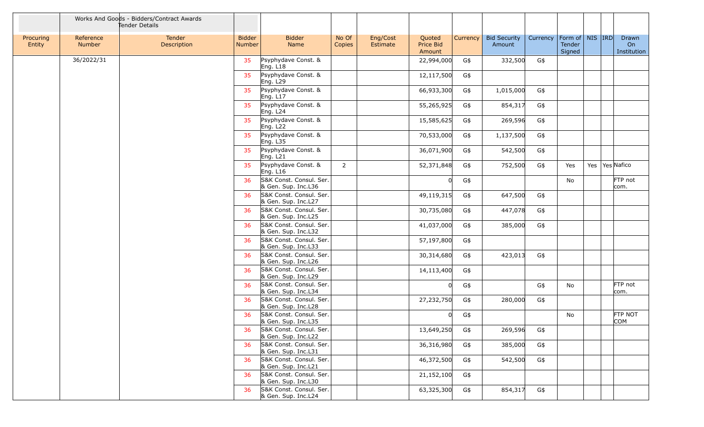|                     |                     | Works And Goods - Bidders/Contract Awards<br>Tender Details |                                |                                                |                 |                      |                               |                 |                               |          |                                         |  |                              |
|---------------------|---------------------|-------------------------------------------------------------|--------------------------------|------------------------------------------------|-----------------|----------------------|-------------------------------|-----------------|-------------------------------|----------|-----------------------------------------|--|------------------------------|
| Procuring<br>Entity | Reference<br>Number | Tender<br>Description                                       | <b>Bidder</b><br><b>Number</b> | <b>Bidder</b><br>Name                          | No Of<br>Copies | Eng/Cost<br>Estimate | Quoted<br>Price Bid<br>Amount | <b>Currency</b> | <b>Bid Security</b><br>Amount | Currency | Form of   NIS  IRD <br>Tender<br>Signed |  | Drawn<br>On<br>Institution   |
|                     | 36/2022/31          |                                                             | 35                             | Psyphydave Const. &<br>Eng. $L18$              |                 |                      | 22,994,000                    | G\$             | 332,500                       | G\$      |                                         |  |                              |
|                     |                     |                                                             | 35                             | Psyphydave Const. &<br>Eng. L29                |                 |                      | 12,117,500                    | G\$             |                               |          |                                         |  |                              |
|                     |                     |                                                             | 35                             | Psyphydave Const. &<br>Eng. L17                |                 |                      | 66,933,300                    | G\$             | 1,015,000                     | G\$      |                                         |  |                              |
|                     |                     |                                                             | 35                             | Psyphydave Const. &<br>Eng. $L24$              |                 |                      | 55,265,925                    | G\$             | 854,317                       | G\$      |                                         |  |                              |
|                     |                     |                                                             | 35                             | Psyphydave Const. &<br>Eng. L <sub>22</sub>    |                 |                      | 15,585,625                    | G\$             | 269,596                       | G\$      |                                         |  |                              |
|                     |                     |                                                             | 35                             | Psyphydave Const. &<br>Eng. L35                |                 |                      | 70,533,000                    | G\$             | 1,137,500                     | G\$      |                                         |  |                              |
|                     |                     |                                                             | 35                             | Psyphydave Const. &<br>Eng. $L21$              |                 |                      | 36,071,900                    | G\$             | 542,500                       | G\$      |                                         |  |                              |
|                     |                     |                                                             | 35                             | Psyphydave Const. &<br>Eng. L16                | $\overline{2}$  |                      | 52,371,848                    | G\$             | 752,500                       | G\$      | Yes                                     |  | Yes   Yes   Nafico           |
|                     |                     |                                                             | 36                             | S&K Const. Consul. Ser.<br>& Gen. Sup. Inc.L36 |                 |                      |                               | G\$             |                               |          | No                                      |  | FTP not<br>com.              |
|                     |                     |                                                             | 36                             | S&K Const. Consul. Ser.<br>& Gen. Sup. Inc.L27 |                 |                      | 49,119,315                    | G\$             | 647,500                       | G\$      |                                         |  |                              |
|                     |                     |                                                             | 36                             | S&K Const. Consul. Ser.<br>& Gen. Sup. Inc.L25 |                 |                      | 30,735,080                    | G\$             | 447,078                       | G\$      |                                         |  |                              |
|                     |                     |                                                             | 36                             | S&K Const. Consul. Ser.<br>& Gen. Sup. Inc.L32 |                 |                      | 41,037,000                    | G\$             | 385,000                       | G\$      |                                         |  |                              |
|                     |                     |                                                             | 36                             | S&K Const. Consul. Ser.<br>& Gen. Sup. Inc.L33 |                 |                      | 57,197,800                    | G\$             |                               |          |                                         |  |                              |
|                     |                     |                                                             | 36                             | S&K Const. Consul. Ser.<br>& Gen. Sup. Inc.L26 |                 |                      | 30,314,680                    | G\$             | 423,013                       | G\$      |                                         |  |                              |
|                     |                     |                                                             | 36                             | S&K Const. Consul. Ser.<br>& Gen. Sup. Inc.L29 |                 |                      | 14,113,400                    | G\$             |                               |          |                                         |  |                              |
|                     |                     |                                                             | 36                             | S&K Const. Consul. Ser.<br>& Gen. Sup. Inc.L34 |                 |                      |                               | G\$             |                               | G\$      | No                                      |  | FTP not<br>com.              |
|                     |                     |                                                             | 36                             | S&K Const. Consul. Ser.<br>& Gen. Sup. Inc.L28 |                 |                      | 27,232,750                    | G\$             | 280,000                       | G\$      |                                         |  |                              |
|                     |                     |                                                             | 36                             | S&K Const. Consul. Ser.<br>& Gen. Sup. Inc.L35 |                 |                      |                               | G\$             |                               |          | No                                      |  | <b>FTP NOT</b><br><b>COM</b> |
|                     |                     |                                                             | 36                             | S&K Const. Consul. Ser.<br>& Gen. Sup. Inc.L22 |                 |                      | 13,649,250                    | G\$             | 269,596                       | G\$      |                                         |  |                              |
|                     |                     |                                                             | 36                             | S&K Const. Consul. Ser.<br>& Gen. Sup. Inc.L31 |                 |                      | 36,316,980                    | G\$             | 385,000                       | G\$      |                                         |  |                              |
|                     |                     |                                                             | 36                             | S&K Const. Consul. Ser.<br>& Gen. Sup. Inc.L21 |                 |                      | 46,372,500                    | G\$             | 542,500                       | G\$      |                                         |  |                              |
|                     |                     |                                                             | 36                             | S&K Const. Consul. Ser.<br>& Gen. Sup. Inc.L30 |                 |                      | 21,152,100                    | G\$             |                               |          |                                         |  |                              |
|                     |                     |                                                             | 36                             | S&K Const. Consul. Ser.<br>& Gen. Sup. Inc.L24 |                 |                      | 63,325,300                    | G\$             | 854,317                       | G\$      |                                         |  |                              |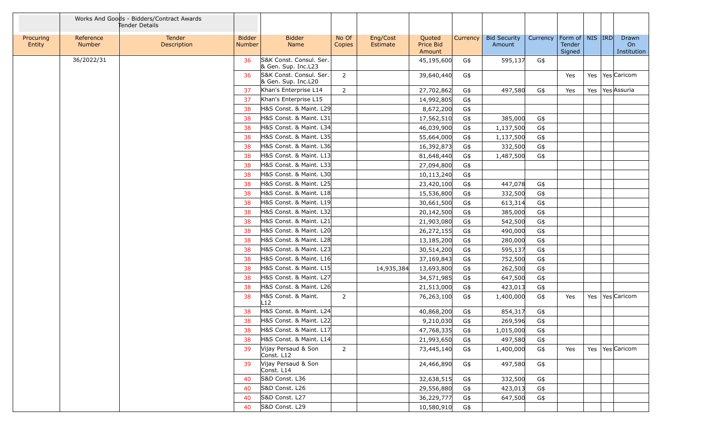|                     |                     | Works And Goods - Bidders/Contract Awards<br>Tender Details |                                |                                                |                 |                      |                               |          |                               |          |                                                |  |                            |
|---------------------|---------------------|-------------------------------------------------------------|--------------------------------|------------------------------------------------|-----------------|----------------------|-------------------------------|----------|-------------------------------|----------|------------------------------------------------|--|----------------------------|
| Procuring<br>Entity | Reference<br>Number | Tender<br>Description                                       | <b>Bidder</b><br><b>Number</b> | <b>Bidder</b><br>Name                          | No Of<br>Copies | Eng/Cost<br>Estimate | Quoted<br>Price Bid<br>Amount | Currency | <b>Bid Security</b><br>Amount | Currency | Form of   NIS   IRD<br><b>Tender</b><br>Signed |  | Drawn<br>On<br>Institution |
|                     | 36/2022/31          |                                                             | 36                             | S&K Const. Consul. Ser.                        |                 |                      | 45,195,600                    | G\$      | 595,137                       | G\$      |                                                |  |                            |
|                     |                     |                                                             |                                | & Gen. Sup. Inc.L23<br>S&K Const. Consul. Ser. |                 |                      |                               |          |                               |          |                                                |  | Yes   Yes   Caricom        |
|                     |                     |                                                             | 36                             | & Gen. Sup. Inc.L20                            | $\overline{2}$  |                      | 39,640,440                    | G\$      |                               |          | Yes                                            |  |                            |
|                     |                     |                                                             | 37                             | Khan's Enterprise L14                          | $\overline{2}$  |                      | 27,702,862                    | G\$      | 497,580                       | G\$      | Yes                                            |  | Yes   Yes   Assuria        |
|                     |                     |                                                             | 37                             | Khan's Enterprise L15                          |                 |                      | 14,992,805                    | G\$      |                               |          |                                                |  |                            |
|                     |                     |                                                             | 38                             | H&S Const. & Maint. L29                        |                 |                      | 8,672,200                     | G\$      |                               |          |                                                |  |                            |
|                     |                     |                                                             | 38                             | H&S Const. & Maint. L31                        |                 |                      | 17,562,510                    | G\$      | 385,000                       | G\$      |                                                |  |                            |
|                     |                     |                                                             | 38                             | H&S Const. & Maint. L34                        |                 |                      | 46,039,900                    | G\$      | 1,137,500                     | G\$      |                                                |  |                            |
|                     |                     |                                                             | 38                             | H&S Const. & Maint. L35                        |                 |                      | 55,664,000                    | G\$      | 1,137,500                     | G\$      |                                                |  |                            |
|                     |                     |                                                             | 38                             | H&S Const. & Maint. L36                        |                 |                      | 16,392,873                    | G\$      | 332,500                       | G\$      |                                                |  |                            |
|                     |                     |                                                             | 38                             | H&S Const. & Maint. L13                        |                 |                      | 81,648,440                    | G\$      | 1,487,500                     | G\$      |                                                |  |                            |
|                     |                     |                                                             | 38                             | H&S Const. & Maint. L33                        |                 |                      | 27,094,800                    | G\$      |                               |          |                                                |  |                            |
|                     |                     |                                                             | 38                             | H&S Const. & Maint. L30                        |                 |                      | 10,113,240                    | G\$      |                               |          |                                                |  |                            |
|                     |                     |                                                             | 38                             | H&S Const. & Maint. L25                        |                 |                      | 23,420,100                    | G\$      | 447,078                       | G\$      |                                                |  |                            |
|                     |                     |                                                             | 38                             | H&S Const. & Maint. L18                        |                 |                      | 15,536,800                    | G\$      | 332,500                       | G\$      |                                                |  |                            |
|                     |                     |                                                             | 38                             | H&S Const. & Maint. L19                        |                 |                      | 30,661,500                    | G\$      | 613,314                       | G\$      |                                                |  |                            |
|                     |                     |                                                             | 38                             | H&S Const. & Maint. L32                        |                 |                      | 20,142,500                    | G\$      | 385,000                       | G\$      |                                                |  |                            |
|                     |                     |                                                             | 38                             | H&S Const. & Maint. L21                        |                 |                      | 21,903,080                    | G\$      | 542,500                       | G\$      |                                                |  |                            |
|                     |                     |                                                             | 38                             | H&S Const. & Maint. L20                        |                 |                      | 26,272,155                    | G\$      | 490,000                       | G\$      |                                                |  |                            |
|                     |                     |                                                             | 38                             | H&S Const. & Maint. L28                        |                 |                      | 13,185,200                    | G\$      | 280,000                       | G\$      |                                                |  |                            |
|                     |                     |                                                             | 38                             | H&S Const. & Maint. L23                        |                 |                      | 30,514,200                    | G\$      | 595,137                       | G\$      |                                                |  |                            |
|                     |                     |                                                             | 38                             | H&S Const. & Maint. L16                        |                 |                      | 37,169,843                    | G\$      | 752,500                       | G\$      |                                                |  |                            |
|                     |                     |                                                             | 38                             | H&S Const. & Maint. L15                        |                 | 14,935,384           | 13,693,800                    | G\$      | 262,500                       | G\$      |                                                |  |                            |
|                     |                     |                                                             | 38                             | H&S Const. & Maint. L27                        |                 |                      | 34,571,985                    | G\$      | 647,500                       | G\$      |                                                |  |                            |
|                     |                     |                                                             | 38                             | H&S Const. & Maint. L26                        |                 |                      | 21,513,000                    | G\$      | 423,013                       | G\$      |                                                |  |                            |
|                     |                     |                                                             | 38                             | H&S Const. & Maint.<br>L12                     | $\overline{2}$  |                      | 76,263,100                    | G\$      | 1,400,000                     | G\$      | Yes                                            |  | Yes   Yes   Caricom        |
|                     |                     |                                                             | 38                             | H&S Const. & Maint. L24                        |                 |                      | 40,868,200                    | G\$      | 854,317                       | G\$      |                                                |  |                            |
|                     |                     |                                                             | 38                             | H&S Const. & Maint. L22                        |                 |                      | 9,210,030                     | G\$      | 269,596                       | G\$      |                                                |  |                            |
|                     |                     |                                                             | 38                             | H&S Const. & Maint. L17                        |                 |                      | 47,768,335                    | G\$      | 1,015,000                     | G\$      |                                                |  |                            |
|                     |                     |                                                             | 38                             | H&S Const. & Maint. L14                        |                 |                      | 21,993,650                    | G\$      | 497,580                       | G\$      |                                                |  |                            |
|                     |                     |                                                             | 39                             | Vijay Persaud & Son<br>Const. L12              | $2^{\circ}$     |                      | 73,445,140                    | G\$      | 1,400,000                     | G\$      | Yes                                            |  | Yes   Yes   Caricom        |
|                     |                     |                                                             | -39                            | Vijay Persaud & Son<br>Const. L14              |                 |                      | 24,466,890                    | G\$      | 497,580                       | G\$      |                                                |  |                            |
|                     |                     |                                                             | 40                             | S&D Const. L36                                 |                 |                      | 32,638,515                    | G\$      | 332,500                       | G\$      |                                                |  |                            |
|                     |                     |                                                             | 40                             | S&D Const. L26                                 |                 |                      | 29,556,880                    | G\$      | 423,013                       | G\$      |                                                |  |                            |
|                     |                     |                                                             | 40                             | S&D Const. L27                                 |                 |                      | 36,229,777                    | G\$      | 647,500                       | G\$      |                                                |  |                            |
|                     |                     |                                                             | 40                             | S&D Const. L29                                 |                 |                      | 10,580,910                    | G\$      |                               |          |                                                |  |                            |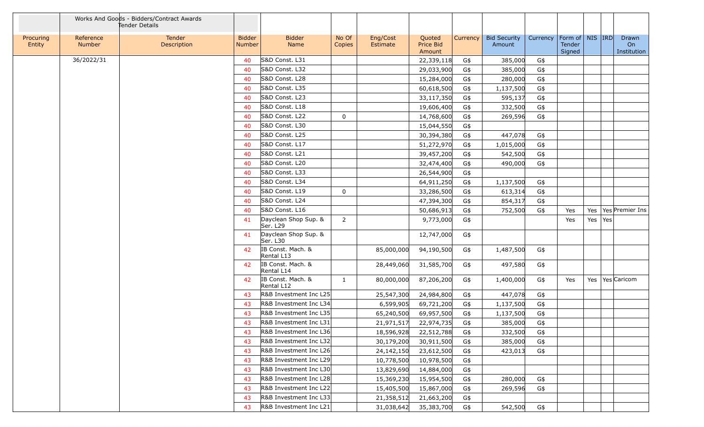|                     |                     | Works And Goods - Bidders/Contract Awards<br>Tender Details |                                |                                  |                 |                      |                               |          |                               |          |                                         |           |                            |
|---------------------|---------------------|-------------------------------------------------------------|--------------------------------|----------------------------------|-----------------|----------------------|-------------------------------|----------|-------------------------------|----------|-----------------------------------------|-----------|----------------------------|
| Procuring<br>Entity | Reference<br>Number | Tender<br>Description                                       | <b>Bidder</b><br><b>Number</b> | <b>Bidder</b><br>Name            | No Of<br>Copies | Eng/Cost<br>Estimate | Quoted<br>Price Bid<br>Amount | Currency | <b>Bid Security</b><br>Amount | Currency | Form of   NIS   IRD<br>Tender<br>Signed |           | Drawn<br>On<br>Institution |
|                     | 36/2022/31          |                                                             | 40                             | S&D Const. L31                   |                 |                      | 22,339,118                    | G\$      | 385,000                       | G\$      |                                         |           |                            |
|                     |                     |                                                             | 40                             | S&D Const. L32                   |                 |                      | 29,033,900                    | G\$      | 385,000                       | G\$      |                                         |           |                            |
|                     |                     |                                                             | 40                             | S&D Const. L28                   |                 |                      | 15,284,000                    | G\$      | 280,000                       | G\$      |                                         |           |                            |
|                     |                     |                                                             | 40                             | S&D Const. L35                   |                 |                      | 60,618,500                    | G\$      | 1,137,500                     | G\$      |                                         |           |                            |
|                     |                     |                                                             | 40                             | S&D Const. L23                   |                 |                      | 33,117,350                    | G\$      | 595,137                       | G\$      |                                         |           |                            |
|                     |                     |                                                             | 40                             | S&D Const. L18                   |                 |                      | 19,606,400                    | G\$      | 332,500                       | G\$      |                                         |           |                            |
|                     |                     |                                                             | 40                             | S&D Const. L22                   | $\mathbf{0}$    |                      | 14,768,600                    | G\$      | 269,596                       | G\$      |                                         |           |                            |
|                     |                     |                                                             | 40                             | S&D Const. L30                   |                 |                      | 15,044,550                    | G\$      |                               |          |                                         |           |                            |
|                     |                     |                                                             | 40                             | S&D Const. L25                   |                 |                      | 30,394,380                    | G\$      | 447,078                       | G\$      |                                         |           |                            |
|                     |                     |                                                             | 40                             | S&D Const. L17                   |                 |                      | 51,272,970                    | G\$      | 1,015,000                     | G\$      |                                         |           |                            |
|                     |                     |                                                             | 40                             | S&D Const. L21                   |                 |                      | 39,457,200                    | G\$      | 542,500                       | G\$      |                                         |           |                            |
|                     |                     |                                                             | 40                             | S&D Const. L20                   |                 |                      | 32,474,400                    | G\$      | 490,000                       | G\$      |                                         |           |                            |
|                     |                     |                                                             | 40                             | S&D Const. L33                   |                 |                      | 26,544,900                    | G\$      |                               |          |                                         |           |                            |
|                     |                     |                                                             | 40                             | S&D Const. L34                   |                 |                      | 64,911,250                    | G\$      | 1,137,500                     | G\$      |                                         |           |                            |
|                     |                     |                                                             | 40                             | S&D Const. L19                   | $\mathbf{0}$    |                      | 33,286,500                    | G\$      | 613,314                       | G\$      |                                         |           |                            |
|                     |                     |                                                             | 40                             | S&D Const. L24                   |                 |                      | 47,394,300                    | G\$      | 854,317                       | G\$      |                                         |           |                            |
|                     |                     |                                                             | 40                             | S&D Const. L16                   |                 |                      | 50,686,913                    | G\$      | 752,500                       | G\$      | Yes                                     |           | Yes   Yes   Premier Ins    |
|                     |                     |                                                             | 41                             | Dayclean Shop Sup. &<br>Ser. L29 | $\overline{2}$  |                      | 9,773,000                     | G\$      |                               |          | Yes                                     | Yes   Yes |                            |
|                     |                     |                                                             | 41                             | Dayclean Shop Sup. &<br>Ser. L30 |                 |                      | 12,747,000                    | G\$      |                               |          |                                         |           |                            |
|                     |                     |                                                             | 42                             | IB Const. Mach. &<br>Rental L13  |                 | 85,000,000           | 94,190,500                    | G\$      | 1,487,500                     | G\$      |                                         |           |                            |
|                     |                     |                                                             | 42                             | IB Const. Mach. &<br>Rental L14  |                 | 28,449,060           | 31,585,700                    | G\$      | 497,580                       | G\$      |                                         |           |                            |
|                     |                     |                                                             | 42                             | IB Const. Mach. &<br>Rental L12  | $\mathbf{1}$    | 80,000,000           | 87,206,200                    | G\$      | 1,400,000                     | G\$      | Yes                                     |           | Yes   Yes   Caricom        |
|                     |                     |                                                             | 43                             | R&B Investment Inc L25           |                 | 25,547,300           | 24,984,800                    | G\$      | 447,078                       | G\$      |                                         |           |                            |
|                     |                     |                                                             | 43                             | R&B Investment Inc L34           |                 | 6,599,905            | 69,721,200                    | G\$      | 1,137,500                     | G\$      |                                         |           |                            |
|                     |                     |                                                             | 43                             | R&B Investment Inc L35           |                 | 65,240,500           | 69,957,500                    | G\$      | 1,137,500                     | G\$      |                                         |           |                            |
|                     |                     |                                                             | 43                             | R&B Investment Inc L31           |                 | 21,971,517           | 22,974,735                    | G\$      | 385,000                       | G\$      |                                         |           |                            |
|                     |                     |                                                             | 43                             | R&B Investment Inc L36           |                 | 18,596,928           | 22,512,788                    | G\$      | 332,500                       | G\$      |                                         |           |                            |
|                     |                     |                                                             | 43                             | R&B Investment Inc L32           |                 | 30,179,200           | 30,911,500                    | G\$      | 385,000                       | G\$      |                                         |           |                            |
|                     |                     |                                                             | 43                             | R&B Investment Inc L26           |                 | 24,142,150           | 23,612,500                    | G\$      | 423,013                       | G\$      |                                         |           |                            |
|                     |                     |                                                             | 43                             | R&B Investment Inc L29           |                 | 10,778,500           | 10,978,500                    | G\$      |                               |          |                                         |           |                            |
|                     |                     |                                                             | 43                             | R&B Investment Inc L30           |                 | 13,829,690           | 14,884,000                    | G\$      |                               |          |                                         |           |                            |
|                     |                     |                                                             | 43                             | R&B Investment Inc L28           |                 | 15,369,230           | 15,954,500                    | G\$      | 280,000                       | G\$      |                                         |           |                            |
|                     |                     |                                                             | 43                             | R&B Investment Inc L22           |                 | 15,405,500           | 15,867,000                    | G\$      | 269,596                       | G\$      |                                         |           |                            |
|                     |                     |                                                             | 43                             | R&B Investment Inc L33           |                 | 21,358,512           | 21,663,200                    | G\$      |                               |          |                                         |           |                            |
|                     |                     |                                                             | 43                             | R&B Investment Inc L21           |                 | 31,038,642           | 35,383,700                    | G\$      | 542,500                       | G\$      |                                         |           |                            |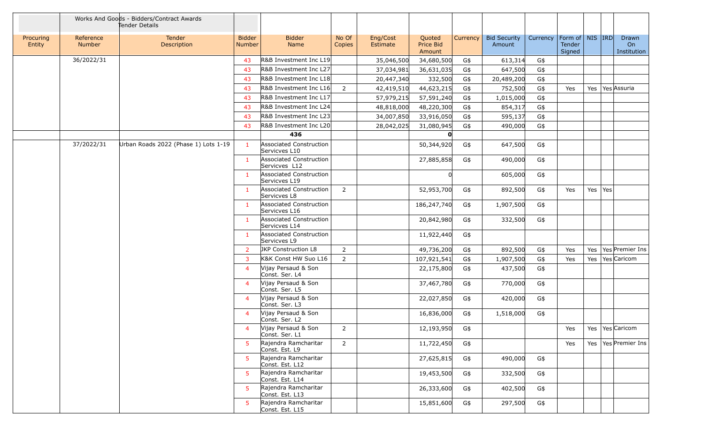|                     |                     | Works And Goods - Bidders/Contract Awards<br>Tender Details |                                |                                          |                 |                      |                               |          |                               |          |                                         |         |                            |
|---------------------|---------------------|-------------------------------------------------------------|--------------------------------|------------------------------------------|-----------------|----------------------|-------------------------------|----------|-------------------------------|----------|-----------------------------------------|---------|----------------------------|
| Procuring<br>Entity | Reference<br>Number | Tender<br>Description                                       | <b>Bidder</b><br><b>Number</b> | <b>Bidder</b><br>Name                    | No Of<br>Copies | Eng/Cost<br>Estimate | Quoted<br>Price Bid<br>Amount | Currency | <b>Bid Security</b><br>Amount | Currency | Form of   NIS   IRD<br>Tender<br>Signed |         | Drawn<br>On<br>Institution |
|                     | 36/2022/31          |                                                             | 43                             | R&B Investment Inc L19                   |                 | 35,046,500           | 34,680,500                    | G\$      | 613,314                       | G\$      |                                         |         |                            |
|                     |                     |                                                             | 43                             | R&B Investment Inc L27                   |                 | 37,034,981           | 36,631,035                    | G\$      | 647,500                       | G\$      |                                         |         |                            |
|                     |                     |                                                             | 43                             | R&B Investment Inc L18                   |                 | 20,447,340           | 332,500                       | G\$      | 20,489,200                    | G\$      |                                         |         |                            |
|                     |                     |                                                             | 43                             | R&B Investment Inc L16                   | $\overline{2}$  | 42,419,510           | 44,623,215                    | G\$      | 752,500                       | G\$      | Yes                                     |         | Yes   Yes Assuria          |
|                     |                     |                                                             | 43                             | R&B Investment Inc L17                   |                 | 57,979,215           | 57,591,240                    | G\$      | 1,015,000                     | G\$      |                                         |         |                            |
|                     |                     |                                                             | 43                             | R&B Investment Inc L24                   |                 | 48,818,000           | 48,220,300                    | G\$      | 854,317                       | G\$      |                                         |         |                            |
|                     |                     |                                                             | 43                             | R&B Investment Inc L23                   |                 | 34,007,850           | 33,916,050                    | G\$      | 595,137                       | G\$      |                                         |         |                            |
|                     |                     |                                                             | 43                             | R&B Investment Inc L20                   |                 | 28,042,025           | 31,080,945                    | G\$      | 490,000                       | G\$      |                                         |         |                            |
|                     |                     |                                                             |                                | 436                                      |                 |                      | O                             |          |                               |          |                                         |         |                            |
|                     | 37/2022/31          | Urban Roads 2022 (Phase 1) Lots 1-19                        | $\mathbf{1}$                   | Associated Construction<br>Servicves L10 |                 |                      | 50,344,920                    | G\$      | 647,500                       | G\$      |                                         |         |                            |
|                     |                     |                                                             | -1                             | Associated Construction<br>Servicves L12 |                 |                      | 27,885,858                    | G\$      | 490,000                       | G\$      |                                         |         |                            |
|                     |                     |                                                             | -1                             | Associated Construction<br>Servicves L19 |                 |                      |                               |          | 605,000                       | G\$      |                                         |         |                            |
|                     |                     |                                                             | 1                              | Associated Construction<br>Servicves L8  | $2^{\circ}$     |                      | 52,953,700                    | G\$      | 892,500                       | G\$      | Yes                                     | Yes Yes |                            |
|                     |                     |                                                             | -1                             | Associated Construction<br>Servicves L16 |                 |                      | 186,247,740                   | G\$      | 1,907,500                     | G\$      |                                         |         |                            |
|                     |                     |                                                             | $\mathbf{1}$                   | Associated Construction<br>Servicves L14 |                 |                      | 20,842,980                    | G\$      | 332,500                       | G\$      |                                         |         |                            |
|                     |                     |                                                             | -1                             | Associated Construction<br>Servicves L9  |                 |                      | 11,922,440                    | G\$      |                               |          |                                         |         |                            |
|                     |                     |                                                             | -2                             | JKP Construction L8                      | $\overline{2}$  |                      | 49,736,200                    | G\$      | 892,500                       | G\$      | Yes                                     |         | Yes   Yes   Premier Ins    |
|                     |                     |                                                             | $\overline{3}$                 | K&K Const HW Suo L16                     | $\overline{2}$  |                      | 107,921,541                   | G\$      | 1,907,500                     | G\$      | Yes                                     |         | Yes   Yes Caricom          |
|                     |                     |                                                             | $\overline{4}$                 | Vijay Persaud & Son<br>Const. Ser. L4    |                 |                      | 22,175,800                    | G\$      | 437,500                       | G\$      |                                         |         |                            |
|                     |                     |                                                             | $\overline{4}$                 | Vijay Persaud & Son<br>Const. Ser. L5    |                 |                      | 37,467,780                    | G\$      | 770,000                       | G\$      |                                         |         |                            |
|                     |                     |                                                             | $\overline{4}$                 | Vijay Persaud & Son<br>Const. Ser. L3    |                 |                      | 22,027,850                    | G\$      | 420,000                       | G\$      |                                         |         |                            |
|                     |                     |                                                             | $\overline{4}$                 | Vijay Persaud & Son<br>Const. Ser. L2    |                 |                      | 16,836,000                    | G\$      | 1,518,000                     | G\$      |                                         |         |                            |
|                     |                     |                                                             | $\overline{4}$                 | Vijay Persaud & Son<br>Const. Ser. L1    | $\overline{2}$  |                      | 12,193,950                    | G\$      |                               |          | Yes                                     |         | Yes   Yes   Caricom        |
|                     |                     |                                                             | -5                             | Rajendra Ramcharitar<br>Const. Est. L9   | $\overline{2}$  |                      | 11,722,450                    | G\$      |                               |          | Yes                                     |         | Yes   Yes   Premier Ins    |
|                     |                     |                                                             | 5.                             | Rajendra Ramcharitar<br>Const. Est. L12  |                 |                      | 27,625,815                    | G\$      | 490,000                       | G\$      |                                         |         |                            |
|                     |                     |                                                             | 5.                             | Rajendra Ramcharitar<br>Const. Est. L14  |                 |                      | 19,453,500                    | G\$      | 332,500                       | G\$      |                                         |         |                            |
|                     |                     |                                                             | -5.                            | Rajendra Ramcharitar<br>Const. Est. L13  |                 |                      | 26,333,600                    | G\$      | 402,500                       | G\$      |                                         |         |                            |
|                     |                     |                                                             | $5^{\circ}$                    | Rajendra Ramcharitar<br>Const. Est. L15  |                 |                      | 15,851,600                    | G\$      | 297,500                       | G\$      |                                         |         |                            |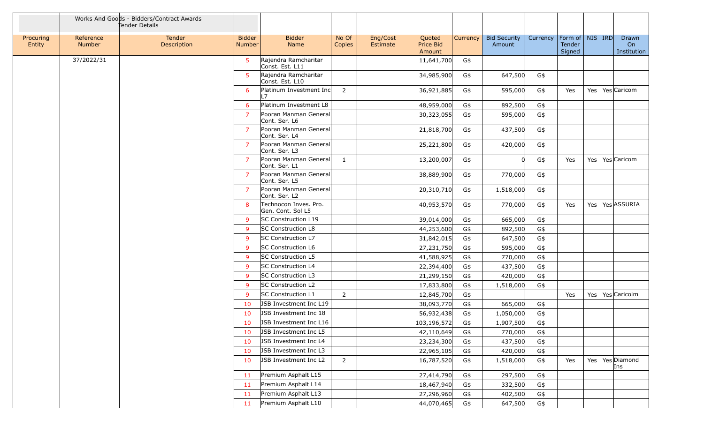|                     |                     | Works And Goods - Bidders/Contract Awards<br>Tender Details |                                |                                            |                 |                      |                               |          |                               |          |                                         |  |                            |
|---------------------|---------------------|-------------------------------------------------------------|--------------------------------|--------------------------------------------|-----------------|----------------------|-------------------------------|----------|-------------------------------|----------|-----------------------------------------|--|----------------------------|
| Procuring<br>Entity | Reference<br>Number | <b>Tender</b><br>Description                                | <b>Bidder</b><br><b>Number</b> | <b>Bidder</b><br>Name                      | No Of<br>Copies | Eng/Cost<br>Estimate | Quoted<br>Price Bid<br>Amount | Currency | <b>Bid Security</b><br>Amount | Currency | Form of   NIS   IRD<br>Tender<br>Signed |  | Drawn<br>On<br>Institution |
|                     | 37/2022/31          |                                                             | 5                              | Rajendra Ramcharitar<br>Const. Est. L11    |                 |                      | 11,641,700                    | G\$      |                               |          |                                         |  |                            |
|                     |                     |                                                             | -5                             | Rajendra Ramcharitar<br>Const. Est. L10    |                 |                      | 34,985,900                    | G\$      | 647,500                       | G\$      |                                         |  |                            |
|                     |                     |                                                             | 6                              | Platinum Investment Inc<br>17              | $\overline{2}$  |                      | 36,921,885                    | G\$      | 595,000                       | G\$      | Yes                                     |  | Yes   Yes   Caricom        |
|                     |                     |                                                             | 6                              | Platinum Investment L8                     |                 |                      | 48,959,000                    | G\$      | 892,500                       | G\$      |                                         |  |                            |
|                     |                     |                                                             | $\overline{7}$                 | Pooran Manman General<br>Cont. Ser. L6     |                 |                      | 30,323,055                    | G\$      | 595,000                       | G\$      |                                         |  |                            |
|                     |                     |                                                             | 7                              | Pooran Manman General<br>Cont. Ser. L4     |                 |                      | 21,818,700                    | G\$      | 437,500                       | G\$      |                                         |  |                            |
|                     |                     |                                                             | $\overline{7}$                 | Pooran Manman General<br>Cont. Ser. L3     |                 |                      | 25,221,800                    | G\$      | 420,000                       | G\$      |                                         |  |                            |
|                     |                     |                                                             | 7                              | Pooran Manman General<br>Cont. Ser. L1     | $\mathbf{1}$    |                      | 13,200,007                    | G\$      |                               | G\$      | Yes                                     |  | Yes   Yes   Caricom        |
|                     |                     |                                                             | 7                              | Pooran Manman General<br>Cont. Ser. L5     |                 |                      | 38,889,900                    | G\$      | 770,000                       | G\$      |                                         |  |                            |
|                     |                     |                                                             | 7                              | Pooran Manman General<br>Cont. Ser. L2     |                 |                      | 20,310,710                    | G\$      | 1,518,000                     | G\$      |                                         |  |                            |
|                     |                     |                                                             | 8                              | Technocon Inves. Pro.<br>Gen. Cont. Sol L5 |                 |                      | 40,953,570                    | G\$      | 770,000                       | G\$      | Yes                                     |  | Yes   Yes ASSURIA          |
|                     |                     |                                                             | 9                              | SC Construction L19                        |                 |                      | 39,014,000                    | G\$      | 665,000                       | G\$      |                                         |  |                            |
|                     |                     |                                                             | 9                              | <b>SC Construction L8</b>                  |                 |                      | 44,253,600                    | G\$      | 892,500                       | G\$      |                                         |  |                            |
|                     |                     |                                                             | 9                              | <b>SC Construction L7</b>                  |                 |                      | 31,842,015                    | G\$      | 647,500                       | G\$      |                                         |  |                            |
|                     |                     |                                                             | 9                              | <b>SC Construction L6</b>                  |                 |                      | 27,231,750                    | G\$      | 595,000                       | G\$      |                                         |  |                            |
|                     |                     |                                                             | 9                              | SC Construction L5                         |                 |                      | 41,588,925                    | G\$      | 770,000                       | G\$      |                                         |  |                            |
|                     |                     |                                                             | 9                              | SC Construction L4                         |                 |                      | 22,394,400                    | G\$      | 437,500                       | G\$      |                                         |  |                            |
|                     |                     |                                                             | 9                              | SC Construction L3                         |                 |                      | 21,299,150                    | G\$      | 420,000                       | G\$      |                                         |  |                            |
|                     |                     |                                                             | 9                              | SC Construction L2                         |                 |                      | 17,833,800                    | G\$      | 1,518,000                     | G\$      |                                         |  |                            |
|                     |                     |                                                             | 9                              | <b>SC Construction L1</b>                  | $\overline{2}$  |                      | 12,845,700                    | G\$      |                               |          | Yes                                     |  | Yes   Yes Caricoim         |
|                     |                     |                                                             | 10                             | <b>JSB Investment Inc L19</b>              |                 |                      | 38,093,770                    | G\$      | 665,000                       | G\$      |                                         |  |                            |
|                     |                     |                                                             | 10                             | <b>JSB Investment Inc 18</b>               |                 |                      | 56,932,438                    | G\$      | 1,050,000                     | G\$      |                                         |  |                            |
|                     |                     |                                                             | 10                             | JSB Investment Inc L16                     |                 |                      | 103,196,572                   | G\$      | 1,907,500                     | G\$      |                                         |  |                            |
|                     |                     |                                                             | 10                             | JSB Investment Inc L5                      |                 |                      | 42,110,649                    | G\$      | 770,000                       | G\$      |                                         |  |                            |
|                     |                     |                                                             | 10                             | JSB Investment Inc L4                      |                 |                      | 23,234,300                    | G\$      | 437,500                       | G\$      |                                         |  |                            |
|                     |                     |                                                             | 10                             | JSB Investment Inc L3                      |                 |                      | 22,965,105                    | G\$      | 420,000                       | G\$      |                                         |  |                            |
|                     |                     |                                                             | 10                             | JSB Investment Inc L2                      | $\overline{2}$  |                      | 16,787,520                    | G\$      | 1,518,000                     | G\$      | Yes                                     |  | Yes   Yes Diamond<br>Ins   |
|                     |                     |                                                             | 11                             | Premium Asphalt L15                        |                 |                      | 27,414,790                    | G\$      | 297,500                       | G\$      |                                         |  |                            |
|                     |                     |                                                             | -11                            | Premium Asphalt L14                        |                 |                      | 18,467,940                    | G\$      | 332,500                       | G\$      |                                         |  |                            |
|                     |                     |                                                             | 11                             | Premium Asphalt L13                        |                 |                      | 27,296,960                    | G\$      | 402,500                       | G\$      |                                         |  |                            |
|                     |                     |                                                             | 11                             | Premium Asphalt L10                        |                 |                      | 44,070,465                    | G\$      | 647,500                       | G\$      |                                         |  |                            |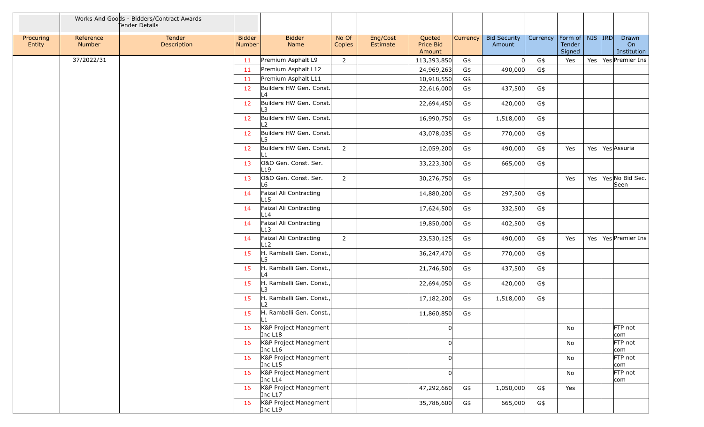|                     |                     | Works And Goods - Bidders/Contract Awards<br>Tender Details |                                |                                              |                 |                      |                               |                 |                               |          |                                           |  |                                 |
|---------------------|---------------------|-------------------------------------------------------------|--------------------------------|----------------------------------------------|-----------------|----------------------|-------------------------------|-----------------|-------------------------------|----------|-------------------------------------------|--|---------------------------------|
| Procuring<br>Entity | Reference<br>Number | Tender<br>Description                                       | <b>Bidder</b><br><b>Number</b> | <b>Bidder</b><br>Name                        | No Of<br>Copies | Eng/Cost<br>Estimate | Quoted<br>Price Bid<br>Amount | <b>Currency</b> | <b>Bid Security</b><br>Amount | Currency | Form of   NIS   IRD  <br>Tender<br>Signed |  | Drawn<br>On<br>Institution      |
|                     | 37/2022/31          |                                                             | 11                             | Premium Asphalt L9                           | $\overline{2}$  |                      | 113,393,850                   | G\$             |                               | G\$      | Yes                                       |  | Yes   Yes   Premier Ins         |
|                     |                     |                                                             | 11                             | Premium Asphalt L12                          |                 |                      | 24,969,263                    | G\$             | 490,000                       | G\$      |                                           |  |                                 |
|                     |                     |                                                             | -11                            | Premium Asphalt L11                          |                 |                      | 10,918,550                    | G\$             |                               |          |                                           |  |                                 |
|                     |                     |                                                             | 12                             | Builders HW Gen. Const.<br>L4                |                 |                      | 22,616,000                    | G\$             | 437,500                       | G\$      |                                           |  |                                 |
|                     |                     |                                                             | 12                             | Builders HW Gen. Const.<br>L3                |                 |                      | 22,694,450                    | G\$             | 420,000                       | G\$      |                                           |  |                                 |
|                     |                     |                                                             | 12                             | Builders HW Gen. Const.<br>L2                |                 |                      | 16,990,750                    | G\$             | 1,518,000                     | G\$      |                                           |  |                                 |
|                     |                     |                                                             | 12                             | Builders HW Gen. Const.<br>l 5               |                 |                      | 43,078,035                    | G\$             | 770,000                       | G\$      |                                           |  |                                 |
|                     |                     |                                                             | 12                             | Builders HW Gen. Const.<br>l 1               | $\overline{2}$  |                      | 12,059,200                    | G\$             | 490,000                       | G\$      | Yes                                       |  | Yes   Yes Assuria               |
|                     |                     |                                                             | 13                             | O&O Gen. Const. Ser.<br>L <sub>19</sub>      |                 |                      | 33,223,300                    | G\$             | 665,000                       | G\$      |                                           |  |                                 |
|                     |                     |                                                             | 13                             | O&O Gen. Const. Ser.<br>L6                   | $\overline{2}$  |                      | 30,276,750                    | G\$             |                               |          | Yes                                       |  | Yes   Yes   No Bid Sec.<br>Seen |
|                     |                     |                                                             | 14                             | Faizal Ali Contracting<br>L15                |                 |                      | 14,880,200                    | G\$             | 297,500                       | G\$      |                                           |  |                                 |
|                     |                     |                                                             | 14                             | Faizal Ali Contracting<br>L14                |                 |                      | 17,624,500                    | G\$             | 332,500                       | G\$      |                                           |  |                                 |
|                     |                     |                                                             | 14                             | Faizal Ali Contracting<br>L13                |                 |                      | 19,850,000                    | G\$             | 402,500                       | G\$      |                                           |  |                                 |
|                     |                     |                                                             | 14                             | Faizal Ali Contracting<br>L12                | $\overline{2}$  |                      | 23,530,125                    | G\$             | 490,000                       | G\$      | Yes                                       |  | Yes   Yes   Premier Ins         |
|                     |                     |                                                             | 15                             | H. Ramballi Gen. Const.,<br>L5               |                 |                      | 36,247,470                    | G\$             | 770,000                       | G\$      |                                           |  |                                 |
|                     |                     |                                                             | 15                             | H. Ramballi Gen. Const.,<br>4 ا              |                 |                      | 21,746,500                    | G\$             | 437,500                       | G\$      |                                           |  |                                 |
|                     |                     |                                                             | 15                             | H. Ramballi Gen. Const.,<br>∣3               |                 |                      | 22,694,050                    | G\$             | 420,000                       | G\$      |                                           |  |                                 |
|                     |                     |                                                             | 15                             | H. Ramballi Gen. Const.,<br>L2               |                 |                      | 17,182,200                    | G\$             | 1,518,000                     | G\$      |                                           |  |                                 |
|                     |                     |                                                             | 15                             | H. Ramballi Gen. Const.,<br>L1               |                 |                      | 11,860,850                    | G\$             |                               |          |                                           |  |                                 |
|                     |                     |                                                             | 16                             | K&P Project Managment<br>Inc L <sub>18</sub> |                 |                      | U                             |                 |                               |          | No                                        |  | FTP not<br>com                  |
|                     |                     |                                                             | 16                             | K&P Project Managment<br>Inc L16             |                 |                      |                               |                 |                               |          | No                                        |  | FTP not<br>com                  |
|                     |                     |                                                             | 16                             | K&P Project Managment<br>Inc L15             |                 |                      |                               |                 |                               |          | No                                        |  | FTP not<br>com                  |
|                     |                     |                                                             | 16                             | K&P Project Managment<br>Inc L14             |                 |                      |                               |                 |                               |          | No                                        |  | FTP not<br>com                  |
|                     |                     |                                                             | 16                             | K&P Project Managment<br>Inc L17             |                 |                      | 47,292,660                    | G\$             | 1,050,000                     | G\$      | Yes                                       |  |                                 |
|                     |                     |                                                             | 16                             | K&P Project Managment<br>Inc L19             |                 |                      | 35,786,600                    | G\$             | 665,000                       | G\$      |                                           |  |                                 |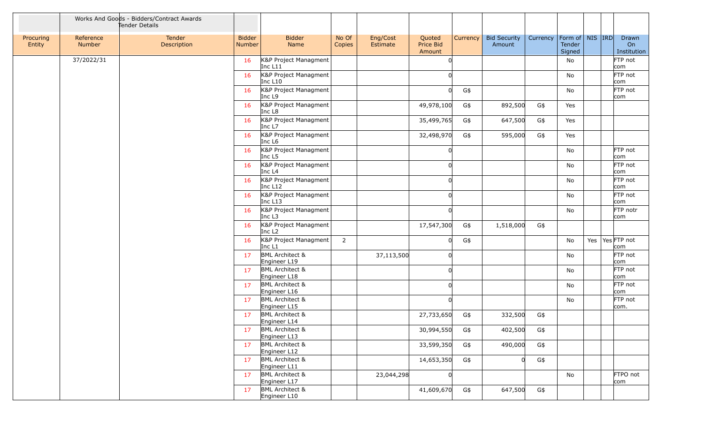|                     |                     | Works And Goods - Bidders/Contract Awards<br>Tender Details |                                |                                             |                 |                      |                               |          |                               |          |                                         |  |                            |
|---------------------|---------------------|-------------------------------------------------------------|--------------------------------|---------------------------------------------|-----------------|----------------------|-------------------------------|----------|-------------------------------|----------|-----------------------------------------|--|----------------------------|
| Procuring<br>Entity | Reference<br>Number | Tender<br>Description                                       | <b>Bidder</b><br><b>Number</b> | <b>Bidder</b><br>Name                       | No Of<br>Copies | Eng/Cost<br>Estimate | Quoted<br>Price Bid<br>Amount | Currency | <b>Bid Security</b><br>Amount | Currency | Form of   NIS   IRD<br>Tender<br>Signed |  | Drawn<br>On<br>Institution |
|                     | 37/2022/31          |                                                             | 16                             | K&P Project Managment<br>Inc L11            |                 |                      |                               |          |                               |          | No                                      |  | FTP not<br>com             |
|                     |                     |                                                             | 16                             | K&P Project Managment<br>Inc L10            |                 |                      |                               |          |                               |          | No                                      |  | FTP not<br>com             |
|                     |                     |                                                             | 16                             | K&P Project Managment<br>Inc L9             |                 |                      |                               | G\$      |                               |          | No                                      |  | FTP not<br>com             |
|                     |                     |                                                             | 16                             | K&P Project Managment<br>Inc L8             |                 |                      | 49,978,100                    | G\$      | 892,500                       | G\$      | Yes                                     |  |                            |
|                     |                     |                                                             | 16                             | K&P Project Managment<br>Inc L7             |                 |                      | 35,499,765                    | G\$      | 647,500                       | G\$      | Yes                                     |  |                            |
|                     |                     |                                                             | 16                             | K&P Project Managment<br>Inc L <sub>6</sub> |                 |                      | 32,498,970                    | G\$      | 595,000                       | G\$      | Yes                                     |  |                            |
|                     |                     |                                                             | 16                             | K&P Project Managment<br>Inc L5             |                 |                      |                               |          |                               |          | No                                      |  | FTP not<br>com             |
|                     |                     |                                                             | 16                             | K&P Project Managment<br>Inc L <sub>4</sub> |                 |                      |                               |          |                               |          | No                                      |  | FTP not<br>com             |
|                     |                     |                                                             | 16                             | K&P Project Managment<br>Inc L12            |                 |                      |                               |          |                               |          | No                                      |  | FTP not<br>com             |
|                     |                     |                                                             | 16                             | K&P Project Managment<br>Inc L13            |                 |                      |                               |          |                               |          | No                                      |  | FTP not<br>com             |
|                     |                     |                                                             | 16                             | K&P Project Managment<br>Inc $L3$           |                 |                      |                               |          |                               |          | No                                      |  | FTP notr<br>com            |
|                     |                     |                                                             | 16                             | K&P Project Managment<br>Inc L <sub>2</sub> |                 |                      | 17,547,300                    | G\$      | 1,518,000                     | G\$      |                                         |  |                            |
|                     |                     |                                                             | 16                             | K&P Project Managment<br>Inc L1             | $\overline{2}$  |                      |                               | G\$      |                               |          | No                                      |  | Yes   Yes   FTP not<br>com |
|                     |                     |                                                             | 17                             | <b>BML Architect &amp;</b><br>Engineer L19  |                 | 37,113,500           | $\Omega$                      |          |                               |          | No                                      |  | FTP not<br>com             |
|                     |                     |                                                             | 17                             | <b>BML Architect &amp;</b><br>Engineer L18  |                 |                      |                               |          |                               |          | No                                      |  | FTP not<br>com             |
|                     |                     |                                                             | 17                             | <b>BML Architect &amp;</b><br>Engineer L16  |                 |                      |                               |          |                               |          | No                                      |  | FTP not<br>com             |
|                     |                     |                                                             | 17                             | <b>BML Architect &amp;</b><br>Engineer L15  |                 |                      |                               |          |                               |          | No                                      |  | FTP not<br>com.            |
|                     |                     |                                                             | 17                             | <b>BML Architect &amp;</b><br>Engineer L14  |                 |                      | 27,733,650                    | G\$      | 332,500                       | G\$      |                                         |  |                            |
|                     |                     |                                                             | 17                             | <b>BML Architect &amp;</b><br>Engineer L13  |                 |                      | 30,994,550                    | G\$      | 402,500                       | G\$      |                                         |  |                            |
|                     |                     |                                                             | 17                             | <b>BML Architect &amp;</b><br>Engineer L12  |                 |                      | 33,599,350                    | G\$      | 490,000                       | G\$      |                                         |  |                            |
|                     |                     |                                                             | 17                             | <b>BML Architect &amp;</b><br>Engineer L11  |                 |                      | 14,653,350                    | G\$      |                               | G\$      |                                         |  |                            |
|                     |                     |                                                             | 17                             | <b>BML Architect &amp;</b><br>Engineer L17  |                 | 23,044,298           | $\Omega$                      |          |                               |          | No                                      |  | FTPO not<br>com            |
|                     |                     |                                                             | 17                             | <b>BML Architect &amp;</b><br>Engineer L10  |                 |                      | 41,609,670                    | G\$      | 647,500                       | G\$      |                                         |  |                            |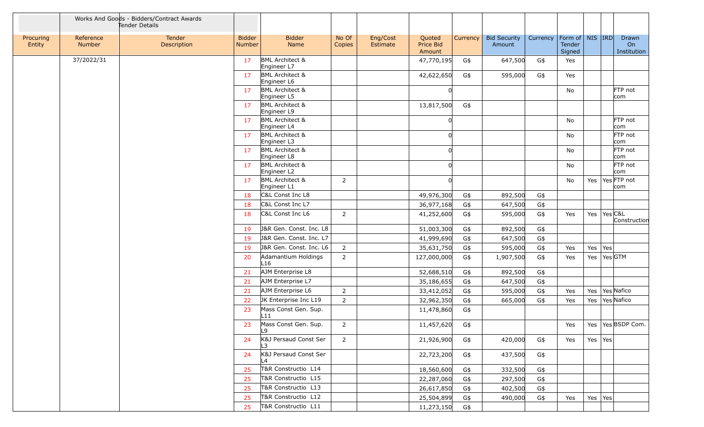|                     |                            | Works And Goods - Bidders/Contract Awards<br>Tender Details |                                |                                           |                 |                      |                               |                 |                               |          |                                          |                 |         |                            |
|---------------------|----------------------------|-------------------------------------------------------------|--------------------------------|-------------------------------------------|-----------------|----------------------|-------------------------------|-----------------|-------------------------------|----------|------------------------------------------|-----------------|---------|----------------------------|
| Procuring<br>Entity | Reference<br><b>Number</b> | Tender<br>Description                                       | <b>Bidder</b><br><b>Number</b> | <b>Bidder</b><br>Name                     | No Of<br>Copies | Eng/Cost<br>Estimate | Quoted<br>Price Bid<br>Amount | <b>Currency</b> | <b>Bid Security</b><br>Amount | Currency | Form of   NIS   IRD <br>Tender<br>Signed |                 |         | Drawn<br>On<br>Institution |
|                     | 37/2022/31                 |                                                             | 17                             | <b>BML Architect &amp;</b><br>Engineer L7 |                 |                      | 47,770,195                    | G\$             | 647,500                       | G\$      | Yes                                      |                 |         |                            |
|                     |                            |                                                             | 17                             | <b>BML Architect &amp;</b><br>Engineer L6 |                 |                      | 42,622,650                    | G\$             | 595,000                       | G\$      | Yes                                      |                 |         |                            |
|                     |                            |                                                             | 17                             | <b>BML Architect &amp;</b><br>Engineer L5 |                 |                      |                               |                 |                               |          | No                                       |                 |         | FTP not<br>com             |
|                     |                            |                                                             | 17                             | <b>BML Architect &amp;</b><br>Engineer L9 |                 |                      | 13,817,500                    | G\$             |                               |          |                                          |                 |         |                            |
|                     |                            |                                                             | 17                             | <b>BML Architect &amp;</b><br>Engineer L4 |                 |                      |                               |                 |                               |          | No                                       |                 |         | FTP not<br>com             |
|                     |                            |                                                             | 17                             | <b>BML Architect &amp;</b><br>Engineer L3 |                 |                      |                               |                 |                               |          | No                                       |                 |         | FTP not<br>com             |
|                     |                            |                                                             | 17                             | <b>BML Architect &amp;</b><br>Engineer L8 |                 |                      |                               |                 |                               |          | No                                       |                 |         | FTP not<br>com             |
|                     |                            |                                                             | 17                             | <b>BML Architect &amp;</b><br>Engineer L2 |                 |                      |                               |                 |                               |          | No                                       |                 |         | FTP not<br>com             |
|                     |                            |                                                             | 17                             | <b>BML Architect &amp;</b><br>Engineer L1 | $\overline{2}$  |                      |                               |                 |                               |          | No                                       |                 |         | Yes   Yes   FTP not<br>com |
|                     |                            |                                                             | 18                             | C&L Const Inc L8                          |                 |                      | 49,976,300                    | G\$             | 892,500                       | G\$      |                                          |                 |         |                            |
|                     |                            |                                                             | 18                             | C&L Const Inc L7                          |                 |                      | 36,977,168                    | G\$             | 647,500                       | G\$      |                                          |                 |         |                            |
|                     |                            |                                                             | 18                             | C&L Const Inc L6                          | $\overline{2}$  |                      | 41,252,600                    | G\$             | 595,000                       | G\$      | Yes                                      | Yes   Yes   C&L |         | Construction               |
|                     |                            |                                                             | 19                             | J&R Gen. Const. Inc. L8                   |                 |                      | 51,003,300                    | G\$             | 892,500                       | G\$      |                                          |                 |         |                            |
|                     |                            |                                                             | -19                            | J&R Gen. Const. Inc. L7                   |                 |                      | 41,999,690                    | G\$             | 647,500                       | G\$      |                                          |                 |         |                            |
|                     |                            |                                                             | 19                             | J&R Gen. Const. Inc. L6                   | $\overline{2}$  |                      | 35,631,750                    | G\$             | 595,000                       | G\$      | Yes                                      | Yes             | Yes     |                            |
|                     |                            |                                                             | 20                             | Adamantium Holdings<br>L16                | $\overline{2}$  |                      | 127,000,000                   | G\$             | 1,907,500                     | G\$      | Yes                                      | Yes             | Yes GTM |                            |
|                     |                            |                                                             | 21                             | AJM Enterprise L8                         |                 |                      | 52,688,510                    | G\$             | 892,500                       | G\$      |                                          |                 |         |                            |
|                     |                            |                                                             | 21                             | AJM Enterprise L7                         |                 |                      | 35,186,655                    | G\$             | 647,500                       | G\$      |                                          |                 |         |                            |
|                     |                            |                                                             | 21                             | AJM Enterprise L6                         | $\overline{2}$  |                      | 33,412,052                    | G\$             | 595,000                       | G\$      | Yes                                      |                 |         | Yes   Yes   Nafico         |
|                     |                            |                                                             | 22                             | JK Enterprise Inc L19                     | $\overline{2}$  |                      | 32,962,350                    | G\$             | 665,000                       | G\$      | Yes                                      |                 |         | Yes   Yes   Nafico         |
|                     |                            |                                                             | 23                             | Mass Const Gen. Sup.<br>L11               |                 |                      | 11,478,860                    | G\$             |                               |          |                                          |                 |         |                            |
|                     |                            |                                                             | 23                             | Mass Const Gen. Sup.<br>۱۹                | $2^{\circ}$     |                      | 11,457,620                    | G\$             |                               |          | Yes                                      |                 |         | Yes   Yes   BSDP Com.      |
|                     |                            |                                                             | 24                             | K&J Persaud Const Ser<br>L3               | $\overline{2}$  |                      | 21,926,900                    | G\$             | 420,000                       | G\$      | Yes                                      | Yes Yes         |         |                            |
|                     |                            |                                                             | 24                             | K&J Persaud Const Ser<br>L4               |                 |                      | 22,723,200                    | G\$             | 437,500                       | G\$      |                                          |                 |         |                            |
|                     |                            |                                                             | 25                             | T&R Constructio L14                       |                 |                      | 18,560,600                    | G\$             | 332,500                       | G\$      |                                          |                 |         |                            |
|                     |                            |                                                             | 25                             | T&R Constructio L15                       |                 |                      | 22,287,060                    | G\$             | 297,500                       | G\$      |                                          |                 |         |                            |
|                     |                            |                                                             | 25                             | T&R Constructio L13                       |                 |                      | 26,617,850                    | G\$             | 402,500                       | G\$      |                                          |                 |         |                            |
|                     |                            |                                                             | 25                             | T&R Constructio L12                       |                 |                      | 25,504,899                    | G\$             | 490,000                       | G\$      | Yes                                      | Yes Yes         |         |                            |
|                     |                            |                                                             | 25                             | T&R Constructio L11                       |                 |                      | 11,273,150                    | G\$             |                               |          |                                          |                 |         |                            |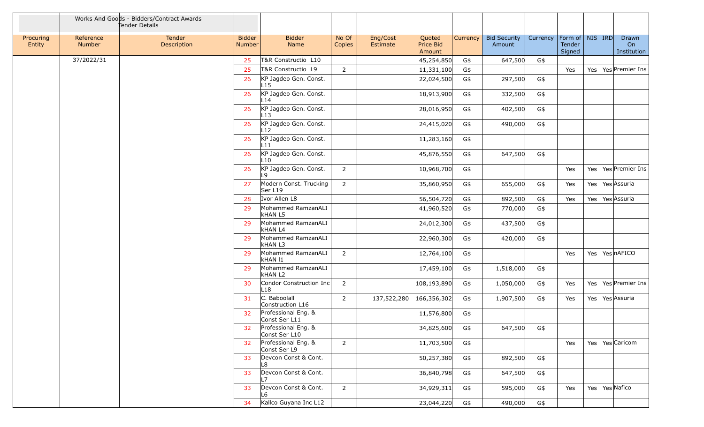|                     |                     | Works And Goods - Bidders/Contract Awards<br>Tender Details |                                |                                            |                 |                      |                               |          |                               |          |                                          |  |                            |
|---------------------|---------------------|-------------------------------------------------------------|--------------------------------|--------------------------------------------|-----------------|----------------------|-------------------------------|----------|-------------------------------|----------|------------------------------------------|--|----------------------------|
| Procuring<br>Entity | Reference<br>Number | Tender<br>Description                                       | <b>Bidder</b><br><b>Number</b> | <b>Bidder</b><br>Name                      | No Of<br>Copies | Eng/Cost<br>Estimate | Quoted<br>Price Bid<br>Amount | Currency | <b>Bid Security</b><br>Amount | Currency | Form of   NIS   IRD <br>Tender<br>Signed |  | Drawn<br>On<br>Institution |
|                     | 37/2022/31          |                                                             | 25                             | T&R Constructio L10                        |                 |                      | 45,254,850                    | G\$      | 647,500                       | G\$      |                                          |  |                            |
|                     |                     |                                                             | 25                             | T&R Constructio L9                         | $\overline{2}$  |                      | 11,331,100                    | G\$      |                               |          | Yes                                      |  | Yes   Yes   Premier Ins    |
|                     |                     |                                                             | 26                             | KP Jagdeo Gen. Const.<br>L15               |                 |                      | 22,024,500                    | G\$      | 297,500                       | G\$      |                                          |  |                            |
|                     |                     |                                                             | 26                             | KP Jagdeo Gen. Const.<br>L14               |                 |                      | 18,913,900                    | G\$      | 332,500                       | G\$      |                                          |  |                            |
|                     |                     |                                                             | 26                             | KP Jagdeo Gen. Const.<br>L13               |                 |                      | 28,016,950                    | G\$      | 402,500                       | G\$      |                                          |  |                            |
|                     |                     |                                                             | 26                             | KP Jagdeo Gen. Const.<br>L12               |                 |                      | 24,415,020                    | G\$      | 490,000                       | G\$      |                                          |  |                            |
|                     |                     |                                                             | 26                             | KP Jagdeo Gen. Const.<br>L11               |                 |                      | 11,283,160                    | G\$      |                               |          |                                          |  |                            |
|                     |                     |                                                             | 26                             | KP Jagdeo Gen. Const.<br>L10               |                 |                      | 45,876,550                    | G\$      | 647,500                       | G\$      |                                          |  |                            |
|                     |                     |                                                             | 26                             | KP Jagdeo Gen. Const.<br>L9                | $\overline{2}$  |                      | 10,968,700                    | G\$      |                               |          | Yes                                      |  | Yes   Yes   Premier Ins    |
|                     |                     |                                                             | 27                             | Modern Const. Trucking<br>Ser L19          | $\overline{2}$  |                      | 35,860,950                    | G\$      | 655,000                       | G\$      | Yes                                      |  | Yes Yes Assuria            |
|                     |                     |                                                             | 28                             | Ivor Allen L8                              |                 |                      | 56,504,720                    | G\$      | 892,500                       | G\$      | Yes                                      |  | Yes Yes Assuria            |
|                     |                     |                                                             | 29                             | Mohammed RamzanALI<br><b>kHAN L5</b>       |                 |                      | 41,960,520                    | G\$      | 770,000                       | G\$      |                                          |  |                            |
|                     |                     |                                                             | 29                             | Mohammed RamzanALI<br><b>kHAN L4</b>       |                 |                      | 24,012,300                    | G\$      | 437,500                       | G\$      |                                          |  |                            |
|                     |                     |                                                             | 29                             | Mohammed RamzanALI<br><b>kHAN L3</b>       |                 |                      | 22,960,300                    | G\$      | 420,000                       | G\$      |                                          |  |                            |
|                     |                     |                                                             | 29                             | Mohammed RamzanALI<br><b>kHAN I1</b>       | $2^{\circ}$     |                      | 12,764,100                    | G\$      |                               |          | Yes                                      |  | Yes   Yes   nAFICO         |
|                     |                     |                                                             | 29                             | Mohammed RamzanALI<br><b>kHAN L2</b>       |                 |                      | 17,459,100                    | G\$      | 1,518,000                     | G\$      |                                          |  |                            |
|                     |                     |                                                             | 30                             | Condor Construction Inc<br>L <sub>18</sub> | $\overline{2}$  |                      | 108,193,890                   | G\$      | 1,050,000                     | G\$      | Yes                                      |  | Yes   Yes   Premier Ins    |
|                     |                     |                                                             | 31                             | C. Baboolall<br>Construction L16           | $\overline{2}$  | 137,522,280          | 166,356,302                   | G\$      | 1,907,500                     | G\$      | Yes                                      |  | Yes   Yes   Assuria        |
|                     |                     |                                                             | 32                             | Professional Eng. &<br>Const Ser L11       |                 |                      | 11,576,800                    | G\$      |                               |          |                                          |  |                            |
|                     |                     |                                                             | 32                             | Professional Eng. &<br>Const Ser L10       |                 |                      | 34,825,600                    | G\$      | 647,500                       | G\$      |                                          |  |                            |
|                     |                     |                                                             | 32                             | Professional Eng. &<br>Const Ser L9        | $\overline{2}$  |                      | 11,703,500                    | G\$      |                               |          | Yes                                      |  | Yes   Yes   Caricom        |
|                     |                     |                                                             | 33                             | Devcon Const & Cont.<br>L8                 |                 |                      | 50,257,380                    | G\$      | 892,500                       | G\$      |                                          |  |                            |
|                     |                     |                                                             | 33                             | Devcon Const & Cont.<br>17                 |                 |                      | 36,840,798                    | G\$      | 647,500                       | G\$      |                                          |  |                            |
|                     |                     |                                                             | 33                             | Devcon Const & Cont.<br>L6                 | $\overline{2}$  |                      | 34,929,311                    | G\$      | 595,000                       | G\$      | Yes                                      |  | Yes   Yes Nafico           |
|                     |                     |                                                             | 34                             | Kallco Guyana Inc L12                      |                 |                      | 23,044,220                    | G\$      | 490,000                       | G\$      |                                          |  |                            |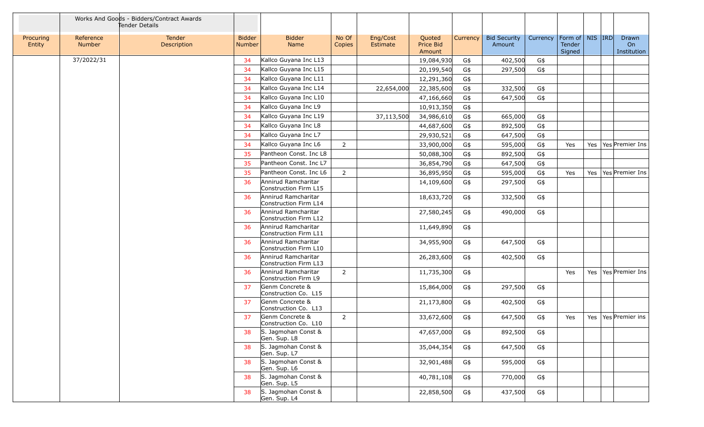|                     |                            | Works And Goods - Bidders/Contract Awards<br>Tender Details |                                |                                              |                 |                      |                               |          |                               |          |                                         |  |                            |
|---------------------|----------------------------|-------------------------------------------------------------|--------------------------------|----------------------------------------------|-----------------|----------------------|-------------------------------|----------|-------------------------------|----------|-----------------------------------------|--|----------------------------|
| Procuring<br>Entity | Reference<br><b>Number</b> | Tender<br>Description                                       | <b>Bidder</b><br><b>Number</b> | <b>Bidder</b><br>Name                        | No Of<br>Copies | Eng/Cost<br>Estimate | Quoted<br>Price Bid<br>Amount | Currency | <b>Bid Security</b><br>Amount | Currency | Form of   NIS   IRD<br>Tender<br>Signed |  | Drawn<br>On<br>Institution |
|                     | 37/2022/31                 |                                                             | 34                             | Kallco Guyana Inc L13                        |                 |                      | 19,084,930                    | G\$      | 402,500                       | G\$      |                                         |  |                            |
|                     |                            |                                                             | 34                             | Kallco Guyana Inc L15                        |                 |                      | 20,199,540                    | G\$      | 297,500                       | G\$      |                                         |  |                            |
|                     |                            |                                                             | 34                             | Kallco Guyana Inc L11                        |                 |                      | 12,291,360                    | G\$      |                               |          |                                         |  |                            |
|                     |                            |                                                             | 34                             | Kallco Guyana Inc L14                        |                 | 22,654,000           | 22,385,600                    | G\$      | 332,500                       | G\$      |                                         |  |                            |
|                     |                            |                                                             | -34                            | Kallco Guyana Inc L10                        |                 |                      | 47,166,660                    | G\$      | 647,500                       | G\$      |                                         |  |                            |
|                     |                            |                                                             | 34                             | Kallco Guyana Inc L9                         |                 |                      | 10,913,350                    | G\$      |                               |          |                                         |  |                            |
|                     |                            |                                                             | 34                             | Kallco Guyana Inc L19                        |                 | 37,113,500           | 34,986,610                    | G\$      | 665,000                       | G\$      |                                         |  |                            |
|                     |                            |                                                             | -34                            | Kallco Guyana Inc L8                         |                 |                      | 44,687,600                    | G\$      | 892,500                       | G\$      |                                         |  |                            |
|                     |                            |                                                             | 34                             | Kallco Guyana Inc L7                         |                 |                      | 29,930,521                    | G\$      | 647,500                       | G\$      |                                         |  |                            |
|                     |                            |                                                             | 34                             | Kallco Guyana Inc L6                         | $\overline{2}$  |                      | 33,900,000                    | G\$      | 595,000                       | G\$      | Yes                                     |  | Yes   Yes   Premier Ins    |
|                     |                            |                                                             | 35                             | Pantheon Const. Inc L8                       |                 |                      | 50,088,300                    | G\$      | 892,500                       | G\$      |                                         |  |                            |
|                     |                            |                                                             | 35                             | Pantheon Const. Inc L7                       |                 |                      | 36,854,790                    | G\$      | 647,500                       | G\$      |                                         |  |                            |
|                     |                            |                                                             | 35                             | Pantheon Const. Inc L6                       | $\overline{2}$  |                      | 36,895,950                    | G\$      | 595,000                       | G\$      | Yes                                     |  | Yes   Yes   Premier Ins    |
|                     |                            |                                                             | 36                             | Annirud Ramcharitar<br>Construction Firm L15 |                 |                      | 14,109,600                    | G\$      | 297,500                       | G\$      |                                         |  |                            |
|                     |                            |                                                             | 36                             | Annirud Ramcharitar<br>Construction Firm L14 |                 |                      | 18,633,720                    | G\$      | 332,500                       | G\$      |                                         |  |                            |
|                     |                            |                                                             | 36                             | Annirud Ramcharitar<br>Construction Firm L12 |                 |                      | 27,580,245                    | G\$      | 490,000                       | G\$      |                                         |  |                            |
|                     |                            |                                                             | 36                             | Annirud Ramcharitar<br>Construction Firm L11 |                 |                      | 11,649,890                    | G\$      |                               |          |                                         |  |                            |
|                     |                            |                                                             | 36                             | Annirud Ramcharitar<br>Construction Firm L10 |                 |                      | 34,955,900                    | G\$      | 647,500                       | G\$      |                                         |  |                            |
|                     |                            |                                                             | 36                             | Annirud Ramcharitar<br>Construction Firm L13 |                 |                      | 26,283,600                    | G\$      | 402,500                       | G\$      |                                         |  |                            |
|                     |                            |                                                             | 36                             | Annirud Ramcharitar<br>Construction Firm L9  | $\overline{2}$  |                      | 11,735,300                    | G\$      |                               |          | Yes                                     |  | Yes   Yes   Premier Ins    |
|                     |                            |                                                             | 37                             | Genm Concrete &<br>Construction Co. L15      |                 |                      | 15,864,000                    | G\$      | 297,500                       | G\$      |                                         |  |                            |
|                     |                            |                                                             | 37                             | Genm Concrete &<br>Construction Co. L13      |                 |                      | 21,173,800                    | G\$      | 402,500                       | G\$      |                                         |  |                            |
|                     |                            |                                                             | 37                             | Genm Concrete &<br>Construction Co. L10      | $\overline{2}$  |                      | 33,672,600                    | G\$      | 647,500                       | G\$      | Yes                                     |  | Yes   Yes   Premier ins    |
|                     |                            |                                                             | 38                             | S. Jagmohan Const &<br>Gen. Sup. L8          |                 |                      | 47,657,000                    | G\$      | 892,500                       | G\$      |                                         |  |                            |
|                     |                            |                                                             | 38                             | S. Jagmohan Const &<br>Gen. Sup. L7          |                 |                      | 35,044,354                    | G\$      | 647,500                       | G\$      |                                         |  |                            |
|                     |                            |                                                             | 38                             | S. Jagmohan Const &<br>Gen. Sup. L6          |                 |                      | 32,901,488                    | G\$      | 595,000                       | G\$      |                                         |  |                            |
|                     |                            |                                                             | 38                             | S. Jagmohan Const &<br>Gen. Sup. L5          |                 |                      | 40,781,108                    | G\$      | 770,000                       | G\$      |                                         |  |                            |
|                     |                            |                                                             | 38                             | S. Jagmohan Const &<br>Gen. Sup. L4          |                 |                      | 22,858,500                    | G\$      | 437,500                       | G\$      |                                         |  |                            |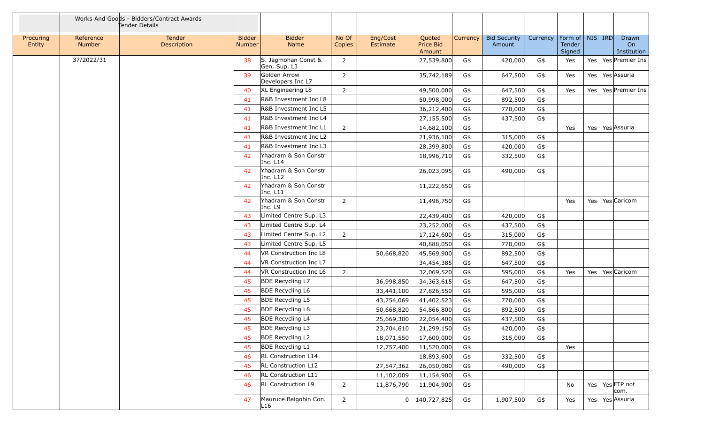|                     |                     | Works And Goods - Bidders/Contract Awards<br>Tender Details |                                |                                     |                 |                      |                               |          |                               |          |                                         |  |                            |
|---------------------|---------------------|-------------------------------------------------------------|--------------------------------|-------------------------------------|-----------------|----------------------|-------------------------------|----------|-------------------------------|----------|-----------------------------------------|--|----------------------------|
| Procuring<br>Entity | Reference<br>Number | Tender<br>Description                                       | <b>Bidder</b><br><b>Number</b> | <b>Bidder</b><br>Name               | No Of<br>Copies | Eng/Cost<br>Estimate | Quoted<br>Price Bid<br>Amount | Currency | <b>Bid Security</b><br>Amount | Currency | Form of   NIS   IRD<br>Tender<br>Signed |  | Drawn<br>On<br>Institution |
|                     | 37/2022/31          |                                                             | 38                             | S. Jagmohan Const &<br>Gen. Sup. L3 | $\overline{2}$  |                      | 27,539,800                    | G\$      | 420,000                       | G\$      | Yes                                     |  | Yes   Yes   Premier Ins    |
|                     |                     |                                                             | 39                             | Golden Arrow<br>Developers Inc L7   | 2               |                      | 35,742,189                    | G\$      | 647,500                       | G\$      | Yes                                     |  | Yes   Yes   Assuria        |
|                     |                     |                                                             | 40                             | XL Engineering L8                   | $\overline{2}$  |                      | 49,500,000                    | G\$      | 647,500                       | G\$      | Yes                                     |  | Yes   Yes   Premier Ins    |
|                     |                     |                                                             | 41                             | R&B Investment Inc L8               |                 |                      | 50,998,000                    | G\$      | 892,500                       | G\$      |                                         |  |                            |
|                     |                     |                                                             | 41                             | R&B Investment Inc L5               |                 |                      | 36,212,400                    | G\$      | 770,000                       | G\$      |                                         |  |                            |
|                     |                     |                                                             | 41                             | R&B Investment Inc L4               |                 |                      | 27,155,500                    | G\$      | 437,500                       | G\$      |                                         |  |                            |
|                     |                     |                                                             | 41                             | R&B Investment Inc L1               | $\overline{2}$  |                      | 14,682,100                    | G\$      |                               |          | Yes                                     |  | Yes   Yes   Assuria        |
|                     |                     |                                                             | 41                             | R&B Investment Inc L2               |                 |                      | 21,936,100                    | G\$      | 315,000                       | G\$      |                                         |  |                            |
|                     |                     |                                                             | 41                             | R&B Investment Inc L3               |                 |                      | 28,399,800                    | G\$      | 420,000                       | G\$      |                                         |  |                            |
|                     |                     |                                                             | 42                             | Yhadram & Son Constr<br>Inc. L14    |                 |                      | 18,996,710                    | G\$      | 332,500                       | G\$      |                                         |  |                            |
|                     |                     |                                                             | 42                             | Yhadram & Son Constr<br>Inc. L12    |                 |                      | 26,023,095                    | G\$      | 490,000                       | G\$      |                                         |  |                            |
|                     |                     |                                                             | 42                             | Yhadram & Son Constr<br>Inc. L11    |                 |                      | 11,222,650                    | G\$      |                               |          |                                         |  |                            |
|                     |                     |                                                             | 42                             | Yhadram & Son Constr<br>Inc. L9     | $\overline{2}$  |                      | 11,496,750                    | G\$      |                               |          | Yes                                     |  | Yes   Yes   Caricom        |
|                     |                     |                                                             | 43                             | Limited Centre Sup. L3              |                 |                      | 22,439,400                    | G\$      | 420,000                       | G\$      |                                         |  |                            |
|                     |                     |                                                             | 43                             | Limited Centre Sup. L4              |                 |                      | 23,252,000                    | G\$      | 437,500                       | G\$      |                                         |  |                            |
|                     |                     |                                                             | 43                             | Limited Centre Sup. L2              | $\overline{2}$  |                      | 17,124,600                    | G\$      | 315,000                       | G\$      |                                         |  |                            |
|                     |                     |                                                             | 43                             | Limited Centre Sup. L5              |                 |                      | 40,888,050                    | G\$      | 770,000                       | G\$      |                                         |  |                            |
|                     |                     |                                                             | 44                             | VR Construction Inc L8              |                 | 50,668,820           | 45,569,900                    | G\$      | 892,500                       | G\$      |                                         |  |                            |
|                     |                     |                                                             | -44                            | VR Construction Inc L7              |                 |                      | 34,454,385                    | G\$      | 647,500                       | G\$      |                                         |  |                            |
|                     |                     |                                                             | 44                             | VR Construction Inc L6              | $\overline{2}$  |                      | 32,069,520                    | G\$      | 595,000                       | G\$      | Yes                                     |  | Yes   Yes   Caricom        |
|                     |                     |                                                             | 45                             | <b>BDE Recycling L7</b>             |                 | 36,998,850           | 34,363,615                    | G\$      | 647,500                       | G\$      |                                         |  |                            |
|                     |                     |                                                             | 45                             | <b>BDE Recycling L6</b>             |                 | 33,441,100           | 27,826,550                    | G\$      | 595,000                       | G\$      |                                         |  |                            |
|                     |                     |                                                             | 45                             | <b>BDE Recycling L5</b>             |                 | 43,754,069           | 41,402,523                    | G\$      | 770,000                       | G\$      |                                         |  |                            |
|                     |                     |                                                             | 45                             | <b>BDE Recycling L8</b>             |                 | 50,668,820           | 54,866,800                    | G\$      | 892,500                       | G\$      |                                         |  |                            |
|                     |                     |                                                             | 45                             | <b>BDE Recycling L4</b>             |                 | 25,669,300           | 22,054,400                    | G\$      | 437,500                       | G\$      |                                         |  |                            |
|                     |                     |                                                             | 45                             | <b>BDE Recycling L3</b>             |                 | 23,704,610           | 21,299,150                    | G\$      | 420,000                       | G\$      |                                         |  |                            |
|                     |                     |                                                             | 45                             | <b>BDE Recycling L2</b>             |                 | 18,071,550           | 17,600,000                    | G\$      | 315,000                       | G\$      |                                         |  |                            |
|                     |                     |                                                             | 45                             | <b>BDE Recycling L1</b>             |                 | 12,757,400           | 11,520,000                    | G\$      |                               |          | Yes                                     |  |                            |
|                     |                     |                                                             | 46                             | RL Construction L14                 |                 |                      | 18,893,600                    | G\$      | 332,500                       | G\$      |                                         |  |                            |
|                     |                     |                                                             | 46                             | RL Construction L12                 |                 | 27,547,362           | 26,050,080                    | G\$      | 490,000                       | G\$      |                                         |  |                            |
|                     |                     |                                                             | 46                             | RL Construction L11                 |                 | 11,102,009           | 11,154,900                    | G\$      |                               |          |                                         |  |                            |
|                     |                     |                                                             | 46                             | RL Construction L9                  | $\overline{2}$  | 11,876,790           | 11,904,900                    | G\$      |                               |          | No                                      |  | Yes   Yes FTP not<br>com.  |
|                     |                     |                                                             | 47                             | Mauruce Balgobin Con.<br>L16        | $\overline{2}$  |                      | 0 140,727,825                 | G\$      | 1,907,500                     | G\$      | Yes                                     |  | Yes   Yes   Assuria        |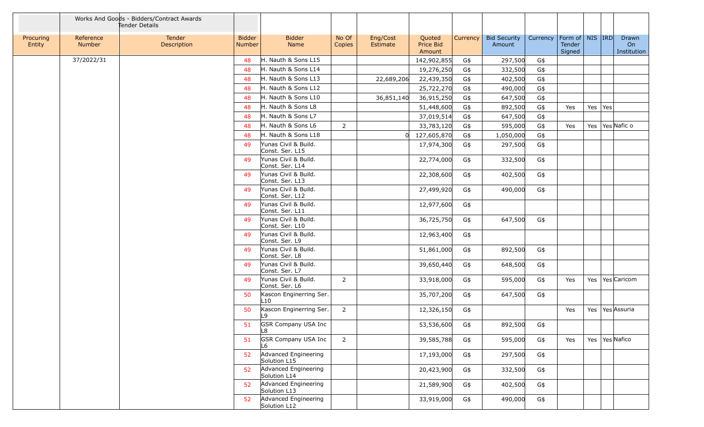|                     |                            | Works And Goods - Bidders/Contract Awards<br>Tender Details |                                |                                         |                 |                      |                               |          |                               |          |                                         |         |                            |
|---------------------|----------------------------|-------------------------------------------------------------|--------------------------------|-----------------------------------------|-----------------|----------------------|-------------------------------|----------|-------------------------------|----------|-----------------------------------------|---------|----------------------------|
| Procuring<br>Entity | Reference<br><b>Number</b> | Tender<br>Description                                       | <b>Bidder</b><br><b>Number</b> | <b>Bidder</b><br>Name                   | No Of<br>Copies | Eng/Cost<br>Estimate | Quoted<br>Price Bid<br>Amount | Currency | <b>Bid Security</b><br>Amount | Currency | Form of   NIS   IRD<br>Tender<br>Signed |         | Drawn<br>On<br>Institution |
|                     | 37/2022/31                 |                                                             | 48                             | H. Nauth & Sons L15                     |                 |                      | 142,902,855                   | G\$      | 297,500                       | G\$      |                                         |         |                            |
|                     |                            |                                                             | 48                             | H. Nauth & Sons L14                     |                 |                      | 19,276,250                    | G\$      | 332,500                       | G\$      |                                         |         |                            |
|                     |                            |                                                             | 48                             | H. Nauth & Sons L13                     |                 | 22,689,206           | 22,439,350                    | G\$      | 402,500                       | G\$      |                                         |         |                            |
|                     |                            |                                                             | 48                             | H. Nauth & Sons L12                     |                 |                      | 25,722,270                    | G\$      | 490,000                       | G\$      |                                         |         |                            |
|                     |                            |                                                             | 48                             | H. Nauth & Sons L10                     |                 | 36,851,140           | 36,915,250                    | G\$      | 647,500                       | G\$      |                                         |         |                            |
|                     |                            |                                                             | 48                             | H. Nauth & Sons L8                      |                 |                      | 51,448,600                    | G\$      | 892,500                       | G\$      | Yes                                     | Yes Yes |                            |
|                     |                            |                                                             | 48                             | H. Nauth & Sons L7                      |                 |                      | 37,019,514                    | G\$      | 647,500                       | G\$      |                                         |         |                            |
|                     |                            |                                                             | 48                             | H. Nauth & Sons L6                      | $\overline{2}$  |                      | 33,783,120                    | G\$      | 595,000                       | G\$      | Yes                                     |         | Yes   Yes Nafic o          |
|                     |                            |                                                             | 48                             | H. Nauth & Sons L18                     |                 |                      | 127,605,870                   | G\$      | 1,050,000                     | G\$      |                                         |         |                            |
|                     |                            |                                                             | 49                             | Yunas Civil & Build.<br>Const. Ser. L15 |                 |                      | 17,974,300                    | G\$      | 297,500                       | G\$      |                                         |         |                            |
|                     |                            |                                                             | 49                             | Yunas Civil & Build.<br>Const. Ser. L14 |                 |                      | 22,774,000                    | G\$      | 332,500                       | G\$      |                                         |         |                            |
|                     |                            |                                                             | 49                             | Yunas Civil & Build.<br>Const. Ser. L13 |                 |                      | 22,308,600                    | G\$      | 402,500                       | G\$      |                                         |         |                            |
|                     |                            |                                                             | 49                             | Yunas Civil & Build.<br>Const. Ser. L12 |                 |                      | 27,499,920                    | G\$      | 490,000                       | G\$      |                                         |         |                            |
|                     |                            |                                                             | 49                             | Yunas Civil & Build.<br>Const. Ser. L11 |                 |                      | 12,977,600                    | G\$      |                               |          |                                         |         |                            |
|                     |                            |                                                             | 49                             | Yunas Civil & Build.<br>Const. Ser. L10 |                 |                      | 36,725,750                    | G\$      | 647,500                       | G\$      |                                         |         |                            |
|                     |                            |                                                             | 49                             | Yunas Civil & Build.<br>Const. Ser. L9  |                 |                      | 12,963,400                    | G\$      |                               |          |                                         |         |                            |
|                     |                            |                                                             | 49                             | Yunas Civil & Build.<br>Const. Ser. L8  |                 |                      | 51,861,000                    | G\$      | 892,500                       | G\$      |                                         |         |                            |
|                     |                            |                                                             | 49                             | Yunas Civil & Build.<br>Const. Ser. L7  |                 |                      | 39,650,440                    | G\$      | 648,500                       | G\$      |                                         |         |                            |
|                     |                            |                                                             | 49                             | Yunas Civil & Build.<br>Const. Ser. L6  | $2^{\circ}$     |                      | 33,918,000                    | G\$      | 595,000                       | G\$      | Yes                                     |         | Yes   Yes   Caricom        |
|                     |                            |                                                             | 50                             | Kascon Enginerring Ser.<br>L10          |                 |                      | 35,707,200                    | G\$      | 647,500                       | G\$      |                                         |         |                            |
|                     |                            |                                                             | 50                             | Kascon Enginerring Ser.<br>L9           | $\overline{2}$  |                      | 12,326,150                    | G\$      |                               |          | Yes                                     |         | Yes Yes Assuria            |
|                     |                            |                                                             | 51                             | <b>GSR Company USA Inc</b><br>L8        |                 |                      | 53,536,600                    | G\$      | 892,500                       | G\$      |                                         |         |                            |
|                     |                            |                                                             | 51                             | <b>GSR Company USA Inc</b><br>L6        | $2^{\circ}$     |                      | 39,585,788                    | G\$      | 595,000                       | G\$      | Yes                                     |         | Yes   Yes Nafico           |
|                     |                            |                                                             | 52                             | Advanced Engineering<br>Solution L15    |                 |                      | 17,193,000                    | G\$      | 297,500                       | G\$      |                                         |         |                            |
|                     |                            |                                                             | 52                             | Advanced Engineering<br>Solution L14    |                 |                      | 20,423,900                    | G\$      | 332,500                       | G\$      |                                         |         |                            |
|                     |                            |                                                             | 52                             | Advanced Engineering<br>Solution L13    |                 |                      | 21,589,900                    | G\$      | 402,500                       | G\$      |                                         |         |                            |
|                     |                            |                                                             | 52                             | Advanced Engineering<br>Solution L12    |                 |                      | 33,919,000                    | G\$      | 490,000                       | G\$      |                                         |         |                            |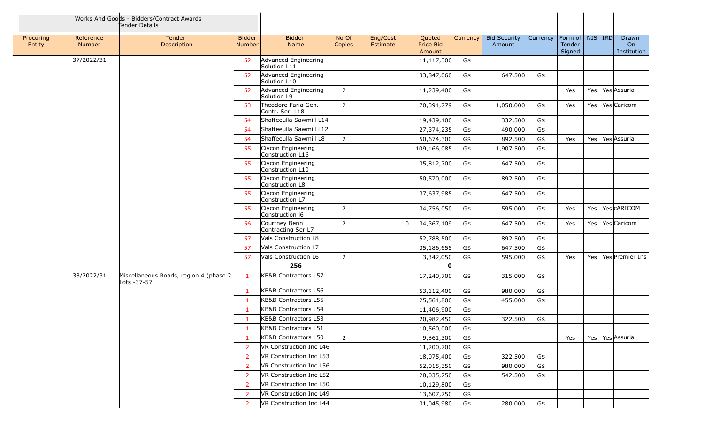|                     |                            | Works And Goods - Bidders/Contract Awards<br>Tender Details |                                |                                        |                        |                      |                                      |                 |                               |          |                                                     |  |                            |
|---------------------|----------------------------|-------------------------------------------------------------|--------------------------------|----------------------------------------|------------------------|----------------------|--------------------------------------|-----------------|-------------------------------|----------|-----------------------------------------------------|--|----------------------------|
| Procuring<br>Entity | Reference<br><b>Number</b> | Tender<br>Description                                       | <b>Bidder</b><br><b>Number</b> | <b>Bidder</b><br>Name                  | No Of<br><b>Copies</b> | Eng/Cost<br>Estimate | Quoted<br><b>Price Bid</b><br>Amount | <b>Currency</b> | <b>Bid Security</b><br>Amount | Currency | Form of $\vert$ NIS $\vert$ IRD<br>Tender<br>Signed |  | Drawn<br>On<br>Institution |
|                     | 37/2022/31                 |                                                             | 52                             | Advanced Engineering<br>Solution L11   |                        |                      | 11,117,300                           | G\$             |                               |          |                                                     |  |                            |
|                     |                            |                                                             | 52                             | Advanced Engineering<br>Solution L10   |                        |                      | 33,847,060                           | G\$             | 647,500                       | G\$      |                                                     |  |                            |
|                     |                            |                                                             | 52                             | Advanced Engineering<br>Solution L9    | $2^{\circ}$            |                      | 11,239,400                           | G\$             |                               |          | Yes                                                 |  | Yes   Yes Assuria          |
|                     |                            |                                                             | 53                             | Theodore Faria Gen.<br>Contr. Ser. L18 | $\overline{2}$         |                      | 70,391,779                           | G\$             | 1,050,000                     | G\$      | Yes                                                 |  | Yes   Yes   Caricom        |
|                     |                            |                                                             | 54                             | Shaffeeulla Sawmill L14                |                        |                      | 19,439,100                           | G\$             | 332,500                       | G\$      |                                                     |  |                            |
|                     |                            |                                                             | 54                             | Shaffeeulla Sawmill L12                |                        |                      | 27,374,235                           | G\$             | 490,000                       | G\$      |                                                     |  |                            |
|                     |                            |                                                             | 54                             | Shaffeeulla Sawmill L8                 | $\overline{2}$         |                      | 50,674,300                           | G\$             | 892,500                       | G\$      | Yes                                                 |  | Yes   Yes Assuria          |
|                     |                            |                                                             | 55                             | Civcon Engineering<br>Construction L16 |                        |                      | 109,166,085                          | G\$             | 1,907,500                     | G\$      |                                                     |  |                            |
|                     |                            |                                                             | 55                             | Civcon Engineering<br>Construction L10 |                        |                      | 35,812,700                           | G\$             | 647,500                       | G\$      |                                                     |  |                            |
|                     |                            |                                                             | 55                             | Civcon Engineering<br>Construction L8  |                        |                      | 50,570,000                           | G\$             | 892,500                       | G\$      |                                                     |  |                            |
|                     |                            |                                                             | 55                             | Civcon Engineering<br>Construction L7  |                        |                      | 37,637,985                           | G\$             | 647,500                       | G\$      |                                                     |  |                            |
|                     |                            |                                                             | 55                             | Civcon Engineering<br>Construction 16  | $\overline{2}$         |                      | 34,756,050                           | G\$             | 595,000                       | G\$      | Yes                                                 |  | Yes   Yes   CARICOM        |
|                     |                            |                                                             | 56                             | Courtney Benn<br>Contracting Ser L7    | $\overline{2}$         | 0l                   | 34,367,109                           | G\$             | 647,500                       | G\$      | Yes                                                 |  | Yes   Yes   Caricom        |
|                     |                            |                                                             | 57                             | Vals Construction L8                   |                        |                      | 52,788,500                           | G\$             | 892,500                       | G\$      |                                                     |  |                            |
|                     |                            |                                                             | 57                             | <b>Vals Construction L7</b>            |                        |                      | 35,186,655                           | G\$             | 647,500                       | G\$      |                                                     |  |                            |
|                     |                            |                                                             | 57                             | Vals Construction L6                   | $2^{\circ}$            |                      | 3,342,050                            | G\$             | 595,000                       | G\$      | Yes                                                 |  | Yes   Yes   Premier Ins    |
|                     |                            |                                                             |                                | 256                                    |                        |                      | n                                    |                 |                               |          |                                                     |  |                            |
|                     | 38/2022/31                 | Miscellaneous Roads, region 4 (phase 2<br>Lots -37-57       | -1                             | KB&B Contractors L57                   |                        |                      | 17,240,700                           | G\$             | 315,000                       | G\$      |                                                     |  |                            |
|                     |                            |                                                             | $\mathbf{1}$                   | KB&B Contractors L56                   |                        |                      | 53,112,400                           | G\$             | 980,000                       | G\$      |                                                     |  |                            |
|                     |                            |                                                             | -1                             | KB&B Contractors L55                   |                        |                      | 25,561,800                           | G\$             | 455,000                       | G\$      |                                                     |  |                            |
|                     |                            |                                                             | -1                             | KB&B Contractors L54                   |                        |                      | 11,406,900                           | G\$             |                               |          |                                                     |  |                            |
|                     |                            |                                                             | -1                             | KB&B Contractors L53                   |                        |                      | 20,982,450                           | G\$             | 322,500                       | G\$      |                                                     |  |                            |
|                     |                            |                                                             | $\mathbf{1}$                   | KB&B Contractors L51                   |                        |                      | 10,560,000                           | G\$             |                               |          |                                                     |  |                            |
|                     |                            |                                                             | -1                             | KB&B Contractors L50                   | $2^{\circ}$            |                      | 9,861,300                            | G\$             |                               |          | Yes                                                 |  | Yes   Yes Assuria          |
|                     |                            |                                                             | 2                              | VR Construction Inc L46                |                        |                      | 11,200,700                           | G\$             |                               |          |                                                     |  |                            |
|                     |                            |                                                             | 2                              | VR Construction Inc L53                |                        |                      | 18,075,400                           | G\$             | 322,500                       | G\$      |                                                     |  |                            |
|                     |                            |                                                             | 2                              | VR Construction Inc L56                |                        |                      | 52,015,350                           | G\$             | 980,000                       | G\$      |                                                     |  |                            |
|                     |                            |                                                             | 2                              | VR Construction Inc L52                |                        |                      | 28,035,250                           | G\$             | 542,500                       | G\$      |                                                     |  |                            |
|                     |                            |                                                             | 2                              | VR Construction Inc L50                |                        |                      | 10,129,800                           | G\$             |                               |          |                                                     |  |                            |
|                     |                            |                                                             | $\overline{2}$                 | VR Construction Inc L49                |                        |                      | 13,607,750                           | G\$             |                               |          |                                                     |  |                            |
|                     |                            |                                                             | 2                              | VR Construction Inc L44                |                        |                      | 31,045,980                           | G\$             | 280,000                       | G\$      |                                                     |  |                            |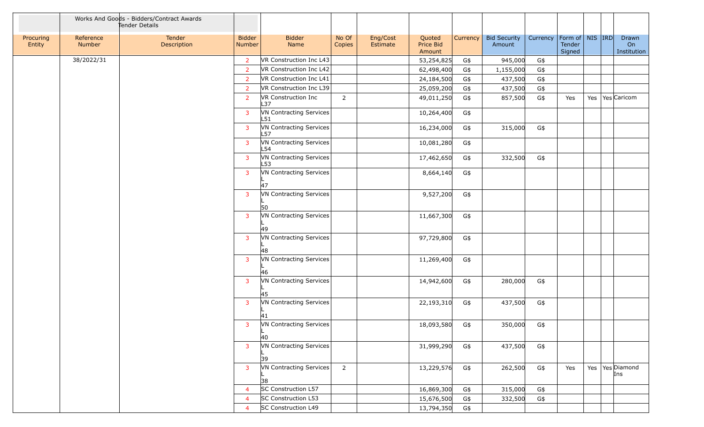|                     |                     | Works And Goods - Bidders/Contract Awards<br>Tender Details |                                |                                |                 |                      |                               |          |                               |                                |                  |  |                            |
|---------------------|---------------------|-------------------------------------------------------------|--------------------------------|--------------------------------|-----------------|----------------------|-------------------------------|----------|-------------------------------|--------------------------------|------------------|--|----------------------------|
| Procuring<br>Entity | Reference<br>Number | Tender<br>Description                                       | <b>Bidder</b><br><b>Number</b> | <b>Bidder</b><br>Name          | No Of<br>Copies | Eng/Cost<br>Estimate | Quoted<br>Price Bid<br>Amount | Currency | <b>Bid Security</b><br>Amount | Currency   Form of   NIS   IRD | Tender<br>Signed |  | Drawn<br>On<br>Institution |
|                     | 38/2022/31          |                                                             | 2                              | VR Construction Inc L43        |                 |                      | 53,254,825                    | G\$      | 945,000                       | G\$                            |                  |  |                            |
|                     |                     |                                                             | $\overline{2}$                 | VR Construction Inc L42        |                 |                      | 62,498,400                    | G\$      | 1,155,000                     | G\$                            |                  |  |                            |
|                     |                     |                                                             | $\overline{2}$                 | VR Construction Inc L41        |                 |                      | 24,184,500                    | G\$      | 437,500                       | G\$                            |                  |  |                            |
|                     |                     |                                                             | $\overline{2}$                 | VR Construction Inc L39        |                 |                      | 25,059,200                    | G\$      | 437,500                       | G\$                            |                  |  |                            |
|                     |                     |                                                             | $\overline{2}$                 | VR Construction Inc<br>L37     | $2^{\circ}$     |                      | 49,011,250                    | G\$      | 857,500                       | G\$                            | Yes              |  | Yes   Yes   Caricom        |
|                     |                     |                                                             | 3                              | VN Contracting Services<br>L51 |                 |                      | 10,264,400                    | G\$      |                               |                                |                  |  |                            |
|                     |                     |                                                             | 3                              | VN Contracting Services<br>L57 |                 |                      | 16,234,000                    | G\$      | 315,000                       | G\$                            |                  |  |                            |
|                     |                     |                                                             | 3                              | VN Contracting Services<br>L54 |                 |                      | 10,081,280                    | G\$      |                               |                                |                  |  |                            |
|                     |                     |                                                             | 3                              | VN Contracting Services<br>L53 |                 |                      | 17,462,650                    | G\$      | 332,500                       | G\$                            |                  |  |                            |
|                     |                     |                                                             | 3                              | VN Contracting Services        |                 |                      | 8,664,140                     | G\$      |                               |                                |                  |  |                            |
|                     |                     |                                                             | 3                              | 47<br>VN Contracting Services  |                 |                      | 9,527,200                     | G\$      |                               |                                |                  |  |                            |
|                     |                     |                                                             |                                | 50                             |                 |                      |                               |          |                               |                                |                  |  |                            |
|                     |                     |                                                             | 3                              | VN Contracting Services        |                 |                      | 11,667,300                    | G\$      |                               |                                |                  |  |                            |
|                     |                     |                                                             |                                | 49                             |                 |                      |                               |          |                               |                                |                  |  |                            |
|                     |                     |                                                             | 3                              | VN Contracting Services<br>48  |                 |                      | 97,729,800                    | G\$      |                               |                                |                  |  |                            |
|                     |                     |                                                             | 3                              | VN Contracting Services        |                 |                      | 11,269,400                    | G\$      |                               |                                |                  |  |                            |
|                     |                     |                                                             |                                | 46                             |                 |                      |                               |          |                               |                                |                  |  |                            |
|                     |                     |                                                             | 3                              | VN Contracting Services        |                 |                      | 14,942,600                    | G\$      | 280,000                       | G\$                            |                  |  |                            |
|                     |                     |                                                             |                                | 45<br>VN Contracting Services  |                 |                      |                               |          |                               |                                |                  |  |                            |
|                     |                     |                                                             | 3                              | 41                             |                 |                      | 22,193,310                    | G\$      | 437,500                       | G\$                            |                  |  |                            |
|                     |                     |                                                             | 3 <sup>7</sup>                 | VN Contracting Services        |                 |                      | 18,093,580 G\$                |          | 350,000                       | G\$                            |                  |  |                            |
|                     |                     |                                                             |                                | 40                             |                 |                      |                               |          |                               |                                |                  |  |                            |
|                     |                     |                                                             | 3                              | VN Contracting Services        |                 |                      | 31,999,290                    | G\$      | 437,500                       | G\$                            |                  |  |                            |
|                     |                     |                                                             | 3                              | 39<br>VN Contracting Services  | $2^{\circ}$     |                      | 13,229,576                    | G\$      | 262,500                       | G\$                            | Yes              |  | Yes   Yes   Diamond        |
|                     |                     |                                                             |                                | 38                             |                 |                      |                               |          |                               |                                |                  |  | Ins                        |
|                     |                     |                                                             | $\overline{4}$                 | SC Construction L57            |                 |                      | 16,869,300                    | G\$      | 315,000                       | G\$                            |                  |  |                            |
|                     |                     |                                                             | $\overline{4}$                 | SC Construction L53            |                 |                      | 15,676,500                    | G\$      | 332,500                       | G\$                            |                  |  |                            |
|                     |                     |                                                             | $\boldsymbol{\Delta}$          | SC Construction L49            |                 |                      | 13,794,350                    | G\$      |                               |                                |                  |  |                            |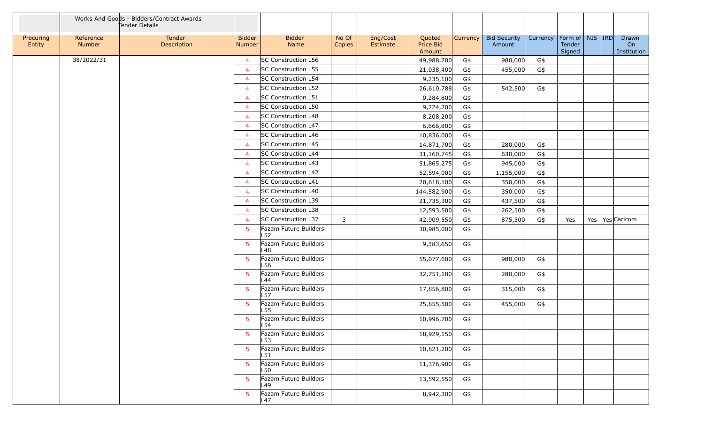|                     |                     | Works And Goods - Bidders/Contract Awards<br>Tender Details |                         |                              |                 |                      |                               |          |                               |          |                                         |  |                            |
|---------------------|---------------------|-------------------------------------------------------------|-------------------------|------------------------------|-----------------|----------------------|-------------------------------|----------|-------------------------------|----------|-----------------------------------------|--|----------------------------|
| Procuring<br>Entity | Reference<br>Number | <b>Tender</b><br>Description                                | <b>Bidder</b><br>Number | <b>Bidder</b><br>Name        | No Of<br>Copies | Eng/Cost<br>Estimate | Quoted<br>Price Bid<br>Amount | Currency | <b>Bid Security</b><br>Amount | Currency | Form of   NIS   IRD<br>Tender<br>Signed |  | Drawn<br>On<br>Institution |
|                     | 38/2022/31          |                                                             | $\overline{4}$          | SC Construction L56          |                 |                      | 49,988,700                    | G\$      | 980,000                       | G\$      |                                         |  |                            |
|                     |                     |                                                             | $\overline{4}$          | SC Construction L55          |                 |                      | 21,038,400                    | G\$      | 455,000                       | G\$      |                                         |  |                            |
|                     |                     |                                                             | $\overline{4}$          | SC Construction L54          |                 |                      | 9,235,100                     | G\$      |                               |          |                                         |  |                            |
|                     |                     |                                                             | $\overline{4}$          | SC Construction L52          |                 |                      | 26,610,788                    | G\$      | 542,500                       | G\$      |                                         |  |                            |
|                     |                     |                                                             | $\overline{4}$          | SC Construction L51          |                 |                      | 9,284,800                     | G\$      |                               |          |                                         |  |                            |
|                     |                     |                                                             | $\overline{4}$          | SC Construction L50          |                 |                      | 9,224,200                     | G\$      |                               |          |                                         |  |                            |
|                     |                     |                                                             | $\overline{4}$          | SC Construction L48          |                 |                      | 8,208,200                     | G\$      |                               |          |                                         |  |                            |
|                     |                     |                                                             | $\overline{4}$          | SC Construction L47          |                 |                      | 6,666,800                     | G\$      |                               |          |                                         |  |                            |
|                     |                     |                                                             | $\overline{4}$          | SC Construction L46          |                 |                      | 10,836,000                    | G\$      |                               |          |                                         |  |                            |
|                     |                     |                                                             | $\overline{4}$          | SC Construction L45          |                 |                      | 14,871,700                    | G\$      | 280,000                       | G\$      |                                         |  |                            |
|                     |                     |                                                             | 4                       | <b>SC Construction L44</b>   |                 |                      | 31,160,745                    | G\$      | 630,000                       | G\$      |                                         |  |                            |
|                     |                     |                                                             | $\overline{4}$          | SC Construction L43          |                 |                      | 51,865,275                    | G\$      | 945,000                       | G\$      |                                         |  |                            |
|                     |                     |                                                             | $\overline{4}$          | SC Construction L42          |                 |                      | 52,594,000                    | G\$      | 1,155,000                     | G\$      |                                         |  |                            |
|                     |                     |                                                             | $\overline{4}$          | SC Construction L41          |                 |                      | 20,618,100                    | G\$      | 350,000                       | G\$      |                                         |  |                            |
|                     |                     |                                                             | $\overline{a}$          | SC Construction L40          |                 |                      | 144,582,900                   | G\$      | 350,000                       | G\$      |                                         |  |                            |
|                     |                     |                                                             | $\overline{4}$          | SC Construction L39          |                 |                      | 21,735,300                    | G\$      | 437,500                       | G\$      |                                         |  |                            |
|                     |                     |                                                             | $\overline{4}$          | SC Construction L38          |                 |                      | 12,593,500                    | G\$      | 262,500                       | G\$      |                                         |  |                            |
|                     |                     |                                                             | $\overline{4}$          | SC Construction L37          | $\mathbf{3}$    |                      | 42,909,550                    | G\$      | 875,500                       | G\$      | Yes                                     |  | Yes   Yes   Caricom        |
|                     |                     |                                                             | 5                       | Fazam Future Builders<br>L52 |                 |                      | 30,985,000                    | G\$      |                               |          |                                         |  |                            |
|                     |                     |                                                             | 5                       | Fazam Future Builders<br>-48 |                 |                      | 9,383,650                     | G\$      |                               |          |                                         |  |                            |
|                     |                     |                                                             | -5                      | Fazam Future Builders<br>-56 |                 |                      | 55,077,600                    | G\$      | 980,000                       | G\$      |                                         |  |                            |
|                     |                     |                                                             | 5                       | Fazam Future Builders<br>∟44 |                 |                      | 32,751,180                    | G\$      | 280,000                       | G\$      |                                         |  |                            |
|                     |                     |                                                             | 5                       | Fazam Future Builders<br>L57 |                 |                      | 17,856,800                    | G\$      | 315,000                       | G\$      |                                         |  |                            |
|                     |                     |                                                             | 5                       | Fazam Future Builders<br>L55 |                 |                      | 25,855,500                    | G\$      | 455,000                       | G\$      |                                         |  |                            |
|                     |                     |                                                             | 5                       | Fazam Future Builders<br>L54 |                 |                      | 10,996,700                    | G\$      |                               |          |                                         |  |                            |
|                     |                     |                                                             | 5                       | Fazam Future Builders<br>L53 |                 |                      | 18,929,150                    | G\$      |                               |          |                                         |  |                            |
|                     |                     |                                                             | 5                       | Fazam Future Builders<br>L51 |                 |                      | 10,821,200                    | G\$      |                               |          |                                         |  |                            |
|                     |                     |                                                             | 5                       | Fazam Future Builders<br>L50 |                 |                      | 11,376,900                    | G\$      |                               |          |                                         |  |                            |
|                     |                     |                                                             | 5                       | Fazam Future Builders<br>L49 |                 |                      | 13,592,550                    | G\$      |                               |          |                                         |  |                            |
|                     |                     |                                                             | 5                       | Fazam Future Builders<br>L47 |                 |                      | 8,942,300                     | G\$      |                               |          |                                         |  |                            |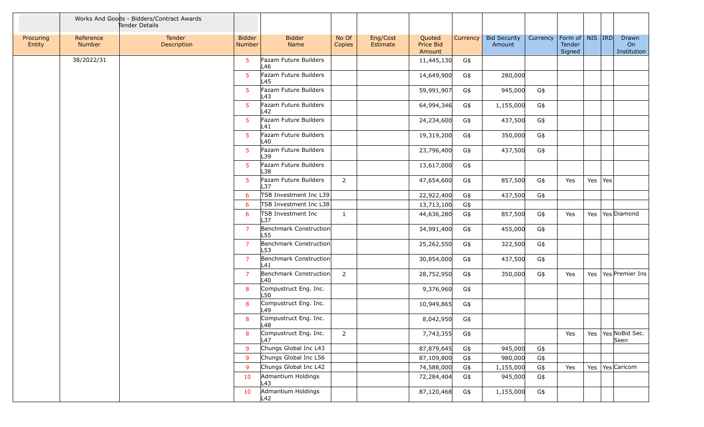|                     |                            | Works And Goods - Bidders/Contract Awards<br>Tender Details |                                |                               |                 |                      |                               |                 |                               |          |                                         |             |                                |
|---------------------|----------------------------|-------------------------------------------------------------|--------------------------------|-------------------------------|-----------------|----------------------|-------------------------------|-----------------|-------------------------------|----------|-----------------------------------------|-------------|--------------------------------|
| Procuring<br>Entity | Reference<br><b>Number</b> | Tender<br>Description                                       | <b>Bidder</b><br><b>Number</b> | <b>Bidder</b><br>Name         | No Of<br>Copies | Eng/Cost<br>Estimate | Quoted<br>Price Bid<br>Amount | <b>Currency</b> | <b>Bid Security</b><br>Amount | Currency | Form of   NIS   IRD<br>Tender<br>Signed |             | Drawn<br>On<br>Institution     |
|                     | 38/2022/31                 |                                                             | 5                              | Fazam Future Builders<br>L46  |                 |                      | 11,445,130                    | G\$             |                               |          |                                         |             |                                |
|                     |                            |                                                             | 5                              | Fazam Future Builders<br>L45  |                 |                      | 14,649,900                    | G\$             | 280,000                       |          |                                         |             |                                |
|                     |                            |                                                             | 5                              | Fazam Future Builders<br>L43  |                 |                      | 59,991,907                    | G\$             | 945,000                       | G\$      |                                         |             |                                |
|                     |                            |                                                             | 5                              | Fazam Future Builders<br>L42  |                 |                      | 64,994,346                    | G\$             | 1,155,000                     | G\$      |                                         |             |                                |
|                     |                            |                                                             | 5                              | Fazam Future Builders<br>L41  |                 |                      | 24,234,600                    | G\$             | 437,500                       | G\$      |                                         |             |                                |
|                     |                            |                                                             | 5                              | Fazam Future Builders<br>L40  |                 |                      | 19,319,200                    | G\$             | 350,000                       | G\$      |                                         |             |                                |
|                     |                            |                                                             | 5                              | Fazam Future Builders<br>L39  |                 |                      | 23,796,400                    | G\$             | 437,500                       | G\$      |                                         |             |                                |
|                     |                            |                                                             | 5                              | Fazam Future Builders<br>L38  |                 |                      | 13,617,000                    | G\$             |                               |          |                                         |             |                                |
|                     |                            |                                                             | 5                              | Fazam Future Builders<br>L37  | $\overline{2}$  |                      | 47,654,600                    | G\$             | 857,500                       | G\$      | Yes                                     | Yes $ Yes $ |                                |
|                     |                            |                                                             | 6                              | TSB Investment Inc L39        |                 |                      | 22,922,400                    | G\$             | 437,500                       | G\$      |                                         |             |                                |
|                     |                            |                                                             | 6                              | TSB Investment Inc L38        |                 |                      | 13,713,100                    | G\$             |                               |          |                                         |             |                                |
|                     |                            |                                                             | 6                              | TSB Investment Inc<br>L37     | $\mathbf{1}$    |                      | 44,636,280                    | G\$             | 857,500                       | G\$      | Yes                                     |             | Yes   Yes   Diamond            |
|                     |                            |                                                             | $\overline{7}$                 | Benchmark Construction<br>L55 |                 |                      | 34,991,400                    | G\$             | 455,000                       | G\$      |                                         |             |                                |
|                     |                            |                                                             | $\overline{7}$                 | Benchmark Construction<br>L53 |                 |                      | 25,262,550                    | G\$             | 322,500                       | G\$      |                                         |             |                                |
|                     |                            |                                                             | $\overline{7}$                 | Benchmark Construction<br>L41 |                 |                      | 30,854,000                    | G\$             | 437,500                       | G\$      |                                         |             |                                |
|                     |                            |                                                             | $\overline{7}$                 | Benchmark Construction<br>L40 | $\overline{2}$  |                      | 28,752,950                    | G\$             | 350,000                       | G\$      | Yes                                     |             | Yes   Yes   Premier Ins        |
|                     |                            |                                                             | 8                              | Compustruct Eng. Inc.<br>L50  |                 |                      | 9,376,960                     | G\$             |                               |          |                                         |             |                                |
|                     |                            |                                                             | 8                              | Compustruct Eng. Inc.<br>L49  |                 |                      | 10,949,865                    | G\$             |                               |          |                                         |             |                                |
|                     |                            |                                                             | 8                              | Compustruct Eng. Inc.<br>L48  |                 |                      | 8,042,950                     | G\$             |                               |          |                                         |             |                                |
|                     |                            |                                                             | 8                              | Compustruct Eng. Inc.<br>L47  | $2^{\circ}$     |                      | 7,743,355                     | G\$             |                               |          | Yes                                     |             | Yes   Yes   NoBid Sec.<br>Seen |
|                     |                            |                                                             | 9                              | Chungs Global Inc L43         |                 |                      | 87,879,645                    | G\$             | 945,000                       | G\$      |                                         |             |                                |
|                     |                            |                                                             | 9                              | Chungs Global Inc L56         |                 |                      | 87,109,800                    | G\$             | 980,000                       | G\$      |                                         |             |                                |
|                     |                            |                                                             | 9                              | Chungs Global Inc L42         |                 |                      | 74,588,000                    | G\$             | 1,155,000                     | G\$      | Yes                                     |             | Yes   Yes   Caricom            |
|                     |                            |                                                             | 10                             | Admantium Holdings<br>L43     |                 |                      | 72,284,404                    | G\$             | 945,000                       | G\$      |                                         |             |                                |
|                     |                            |                                                             | 10                             | Admantium Holdings<br>L42     |                 |                      | 87,120,468                    | G\$             | 1,155,000                     | G\$      |                                         |             |                                |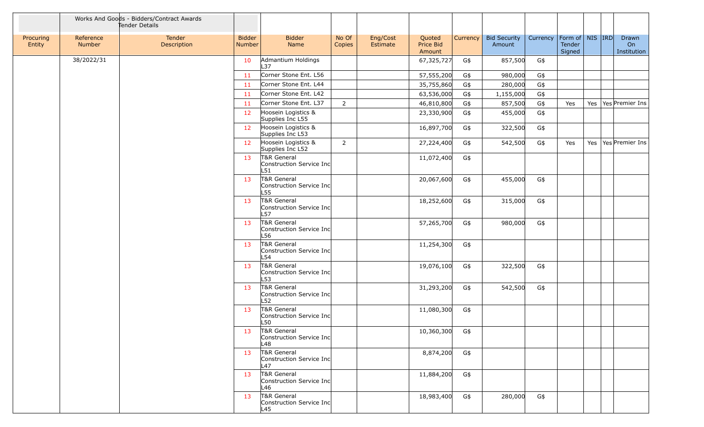|                     |                            | Works And Goods - Bidders/Contract Awards<br>Tender Details |                         |                                                |                 |                      |                               |          |                               |          |                                         |  |                            |
|---------------------|----------------------------|-------------------------------------------------------------|-------------------------|------------------------------------------------|-----------------|----------------------|-------------------------------|----------|-------------------------------|----------|-----------------------------------------|--|----------------------------|
| Procuring<br>Entity | Reference<br><b>Number</b> | Tender<br>Description                                       | <b>Bidder</b><br>Number | <b>Bidder</b><br>Name                          | No Of<br>Copies | Eng/Cost<br>Estimate | Quoted<br>Price Bid<br>Amount | Currency | <b>Bid Security</b><br>Amount | Currency | Form of   NIS   IRD<br>Tender<br>Signed |  | Drawn<br>On<br>Institution |
|                     | 38/2022/31                 |                                                             | 10                      | Admantium Holdings<br>L37                      |                 |                      | 67,325,727                    | G\$      | 857,500                       | G\$      |                                         |  |                            |
|                     |                            |                                                             | 11                      | Corner Stone Ent. L56                          |                 |                      | 57,555,200                    | G\$      | 980,000                       | G\$      |                                         |  |                            |
|                     |                            |                                                             | 11                      | Corner Stone Ent. L44                          |                 |                      | 35,755,860                    | G\$      | 280,000                       | G\$      |                                         |  |                            |
|                     |                            |                                                             | 11                      | Corner Stone Ent. L42                          |                 |                      | 63,536,000                    | G\$      | 1,155,000                     | G\$      |                                         |  |                            |
|                     |                            |                                                             | 11                      | Corner Stone Ent. L37                          | $2^{\circ}$     |                      | 46,810,800                    | G\$      | 857,500                       | G\$      | Yes                                     |  | Yes   Yes   Premier Ins    |
|                     |                            |                                                             | 12                      | Hoosein Logistics &<br>Supplies Inc L55        |                 |                      | 23,330,900                    | G\$      | 455,000                       | G\$      |                                         |  |                            |
|                     |                            |                                                             | 12                      | Hoosein Logistics &<br>Supplies Inc L53        |                 |                      | 16,897,700                    | G\$      | 322,500                       | G\$      |                                         |  |                            |
|                     |                            |                                                             | 12                      | Hoosein Logistics &<br>Supplies Inc L52        | $\overline{2}$  |                      | 27,224,400                    | G\$      | 542,500                       | G\$      | Yes                                     |  | Yes   Yes   Premier Ins    |
|                     |                            |                                                             | 13                      | T&R General<br>Construction Service Inc<br>L51 |                 |                      | 11,072,400                    | G\$      |                               |          |                                         |  |                            |
|                     |                            |                                                             | 13                      | T&R General<br>Construction Service Inc<br>L55 |                 |                      | 20,067,600                    | G\$      | 455,000                       | G\$      |                                         |  |                            |
|                     |                            |                                                             | 13                      | T&R General<br>Construction Service Inc<br>L57 |                 |                      | 18,252,600                    | G\$      | 315,000                       | G\$      |                                         |  |                            |
|                     |                            |                                                             | 13                      | T&R General<br>Construction Service Inc<br>L56 |                 |                      | 57,265,700                    | G\$      | 980,000                       | G\$      |                                         |  |                            |
|                     |                            |                                                             | 13                      | T&R General<br>Construction Service Inc<br>L54 |                 |                      | 11,254,300                    | G\$      |                               |          |                                         |  |                            |
|                     |                            |                                                             | 13                      | T&R General<br>Construction Service Inc<br>L53 |                 |                      | 19,076,100                    | G\$      | 322,500                       | G\$      |                                         |  |                            |
|                     |                            |                                                             | 13                      | T&R General<br>Construction Service Inc<br>L52 |                 |                      | 31,293,200                    | G\$      | 542,500                       | G\$      |                                         |  |                            |
|                     |                            |                                                             | 13                      | T&R General<br>Construction Service Inc<br>L50 |                 |                      | 11,080,300                    | G\$      |                               |          |                                         |  |                            |
|                     |                            |                                                             | 13                      | T&R General<br>Construction Service Inc<br>L48 |                 |                      | 10,360,300                    | G\$      |                               |          |                                         |  |                            |
|                     |                            |                                                             | 13                      | T&R General<br>Construction Service Inc<br>L47 |                 |                      | 8,874,200                     | G\$      |                               |          |                                         |  |                            |
|                     |                            |                                                             | 13                      | T&R General<br>Construction Service Inc<br>L46 |                 |                      | 11,884,200                    | G\$      |                               |          |                                         |  |                            |
|                     |                            |                                                             | 13                      | T&R General<br>Construction Service Inc<br>L45 |                 |                      | 18,983,400                    | G\$      | 280,000                       | G\$      |                                         |  |                            |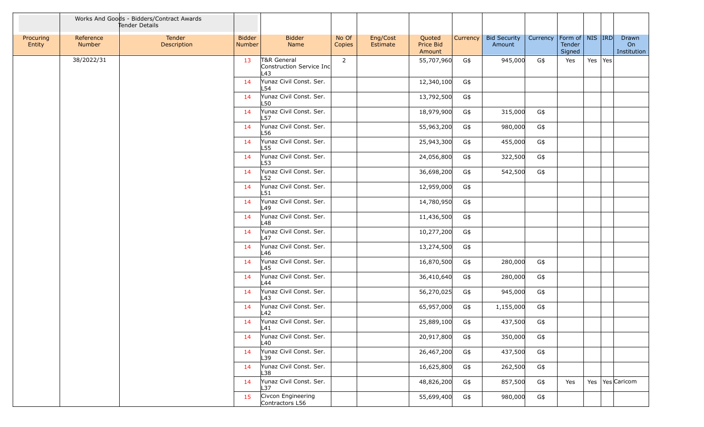|                     |                     | Works And Goods - Bidders/Contract Awards<br>Tender Details |                                |                                                 |                 |                      |                               |          |                               |                                |                  |         |                            |
|---------------------|---------------------|-------------------------------------------------------------|--------------------------------|-------------------------------------------------|-----------------|----------------------|-------------------------------|----------|-------------------------------|--------------------------------|------------------|---------|----------------------------|
| Procuring<br>Entity | Reference<br>Number | Tender<br>Description                                       | <b>Bidder</b><br><b>Number</b> | <b>Bidder</b><br>Name                           | No Of<br>Copies | Eng/Cost<br>Estimate | Quoted<br>Price Bid<br>Amount | Currency | <b>Bid Security</b><br>Amount | Currency   Form of   NIS   IRD | Tender<br>Signed |         | Drawn<br>On<br>Institution |
|                     | 38/2022/31          |                                                             | 13                             | T&R General<br>Construction Service Inc<br>L43  | $\overline{2}$  |                      | 55,707,960                    | G\$      | 945,000                       | G\$                            | Yes              | Yes Yes |                            |
|                     |                     |                                                             | 14                             | Yunaz Civil Const. Ser.<br>L54                  |                 |                      | 12,340,100                    | G\$      |                               |                                |                  |         |                            |
|                     |                     |                                                             | 14                             | Yunaz Civil Const. Ser.<br>L50                  |                 |                      | 13,792,500                    | G\$      |                               |                                |                  |         |                            |
|                     |                     |                                                             | 14                             | Yunaz Civil Const. Ser.<br>L57                  |                 |                      | 18,979,900                    | G\$      | 315,000                       | G\$                            |                  |         |                            |
|                     |                     |                                                             | 14                             | Yunaz Civil Const. Ser.<br>L56                  |                 |                      | 55,963,200                    | G\$      | 980,000                       | G\$                            |                  |         |                            |
|                     |                     |                                                             | 14                             | Yunaz Civil Const. Ser.<br>L55                  |                 |                      | 25,943,300                    | G\$      | 455,000                       | $G\$                           |                  |         |                            |
|                     |                     |                                                             | 14                             | Yunaz Civil Const. Ser.<br>L53                  |                 |                      | 24,056,800                    | G\$      | 322,500                       | G\$                            |                  |         |                            |
|                     |                     |                                                             | 14                             | Yunaz Civil Const. Ser.<br>L52                  |                 |                      | 36,698,200                    | G\$      | 542,500                       | G\$                            |                  |         |                            |
|                     |                     |                                                             | 14                             | Yunaz Civil Const. Ser.<br>L51                  |                 |                      | 12,959,000                    | G\$      |                               |                                |                  |         |                            |
|                     |                     |                                                             | 14                             | Yunaz Civil Const. Ser.<br>L49                  |                 |                      | 14,780,950                    | G\$      |                               |                                |                  |         |                            |
|                     |                     |                                                             | 14                             | Yunaz Civil Const. Ser.<br>L48                  |                 |                      | 11,436,500                    | G\$      |                               |                                |                  |         |                            |
|                     |                     |                                                             | 14                             | Yunaz Civil Const. Ser.<br>L47                  |                 |                      | 10,277,200                    | G\$      |                               |                                |                  |         |                            |
|                     |                     |                                                             | 14                             | Yunaz Civil Const. Ser.<br>L46                  |                 |                      | 13,274,500                    | G\$      |                               |                                |                  |         |                            |
|                     |                     |                                                             | 14                             | Yunaz Civil Const. Ser.<br>L45                  |                 |                      | 16,870,500                    | G\$      | 280,000                       | G\$                            |                  |         |                            |
|                     |                     |                                                             | 14                             | Yunaz Civil Const. Ser.<br>L44                  |                 |                      | 36,410,640                    | G\$      | 280,000                       | G\$                            |                  |         |                            |
|                     |                     |                                                             | 14                             | Yunaz Civil Const. Ser.<br>L43                  |                 |                      | 56,270,025                    | G\$      | 945,000                       | G\$                            |                  |         |                            |
|                     |                     |                                                             | 14                             | Yunaz Civil Const. Ser.<br>L42                  |                 |                      | 65,957,000                    | G\$      | 1,155,000                     | G\$                            |                  |         |                            |
|                     |                     |                                                             | 14                             | Yunaz Civil Const. Ser.<br>$\lfloor 41 \rfloor$ |                 |                      | 25,889,100                    | G\$      | 437,500                       | G\$                            |                  |         |                            |
|                     |                     |                                                             | 14                             | Yunaz Civil Const. Ser.<br>L40                  |                 |                      | 20,917,800                    | G\$      | 350,000                       | G\$                            |                  |         |                            |
|                     |                     |                                                             | 14                             | Yunaz Civil Const. Ser.<br>L39                  |                 |                      | 26,467,200                    | G\$      | 437,500                       | G\$                            |                  |         |                            |
|                     |                     |                                                             | 14                             | Yunaz Civil Const. Ser.<br>L38                  |                 |                      | 16,625,800                    | G\$      | 262,500                       | G\$                            |                  |         |                            |
|                     |                     |                                                             | 14                             | Yunaz Civil Const. Ser.<br>L37                  |                 |                      | 48,826,200                    | G\$      | 857,500                       | G\$                            | Yes              |         | Yes   Yes   Caricom        |
|                     |                     |                                                             | 15                             | Civcon Engineering<br>Contractors L56           |                 |                      | 55,699,400                    | G\$      | 980,000                       | G\$                            |                  |         |                            |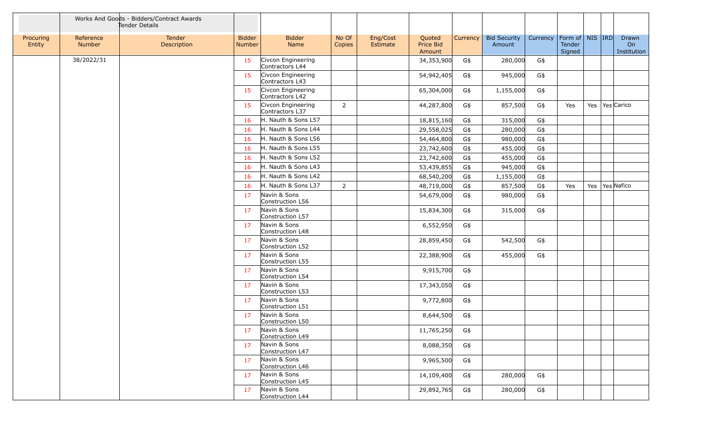|                     |                     | Works And Goods - Bidders/Contract Awards<br>Tender Details |                                |                                       |                 |                      |                               |          |                               |          |                                         |  |                            |
|---------------------|---------------------|-------------------------------------------------------------|--------------------------------|---------------------------------------|-----------------|----------------------|-------------------------------|----------|-------------------------------|----------|-----------------------------------------|--|----------------------------|
| Procuring<br>Entity | Reference<br>Number | Tender<br>Description                                       | <b>Bidder</b><br><b>Number</b> | <b>Bidder</b><br>Name                 | No Of<br>Copies | Eng/Cost<br>Estimate | Quoted<br>Price Bid<br>Amount | Currency | <b>Bid Security</b><br>Amount | Currency | Form of   NIS   IRD<br>Tender<br>Signed |  | Drawn<br>On<br>Institution |
|                     | 38/2022/31          |                                                             | 15                             | Civcon Engineering<br>Contractors L44 |                 |                      | 34,353,900                    | G\$      | 280,000                       | G\$      |                                         |  |                            |
|                     |                     |                                                             | 15                             | Civcon Engineering<br>Contractors L43 |                 |                      | 54,942,405                    | G\$      | 945,000                       | G\$      |                                         |  |                            |
|                     |                     |                                                             | 15                             | Civcon Engineering<br>Contractors L42 |                 |                      | 65,304,000                    | G\$      | 1,155,000                     | G\$      |                                         |  |                            |
|                     |                     |                                                             | 15                             | Civcon Engineering<br>Contractors L37 | $\overline{2}$  |                      | 44,287,800                    | G\$      | 857,500                       | G\$      | Yes                                     |  | Yes   Yes Carico           |
|                     |                     |                                                             | 16                             | H. Nauth & Sons L57                   |                 |                      | 18,815,160                    | G\$      | 315,000                       | G\$      |                                         |  |                            |
|                     |                     |                                                             | 16                             | H. Nauth & Sons L44                   |                 |                      | 29,558,025                    | G\$      | 280,000                       | G\$      |                                         |  |                            |
|                     |                     |                                                             | 16                             | H. Nauth & Sons L56                   |                 |                      | 54,464,800                    | G\$      | 980,000                       | G\$      |                                         |  |                            |
|                     |                     |                                                             | 16                             | H. Nauth & Sons L55                   |                 |                      | 23,742,600                    | G\$      | 455,000                       | G\$      |                                         |  |                            |
|                     |                     |                                                             | 16                             | H. Nauth & Sons L52                   |                 |                      | 23,742,600                    | G\$      | 455,000                       | G\$      |                                         |  |                            |
|                     |                     |                                                             | 16                             | H. Nauth & Sons L43                   |                 |                      | 53,439,855                    | G\$      | 945,000                       | G\$      |                                         |  |                            |
|                     |                     |                                                             | 16                             | H. Nauth & Sons L42                   |                 |                      | 68,540,200                    | G\$      | 1,155,000                     | G\$      |                                         |  |                            |
|                     |                     |                                                             | 16                             | H. Nauth & Sons L37                   | $\overline{2}$  |                      | 48,719,000                    | G\$      | 857,500                       | G\$      | Yes                                     |  | Yes   Yes Nafico           |
|                     |                     |                                                             | 17                             | Navin & Sons<br>Construction L56      |                 |                      | 54,679,000                    | G\$      | 980,000                       | G\$      |                                         |  |                            |
|                     |                     |                                                             | 17                             | Navin & Sons<br>Construction L57      |                 |                      | 15,834,300                    | G\$      | 315,000                       | G\$      |                                         |  |                            |
|                     |                     |                                                             | 17                             | Navin & Sons<br>Construction L48      |                 |                      | 6,552,950                     | G\$      |                               |          |                                         |  |                            |
|                     |                     |                                                             | 17                             | Navin & Sons<br>Construction L52      |                 |                      | 28,859,450                    | G\$      | 542,500                       | G\$      |                                         |  |                            |
|                     |                     |                                                             | 17                             | Navin & Sons<br>Construction L55      |                 |                      | 22,388,900                    | G\$      | 455,000                       | G\$      |                                         |  |                            |
|                     |                     |                                                             | 17                             | Navin & Sons<br>Construction L54      |                 |                      | 9,915,700                     | G\$      |                               |          |                                         |  |                            |
|                     |                     |                                                             | 17                             | Navin & Sons<br>Construction L53      |                 |                      | 17,343,050                    | G\$      |                               |          |                                         |  |                            |
|                     |                     |                                                             | 17                             | Navin & Sons<br>Construction L51      |                 |                      | 9,772,800                     | G\$      |                               |          |                                         |  |                            |
|                     |                     |                                                             | 17                             | Navin & Sons<br>Construction L50      |                 |                      | 8,644,500                     | G\$      |                               |          |                                         |  |                            |
|                     |                     |                                                             | 17                             | Navin & Sons<br>Construction L49      |                 |                      | 11,765,250                    | G\$      |                               |          |                                         |  |                            |
|                     |                     |                                                             | 17                             | Navin & Sons<br>Construction L47      |                 |                      | 8,088,350                     | G\$      |                               |          |                                         |  |                            |
|                     |                     |                                                             | 17                             | Navin & Sons<br>Construction L46      |                 |                      | 9,965,500                     | G\$      |                               |          |                                         |  |                            |
|                     |                     |                                                             | 17                             | Navin & Sons<br>Construction L45      |                 |                      | 14,109,400                    | G\$      | 280,000                       | G\$      |                                         |  |                            |
|                     |                     |                                                             | 17                             | Navin & Sons<br>Construction L44      |                 |                      | 29,892,765                    | G\$      | 280,000                       | G\$      |                                         |  |                            |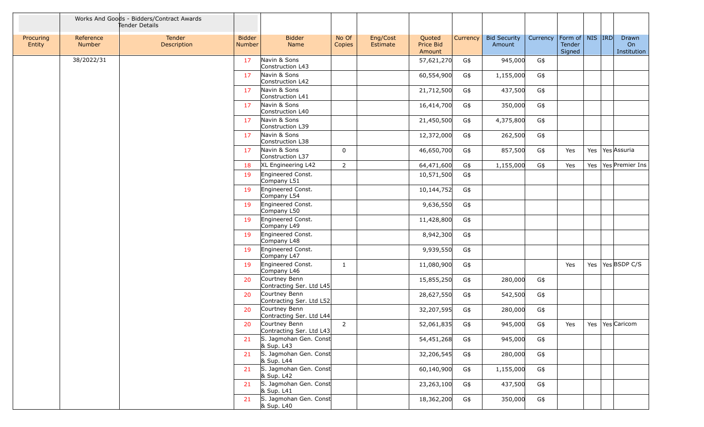|                     |                     | Works And Goods - Bidders/Contract Awards<br>Tender Details |                                |                                           |                 |                      |                               |          |                               |          |                                         |  |                            |
|---------------------|---------------------|-------------------------------------------------------------|--------------------------------|-------------------------------------------|-----------------|----------------------|-------------------------------|----------|-------------------------------|----------|-----------------------------------------|--|----------------------------|
| Procuring<br>Entity | Reference<br>Number | Tender<br>Description                                       | <b>Bidder</b><br><b>Number</b> | <b>Bidder</b><br>Name                     | No Of<br>Copies | Eng/Cost<br>Estimate | Quoted<br>Price Bid<br>Amount | Currency | <b>Bid Security</b><br>Amount | Currency | Form of   NIS   IRD<br>Tender<br>Signed |  | Drawn<br>On<br>Institution |
|                     | 38/2022/31          |                                                             | 17                             | Navin & Sons<br>Construction L43          |                 |                      | 57,621,270                    | G\$      | 945,000                       | G\$      |                                         |  |                            |
|                     |                     |                                                             | 17                             | Navin & Sons<br>Construction L42          |                 |                      | 60,554,900                    | G\$      | 1,155,000                     | G\$      |                                         |  |                            |
|                     |                     |                                                             | 17                             | Navin & Sons<br>Construction L41          |                 |                      | 21,712,500                    | G\$      | 437,500                       | G\$      |                                         |  |                            |
|                     |                     |                                                             | 17                             | Navin & Sons<br>Construction L40          |                 |                      | 16,414,700                    | G\$      | 350,000                       | G\$      |                                         |  |                            |
|                     |                     |                                                             | 17                             | Navin & Sons<br>Construction L39          |                 |                      | 21,450,500                    | G\$      | 4,375,800                     | G\$      |                                         |  |                            |
|                     |                     |                                                             | 17                             | Navin & Sons<br>Construction L38          |                 |                      | 12,372,000                    | G\$      | 262,500                       | G\$      |                                         |  |                            |
|                     |                     |                                                             | 17                             | Navin & Sons<br>Construction L37          | $\mathbf 0$     |                      | 46,650,700                    | G\$      | 857,500                       | G\$      | Yes                                     |  | Yes Yes Assuria            |
|                     |                     |                                                             | 18                             | XL Engineering L42                        | $\overline{2}$  |                      | 64,471,600                    | G\$      | 1,155,000                     | G\$      | Yes                                     |  | Yes   Yes   Premier Ins    |
|                     |                     |                                                             | 19                             | Engineered Const.<br>Company L51          |                 |                      | 10,571,500                    | G\$      |                               |          |                                         |  |                            |
|                     |                     |                                                             | 19                             | Engineered Const.<br>Company L54          |                 |                      | 10,144,752                    | G\$      |                               |          |                                         |  |                            |
|                     |                     |                                                             | 19                             | Engineered Const.<br>Company L50          |                 |                      | 9,636,550                     | G\$      |                               |          |                                         |  |                            |
|                     |                     |                                                             | 19                             | Engineered Const.<br>Company L49          |                 |                      | 11,428,800                    | G\$      |                               |          |                                         |  |                            |
|                     |                     |                                                             | 19                             | Engineered Const.<br>Company L48          |                 |                      | 8,942,300                     | G\$      |                               |          |                                         |  |                            |
|                     |                     |                                                             | 19                             | Engineered Const.<br>Company L47          |                 |                      | 9,939,550                     | G\$      |                               |          |                                         |  |                            |
|                     |                     |                                                             | 19                             | Engineered Const.<br>Company L46          | $\mathbf{1}$    |                      | 11,080,900                    | G\$      |                               |          | Yes                                     |  | Yes   Yes   BSDP C/S       |
|                     |                     |                                                             | 20                             | Courtney Benn<br>Contracting Ser. Ltd L45 |                 |                      | 15,855,250                    | G\$      | 280,000                       | G\$      |                                         |  |                            |
|                     |                     |                                                             | 20                             | Courtney Benn<br>Contracting Ser. Ltd L52 |                 |                      | 28,627,550                    | G\$      | 542,500                       | G\$      |                                         |  |                            |
|                     |                     |                                                             | 20                             | Courtney Benn<br>Contracting Ser. Ltd L44 |                 |                      | 32,207,595                    | G\$      | 280,000                       | G\$      |                                         |  |                            |
|                     |                     |                                                             | 20                             | Courtney Benn<br>Contracting Ser. Ltd L43 | $\overline{2}$  |                      | 52,061,835                    | G\$      | 945,000                       | G\$      | Yes                                     |  | Yes   Yes   Caricom        |
|                     |                     |                                                             | 21                             | S. Jagmohan Gen. Const<br>& Sup. L43      |                 |                      | 54,451,268                    | G\$      | 945,000                       | G\$      |                                         |  |                            |
|                     |                     |                                                             | 21                             | S. Jagmohan Gen. Const<br>& Sup. L44      |                 |                      | 32,206,545                    | G\$      | 280,000                       | G\$      |                                         |  |                            |
|                     |                     |                                                             | 21                             | S. Jagmohan Gen. Const<br>& Sup. L42      |                 |                      | 60,140,900                    | G\$      | 1,155,000                     | G\$      |                                         |  |                            |
|                     |                     |                                                             | 21                             | S. Jagmohan Gen. Const<br>& Sup. L41      |                 |                      | 23,263,100                    | G\$      | 437,500                       | G\$      |                                         |  |                            |
|                     |                     |                                                             | 21                             | S. Jagmohan Gen. Const<br>& Sup. L40      |                 |                      | 18,362,200                    | G\$      | 350,000                       | G\$      |                                         |  |                            |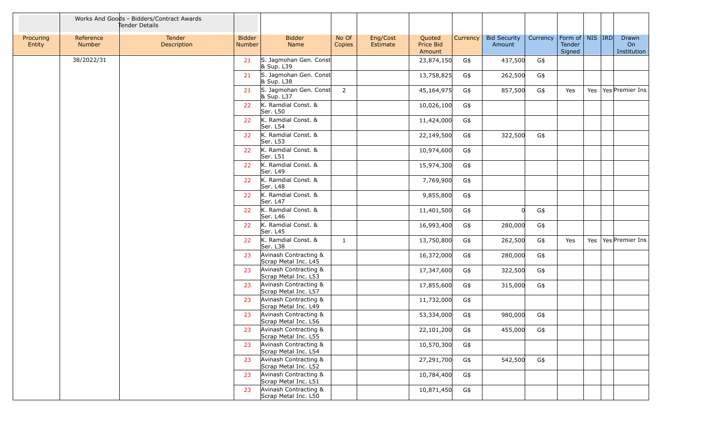|                     |                     | Works And Goods - Bidders/Contract Awards<br>Tender Details |                                |                                               |                 |                      |                               |          |                               |          |                                          |  |                            |
|---------------------|---------------------|-------------------------------------------------------------|--------------------------------|-----------------------------------------------|-----------------|----------------------|-------------------------------|----------|-------------------------------|----------|------------------------------------------|--|----------------------------|
| Procuring<br>Entity | Reference<br>Number | Tender<br>Description                                       | <b>Bidder</b><br><b>Number</b> | <b>Bidder</b><br>Name                         | No Of<br>Copies | Eng/Cost<br>Estimate | Quoted<br>Price Bid<br>Amount | Currency | <b>Bid Security</b><br>Amount | Currency | Form of   NIS   IRD <br>Tender<br>Signed |  | Drawn<br>On<br>Institution |
|                     | 38/2022/31          |                                                             | 21                             | S. Jagmohan Gen. Const<br>& Sup. L39          |                 |                      | 23,874,150                    | G\$      | 437,500                       | G\$      |                                          |  |                            |
|                     |                     |                                                             | 21                             | S. Jagmohan Gen. Const<br>& Sup. L38          |                 |                      | 13,758,825                    | G\$      | 262,500                       | G\$      |                                          |  |                            |
|                     |                     |                                                             | 21                             | S. Jagmohan Gen. Const<br>& Sup. L37          | $\overline{2}$  |                      | 45,164,975                    | G\$      | 857,500                       | G\$      | Yes                                      |  | Yes   Yes   Premier Ins    |
|                     |                     |                                                             | 22                             | K. Ramdial Const. &<br>Ser. L50               |                 |                      | 10,026,100                    | G\$      |                               |          |                                          |  |                            |
|                     |                     |                                                             | 22                             | K. Ramdial Const. &<br>Ser. L54               |                 |                      | 11,424,000                    | G\$      |                               |          |                                          |  |                            |
|                     |                     |                                                             | 22                             | K. Ramdial Const. &<br>Ser. L53               |                 |                      | 22,149,500                    | G\$      | 322,500                       | G\$      |                                          |  |                            |
|                     |                     |                                                             | 22                             | K. Ramdial Const. &<br>Ser. L51               |                 |                      | 10,974,600                    | G\$      |                               |          |                                          |  |                            |
|                     |                     |                                                             | 22                             | K. Ramdial Const. &<br>Ser. L49               |                 |                      | 15,974,300                    | G\$      |                               |          |                                          |  |                            |
|                     |                     |                                                             | 22                             | K. Ramdial Const. &<br>Ser. L48               |                 |                      | 7,769,900                     | G\$      |                               |          |                                          |  |                            |
|                     |                     |                                                             | 22                             | K. Ramdial Const. &<br>Ser. L47               |                 |                      | 9,855,800                     | G\$      |                               |          |                                          |  |                            |
|                     |                     |                                                             | 22                             | K. Ramdial Const. &<br>Ser. L46               |                 |                      | 11,401,500                    | G\$      |                               | G\$      |                                          |  |                            |
|                     |                     |                                                             | 22                             | K. Ramdial Const. &<br>Ser. L45               |                 |                      | 16,993,400                    | G\$      | 280,000                       | G\$      |                                          |  |                            |
|                     |                     |                                                             | 22                             | K. Ramdial Const. &<br>Ser. L38               | $\mathbf{1}$    |                      | 13,750,800                    | G\$      | 262,500                       | G\$      | Yes                                      |  | Yes   Yes   Premier Ins    |
|                     |                     |                                                             | 23                             | Avinash Contracting &<br>Scrap Metal Inc. L45 |                 |                      | 16,372,000                    | G\$      | 280,000                       | G\$      |                                          |  |                            |
|                     |                     |                                                             | 23                             | Avinash Contracting &<br>Scrap Metal Inc. L53 |                 |                      | 17,347,600                    | G\$      | 322,500                       | G\$      |                                          |  |                            |
|                     |                     |                                                             | 23                             | Avinash Contracting &<br>Scrap Metal Inc. L57 |                 |                      | 17,855,600                    | G\$      | 315,000                       | G\$      |                                          |  |                            |
|                     |                     |                                                             | 23                             | Avinash Contracting &<br>Scrap Metal Inc. L49 |                 |                      | 11,732,000                    | G\$      |                               |          |                                          |  |                            |
|                     |                     |                                                             | 23                             | Avinash Contracting &<br>Scrap Metal Inc. L56 |                 |                      | 53,334,000                    | G\$      | 980,000                       | G\$      |                                          |  |                            |
|                     |                     |                                                             | 23                             | Avinash Contracting &<br>Scrap Metal Inc. L55 |                 |                      | 22,101,200                    | G\$      | 455,000                       | G\$      |                                          |  |                            |
|                     |                     |                                                             | 23                             | Avinash Contracting &<br>Scrap Metal Inc. L54 |                 |                      | 10,570,300                    | G\$      |                               |          |                                          |  |                            |
|                     |                     |                                                             | 23                             | Avinash Contracting &<br>Scrap Metal Inc. L52 |                 |                      | 27,291,700                    | G\$      | 542,500                       | G\$      |                                          |  |                            |
|                     |                     |                                                             | 23                             | Avinash Contracting &<br>Scrap Metal Inc. L51 |                 |                      | 10,784,400                    | G\$      |                               |          |                                          |  |                            |
|                     |                     |                                                             | 23                             | Avinash Contracting &<br>Scrap Metal Inc. L50 |                 |                      | 10,871,450                    | G\$      |                               |          |                                          |  |                            |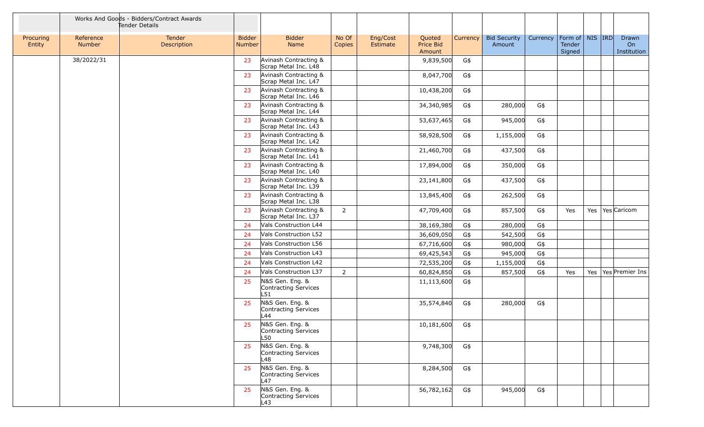|                     |                     | Works And Goods - Bidders/Contract Awards<br>Tender Details |                                |                                                |                 |                      |                               |            |                               |            |                                         |  |                            |
|---------------------|---------------------|-------------------------------------------------------------|--------------------------------|------------------------------------------------|-----------------|----------------------|-------------------------------|------------|-------------------------------|------------|-----------------------------------------|--|----------------------------|
| Procuring<br>Entity | Reference<br>Number | Tender<br>Description                                       | <b>Bidder</b><br><b>Number</b> | <b>Bidder</b><br>Name                          | No Of<br>Copies | Eng/Cost<br>Estimate | Quoted<br>Price Bid<br>Amount | Currency   | <b>Bid Security</b><br>Amount | Currency   | Form of   NIS   IRD<br>Tender<br>Signed |  | Drawn<br>On<br>Institution |
|                     | 38/2022/31          |                                                             | 23                             | Avinash Contracting &<br>Scrap Metal Inc. L48  |                 |                      | 9,839,500                     | G\$        |                               |            |                                         |  |                            |
|                     |                     |                                                             | 23                             | Avinash Contracting &<br>Scrap Metal Inc. L47  |                 |                      | 8,047,700                     | G\$        |                               |            |                                         |  |                            |
|                     |                     |                                                             | 23                             | Avinash Contracting &<br>Scrap Metal Inc. L46  |                 |                      | 10,438,200                    | G\$        |                               |            |                                         |  |                            |
|                     |                     |                                                             | 23                             | Avinash Contracting &<br>Scrap Metal Inc. L44  |                 |                      | 34,340,985                    | G\$        | 280,000                       | G\$        |                                         |  |                            |
|                     |                     |                                                             | 23                             | Avinash Contracting &<br>Scrap Metal Inc. L43  |                 |                      | 53,637,465                    | G\$        | 945,000                       | G\$        |                                         |  |                            |
|                     |                     |                                                             | 23                             | Avinash Contracting &<br>Scrap Metal Inc. L42  |                 |                      | 58,928,500                    | G\$        | 1,155,000                     | G\$        |                                         |  |                            |
|                     |                     |                                                             | 23                             | Avinash Contracting &<br>Scrap Metal Inc. L41  |                 |                      | 21,460,700                    | G\$        | 437,500                       | G\$        |                                         |  |                            |
|                     |                     |                                                             | 23                             | Avinash Contracting &<br>Scrap Metal Inc. L40  |                 |                      | 17,894,000                    | G\$        | 350,000                       | G\$        |                                         |  |                            |
|                     |                     |                                                             | 23                             | Avinash Contracting &<br>Scrap Metal Inc. L39  |                 |                      | 23,141,800                    | G\$        | 437,500                       | G\$        |                                         |  |                            |
|                     |                     |                                                             | 23                             | Avinash Contracting &<br>Scrap Metal Inc. L38  |                 |                      | 13,845,400                    | G\$        | 262,500                       | G\$        |                                         |  |                            |
|                     |                     |                                                             | 23                             | Avinash Contracting &<br>Scrap Metal Inc. L37  | $\overline{2}$  |                      | 47,709,400                    | G\$        | 857,500                       | G\$        | Yes                                     |  | Yes   Yes   Caricom        |
|                     |                     |                                                             | 24<br>24                       | Vals Construction L44<br>Vals Construction L52 |                 |                      | 38,169,380                    | G\$<br>G\$ | 280,000<br>542,500            | G\$<br>G\$ |                                         |  |                            |
|                     |                     |                                                             | 24                             | Vals Construction L56                          |                 |                      | 36,609,050<br>67,716,600      | G\$        | 980,000                       | G\$        |                                         |  |                            |
|                     |                     |                                                             | 24                             | Vals Construction L43                          |                 |                      | 69,425,543                    | G\$        | 945,000                       | $G\$       |                                         |  |                            |
|                     |                     |                                                             | 24                             | Vals Construction L42                          |                 |                      | 72,535,200                    | G\$        | 1,155,000                     | G\$        |                                         |  |                            |
|                     |                     |                                                             | 24                             | Vals Construction L37                          | $\overline{2}$  |                      | 60,824,850                    | G\$        | 857,500                       | G\$        | Yes                                     |  | Yes   Yes   Premier Ins    |
|                     |                     |                                                             | 25                             | N&S Gen. Eng. &<br>Contracting Services<br>L51 |                 |                      | 11,113,600                    | G\$        |                               |            |                                         |  |                            |
|                     |                     |                                                             | 25                             | N&S Gen. Eng. &<br>Contracting Services<br>L44 |                 |                      | 35,574,840                    | G\$        | 280,000                       | G\$        |                                         |  |                            |
|                     |                     |                                                             | 25                             | N&S Gen. Eng. &<br>Contracting Services<br>L50 |                 |                      | 10,181,600                    | G\$        |                               |            |                                         |  |                            |
|                     |                     |                                                             | 25                             | N&S Gen. Eng. &<br>Contracting Services<br>L48 |                 |                      | 9,748,300                     | G\$        |                               |            |                                         |  |                            |
|                     |                     |                                                             | 25                             | N&S Gen. Eng. &<br>Contracting Services<br>L47 |                 |                      | 8,284,500                     | G\$        |                               |            |                                         |  |                            |
|                     |                     |                                                             | 25                             | N&S Gen. Eng. &<br>Contracting Services<br>L43 |                 |                      | 56,782,162                    | G\$        | 945,000                       | G\$        |                                         |  |                            |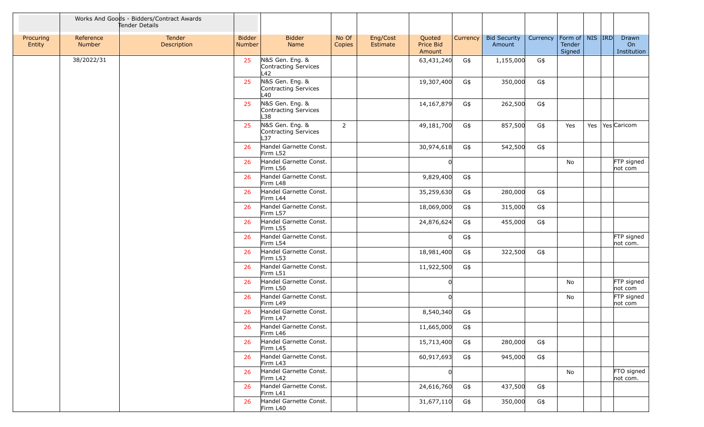|                     |                     | Works And Goods - Bidders/Contract Awards<br>Tender Details |                                |                                                |                 |                      |                                      |          |                               |          |                                          |  |                            |
|---------------------|---------------------|-------------------------------------------------------------|--------------------------------|------------------------------------------------|-----------------|----------------------|--------------------------------------|----------|-------------------------------|----------|------------------------------------------|--|----------------------------|
| Procuring<br>Entity | Reference<br>Number | Tender<br>Description                                       | <b>Bidder</b><br><b>Number</b> | <b>Bidder</b><br>Name                          | No Of<br>Copies | Eng/Cost<br>Estimate | Quoted<br><b>Price Bid</b><br>Amount | Currency | <b>Bid Security</b><br>Amount | Currency | Form of   NIS   IRD <br>Tender<br>Signed |  | Drawn<br>On<br>Institution |
|                     | 38/2022/31          |                                                             | 25                             | N&S Gen. Eng. &<br>Contracting Services<br>L42 |                 |                      | 63,431,240                           | G\$      | 1,155,000                     | G\$      |                                          |  |                            |
|                     |                     |                                                             | 25                             | N&S Gen. Eng. &<br>Contracting Services<br>L40 |                 |                      | 19,307,400                           | G\$      | 350,000                       | G\$      |                                          |  |                            |
|                     |                     |                                                             | 25                             | N&S Gen. Eng. &<br>Contracting Services<br>L38 |                 |                      | 14,167,879                           | G\$      | 262,500                       | G\$      |                                          |  |                            |
|                     |                     |                                                             | 25                             | N&S Gen. Eng. &<br>Contracting Services<br>L37 | $2^{\circ}$     |                      | 49,181,700                           | G\$      | 857,500                       | G\$      | Yes                                      |  | Yes   Yes   Caricom        |
|                     |                     |                                                             | 26                             | Handel Garnette Const.<br>Firm L52             |                 |                      | 30,974,618                           | G\$      | 542,500                       | G\$      |                                          |  |                            |
|                     |                     |                                                             | 26                             | Handel Garnette Const.<br>Firm L56             |                 |                      |                                      |          |                               |          | No                                       |  | FTP signed<br>not com      |
|                     |                     |                                                             | 26                             | Handel Garnette Const.<br>Firm L48             |                 |                      | 9,829,400                            | G\$      |                               |          |                                          |  |                            |
|                     |                     |                                                             | 26                             | Handel Garnette Const.<br>Firm L44             |                 |                      | 35,259,630                           | G\$      | 280,000                       | G\$      |                                          |  |                            |
|                     |                     |                                                             | 26                             | Handel Garnette Const.<br>Firm L57             |                 |                      | 18,069,000                           | G\$      | 315,000                       | $G\$     |                                          |  |                            |
|                     |                     |                                                             | 26                             | Handel Garnette Const.<br>Firm L55             |                 |                      | 24,876,624                           | G\$      | 455,000                       | G\$      |                                          |  |                            |
|                     |                     |                                                             | 26                             | Handel Garnette Const.<br>Firm L54             |                 |                      | U                                    | G\$      |                               |          |                                          |  | FTP signed<br>not com.     |
|                     |                     |                                                             | 26                             | Handel Garnette Const.<br>Firm L53             |                 |                      | 18,981,400                           | G\$      | 322,500                       | G\$      |                                          |  |                            |
|                     |                     |                                                             | 26                             | Handel Garnette Const.<br>Firm L51             |                 |                      | 11,922,500                           | G\$      |                               |          |                                          |  |                            |
|                     |                     |                                                             | 26                             | Handel Garnette Const.<br>Firm L50             |                 |                      |                                      |          |                               |          | No                                       |  | FTP signed<br>not com      |
|                     |                     |                                                             | 26                             | Handel Garnette Const.<br>Firm L49             |                 |                      |                                      |          |                               |          | No                                       |  | FTP signed<br>not com      |
|                     |                     |                                                             | 26                             | Handel Garnette Const.<br>Firm L47             |                 |                      | 8,540,340                            | G\$      |                               |          |                                          |  |                            |
|                     |                     |                                                             | 26                             | Handel Garnette Const.<br>Firm L46             |                 |                      | 11,665,000                           | G\$      |                               |          |                                          |  |                            |
|                     |                     |                                                             | 26                             | Handel Garnette Const.<br>Firm L45             |                 |                      | 15,713,400                           | G\$      | 280,000                       | G\$      |                                          |  |                            |
|                     |                     |                                                             | 26                             | Handel Garnette Const.<br>Firm L43             |                 |                      | 60,917,693                           | G\$      | 945,000                       | G\$      |                                          |  |                            |
|                     |                     |                                                             | 26                             | Handel Garnette Const.<br>Firm L42             |                 |                      | U                                    |          |                               |          | No                                       |  | FTO signed<br>not com.     |
|                     |                     |                                                             | 26                             | Handel Garnette Const.<br>Firm L41             |                 |                      | 24,616,760                           | G\$      | 437,500                       | G\$      |                                          |  |                            |
|                     |                     |                                                             | 26                             | Handel Garnette Const.<br>Firm L40             |                 |                      | 31,677,110                           | G\$      | 350,000                       | G\$      |                                          |  |                            |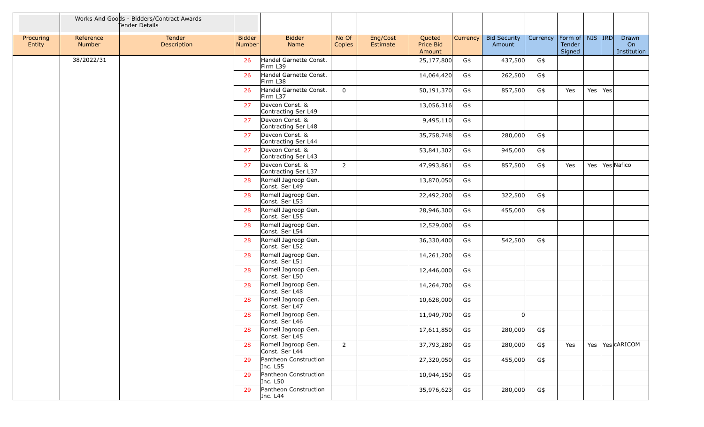|                     |                            | Works And Goods - Bidders/Contract Awards<br>Tender Details |                                |                                        |                 |                      |                                      |          |                               |          |                                         |             |                            |
|---------------------|----------------------------|-------------------------------------------------------------|--------------------------------|----------------------------------------|-----------------|----------------------|--------------------------------------|----------|-------------------------------|----------|-----------------------------------------|-------------|----------------------------|
| Procuring<br>Entity | Reference<br><b>Number</b> | Tender<br>Description                                       | <b>Bidder</b><br><b>Number</b> | <b>Bidder</b><br>Name                  | No Of<br>Copies | Eng/Cost<br>Estimate | Quoted<br><b>Price Bid</b><br>Amount | Currency | <b>Bid Security</b><br>Amount | Currency | Form of   NIS   IRD<br>Tender<br>Signed |             | Drawn<br>On<br>Institution |
|                     | 38/2022/31                 |                                                             | 26                             | Handel Garnette Const.<br>Firm L39     |                 |                      | 25,177,800                           | G\$      | 437,500                       | G\$      |                                         |             |                            |
|                     |                            |                                                             | 26                             | Handel Garnette Const.<br>Firm L38     |                 |                      | 14,064,420                           | G\$      | 262,500                       | G\$      |                                         |             |                            |
|                     |                            |                                                             | 26                             | Handel Garnette Const.<br>Firm L37     | $\mathbf{0}$    |                      | 50,191,370                           | G\$      | 857,500                       | G\$      | Yes                                     | Yes $ Yes $ |                            |
|                     |                            |                                                             | 27                             | Devcon Const. &<br>Contracting Ser L49 |                 |                      | 13,056,316                           | G\$      |                               |          |                                         |             |                            |
|                     |                            |                                                             | 27                             | Devcon Const. &<br>Contracting Ser L48 |                 |                      | 9,495,110                            | G\$      |                               |          |                                         |             |                            |
|                     |                            |                                                             | 27                             | Devcon Const. &<br>Contracting Ser L44 |                 |                      | 35,758,748                           | G\$      | 280,000                       | G\$      |                                         |             |                            |
|                     |                            |                                                             | 27                             | Devcon Const. &<br>Contracting Ser L43 |                 |                      | 53,841,302                           | G\$      | 945,000                       | G\$      |                                         |             |                            |
|                     |                            |                                                             | 27                             | Devcon Const. &<br>Contracting Ser L37 | $\overline{2}$  |                      | 47,993,861                           | G\$      | 857,500                       | G\$      | Yes                                     |             | Yes   Yes Nafico           |
|                     |                            |                                                             | 28                             | Romell Jagroop Gen.<br>Const. Ser L49  |                 |                      | 13,870,050                           | G\$      |                               |          |                                         |             |                            |
|                     |                            |                                                             | 28                             | Romell Jagroop Gen.<br>Const. Ser L53  |                 |                      | 22,492,200                           | G\$      | 322,500                       | G\$      |                                         |             |                            |
|                     |                            |                                                             | 28                             | Romell Jagroop Gen.<br>Const. Ser L55  |                 |                      | 28,946,300                           | G\$      | 455,000                       | G\$      |                                         |             |                            |
|                     |                            |                                                             | 28                             | Romell Jagroop Gen.<br>Const. Ser L54  |                 |                      | 12,529,000                           | G\$      |                               |          |                                         |             |                            |
|                     |                            |                                                             | 28                             | Romell Jagroop Gen.<br>Const. Ser L52  |                 |                      | 36,330,400                           | G\$      | 542,500                       | G\$      |                                         |             |                            |
|                     |                            |                                                             | 28                             | Romell Jagroop Gen.<br>Const. Ser L51  |                 |                      | 14,261,200                           | G\$      |                               |          |                                         |             |                            |
|                     |                            |                                                             | 28                             | Romell Jagroop Gen.<br>Const. Ser L50  |                 |                      | 12,446,000                           | G\$      |                               |          |                                         |             |                            |
|                     |                            |                                                             | 28                             | Romell Jagroop Gen.<br>Const. Ser L48  |                 |                      | 14,264,700                           | G\$      |                               |          |                                         |             |                            |
|                     |                            |                                                             | 28                             | Romell Jagroop Gen.<br>Const. Ser L47  |                 |                      | 10,628,000                           | G\$      |                               |          |                                         |             |                            |
|                     |                            |                                                             | 28                             | Romell Jagroop Gen.<br>Const. Ser L46  |                 |                      | 11,949,700                           | G\$      | $\Omega$                      |          |                                         |             |                            |
|                     |                            |                                                             | 28                             | Romell Jagroop Gen.<br>Const. Ser L45  |                 |                      | 17,611,850                           | G\$      | 280,000                       | G\$      |                                         |             |                            |
|                     |                            |                                                             | 28                             | Romell Jagroop Gen.<br>Const. Ser L44  | $2^{\circ}$     |                      | 37,793,280                           | G\$      | 280,000                       | G\$      | Yes                                     |             | Yes   Yes   CARICOM        |
|                     |                            |                                                             | 29                             | Pantheon Construction<br>Inc. L55      |                 |                      | 27,320,050                           | G\$      | 455,000                       | G\$      |                                         |             |                            |
|                     |                            |                                                             | 29                             | Pantheon Construction<br>Inc. L50      |                 |                      | 10,944,150                           | G\$      |                               |          |                                         |             |                            |
|                     |                            |                                                             | 29                             | Pantheon Construction<br>Inc. L44      |                 |                      | 35,976,623                           | G\$      | 280,000                       | G\$      |                                         |             |                            |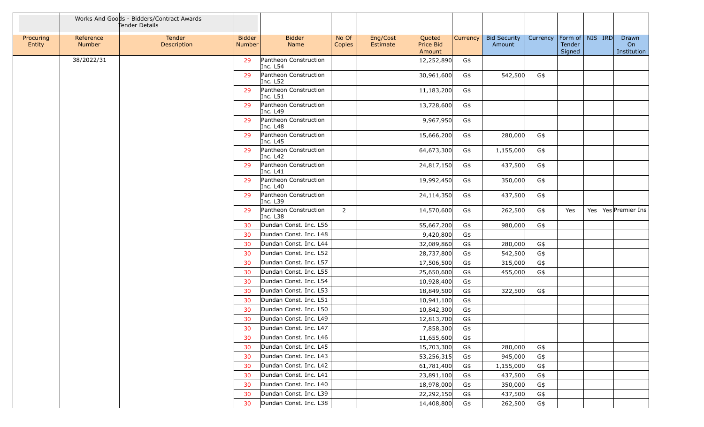|                     |                     | Works And Goods - Bidders/Contract Awards<br>Tender Details |                         |                                   |                 |                      |                               |          |                               |          |                                         |  |                            |
|---------------------|---------------------|-------------------------------------------------------------|-------------------------|-----------------------------------|-----------------|----------------------|-------------------------------|----------|-------------------------------|----------|-----------------------------------------|--|----------------------------|
| Procuring<br>Entity | Reference<br>Number | Tender<br>Description                                       | <b>Bidder</b><br>Number | <b>Bidder</b><br>Name             | No Of<br>Copies | Eng/Cost<br>Estimate | Quoted<br>Price Bid<br>Amount | Currency | <b>Bid Security</b><br>Amount | Currency | Form of   NIS   IRD<br>Tender<br>Signed |  | Drawn<br>On<br>Institution |
|                     | 38/2022/31          |                                                             | 29                      | Pantheon Construction<br>Inc. L54 |                 |                      | 12,252,890                    | G\$      |                               |          |                                         |  |                            |
|                     |                     |                                                             | 29                      | Pantheon Construction<br>Inc. L52 |                 |                      | 30,961,600                    | G\$      | 542,500                       | G\$      |                                         |  |                            |
|                     |                     |                                                             | 29                      | Pantheon Construction<br>Inc. L51 |                 |                      | 11,183,200                    | G\$      |                               |          |                                         |  |                            |
|                     |                     |                                                             | 29                      | Pantheon Construction<br>Inc. L49 |                 |                      | 13,728,600                    | G\$      |                               |          |                                         |  |                            |
|                     |                     |                                                             | 29                      | Pantheon Construction<br>Inc. L48 |                 |                      | 9,967,950                     | G\$      |                               |          |                                         |  |                            |
|                     |                     |                                                             | 29                      | Pantheon Construction<br>Inc. L45 |                 |                      | 15,666,200                    | G\$      | 280,000                       | G\$      |                                         |  |                            |
|                     |                     |                                                             | 29                      | Pantheon Construction<br>Inc. L42 |                 |                      | 64,673,300                    | G\$      | 1,155,000                     | G\$      |                                         |  |                            |
|                     |                     |                                                             | 29                      | Pantheon Construction<br>Inc. L41 |                 |                      | 24,817,150                    | G\$      | 437,500                       | G\$      |                                         |  |                            |
|                     |                     |                                                             | 29                      | Pantheon Construction<br>Inc. L40 |                 |                      | 19,992,450                    | G\$      | 350,000                       | G\$      |                                         |  |                            |
|                     |                     |                                                             | 29                      | Pantheon Construction<br>Inc. L39 |                 |                      | 24,114,350                    | G\$      | 437,500                       | G\$      |                                         |  |                            |
|                     |                     |                                                             | 29                      | Pantheon Construction<br>Inc. L38 | $\overline{2}$  |                      | 14,570,600                    | G\$      | 262,500                       | G\$      | Yes                                     |  | Yes   Yes   Premier Ins    |
|                     |                     |                                                             | 30                      | Dundan Const. Inc. L56            |                 |                      | 55,667,200                    | G\$      | 980,000                       | G\$      |                                         |  |                            |
|                     |                     |                                                             | 30                      | Dundan Const. Inc. L48            |                 |                      | 9,420,800                     | G\$      |                               |          |                                         |  |                            |
|                     |                     |                                                             | 30                      | Dundan Const. Inc. L44            |                 |                      | 32,089,860                    | G\$      | 280,000                       | G\$      |                                         |  |                            |
|                     |                     |                                                             | 30                      | Dundan Const. Inc. L52            |                 |                      | 28,737,800                    | G\$      | 542,500                       | G\$      |                                         |  |                            |
|                     |                     |                                                             | 30                      | Dundan Const. Inc. L57            |                 |                      | 17,506,500                    | G\$      | 315,000                       | G\$      |                                         |  |                            |
|                     |                     |                                                             | 30                      | Dundan Const. Inc. L55            |                 |                      | 25,650,600                    | G\$      | 455,000                       | G\$      |                                         |  |                            |
|                     |                     |                                                             | 30                      | Dundan Const. Inc. L54            |                 |                      | 10,928,400                    | G\$      |                               |          |                                         |  |                            |
|                     |                     |                                                             | 30                      | Dundan Const. Inc. L53            |                 |                      | 18,849,500                    | G\$      | 322,500                       | G\$      |                                         |  |                            |
|                     |                     |                                                             | 30                      | Dundan Const. Inc. L51            |                 |                      | 10,941,100                    | G\$      |                               |          |                                         |  |                            |
|                     |                     |                                                             | 30                      | Dundan Const. Inc. L50            |                 |                      | 10,842,300                    | G\$      |                               |          |                                         |  |                            |
|                     |                     |                                                             | 30                      | Dundan Const. Inc. L49            |                 |                      | 12,813,700                    | G\$      |                               |          |                                         |  |                            |
|                     |                     |                                                             | 30                      | Dundan Const. Inc. L47            |                 |                      | 7,858,300                     | G\$      |                               |          |                                         |  |                            |
|                     |                     |                                                             | 30                      | Dundan Const. Inc. L46            |                 |                      | 11,655,600                    | G\$      |                               |          |                                         |  |                            |
|                     |                     |                                                             | 30                      | Dundan Const. Inc. L45            |                 |                      | 15,703,300                    | G\$      | 280,000                       | G\$      |                                         |  |                            |
|                     |                     |                                                             | 30                      | Dundan Const. Inc. L43            |                 |                      | 53,256,315                    | G\$      | 945,000                       | G\$      |                                         |  |                            |
|                     |                     |                                                             | 30                      | Dundan Const. Inc. L42            |                 |                      | 61,781,400                    | G\$      | 1,155,000                     | G\$      |                                         |  |                            |
|                     |                     |                                                             | 30                      | Dundan Const. Inc. L41            |                 |                      | 23,891,100                    | G\$      | 437,500                       | G\$      |                                         |  |                            |
|                     |                     |                                                             | 30                      | Dundan Const. Inc. L40            |                 |                      | 18,978,000                    | G\$      | 350,000                       | G\$      |                                         |  |                            |
|                     |                     |                                                             | 30                      | Dundan Const. Inc. L39            |                 |                      | 22,292,150                    | G\$      | 437,500                       | G\$      |                                         |  |                            |
|                     |                     |                                                             | 30                      | Dundan Const. Inc. L38            |                 |                      | 14,408,800                    | G\$      | 262,500                       | G\$      |                                         |  |                            |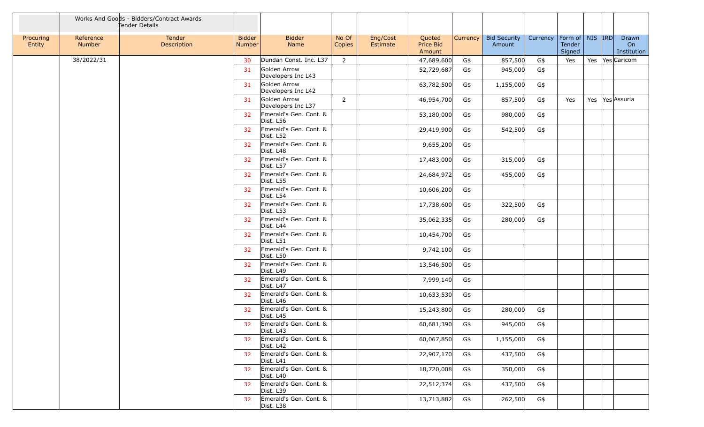|                     |                     | Works And Goods - Bidders/Contract Awards<br>Tender Details |                                |                                     |                 |                      |                               |          |                               |          |                                         |  |                            |
|---------------------|---------------------|-------------------------------------------------------------|--------------------------------|-------------------------------------|-----------------|----------------------|-------------------------------|----------|-------------------------------|----------|-----------------------------------------|--|----------------------------|
| Procuring<br>Entity | Reference<br>Number | Tender<br>Description                                       | <b>Bidder</b><br><b>Number</b> | <b>Bidder</b><br>Name               | No Of<br>Copies | Eng/Cost<br>Estimate | Quoted<br>Price Bid<br>Amount | Currency | <b>Bid Security</b><br>Amount | Currency | Form of   NIS   IRD<br>Tender<br>Signed |  | Drawn<br>On<br>Institution |
|                     | 38/2022/31          |                                                             | 30                             | Dundan Const. Inc. L37              | $\overline{2}$  |                      | 47,689,600                    | G\$      | 857,500                       | $G\$     | Yes                                     |  | Yes   Yes Caricom          |
|                     |                     |                                                             | 31                             | Golden Arrow<br>Developers Inc L43  |                 |                      | 52,729,687                    | G\$      | 945,000                       | G\$      |                                         |  |                            |
|                     |                     |                                                             | 31                             | Golden Arrow<br>Developers Inc L42  |                 |                      | 63,782,500                    | G\$      | 1,155,000                     | G\$      |                                         |  |                            |
|                     |                     |                                                             | 31                             | Golden Arrow<br>Developers Inc L37  | $2^{\circ}$     |                      | 46,954,700                    | G\$      | 857,500                       | G\$      | Yes                                     |  | Yes   Yes Assuria          |
|                     |                     |                                                             | 32                             | Emerald's Gen. Cont. &<br>Dist. L56 |                 |                      | 53,180,000                    | G\$      | 980,000                       | G\$      |                                         |  |                            |
|                     |                     |                                                             | 32                             | Emerald's Gen. Cont. &<br>Dist. L52 |                 |                      | 29,419,900                    | G\$      | 542,500                       | G\$      |                                         |  |                            |
|                     |                     |                                                             | 32                             | Emerald's Gen. Cont. &<br>Dist. L48 |                 |                      | 9,655,200                     | G\$      |                               |          |                                         |  |                            |
|                     |                     |                                                             | 32                             | Emerald's Gen. Cont. &<br>Dist. L57 |                 |                      | 17,483,000                    | G\$      | 315,000                       | G\$      |                                         |  |                            |
|                     |                     |                                                             | 32                             | Emerald's Gen. Cont. &<br>Dist. L55 |                 |                      | 24,684,972                    | G\$      | 455,000                       | G\$      |                                         |  |                            |
|                     |                     |                                                             | 32                             | Emerald's Gen. Cont. &<br>Dist. L54 |                 |                      | 10,606,200                    | G\$      |                               |          |                                         |  |                            |
|                     |                     |                                                             | 32                             | Emerald's Gen. Cont. &<br>Dist. L53 |                 |                      | 17,738,600                    | G\$      | 322,500                       | G\$      |                                         |  |                            |
|                     |                     |                                                             | 32                             | Emerald's Gen. Cont. &<br>Dist. L44 |                 |                      | 35,062,335                    | G\$      | 280,000                       | G\$      |                                         |  |                            |
|                     |                     |                                                             | 32                             | Emerald's Gen. Cont. &<br>Dist. L51 |                 |                      | 10,454,700                    | G\$      |                               |          |                                         |  |                            |
|                     |                     |                                                             | 32                             | Emerald's Gen. Cont. &<br>Dist. L50 |                 |                      | 9,742,100                     | G\$      |                               |          |                                         |  |                            |
|                     |                     |                                                             | 32                             | Emerald's Gen. Cont. &<br>Dist. L49 |                 |                      | 13,546,500                    | G\$      |                               |          |                                         |  |                            |
|                     |                     |                                                             | 32                             | Emerald's Gen. Cont. &<br>Dist. L47 |                 |                      | 7,999,140                     | G\$      |                               |          |                                         |  |                            |
|                     |                     |                                                             | 32                             | Emerald's Gen. Cont. &<br>Dist. L46 |                 |                      | 10,633,530                    | G\$      |                               |          |                                         |  |                            |
|                     |                     |                                                             | 32                             | Emerald's Gen. Cont. &<br>Dist. L45 |                 |                      | 15,243,800                    | G\$      | 280,000                       | G\$      |                                         |  |                            |
|                     |                     |                                                             | 32                             | Emerald's Gen. Cont. &<br>Dist. L43 |                 |                      | 60,681,390                    | G\$      | 945,000                       | G\$      |                                         |  |                            |
|                     |                     |                                                             | 32                             | Emerald's Gen. Cont. &<br>Dist. L42 |                 |                      | 60,067,850                    | G\$      | 1,155,000                     | G\$      |                                         |  |                            |
|                     |                     |                                                             | 32                             | Emerald's Gen. Cont. &<br>Dist. L41 |                 |                      | 22,907,170                    | G\$      | 437,500                       | G\$      |                                         |  |                            |
|                     |                     |                                                             | 32                             | Emerald's Gen. Cont. &<br>Dist. L40 |                 |                      | 18,720,008                    | G\$      | 350,000                       | G\$      |                                         |  |                            |
|                     |                     |                                                             | 32                             | Emerald's Gen. Cont. &<br>Dist. L39 |                 |                      | 22,512,374                    | G\$      | 437,500                       | G\$      |                                         |  |                            |
|                     |                     |                                                             | 32                             | Emerald's Gen. Cont. &<br>Dist. L38 |                 |                      | 13,713,882                    | G\$      | 262,500                       | G\$      |                                         |  |                            |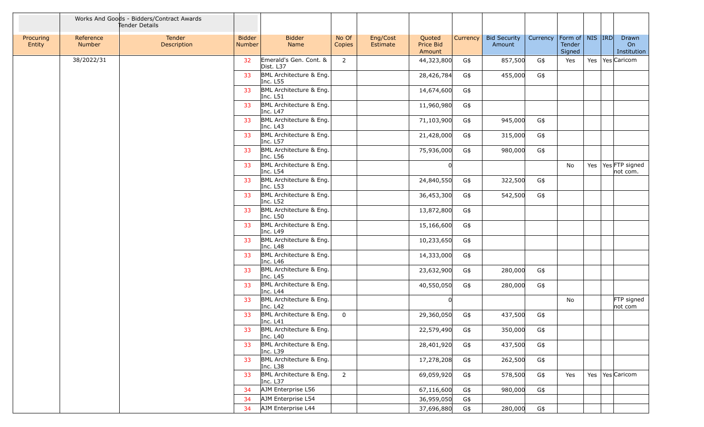|                     |                     | Works And Goods - Bidders/Contract Awards<br>Tender Details |                                |                                     |                 |                      |                               |          |                               |          |                                           |  |                                    |
|---------------------|---------------------|-------------------------------------------------------------|--------------------------------|-------------------------------------|-----------------|----------------------|-------------------------------|----------|-------------------------------|----------|-------------------------------------------|--|------------------------------------|
| Procuring<br>Entity | Reference<br>Number | Tender<br>Description                                       | <b>Bidder</b><br><b>Number</b> | <b>Bidder</b><br>Name               | No Of<br>Copies | Eng/Cost<br>Estimate | Quoted<br>Price Bid<br>Amount | Currency | <b>Bid Security</b><br>Amount | Currency | Form of   NIS   IRD  <br>Tender<br>Signed |  | Drawn<br>On<br>Institution         |
|                     | 38/2022/31          |                                                             | 32 <sup>°</sup>                | Emerald's Gen. Cont. &<br>Dist. L37 | $\overline{2}$  |                      | 44,323,800                    | G\$      | 857,500                       | G\$      | Yes                                       |  | Yes   Yes   Caricom                |
|                     |                     |                                                             | 33                             | BML Architecture & Eng.<br>Inc. L55 |                 |                      | 28,426,784                    | G\$      | 455,000                       | G\$      |                                           |  |                                    |
|                     |                     |                                                             | 33                             | BML Architecture & Eng.<br>Inc. L51 |                 |                      | 14,674,600                    | G\$      |                               |          |                                           |  |                                    |
|                     |                     |                                                             | 33                             | BML Architecture & Eng.<br>Inc. L47 |                 |                      | 11,960,980                    | G\$      |                               |          |                                           |  |                                    |
|                     |                     |                                                             | 33                             | BML Architecture & Eng.<br>Inc. L43 |                 |                      | 71,103,900                    | G\$      | 945,000                       | G\$      |                                           |  |                                    |
|                     |                     |                                                             | 33                             | BML Architecture & Eng.<br>Inc. L57 |                 |                      | 21,428,000                    | G\$      | 315,000                       | $G\$     |                                           |  |                                    |
|                     |                     |                                                             | 33                             | BML Architecture & Eng.<br>Inc. L56 |                 |                      | 75,936,000                    | G\$      | 980,000                       | G\$      |                                           |  |                                    |
|                     |                     |                                                             | 33                             | BML Architecture & Eng.<br>Inc. L54 |                 |                      |                               |          |                               |          | No                                        |  | Yes   Yes   FTP signed<br>not com. |
|                     |                     |                                                             | 33                             | BML Architecture & Eng.<br>Inc. L53 |                 |                      | 24,840,550                    | G\$      | 322,500                       | G\$      |                                           |  |                                    |
|                     |                     |                                                             | 33                             | BML Architecture & Eng.<br>Inc. L52 |                 |                      | 36,453,300                    | G\$      | 542,500                       | G\$      |                                           |  |                                    |
|                     |                     |                                                             | 33                             | BML Architecture & Eng.<br>Inc. L50 |                 |                      | 13,872,800                    | G\$      |                               |          |                                           |  |                                    |
|                     |                     |                                                             | 33                             | BML Architecture & Eng.<br>Inc. L49 |                 |                      | 15,166,600                    | G\$      |                               |          |                                           |  |                                    |
|                     |                     |                                                             | 33                             | BML Architecture & Eng.<br>Inc. L48 |                 |                      | 10,233,650                    | G\$      |                               |          |                                           |  |                                    |
|                     |                     |                                                             | 33                             | BML Architecture & Eng.<br>Inc. L46 |                 |                      | 14,333,000                    | G\$      |                               |          |                                           |  |                                    |
|                     |                     |                                                             | 33                             | BML Architecture & Eng.<br>Inc. L45 |                 |                      | 23,632,900                    | G\$      | 280,000                       | G\$      |                                           |  |                                    |
|                     |                     |                                                             | 33                             | BML Architecture & Eng.<br>Inc. L44 |                 |                      | 40,550,050                    | G\$      | 280,000                       | G\$      |                                           |  |                                    |
|                     |                     |                                                             | 33                             | BML Architecture & Eng.<br>Inc. L42 |                 |                      |                               |          |                               |          | No                                        |  | FTP signed<br>not com              |
|                     |                     |                                                             | 33                             | BML Architecture & Eng.<br>Inc. L41 | $\mathbf 0$     |                      | 29,360,050                    | G\$      | 437,500                       | G\$      |                                           |  |                                    |
|                     |                     |                                                             | 33                             | BML Architecture & Eng.<br>Inc. L40 |                 |                      | 22,579,490                    | G\$      | 350,000                       | G\$      |                                           |  |                                    |
|                     |                     |                                                             | 33                             | BML Architecture & Eng.<br>Inc. L39 |                 |                      | 28,401,920                    | G\$      | 437,500                       | G\$      |                                           |  |                                    |
|                     |                     |                                                             | 33                             | BML Architecture & Eng.<br>Inc. L38 |                 |                      | 17,278,208                    | G\$      | 262,500                       | G\$      |                                           |  |                                    |
|                     |                     |                                                             | 33                             | BML Architecture & Eng.<br>Inc. L37 | $\overline{2}$  |                      | 69,059,920                    | G\$      | 578,500                       | G\$      | Yes                                       |  | Yes   Yes   Caricom                |
|                     |                     |                                                             | 34                             | AJM Enterprise L56                  |                 |                      | 67,116,600                    | G\$      | 980,000                       | G\$      |                                           |  |                                    |
|                     |                     |                                                             | 34                             | AJM Enterprise L54                  |                 |                      | 36,959,050                    | G\$      |                               |          |                                           |  |                                    |
|                     |                     |                                                             | 34                             | AJM Enterprise L44                  |                 |                      | 37,696,880                    | G\$      | 280,000                       | G\$      |                                           |  |                                    |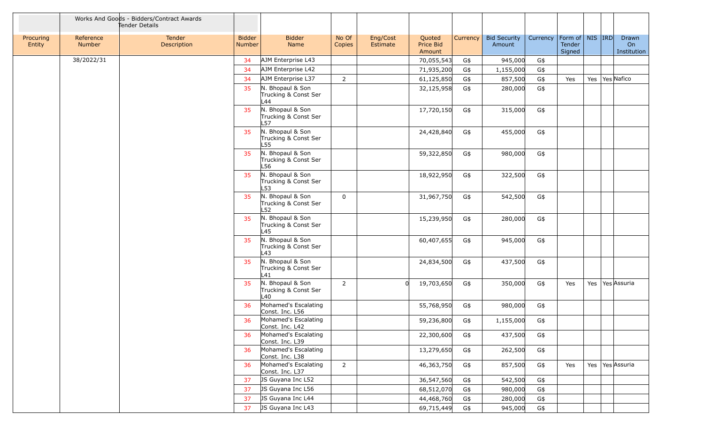|                     |                     | Works And Goods - Bidders/Contract Awards<br>Tender Details |                                |                                                 |                 |                      |                               |                 |                               |          |                                         |  |                            |
|---------------------|---------------------|-------------------------------------------------------------|--------------------------------|-------------------------------------------------|-----------------|----------------------|-------------------------------|-----------------|-------------------------------|----------|-----------------------------------------|--|----------------------------|
| Procuring<br>Entity | Reference<br>Number | Tender<br>Description                                       | <b>Bidder</b><br><b>Number</b> | <b>Bidder</b><br>Name                           | No Of<br>Copies | Eng/Cost<br>Estimate | Quoted<br>Price Bid<br>Amount | <b>Currency</b> | <b>Bid Security</b><br>Amount | Currency | Form of   NIS   IRD<br>Tender<br>Signed |  | Drawn<br>On<br>Institution |
|                     | 38/2022/31          |                                                             | 34                             | AJM Enterprise L43                              |                 |                      | 70,055,543                    | G\$             | 945,000                       | G\$      |                                         |  |                            |
|                     |                     |                                                             | 34                             | AJM Enterprise L42                              |                 |                      | 71,935,200                    | G\$             | 1,155,000                     | $G\$     |                                         |  |                            |
|                     |                     |                                                             | 34                             | AJM Enterprise L37                              | $\overline{2}$  |                      | 61,125,850                    | G\$             | 857,500                       | $G\$     | Yes                                     |  | Yes   Yes Nafico           |
|                     |                     |                                                             | 35                             | N. Bhopaul & Son<br>Trucking & Const Ser<br>L44 |                 |                      | 32,125,958                    | G\$             | 280,000                       | $G\$     |                                         |  |                            |
|                     |                     |                                                             | 35                             | N. Bhopaul & Son<br>Trucking & Const Ser<br>L57 |                 |                      | 17,720,150                    | G\$             | 315,000                       | $G\$     |                                         |  |                            |
|                     |                     |                                                             | 35                             | N. Bhopaul & Son<br>Trucking & Const Ser<br>L55 |                 |                      | 24,428,840                    | G\$             | 455,000                       | G\$      |                                         |  |                            |
|                     |                     |                                                             | 35                             | N. Bhopaul & Son<br>Trucking & Const Ser<br>L56 |                 |                      | 59,322,850                    | G\$             | 980,000                       | $G\$     |                                         |  |                            |
|                     |                     |                                                             | 35                             | N. Bhopaul & Son<br>Trucking & Const Ser<br>L53 |                 |                      | 18,922,950                    | G\$             | 322,500                       | G\$      |                                         |  |                            |
|                     |                     |                                                             | 35                             | N. Bhopaul & Son<br>Trucking & Const Ser<br>L52 | $\Omega$        |                      | 31,967,750                    | G\$             | 542,500                       | G\$      |                                         |  |                            |
|                     |                     |                                                             | 35                             | N. Bhopaul & Son<br>Trucking & Const Ser<br>L45 |                 |                      | 15,239,950                    | G\$             | 280,000                       | G\$      |                                         |  |                            |
|                     |                     |                                                             | 35                             | N. Bhopaul & Son<br>Trucking & Const Ser<br>L43 |                 |                      | 60,407,655                    | G\$             | 945,000                       | G\$      |                                         |  |                            |
|                     |                     |                                                             | 35                             | N. Bhopaul & Son<br>Trucking & Const Ser<br>L41 |                 |                      | 24,834,500                    | G\$             | 437,500                       | G\$      |                                         |  |                            |
|                     |                     |                                                             | 35                             | N. Bhopaul & Son<br>Trucking & Const Ser<br>L40 | $2^{\circ}$     | n                    | 19,703,650                    | G\$             | 350,000                       | G\$      | Yes                                     |  | Yes   Yes Assuria          |
|                     |                     |                                                             | 36                             | Mohamed's Escalating<br>Const. Inc. L56         |                 |                      | 55,768,950                    | G\$             | 980,000                       | G\$      |                                         |  |                            |
|                     |                     |                                                             | 36                             | Mohamed's Escalating<br>Const. Inc. L42         |                 |                      | 59,236,800                    | G\$             | 1,155,000                     | G\$      |                                         |  |                            |
|                     |                     |                                                             | 36                             | Mohamed's Escalating<br>Const. Inc. L39         |                 |                      | 22,300,600                    | G\$             | 437,500                       | G\$      |                                         |  |                            |
|                     |                     |                                                             | 36                             | Mohamed's Escalating<br>Const. Inc. L38         |                 |                      | 13,279,650                    | G\$             | 262,500                       | G\$      |                                         |  |                            |
|                     |                     |                                                             | 36                             | Mohamed's Escalating<br>Const. Inc. L37         | $2^{\circ}$     |                      | 46,363,750                    | G\$             | 857,500                       | G\$      | Yes                                     |  | Yes Yes Assuria            |
|                     |                     |                                                             | 37                             | JS Guyana Inc L52                               |                 |                      | 36,547,560                    | G\$             | 542,500                       | G\$      |                                         |  |                            |
|                     |                     |                                                             | 37                             | JS Guyana Inc L56                               |                 |                      | 68,512,070                    | G\$             | 980,000                       | G\$      |                                         |  |                            |
|                     |                     |                                                             | 37                             | JS Guyana Inc L44                               |                 |                      | 44,468,760                    | G\$             | 280,000                       | G\$      |                                         |  |                            |
|                     |                     |                                                             | 37                             | JS Guyana Inc L43                               |                 |                      | 69,715,449                    | G\$             | 945,000                       | G\$      |                                         |  |                            |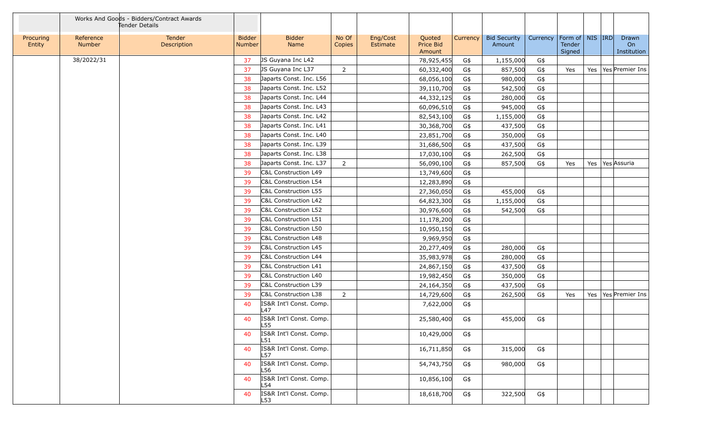|                     |                     | Works And Goods - Bidders/Contract Awards<br>Tender Details |                         |                                 |                 |                      |                               |          |                               |          |                                         |  |                            |
|---------------------|---------------------|-------------------------------------------------------------|-------------------------|---------------------------------|-----------------|----------------------|-------------------------------|----------|-------------------------------|----------|-----------------------------------------|--|----------------------------|
| Procuring<br>Entity | Reference<br>Number | Tender<br>Description                                       | <b>Bidder</b><br>Number | <b>Bidder</b><br>Name           | No Of<br>Copies | Eng/Cost<br>Estimate | Quoted<br>Price Bid<br>Amount | Currency | <b>Bid Security</b><br>Amount | Currency | Form of   NIS   IRD<br>Tender<br>Signed |  | Drawn<br>On<br>Institution |
|                     | 38/2022/31          |                                                             | 37                      | JS Guyana Inc L42               |                 |                      | 78,925,455                    | G\$      | 1,155,000                     | G\$      |                                         |  |                            |
|                     |                     |                                                             | 37                      | JS Guyana Inc L37               | $\overline{2}$  |                      | 60,332,400                    | G\$      | 857,500                       | G\$      | Yes                                     |  | Yes   Yes   Premier Ins    |
|                     |                     |                                                             | 38                      | Japarts Const. Inc. L56         |                 |                      | 68,056,100                    | G\$      | 980,000                       | $G\$     |                                         |  |                            |
|                     |                     |                                                             | 38                      | Japarts Const. Inc. L52         |                 |                      | 39,110,700                    | G\$      | 542,500                       | G\$      |                                         |  |                            |
|                     |                     |                                                             | 38                      | Japarts Const. Inc. L44         |                 |                      | 44,332,125                    | G\$      | 280,000                       | G\$      |                                         |  |                            |
|                     |                     |                                                             | 38                      | Japarts Const. Inc. L43         |                 |                      | 60,096,510                    | G\$      | 945,000                       | G\$      |                                         |  |                            |
|                     |                     |                                                             | 38                      | Japarts Const. Inc. L42         |                 |                      | 82,543,100                    | G\$      | 1,155,000                     | G\$      |                                         |  |                            |
|                     |                     |                                                             | 38                      | Japarts Const. Inc. L41         |                 |                      | 30,368,700                    | G\$      | 437,500                       | G\$      |                                         |  |                            |
|                     |                     |                                                             | 38                      | Japarts Const. Inc. L40         |                 |                      | 23,851,700                    | G\$      | 350,000                       | G\$      |                                         |  |                            |
|                     |                     |                                                             | 38                      | Japarts Const. Inc. L39         |                 |                      | 31,686,500                    | G\$      | 437,500                       | G\$      |                                         |  |                            |
|                     |                     |                                                             | 38                      | Japarts Const. Inc. L38         |                 |                      | 17,030,100                    | G\$      | 262,500                       | G\$      |                                         |  |                            |
|                     |                     |                                                             | 38                      | Japarts Const. Inc. L37         | $\overline{2}$  |                      | 56,090,100                    | G\$      | 857,500                       | G\$      | Yes                                     |  | Yes   Yes   Assuria        |
|                     |                     |                                                             | 39                      | C&L Construction L49            |                 |                      | 13,749,600                    | G\$      |                               |          |                                         |  |                            |
|                     |                     |                                                             | 39                      | C&L Construction L54            |                 |                      | 12,283,890                    | G\$      |                               |          |                                         |  |                            |
|                     |                     |                                                             | 39                      | C&L Construction L55            |                 |                      | 27,360,050                    | G\$      | 455,000                       | G\$      |                                         |  |                            |
|                     |                     |                                                             | 39                      | C&L Construction L42            |                 |                      | 64,823,300                    | G\$      | 1,155,000                     | G\$      |                                         |  |                            |
|                     |                     |                                                             | 39                      | C&L Construction L52            |                 |                      | 30,976,600                    | G\$      | 542,500                       | G\$      |                                         |  |                            |
|                     |                     |                                                             | 39                      | C&L Construction L51            |                 |                      | 11,178,200                    | G\$      |                               |          |                                         |  |                            |
|                     |                     |                                                             | 39                      | C&L Construction L50            |                 |                      | 10,950,150                    | G\$      |                               |          |                                         |  |                            |
|                     |                     |                                                             | 39                      | C&L Construction L48            |                 |                      | 9,969,950                     | G\$      |                               |          |                                         |  |                            |
|                     |                     |                                                             | 39                      | C&L Construction L45            |                 |                      | 20,277,409                    | G\$      | 280,000                       | G\$      |                                         |  |                            |
|                     |                     |                                                             | 39                      | C&L Construction L44            |                 |                      | 35,983,978                    | G\$      | 280,000                       | G\$      |                                         |  |                            |
|                     |                     |                                                             | 39                      | C&L Construction L41            |                 |                      | 24,867,150                    | G\$      | 437,500                       | G\$      |                                         |  |                            |
|                     |                     |                                                             | 39                      | C&L Construction L40            |                 |                      | 19,982,450                    | G\$      | 350,000                       | G\$      |                                         |  |                            |
|                     |                     |                                                             | 39                      | C&L Construction L39            |                 |                      | 24,164,350                    | G\$      | 437,500                       | G\$      |                                         |  |                            |
|                     |                     |                                                             | 39                      | C&L Construction L38            | $\overline{2}$  |                      | 14,729,600                    | G\$      | 262,500                       | G\$      | Yes                                     |  | Yes   Yes   Premier Ins    |
|                     |                     |                                                             | 40                      | IS&R Int'l Const. Comp.<br>L47  |                 |                      | 7,622,000                     | G\$      |                               |          |                                         |  |                            |
|                     |                     |                                                             | 40                      | IS&R Int'l Const. Comp.<br>⊩L55 |                 |                      | 25,580,400                    | G\$      | 455,000                       | G\$      |                                         |  |                            |
|                     |                     |                                                             | 40                      | IS&R Int'l Const. Comp.<br>L51  |                 |                      | 10,429,000                    | G\$      |                               |          |                                         |  |                            |
|                     |                     |                                                             | 40                      | IS&R Int'l Const. Comp.<br>L57  |                 |                      | 16,711,850                    | G\$      | 315,000                       | G\$      |                                         |  |                            |
|                     |                     |                                                             | 40                      | IS&R Int'l Const. Comp.<br>L56  |                 |                      | 54,743,750                    | G\$      | 980,000                       | G\$      |                                         |  |                            |
|                     |                     |                                                             | 40                      | IS&R Int'l Const. Comp.<br>L54  |                 |                      | 10,856,100                    | G\$      |                               |          |                                         |  |                            |
|                     |                     |                                                             | 40                      | IS&R Int'l Const. Comp.<br>L53  |                 |                      | 18,618,700                    | G\$      | 322,500                       | G\$      |                                         |  |                            |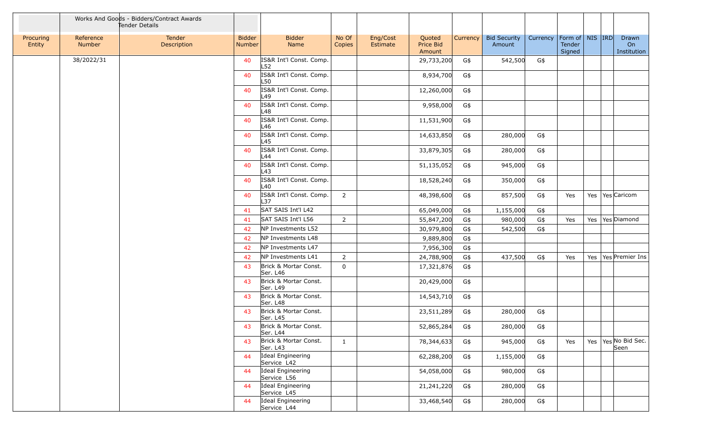|                     |                     | Works And Goods - Bidders/Contract Awards<br>Tender Details |                         |                                   |                 |                      |                               |          |                               |          |                                         |  |                                 |
|---------------------|---------------------|-------------------------------------------------------------|-------------------------|-----------------------------------|-----------------|----------------------|-------------------------------|----------|-------------------------------|----------|-----------------------------------------|--|---------------------------------|
| Procuring<br>Entity | Reference<br>Number | Tender<br>Description                                       | <b>Bidder</b><br>Number | <b>Bidder</b><br>Name             | No Of<br>Copies | Eng/Cost<br>Estimate | Quoted<br>Price Bid<br>Amount | Currency | <b>Bid Security</b><br>Amount | Currency | Form of   NIS   IRD<br>Tender<br>Signed |  | Drawn<br>On<br>Institution      |
|                     | 38/2022/31          |                                                             | 40                      | IS&R Int'l Const. Comp.<br>L52    |                 |                      | 29,733,200                    | G\$      | 542,500                       | G\$      |                                         |  |                                 |
|                     |                     |                                                             | 40                      | IS&R Int'l Const. Comp.<br>L50    |                 |                      | 8,934,700                     | G\$      |                               |          |                                         |  |                                 |
|                     |                     |                                                             | 40                      | IS&R Int'l Const. Comp.<br>L49    |                 |                      | 12,260,000                    | G\$      |                               |          |                                         |  |                                 |
|                     |                     |                                                             | 40                      | IS&R Int'l Const. Comp.<br>L48    |                 |                      | 9,958,000                     | G\$      |                               |          |                                         |  |                                 |
|                     |                     |                                                             | 40                      | IS&R Int'l Const. Comp.<br>L46    |                 |                      | 11,531,900                    | G\$      |                               |          |                                         |  |                                 |
|                     |                     |                                                             | 40                      | IS&R Int'l Const. Comp.<br>L45    |                 |                      | 14,633,850                    | G\$      | 280,000                       | G\$      |                                         |  |                                 |
|                     |                     |                                                             | 40                      | IS&R Int'l Const. Comp.<br>L44    |                 |                      | 33,879,305                    | G\$      | 280,000                       | G\$      |                                         |  |                                 |
|                     |                     |                                                             | 40                      | IS&R Int'l Const. Comp.<br>L43    |                 |                      | 51,135,052                    | G\$      | 945,000                       | $G\$     |                                         |  |                                 |
|                     |                     |                                                             | 40                      | IS&R Int'l Const. Comp.<br>L40    |                 |                      | 18,528,240                    | G\$      | 350,000                       | G\$      |                                         |  |                                 |
|                     |                     |                                                             | 40                      | IS&R Int'l Const. Comp.<br>L37    | $\overline{2}$  |                      | 48,398,600                    | G\$      | 857,500                       | G\$      | Yes                                     |  | Yes   Yes   Caricom             |
|                     |                     |                                                             | 41                      | SAT SAIS Int'l L42                |                 |                      | 65,049,000                    | G\$      | 1,155,000                     | G\$      |                                         |  |                                 |
|                     |                     |                                                             | 41                      | SAT SAIS Int'l L56                | $\overline{2}$  |                      | 55,847,200                    | G\$      | 980,000                       | G\$      | Yes                                     |  | Yes   Yes   Diamond             |
|                     |                     |                                                             | 42                      | NP Investments L52                |                 |                      | 30,979,800                    | G\$      | 542,500                       | G\$      |                                         |  |                                 |
|                     |                     |                                                             | 42                      | NP Investments L48                |                 |                      | 9,889,800                     | G\$      |                               |          |                                         |  |                                 |
|                     |                     |                                                             | 42                      | NP Investments L47                |                 |                      | 7,956,300                     | G\$      |                               |          |                                         |  |                                 |
|                     |                     |                                                             | 42                      | NP Investments L41                | $\overline{2}$  |                      | 24,788,900                    | G\$      | 437,500                       | G\$      | Yes                                     |  | Yes   Yes   Premier Ins         |
|                     |                     |                                                             | 43                      | Brick & Mortar Const.<br>Ser. L46 | $\mathbf 0$     |                      | 17,321,876                    | G\$      |                               |          |                                         |  |                                 |
|                     |                     |                                                             | 43                      | Brick & Mortar Const.<br>Ser. L49 |                 |                      | 20,429,000                    | G\$      |                               |          |                                         |  |                                 |
|                     |                     |                                                             | 43                      | Brick & Mortar Const.<br>Ser. L48 |                 |                      | 14,543,710                    | G\$      |                               |          |                                         |  |                                 |
|                     |                     |                                                             | 43                      | Brick & Mortar Const.<br>Ser. L45 |                 |                      | 23,511,289                    | G\$      | 280,000                       | G\$      |                                         |  |                                 |
|                     |                     |                                                             | 43                      | Brick & Mortar Const.<br>Ser. L44 |                 |                      | 52,865,284                    | G\$      | 280,000                       | G\$      |                                         |  |                                 |
|                     |                     |                                                             | 43                      | Brick & Mortar Const.<br>Ser. L43 | $\mathbf{1}$    |                      | 78,344,633                    | G\$      | 945,000                       | G\$      | Yes                                     |  | Yes   Yes   No Bid Sec.<br>Seen |
|                     |                     |                                                             | 44                      | Ideal Engineering<br>Service L42  |                 |                      | 62,288,200                    | G\$      | 1,155,000                     | G\$      |                                         |  |                                 |
|                     |                     |                                                             | 44                      | Ideal Engineering<br>Service L56  |                 |                      | 54,058,000                    | G\$      | 980,000                       | G\$      |                                         |  |                                 |
|                     |                     |                                                             | 44                      | Ideal Engineering<br>Service L45  |                 |                      | 21,241,220                    | G\$      | 280,000                       | G\$      |                                         |  |                                 |
|                     |                     |                                                             | 44                      | Ideal Engineering<br>Service L44  |                 |                      | 33,468,540                    | G\$      | 280,000                       | G\$      |                                         |  |                                 |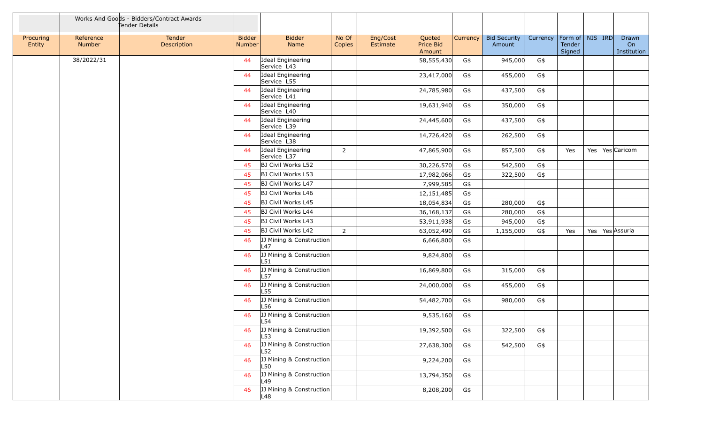|                     |                     | Works And Goods - Bidders/Contract Awards<br>Tender Details |                                |                                   |                 |                      |                               |          |                               |          |                                         |  |                            |
|---------------------|---------------------|-------------------------------------------------------------|--------------------------------|-----------------------------------|-----------------|----------------------|-------------------------------|----------|-------------------------------|----------|-----------------------------------------|--|----------------------------|
| Procuring<br>Entity | Reference<br>Number | Tender<br>Description                                       | <b>Bidder</b><br><b>Number</b> | <b>Bidder</b><br>Name             | No Of<br>Copies | Eng/Cost<br>Estimate | Quoted<br>Price Bid<br>Amount | Currency | <b>Bid Security</b><br>Amount | Currency | Form of   NIS   IRD<br>Tender<br>Signed |  | Drawn<br>On<br>Institution |
|                     | 38/2022/31          |                                                             | 44                             | Ideal Engineering<br>Service L43  |                 |                      | 58,555,430                    | G\$      | 945,000                       | G\$      |                                         |  |                            |
|                     |                     |                                                             | 44                             | Ideal Engineering<br>Service L55  |                 |                      | 23,417,000                    | G\$      | 455,000                       | G\$      |                                         |  |                            |
|                     |                     |                                                             | 44                             | Ideal Engineering<br>Service L41  |                 |                      | 24,785,980                    | G\$      | 437,500                       | G\$      |                                         |  |                            |
|                     |                     |                                                             | 44                             | Ideal Engineering<br>Service L40  |                 |                      | 19,631,940                    | G\$      | 350,000                       | G\$      |                                         |  |                            |
|                     |                     |                                                             | 44                             | Ideal Engineering<br>Service L39  |                 |                      | 24,445,600                    | G\$      | 437,500                       | G\$      |                                         |  |                            |
|                     |                     |                                                             | 44                             | Ideal Engineering<br>Service L38  |                 |                      | 14,726,420                    | G\$      | 262,500                       | G\$      |                                         |  |                            |
|                     |                     |                                                             | 44                             | Ideal Engineering<br>Service L37  | $2^{\circ}$     |                      | 47,865,900                    | G\$      | 857,500                       | G\$      | Yes                                     |  | Yes   Yes   Caricom        |
|                     |                     |                                                             | 45                             | <b>BJ Civil Works L52</b>         |                 |                      | 30,226,570                    | G\$      | 542,500                       | G\$      |                                         |  |                            |
|                     |                     |                                                             | 45                             | BJ Civil Works L53                |                 |                      | 17,982,066                    | G\$      | 322,500                       | G\$      |                                         |  |                            |
|                     |                     |                                                             | 45                             | BJ Civil Works L47                |                 |                      | 7,999,585                     | G\$      |                               |          |                                         |  |                            |
|                     |                     |                                                             | 45                             | BJ Civil Works L46                |                 |                      | 12,151,485                    | G\$      |                               |          |                                         |  |                            |
|                     |                     |                                                             | 45                             | BJ Civil Works L45                |                 |                      | 18,054,834                    | G\$      | 280,000                       | $G\$     |                                         |  |                            |
|                     |                     |                                                             | 45                             | BJ Civil Works L44                |                 |                      | 36, 168, 137                  | G\$      | 280,000                       | G\$      |                                         |  |                            |
|                     |                     |                                                             | 45                             | BJ Civil Works L43                |                 |                      | 53,911,938                    | G\$      | 945,000                       | G\$      |                                         |  |                            |
|                     |                     |                                                             | 45                             | BJ Civil Works L42                | $\overline{2}$  |                      | 63,052,490                    | G\$      | 1,155,000                     | G\$      | Yes                                     |  | Yes   Yes Assuria          |
|                     |                     |                                                             | 46                             | [JJ Mining & Construction]<br>L47 |                 |                      | 6,666,800                     | G\$      |                               |          |                                         |  |                            |
|                     |                     |                                                             | 46                             | JJ Mining & Construction<br>L51   |                 |                      | 9,824,800                     | G\$      |                               |          |                                         |  |                            |
|                     |                     |                                                             | 46                             | JJ Mining & Construction<br>L57   |                 |                      | 16,869,800                    | G\$      | 315,000                       | G\$      |                                         |  |                            |
|                     |                     |                                                             | 46                             | JJ Mining & Construction<br>L55   |                 |                      | 24,000,000                    | G\$      | 455,000                       | G\$      |                                         |  |                            |
|                     |                     |                                                             | 46                             | JJ Mining & Construction<br>L56   |                 |                      | 54,482,700                    | G\$      | 980,000                       | G\$      |                                         |  |                            |
|                     |                     |                                                             | 46                             | [JJ Mining & Construction]<br>L54 |                 |                      | 9,535,160                     | G\$      |                               |          |                                         |  |                            |
|                     |                     |                                                             | 46                             | JJ Mining & Construction<br>L53   |                 |                      | 19,392,500                    | G\$      | 322,500                       | $G\$     |                                         |  |                            |
|                     |                     |                                                             | 46                             | JJ Mining & Construction<br>L52   |                 |                      | 27,638,300                    | G\$      | 542,500                       | G\$      |                                         |  |                            |
|                     |                     |                                                             | 46                             | JJ Mining & Construction<br>L50   |                 |                      | 9,224,200                     | G\$      |                               |          |                                         |  |                            |
|                     |                     |                                                             | 46                             | JJ Mining & Construction<br>L49   |                 |                      | 13,794,350                    | G\$      |                               |          |                                         |  |                            |
|                     |                     |                                                             | 46                             | JJ Mining & Construction<br>L48   |                 |                      | 8,208,200                     | G\$      |                               |          |                                         |  |                            |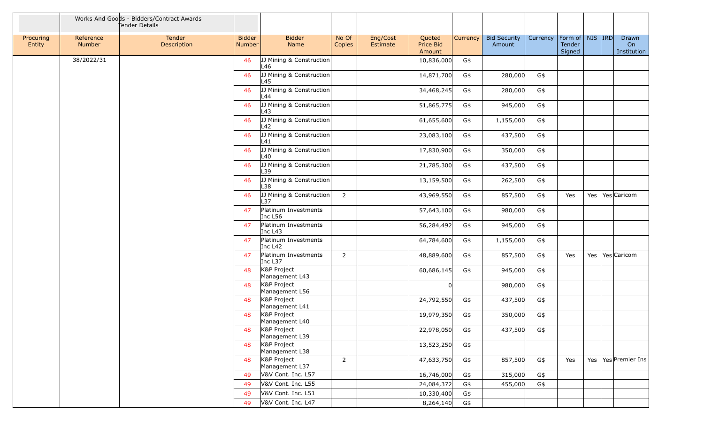|                     |                     | Works And Goods - Bidders/Contract Awards<br>Tender Details |                                |                                 |                 |                      |                               |          |                               |          |                                         |  |                            |
|---------------------|---------------------|-------------------------------------------------------------|--------------------------------|---------------------------------|-----------------|----------------------|-------------------------------|----------|-------------------------------|----------|-----------------------------------------|--|----------------------------|
| Procuring<br>Entity | Reference<br>Number | Tender<br>Description                                       | <b>Bidder</b><br><b>Number</b> | <b>Bidder</b><br>Name           | No Of<br>Copies | Eng/Cost<br>Estimate | Quoted<br>Price Bid<br>Amount | Currency | <b>Bid Security</b><br>Amount | Currency | Form of   NIS   IRD<br>Tender<br>Signed |  | Drawn<br>On<br>Institution |
|                     | 38/2022/31          |                                                             | 46                             | JJ Mining & Construction<br>L46 |                 |                      | 10,836,000                    | G\$      |                               |          |                                         |  |                            |
|                     |                     |                                                             | 46                             | JJ Mining & Construction<br>L45 |                 |                      | 14,871,700                    | G\$      | 280,000                       | G\$      |                                         |  |                            |
|                     |                     |                                                             | 46                             | JJ Mining & Construction<br>L44 |                 |                      | 34,468,245                    | G\$      | 280,000                       | G\$      |                                         |  |                            |
|                     |                     |                                                             | 46                             | JJ Mining & Construction<br>L43 |                 |                      | 51,865,775                    | G\$      | 945,000                       | G\$      |                                         |  |                            |
|                     |                     |                                                             | 46                             | JJ Mining & Construction<br>L42 |                 |                      | 61,655,600                    | G\$      | 1,155,000                     | G\$      |                                         |  |                            |
|                     |                     |                                                             | 46                             | JJ Mining & Construction<br>L41 |                 |                      | 23,083,100                    | G\$      | 437,500                       | G\$      |                                         |  |                            |
|                     |                     |                                                             | 46                             | JJ Mining & Construction<br>L40 |                 |                      | 17,830,900                    | G\$      | 350,000                       | G\$      |                                         |  |                            |
|                     |                     |                                                             | 46                             | JJ Mining & Construction<br>L39 |                 |                      | 21,785,300                    | G\$      | 437,500                       | G\$      |                                         |  |                            |
|                     |                     |                                                             | 46                             | JJ Mining & Construction<br>L38 |                 |                      | 13,159,500                    | G\$      | 262,500                       | G\$      |                                         |  |                            |
|                     |                     |                                                             | 46                             | JJ Mining & Construction<br>L37 | $\overline{2}$  |                      | 43,969,550                    | G\$      | 857,500                       | G\$      | Yes                                     |  | Yes   Yes   Caricom        |
|                     |                     |                                                             | 47                             | Platinum Investments<br>Inc L56 |                 |                      | 57,643,100                    | G\$      | 980,000                       | G\$      |                                         |  |                            |
|                     |                     |                                                             | 47                             | Platinum Investments<br>Inc L43 |                 |                      | 56,284,492                    | G\$      | 945,000                       | G\$      |                                         |  |                            |
|                     |                     |                                                             | 47                             | Platinum Investments<br>Inc L42 |                 |                      | 64,784,600                    | G\$      | 1,155,000                     | G\$      |                                         |  |                            |
|                     |                     |                                                             | 47                             | Platinum Investments<br>Inc L37 | $\overline{2}$  |                      | 48,889,600                    | G\$      | 857,500                       | G\$      | Yes                                     |  | Yes   Yes   Caricom        |
|                     |                     |                                                             | 48                             | K&P Project<br>Management L43   |                 |                      | 60,686,145                    | G\$      | 945,000                       | G\$      |                                         |  |                            |
|                     |                     |                                                             | 48                             | K&P Project<br>Management L56   |                 |                      |                               |          | 980,000                       | G\$      |                                         |  |                            |
|                     |                     |                                                             | 48                             | K&P Project<br>Management L41   |                 |                      | 24,792,550                    | G\$      | 437,500                       | G\$      |                                         |  |                            |
|                     |                     |                                                             | 48                             | K&P Project<br>Management L40   |                 |                      | 19,979,350                    | G\$      | 350,000                       | G\$      |                                         |  |                            |
|                     |                     |                                                             | 48                             | K&P Project<br>Management L39   |                 |                      | 22,978,050                    | G\$      | 437,500                       | G\$      |                                         |  |                            |
|                     |                     |                                                             | 48                             | K&P Project<br>Management L38   |                 |                      | 13,523,250                    | G\$      |                               |          |                                         |  |                            |
|                     |                     |                                                             | 48                             | K&P Project<br>Management L37   | $\overline{2}$  |                      | 47,633,750                    | G\$      | 857,500                       | G\$      | Yes                                     |  | Yes   Yes   Premier Ins    |
|                     |                     |                                                             | 49                             | V&V Cont. Inc. L57              |                 |                      | 16,746,000                    | G\$      | 315,000                       | G\$      |                                         |  |                            |
|                     |                     |                                                             | 49                             | V&V Cont. Inc. L55              |                 |                      | 24,084,372                    | G\$      | 455,000                       | G\$      |                                         |  |                            |
|                     |                     |                                                             | 49                             | V&V Cont. Inc. L51              |                 |                      | 10,330,400                    | G\$      |                               |          |                                         |  |                            |
|                     |                     |                                                             | 49                             | V&V Cont. Inc. L47              |                 |                      | 8,264,140                     | G\$      |                               |          |                                         |  |                            |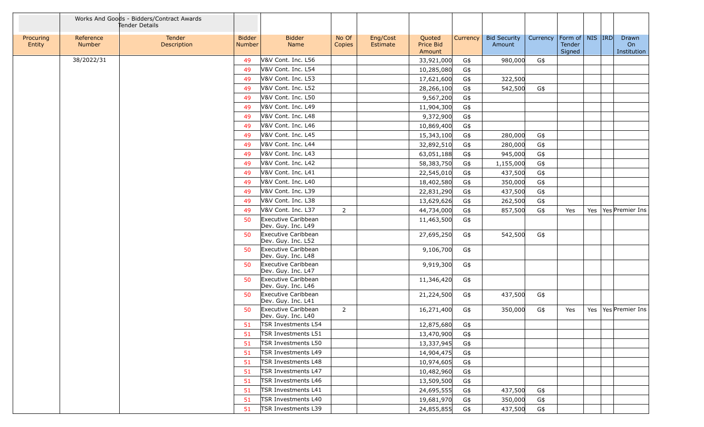|                     |                     | Works And Goods - Bidders/Contract Awards<br>Tender Details |                                |                                           |                 |                      |                               |          |                               |          |                                         |  |                            |
|---------------------|---------------------|-------------------------------------------------------------|--------------------------------|-------------------------------------------|-----------------|----------------------|-------------------------------|----------|-------------------------------|----------|-----------------------------------------|--|----------------------------|
| Procuring<br>Entity | Reference<br>Number | Tender<br>Description                                       | <b>Bidder</b><br><b>Number</b> | <b>Bidder</b><br>Name                     | No Of<br>Copies | Eng/Cost<br>Estimate | Quoted<br>Price Bid<br>Amount | Currency | <b>Bid Security</b><br>Amount | Currency | Form of   NIS   IRD<br>Tender<br>Signed |  | Drawn<br>On<br>Institution |
|                     | 38/2022/31          |                                                             | 49                             | V&V Cont. Inc. L56                        |                 |                      | 33,921,000                    | G\$      | 980,000                       | G\$      |                                         |  |                            |
|                     |                     |                                                             | 49                             | V&V Cont. Inc. L54                        |                 |                      | 10,285,080                    | G\$      |                               |          |                                         |  |                            |
|                     |                     |                                                             | 49                             | V&V Cont. Inc. L53                        |                 |                      | 17,621,600                    | G\$      | 322,500                       |          |                                         |  |                            |
|                     |                     |                                                             | 49                             | V&V Cont. Inc. L52                        |                 |                      | 28,266,100                    | G\$      | 542,500                       | G\$      |                                         |  |                            |
|                     |                     |                                                             | 49                             | V&V Cont. Inc. L50                        |                 |                      | 9,567,200                     | G\$      |                               |          |                                         |  |                            |
|                     |                     |                                                             | 49                             | V&V Cont. Inc. L49                        |                 |                      | 11,904,300                    | G\$      |                               |          |                                         |  |                            |
|                     |                     |                                                             | 49                             | V&V Cont. Inc. L48                        |                 |                      | 9,372,900                     | G\$      |                               |          |                                         |  |                            |
|                     |                     |                                                             | 49                             | V&V Cont. Inc. L46                        |                 |                      | 10,869,400                    | G\$      |                               |          |                                         |  |                            |
|                     |                     |                                                             | 49                             | V&V Cont. Inc. L45                        |                 |                      | 15,343,100                    | G\$      | 280,000                       | G\$      |                                         |  |                            |
|                     |                     |                                                             | 49                             | V&V Cont. Inc. L44                        |                 |                      | 32,892,510                    | G\$      | 280,000                       | G\$      |                                         |  |                            |
|                     |                     |                                                             | 49                             | V&V Cont. Inc. L43                        |                 |                      | 63,051,188                    | G\$      | 945,000                       | G\$      |                                         |  |                            |
|                     |                     |                                                             | 49                             | V&V Cont. Inc. L42                        |                 |                      | 58,383,750                    | G\$      | 1,155,000                     | G\$      |                                         |  |                            |
|                     |                     |                                                             | 49                             | V&V Cont. Inc. L41                        |                 |                      | 22,545,010                    | G\$      | 437,500                       | G\$      |                                         |  |                            |
|                     |                     |                                                             | 49                             | V&V Cont. Inc. L40                        |                 |                      | 18,402,580                    | G\$      | 350,000                       | G\$      |                                         |  |                            |
|                     |                     |                                                             | 49                             | V&V Cont. Inc. L39                        |                 |                      | 22,831,290                    | G\$      | 437,500                       | G\$      |                                         |  |                            |
|                     |                     |                                                             | 49                             | V&V Cont. Inc. L38                        |                 |                      | 13,629,626                    | G\$      | 262,500                       | G\$      |                                         |  |                            |
|                     |                     |                                                             | 49                             | V&V Cont. Inc. L37                        | $\overline{2}$  |                      | 44,734,000                    | G\$      | 857,500                       | G\$      | Yes                                     |  | Yes   Yes   Premier Ins    |
|                     |                     |                                                             | 50                             | Executive Caribbean<br>Dev. Guy. Inc. L49 |                 |                      | 11,463,500                    | G\$      |                               |          |                                         |  |                            |
|                     |                     |                                                             | 50                             | Executive Caribbean<br>Dev. Guy. Inc. L52 |                 |                      | 27,695,250                    | G\$      | 542,500                       | G\$      |                                         |  |                            |
|                     |                     |                                                             | 50                             | Executive Caribbean<br>Dev. Guy. Inc. L48 |                 |                      | 9,106,700                     | G\$      |                               |          |                                         |  |                            |
|                     |                     |                                                             | 50                             | Executive Caribbean<br>Dev. Guy. Inc. L47 |                 |                      | 9,919,300                     | G\$      |                               |          |                                         |  |                            |
|                     |                     |                                                             | 50                             | Executive Caribbean<br>Dev. Guy. Inc. L46 |                 |                      | 11,346,420                    | G\$      |                               |          |                                         |  |                            |
|                     |                     |                                                             | 50                             | Executive Caribbean<br>Dev. Guy. Inc. L41 |                 |                      | 21,224,500                    | G\$      | 437,500                       | G\$      |                                         |  |                            |
|                     |                     |                                                             | 50                             | Executive Caribbean<br>Dev. Guy. Inc. L40 | $\overline{2}$  |                      | 16,271,400                    | G\$      | 350,000                       | G\$      | Yes                                     |  | Yes   Yes   Premier Ins    |
|                     |                     |                                                             | 51                             | TSR Investments L54                       |                 |                      | 12,875,680                    | G\$      |                               |          |                                         |  |                            |
|                     |                     |                                                             | -51                            | <b>TSR Investments L51</b>                |                 |                      | 13,470,900                    | G\$      |                               |          |                                         |  |                            |
|                     |                     |                                                             | 51                             | TSR Investments L50                       |                 |                      | 13,337,945                    | G\$      |                               |          |                                         |  |                            |
|                     |                     |                                                             | 51                             | TSR Investments L49                       |                 |                      | 14,904,475                    | G\$      |                               |          |                                         |  |                            |
|                     |                     |                                                             | -51                            | TSR Investments L48                       |                 |                      | 10,974,605                    | G\$      |                               |          |                                         |  |                            |
|                     |                     |                                                             | 51                             | TSR Investments L47                       |                 |                      | 10,482,960                    | G\$      |                               |          |                                         |  |                            |
|                     |                     |                                                             | -51                            | TSR Investments L46                       |                 |                      | 13,509,500                    | G\$      |                               |          |                                         |  |                            |
|                     |                     |                                                             | -51                            | TSR Investments L41                       |                 |                      | 24,695,555                    | G\$      | 437,500                       | G\$      |                                         |  |                            |
|                     |                     |                                                             | -51                            | TSR Investments L40                       |                 |                      | 19,681,970                    | G\$      | 350,000                       | G\$      |                                         |  |                            |
|                     |                     |                                                             | 51                             | TSR Investments L39                       |                 |                      | 24,855,855                    | G\$      | 437,500                       | G\$      |                                         |  |                            |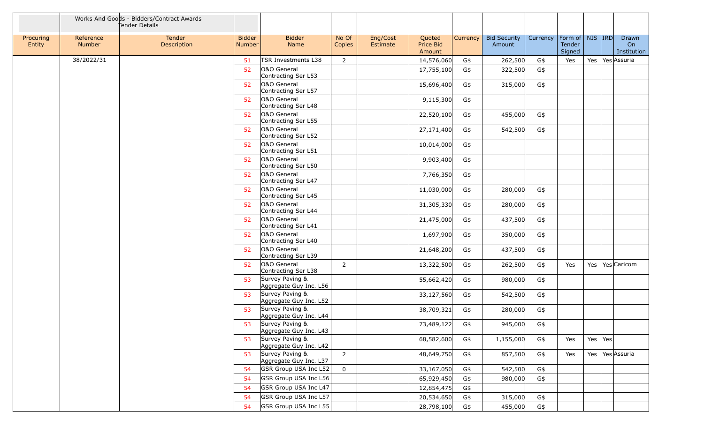|                     |                     | Works And Goods - Bidders/Contract Awards<br>Tender Details |                                |                                           |                 |                      |                               |          |                               |          |                                         |             |                            |
|---------------------|---------------------|-------------------------------------------------------------|--------------------------------|-------------------------------------------|-----------------|----------------------|-------------------------------|----------|-------------------------------|----------|-----------------------------------------|-------------|----------------------------|
| Procuring<br>Entity | Reference<br>Number | Tender<br>Description                                       | <b>Bidder</b><br><b>Number</b> | <b>Bidder</b><br>Name                     | No Of<br>Copies | Eng/Cost<br>Estimate | Quoted<br>Price Bid<br>Amount | Currency | <b>Bid Security</b><br>Amount | Currency | Form of   NIS   IRD<br>Tender<br>Signed |             | Drawn<br>On<br>Institution |
|                     | 38/2022/31          |                                                             | 51                             | TSR Investments L38                       | $\overline{2}$  |                      | 14,576,060                    | G\$      | 262,500                       | G\$      | Yes                                     |             | Yes Yes Assuria            |
|                     |                     |                                                             | 52                             | O&O General<br>Contracting Ser L53        |                 |                      | 17,755,100                    | G\$      | 322,500                       | G\$      |                                         |             |                            |
|                     |                     |                                                             | 52                             | O&O General<br>Contracting Ser L57        |                 |                      | 15,696,400                    | G\$      | 315,000                       | G\$      |                                         |             |                            |
|                     |                     |                                                             | 52                             | O&O General<br>Contracting Ser L48        |                 |                      | 9,115,300                     | G\$      |                               |          |                                         |             |                            |
|                     |                     |                                                             | 52                             | O&O General<br>Contracting Ser L55        |                 |                      | 22,520,100                    | G\$      | 455,000                       | G\$      |                                         |             |                            |
|                     |                     |                                                             | 52                             | O&O General<br>Contracting Ser L52        |                 |                      | 27,171,400                    | G\$      | 542,500                       | G\$      |                                         |             |                            |
|                     |                     |                                                             | 52                             | O&O General<br>Contracting Ser L51        |                 |                      | 10,014,000                    | G\$      |                               |          |                                         |             |                            |
|                     |                     |                                                             | 52                             | O&O General<br>Contracting Ser L50        |                 |                      | 9,903,400                     | G\$      |                               |          |                                         |             |                            |
|                     |                     |                                                             | 52                             | O&O General<br>Contracting Ser L47        |                 |                      | 7,766,350                     | G\$      |                               |          |                                         |             |                            |
|                     |                     |                                                             | 52                             | O&O General<br>Contracting Ser L45        |                 |                      | 11,030,000                    | G\$      | 280,000                       | G\$      |                                         |             |                            |
|                     |                     |                                                             | 52                             | O&O General<br>Contracting Ser L44        |                 |                      | 31,305,330                    | G\$      | 280,000                       | G\$      |                                         |             |                            |
|                     |                     |                                                             | 52                             | O&O General<br>Contracting Ser L41        |                 |                      | 21,475,000                    | G\$      | 437,500                       | G\$      |                                         |             |                            |
|                     |                     |                                                             | 52                             | O&O General<br>Contracting Ser L40        |                 |                      | 1,697,900                     | G\$      | 350,000                       | G\$      |                                         |             |                            |
|                     |                     |                                                             | 52                             | O&O General<br>Contracting Ser L39        |                 |                      | 21,648,200                    | G\$      | 437,500                       | G\$      |                                         |             |                            |
|                     |                     |                                                             | 52                             | O&O General<br>Contracting Ser L38        | $\overline{2}$  |                      | 13,322,500                    | G\$      | 262,500                       | G\$      | Yes                                     |             | Yes   Yes   Caricom        |
|                     |                     |                                                             | 53                             | Survey Paving &<br>Aggregate Guy Inc. L56 |                 |                      | 55,662,420                    | G\$      | 980,000                       | G\$      |                                         |             |                            |
|                     |                     |                                                             | 53                             | Survey Paving &<br>Aggregate Guy Inc. L52 |                 |                      | 33,127,560                    | G\$      | 542,500                       | G\$      |                                         |             |                            |
|                     |                     |                                                             | 53                             | Survey Paving &<br>Aggregate Guy Inc. L44 |                 |                      | 38,709,321                    | G\$      | 280,000                       | G\$      |                                         |             |                            |
|                     |                     |                                                             | 53                             | Survey Paving &<br>Aggregate Guy Inc. L43 |                 |                      | 73,489,122                    | G\$      | 945,000                       | G\$      |                                         |             |                            |
|                     |                     |                                                             | 53                             | Survey Paving &<br>Aggregate Guy Inc. L42 |                 |                      | 68,582,600                    | G\$      | 1,155,000                     | G\$      | Yes                                     | Yes $ Yes $ |                            |
|                     |                     |                                                             | 53                             | Survey Paving &<br>Aggregate Guy Inc. L37 | $2^{\circ}$     |                      | 48,649,750                    | G\$      | 857,500                       | G\$      | Yes                                     |             | Yes   Yes Assuria          |
|                     |                     |                                                             | 54                             | GSR Group USA Inc L52                     | $\mathbf 0$     |                      | 33,167,050                    | G\$      | 542,500                       | G\$      |                                         |             |                            |
|                     |                     |                                                             | 54                             | GSR Group USA Inc L56                     |                 |                      | 65,929,450                    | G\$      | 980,000                       | G\$      |                                         |             |                            |
|                     |                     |                                                             | 54                             | GSR Group USA Inc L47                     |                 |                      | 12,854,475                    | G\$      |                               |          |                                         |             |                            |
|                     |                     |                                                             | 54                             | GSR Group USA Inc L57                     |                 |                      | 20,534,650                    | G\$      | 315,000                       | G\$      |                                         |             |                            |
|                     |                     |                                                             | 54                             | GSR Group USA Inc L55                     |                 |                      | 28,798,100                    | G\$      | 455,000                       | G\$      |                                         |             |                            |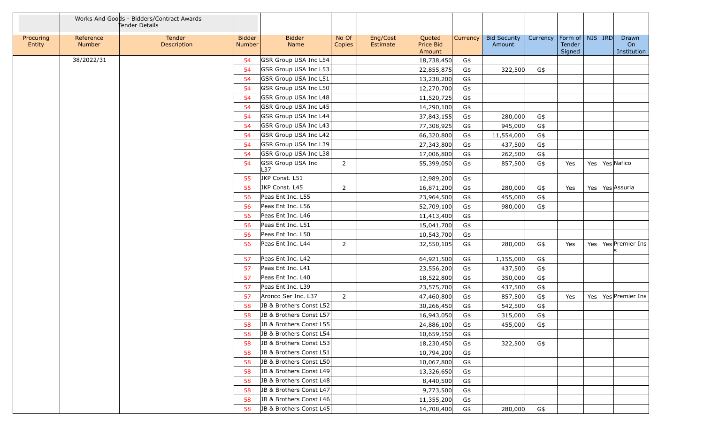|                     |                     | Works And Goods - Bidders/Contract Awards<br>Tender Details |                                |                                 |                 |                      |                               |          |                               |          |                                         |  |                            |
|---------------------|---------------------|-------------------------------------------------------------|--------------------------------|---------------------------------|-----------------|----------------------|-------------------------------|----------|-------------------------------|----------|-----------------------------------------|--|----------------------------|
| Procuring<br>Entity | Reference<br>Number | Tender<br>Description                                       | <b>Bidder</b><br><b>Number</b> | <b>Bidder</b><br>Name           | No Of<br>Copies | Eng/Cost<br>Estimate | Quoted<br>Price Bid<br>Amount | Currency | <b>Bid Security</b><br>Amount | Currency | Form of   NIS   IRD<br>Tender<br>Signed |  | Drawn<br>On<br>Institution |
|                     | 38/2022/31          |                                                             | 54                             | GSR Group USA Inc L54           |                 |                      | 18,738,450                    | G\$      |                               |          |                                         |  |                            |
|                     |                     |                                                             | 54                             | GSR Group USA Inc L53           |                 |                      | 22,855,875                    | G\$      | 322,500                       | G\$      |                                         |  |                            |
|                     |                     |                                                             | 54                             | GSR Group USA Inc L51           |                 |                      | 13,238,200                    | G\$      |                               |          |                                         |  |                            |
|                     |                     |                                                             | 54                             | GSR Group USA Inc L50           |                 |                      | 12,270,700                    | G\$      |                               |          |                                         |  |                            |
|                     |                     |                                                             | 54                             | GSR Group USA Inc L48           |                 |                      | 11,520,725                    | G\$      |                               |          |                                         |  |                            |
|                     |                     |                                                             | 54                             | GSR Group USA Inc L45           |                 |                      | 14,290,100                    | G\$      |                               |          |                                         |  |                            |
|                     |                     |                                                             | 54                             | GSR Group USA Inc L44           |                 |                      | 37,843,155                    | G\$      | 280,000                       | G\$      |                                         |  |                            |
|                     |                     |                                                             | 54                             | GSR Group USA Inc L43           |                 |                      | 77,308,925                    | G\$      | 945,000                       | G\$      |                                         |  |                            |
|                     |                     |                                                             | 54                             | GSR Group USA Inc L42           |                 |                      | 66,320,800                    | G\$      | 11,554,000                    | G\$      |                                         |  |                            |
|                     |                     |                                                             | 54                             | GSR Group USA Inc L39           |                 |                      | 27,343,800                    | G\$      | 437,500                       | G\$      |                                         |  |                            |
|                     |                     |                                                             | 54                             | GSR Group USA Inc L38           |                 |                      | 17,006,800                    | G\$      | 262,500                       | G\$      |                                         |  |                            |
|                     |                     |                                                             | 54                             | <b>GSR Group USA Inc</b><br>L37 | $\overline{2}$  |                      | 55,399,050                    | G\$      | 857,500                       | G\$      | Yes                                     |  | Yes   Yes   Nafico         |
|                     |                     |                                                             | 55                             | JKP Const. L51                  |                 |                      | 12,989,200                    | G\$      |                               |          |                                         |  |                            |
|                     |                     |                                                             | 55                             | JKP Const. L45                  | $\overline{2}$  |                      | 16,871,200                    | G\$      | 280,000                       | G\$      | Yes                                     |  | Yes   Yes Assuria          |
|                     |                     |                                                             | 56                             | Peas Ent Inc. L55               |                 |                      | 23,964,500                    | G\$      | 455,000                       | G\$      |                                         |  |                            |
|                     |                     |                                                             | 56                             | Peas Ent Inc. L56               |                 |                      | 52,709,100                    | G\$      | 980,000                       | G\$      |                                         |  |                            |
|                     |                     |                                                             | 56                             | Peas Ent Inc. L46               |                 |                      | 11,413,400                    | G\$      |                               |          |                                         |  |                            |
|                     |                     |                                                             | 56                             | Peas Ent Inc. L51               |                 |                      | 15,041,700                    | G\$      |                               |          |                                         |  |                            |
|                     |                     |                                                             | 56                             | Peas Ent Inc. L50               |                 |                      | 10,543,700                    | G\$      |                               |          |                                         |  |                            |
|                     |                     |                                                             | 56                             | Peas Ent Inc. L44               | $\overline{2}$  |                      | 32,550,105                    | G\$      | 280,000                       | G\$      | Yes                                     |  | Yes   Yes   Premier Ins    |
|                     |                     |                                                             | 57                             | Peas Ent Inc. L42               |                 |                      | 64,921,500                    | G\$      | 1,155,000                     | G\$      |                                         |  |                            |
|                     |                     |                                                             | 57                             | Peas Ent Inc. L41               |                 |                      | 23,556,200                    | G\$      | 437,500                       | G\$      |                                         |  |                            |
|                     |                     |                                                             | 57                             | Peas Ent Inc. L40               |                 |                      | 18,522,800                    | G\$      | 350,000                       | G\$      |                                         |  |                            |
|                     |                     |                                                             | 57                             | Peas Ent Inc. L39               |                 |                      | 23,575,700                    | G\$      | 437,500                       | G\$      |                                         |  |                            |
|                     |                     |                                                             | 57                             | Aronco Ser Inc. L37             | $2^{\circ}$     |                      | 47,460,800                    | G\$      | 857,500                       | G\$      | Yes                                     |  | Yes   Yes   Premier Ins    |
|                     |                     |                                                             | 58                             | JB & Brothers Const L52         |                 |                      | 30,266,450                    | G\$      | 542,500                       | G\$      |                                         |  |                            |
|                     |                     |                                                             | 58                             | JB & Brothers Const L57         |                 |                      | 16,943,050                    | G\$      | 315,000                       | G\$      |                                         |  |                            |
|                     |                     |                                                             | 58                             | JB & Brothers Const L55         |                 |                      | 24,886,100                    | G\$      | 455,000                       | G\$      |                                         |  |                            |
|                     |                     |                                                             | 58                             | JB & Brothers Const L54         |                 |                      | 10,659,150                    | G\$      |                               |          |                                         |  |                            |
|                     |                     |                                                             | 58                             | JB & Brothers Const L53         |                 |                      | 18,230,450                    | G\$      | 322,500                       | G\$      |                                         |  |                            |
|                     |                     |                                                             | 58                             | JB & Brothers Const L51         |                 |                      | 10,794,200                    | G\$      |                               |          |                                         |  |                            |
|                     |                     |                                                             | 58                             | JB & Brothers Const L50         |                 |                      | 10,067,800                    | G\$      |                               |          |                                         |  |                            |
|                     |                     |                                                             | 58                             | JB & Brothers Const L49         |                 |                      | 13,326,650                    | G\$      |                               |          |                                         |  |                            |
|                     |                     |                                                             | 58                             | JB & Brothers Const L48         |                 |                      | 8,440,500                     | G\$      |                               |          |                                         |  |                            |
|                     |                     |                                                             | 58                             | JB & Brothers Const L47         |                 |                      | 9,773,500                     | G\$      |                               |          |                                         |  |                            |
|                     |                     |                                                             | 58                             | JB & Brothers Const L46         |                 |                      | 11,355,200                    | G\$      |                               |          |                                         |  |                            |
|                     |                     |                                                             | 58                             | JB & Brothers Const L45         |                 |                      | 14,708,400                    | G\$      | 280,000                       | G\$      |                                         |  |                            |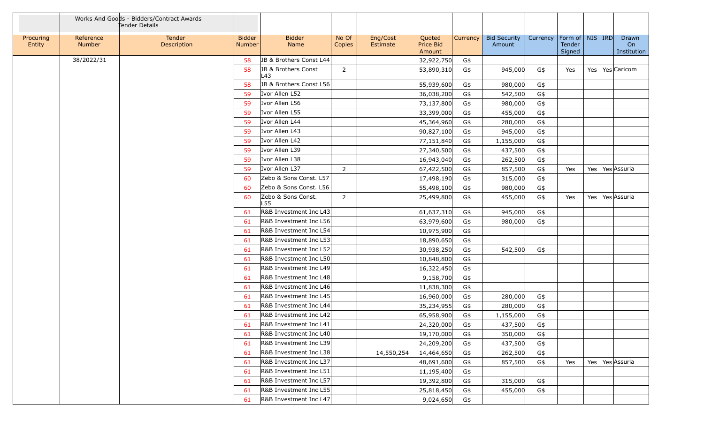|                     |                     | Works And Goods - Bidders/Contract Awards<br>Tender Details |                                |                            |                 |                      |                               |          |                               |          |                                         |  |                            |
|---------------------|---------------------|-------------------------------------------------------------|--------------------------------|----------------------------|-----------------|----------------------|-------------------------------|----------|-------------------------------|----------|-----------------------------------------|--|----------------------------|
| Procuring<br>Entity | Reference<br>Number | Tender<br>Description                                       | <b>Bidder</b><br><b>Number</b> | <b>Bidder</b><br>Name      | No Of<br>Copies | Eng/Cost<br>Estimate | Quoted<br>Price Bid<br>Amount | Currency | <b>Bid Security</b><br>Amount | Currency | Form of   NIS   IRD<br>Tender<br>Signed |  | Drawn<br>On<br>Institution |
|                     | 38/2022/31          |                                                             | 58                             | JB & Brothers Const L44    |                 |                      | 32,922,750                    | G\$      |                               |          |                                         |  |                            |
|                     |                     |                                                             | 58                             | JB & Brothers Const<br>L43 | $\overline{2}$  |                      | 53,890,310                    | G\$      | 945,000                       | G\$      | Yes                                     |  | Yes   Yes   Caricom        |
|                     |                     |                                                             | 58                             | JB & Brothers Const L56    |                 |                      | 55,939,600                    | G\$      | 980,000                       | G\$      |                                         |  |                            |
|                     |                     |                                                             | 59                             | Ivor Allen L52             |                 |                      | 36,038,200                    | G\$      | 542,500                       | G\$      |                                         |  |                            |
|                     |                     |                                                             | 59                             | Ivor Allen L56             |                 |                      | 73,137,800                    | G\$      | 980,000                       | G\$      |                                         |  |                            |
|                     |                     |                                                             | 59                             | Ivor Allen L55             |                 |                      | 33,399,000                    | G\$      | 455,000                       | G\$      |                                         |  |                            |
|                     |                     |                                                             | 59                             | Ivor Allen L44             |                 |                      | 45,364,960                    | G\$      | 280,000                       | G\$      |                                         |  |                            |
|                     |                     |                                                             | 59                             | Ivor Allen L43             |                 |                      | 90,827,100                    | G\$      | 945,000                       | G\$      |                                         |  |                            |
|                     |                     |                                                             | 59                             | Ivor Allen L42             |                 |                      | 77,151,840                    | G\$      | 1,155,000                     | G\$      |                                         |  |                            |
|                     |                     |                                                             | 59                             | Ivor Allen L39             |                 |                      | 27,340,500                    | G\$      | 437,500                       | G\$      |                                         |  |                            |
|                     |                     |                                                             | 59                             | Ivor Allen L38             |                 |                      | 16,943,040                    | G\$      | 262,500                       | G\$      |                                         |  |                            |
|                     |                     |                                                             | 59                             | Ivor Allen L37             | $\overline{2}$  |                      | 67,422,500                    | G\$      | 857,500                       | G\$      | Yes                                     |  | Yes   Yes Assuria          |
|                     |                     |                                                             | 60                             | Zebo & Sons Const. L57     |                 |                      | 17,498,190                    | G\$      | 315,000                       | G\$      |                                         |  |                            |
|                     |                     |                                                             | 60                             | Zebo & Sons Const. L56     |                 |                      | 55,498,100                    | G\$      | 980,000                       | G\$      |                                         |  |                            |
|                     |                     |                                                             | 60                             | Zebo & Sons Const.<br>L55  | $\overline{2}$  |                      | 25,499,800                    | G\$      | 455,000                       | G\$      | Yes                                     |  | Yes   Yes   Assuria        |
|                     |                     |                                                             | -61                            | R&B Investment Inc L43     |                 |                      | 61,637,310                    | G\$      | 945,000                       | G\$      |                                         |  |                            |
|                     |                     |                                                             | 61                             | R&B Investment Inc L56     |                 |                      | 63,979,600                    | G\$      | 980,000                       | G\$      |                                         |  |                            |
|                     |                     |                                                             | 61                             | R&B Investment Inc L54     |                 |                      | 10,975,900                    | G\$      |                               |          |                                         |  |                            |
|                     |                     |                                                             | 61                             | R&B Investment Inc L53     |                 |                      | 18,890,650                    | G\$      |                               |          |                                         |  |                            |
|                     |                     |                                                             | 61                             | R&B Investment Inc L52     |                 |                      | 30,938,250                    | G\$      | 542,500                       | G\$      |                                         |  |                            |
|                     |                     |                                                             | 61                             | R&B Investment Inc L50     |                 |                      | 10,848,800                    | G\$      |                               |          |                                         |  |                            |
|                     |                     |                                                             | 61                             | R&B Investment Inc L49     |                 |                      | 16,322,450                    | G\$      |                               |          |                                         |  |                            |
|                     |                     |                                                             | 61                             | R&B Investment Inc L48     |                 |                      | 9,158,700                     | G\$      |                               |          |                                         |  |                            |
|                     |                     |                                                             | -61                            | R&B Investment Inc L46     |                 |                      | 11,838,300                    | G\$      |                               |          |                                         |  |                            |
|                     |                     |                                                             | -61                            | R&B Investment Inc L45     |                 |                      | 16,960,000                    | G\$      | 280,000                       | G\$      |                                         |  |                            |
|                     |                     |                                                             | 61                             | R&B Investment Inc L44     |                 |                      | 35,234,955                    | G\$      | 280,000                       | G\$      |                                         |  |                            |
|                     |                     |                                                             | 61                             | R&B Investment Inc L42     |                 |                      | 65,958,900                    | G\$      | 1,155,000                     | G\$      |                                         |  |                            |
|                     |                     |                                                             | 61                             | R&B Investment Inc L41     |                 |                      | 24,320,000                    | G\$      | 437,500                       | G\$      |                                         |  |                            |
|                     |                     |                                                             | 61                             | R&B Investment Inc L40     |                 |                      | 19,170,000                    | G\$      | 350,000                       | G\$      |                                         |  |                            |
|                     |                     |                                                             | 61                             | R&B Investment Inc L39     |                 |                      | 24,209,200                    | G\$      | 437,500                       | G\$      |                                         |  |                            |
|                     |                     |                                                             | 61                             | R&B Investment Inc L38     |                 | 14,550,254           | 14,464,650                    | G\$      | 262,500                       | G\$      |                                         |  |                            |
|                     |                     |                                                             | 61                             | R&B Investment Inc L37     |                 |                      | 48,691,600                    | G\$      | 857,500                       | G\$      | Yes                                     |  | Yes   Yes Assuria          |
|                     |                     |                                                             | 61                             | R&B Investment Inc L51     |                 |                      | 11,195,400                    | G\$      |                               |          |                                         |  |                            |
|                     |                     |                                                             | 61                             | R&B Investment Inc L57     |                 |                      | 19,392,800                    | G\$      | 315,000                       | G\$      |                                         |  |                            |
|                     |                     |                                                             | 61                             | R&B Investment Inc L55     |                 |                      | 25,818,450                    | G\$      | 455,000                       | G\$      |                                         |  |                            |
|                     |                     |                                                             | 61                             | R&B Investment Inc L47     |                 |                      | 9,024,650                     | G\$      |                               |          |                                         |  |                            |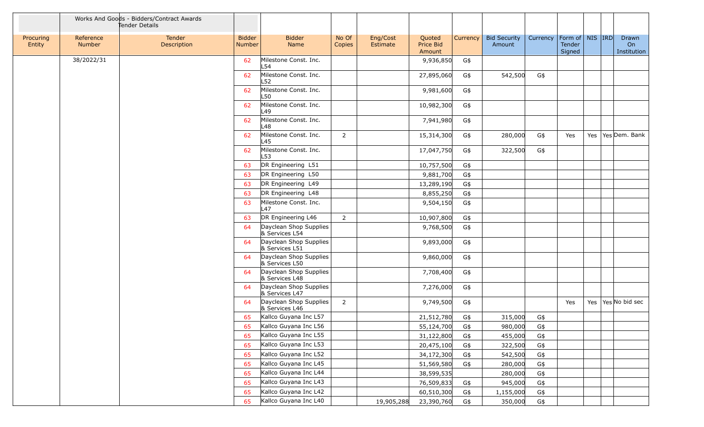|                     |                     | Works And Goods - Bidders/Contract Awards<br>Tender Details |                                |                                          |                 |                      |                               |          |                               |          |                                         |  |                                            |
|---------------------|---------------------|-------------------------------------------------------------|--------------------------------|------------------------------------------|-----------------|----------------------|-------------------------------|----------|-------------------------------|----------|-----------------------------------------|--|--------------------------------------------|
| Procuring<br>Entity | Reference<br>Number | <b>Tender</b><br><b>Description</b>                         | <b>Bidder</b><br><b>Number</b> | <b>Bidder</b><br>Name                    | No Of<br>Copies | Eng/Cost<br>Estimate | Quoted<br>Price Bid<br>Amount | Currency | <b>Bid Security</b><br>Amount | Currency | Form of   NIS   IRD<br>Tender<br>Signed |  | Drawn<br>On<br>Institution                 |
|                     | 38/2022/31          |                                                             | 62                             | Milestone Const. Inc.<br>L54             |                 |                      | 9,936,850                     | G\$      |                               |          |                                         |  |                                            |
|                     |                     |                                                             | 62                             | Milestone Const. Inc.<br>L52             |                 |                      | 27,895,060                    | G\$      | 542,500                       | G\$      |                                         |  |                                            |
|                     |                     |                                                             | 62                             | Milestone Const. Inc.<br>L50             |                 |                      | 9,981,600                     | G\$      |                               |          |                                         |  |                                            |
|                     |                     |                                                             | 62                             | Milestone Const. Inc.<br>L49             |                 |                      | 10,982,300                    | G\$      |                               |          |                                         |  |                                            |
|                     |                     |                                                             | 62                             | Milestone Const. Inc.<br>⊥48             |                 |                      | 7,941,980                     | G\$      |                               |          |                                         |  |                                            |
|                     |                     |                                                             | 62                             | Milestone Const. Inc.<br>L45             | $\overline{2}$  |                      | 15,314,300                    | G\$      | 280,000                       | G\$      | Yes                                     |  | Yes   Yes Dem. Bank                        |
|                     |                     |                                                             | 62                             | Milestone Const. Inc.<br>L53             |                 |                      | 17,047,750                    | G\$      | 322,500                       | G\$      |                                         |  |                                            |
|                     |                     |                                                             | 63                             | DR Engineering L51                       |                 |                      | 10,757,500                    | G\$      |                               |          |                                         |  |                                            |
|                     |                     |                                                             | 63                             | DR Engineering L50                       |                 |                      | 9,881,700                     | G\$      |                               |          |                                         |  |                                            |
|                     |                     |                                                             | 63                             | DR Engineering L49                       |                 |                      | 13,289,190                    | G\$      |                               |          |                                         |  |                                            |
|                     |                     |                                                             | 63                             | DR Engineering L48                       |                 |                      | 8,855,250                     | G\$      |                               |          |                                         |  |                                            |
|                     |                     |                                                             | 63                             | Milestone Const. Inc.<br>L47             |                 |                      | 9,504,150                     | G\$      |                               |          |                                         |  |                                            |
|                     |                     |                                                             | 63                             | DR Engineering L46                       | $\overline{2}$  |                      | 10,907,800                    | G\$      |                               |          |                                         |  |                                            |
|                     |                     |                                                             | 64                             | Dayclean Shop Supplies<br>& Services L54 |                 |                      | 9,768,500                     | G\$      |                               |          |                                         |  |                                            |
|                     |                     |                                                             | 64                             | Dayclean Shop Supplies<br>& Services L51 |                 |                      | 9,893,000                     | G\$      |                               |          |                                         |  |                                            |
|                     |                     |                                                             | 64                             | Dayclean Shop Supplies<br>& Services L50 |                 |                      | 9,860,000                     | G\$      |                               |          |                                         |  |                                            |
|                     |                     |                                                             | 64                             | Dayclean Shop Supplies<br>& Services L48 |                 |                      | 7,708,400                     | G\$      |                               |          |                                         |  |                                            |
|                     |                     |                                                             | 64                             | Dayclean Shop Supplies<br>& Services L47 |                 |                      | 7,276,000                     | G\$      |                               |          |                                         |  |                                            |
|                     |                     |                                                             | 64                             | Dayclean Shop Supplies<br>& Services L46 | 2               |                      | 9,749,500                     | G\$      |                               |          | Yes                                     |  | Yes $\left  \text{Yes} \right $ No bid sec |
|                     |                     |                                                             | 65                             | Kallco Guyana Inc L57                    |                 |                      | 21,512,780                    | G\$      | 315,000                       | G\$      |                                         |  |                                            |
|                     |                     |                                                             | 65                             | Kallco Guyana Inc L56                    |                 |                      | 55,124,700                    | G\$      | 980,000                       | G\$      |                                         |  |                                            |
|                     |                     |                                                             | 65                             | Kallco Guyana Inc L55                    |                 |                      | 31,122,800                    | G\$      | 455,000                       | G\$      |                                         |  |                                            |
|                     |                     |                                                             | 65                             | Kallco Guyana Inc L53                    |                 |                      | 20,475,100                    | G\$      | 322,500                       | G\$      |                                         |  |                                            |
|                     |                     |                                                             | 65                             | Kallco Guyana Inc L52                    |                 |                      | 34,172,300                    | G\$      | 542,500                       | G\$      |                                         |  |                                            |
|                     |                     |                                                             | 65                             | Kallco Guyana Inc L45                    |                 |                      | 51,569,580                    | G\$      | 280,000                       | G\$      |                                         |  |                                            |
|                     |                     |                                                             | 65                             | Kallco Guyana Inc L44                    |                 |                      | 38,599,535                    |          | 280,000                       | G\$      |                                         |  |                                            |
|                     |                     |                                                             | 65                             | Kallco Guyana Inc L43                    |                 |                      | 76,509,833                    | G\$      | 945,000                       | G\$      |                                         |  |                                            |
|                     |                     |                                                             | 65                             | Kallco Guyana Inc L42                    |                 |                      | 60,510,300                    | G\$      | 1,155,000                     | G\$      |                                         |  |                                            |
|                     |                     |                                                             | 65                             | Kallco Guyana Inc L40                    |                 | 19,905,288           | 23,390,760                    | G\$      | 350,000                       | G\$      |                                         |  |                                            |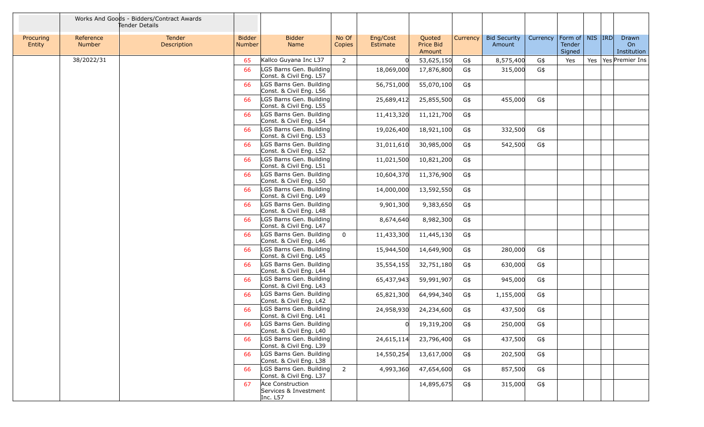|                     |                            | Works And Goods - Bidders/Contract Awards<br>Tender Details |                                |                                                       |                 |                      |                               |          |                               |          |                                         |  |                            |
|---------------------|----------------------------|-------------------------------------------------------------|--------------------------------|-------------------------------------------------------|-----------------|----------------------|-------------------------------|----------|-------------------------------|----------|-----------------------------------------|--|----------------------------|
| Procuring<br>Entity | Reference<br><b>Number</b> | Tender<br>Description                                       | <b>Bidder</b><br><b>Number</b> | <b>Bidder</b><br>Name                                 | No Of<br>Copies | Eng/Cost<br>Estimate | Quoted<br>Price Bid<br>Amount | Currency | <b>Bid Security</b><br>Amount | Currency | Form of   NIS   IRD<br>Tender<br>Signed |  | Drawn<br>On<br>Institution |
|                     | 38/2022/31                 |                                                             | 65                             | Kallco Guyana Inc L37                                 | $\overline{2}$  |                      | 53,625,150                    | G\$      | 8,575,400                     | G\$      | Yes                                     |  | Yes   Yes   Premier Ins    |
|                     |                            |                                                             | 66                             | LGS Barns Gen. Building<br>Const. & Civil Eng. L57    |                 | 18,069,000           | 17,876,800                    | G\$      | 315,000                       | G\$      |                                         |  |                            |
|                     |                            |                                                             | 66                             | LGS Barns Gen. Building<br>Const. & Civil Eng. L56    |                 | 56,751,000           | 55,070,100                    | G\$      |                               |          |                                         |  |                            |
|                     |                            |                                                             | 66                             | LGS Barns Gen. Building<br>Const. & Civil Eng. L55    |                 | 25,689,412           | 25,855,500                    | G\$      | 455,000                       | G\$      |                                         |  |                            |
|                     |                            |                                                             | 66                             | LGS Barns Gen. Building<br>Const. & Civil Eng. L54    |                 | 11,413,320           | 11,121,700                    | G\$      |                               |          |                                         |  |                            |
|                     |                            |                                                             | 66                             | LGS Barns Gen. Building<br>Const. & Civil Eng. L53    |                 | 19,026,400           | 18,921,100                    | G\$      | 332,500                       | G\$      |                                         |  |                            |
|                     |                            |                                                             | 66                             | LGS Barns Gen. Building<br>Const. & Civil Eng. L52    |                 | 31,011,610           | 30,985,000                    | G\$      | 542,500                       | G\$      |                                         |  |                            |
|                     |                            |                                                             | 66                             | LGS Barns Gen. Building<br>Const. & Civil Eng. L51    |                 | 11,021,500           | 10,821,200                    | G\$      |                               |          |                                         |  |                            |
|                     |                            |                                                             | 66                             | LGS Barns Gen. Building<br>Const. & Civil Eng. L50    |                 | 10,604,370           | 11,376,900                    | G\$      |                               |          |                                         |  |                            |
|                     |                            |                                                             | 66                             | LGS Barns Gen. Building<br>Const. & Civil Eng. L49    |                 | 14,000,000           | 13,592,550                    | G\$      |                               |          |                                         |  |                            |
|                     |                            |                                                             | 66                             | LGS Barns Gen. Building<br>Const. & Civil Eng. L48    |                 | 9,901,300            | 9,383,650                     | G\$      |                               |          |                                         |  |                            |
|                     |                            |                                                             | 66                             | LGS Barns Gen. Building<br>Const. & Civil Eng. L47    |                 | 8,674,640            | 8,982,300                     | G\$      |                               |          |                                         |  |                            |
|                     |                            |                                                             | 66                             | LGS Barns Gen. Building<br>Const. & Civil Eng. L46    | $\mathbf 0$     | 11,433,300           | 11,445,130                    | G\$      |                               |          |                                         |  |                            |
|                     |                            |                                                             | 66                             | LGS Barns Gen. Building<br>Const. & Civil Eng. L45    |                 | 15,944,500           | 14,649,900                    | G\$      | 280,000                       | G\$      |                                         |  |                            |
|                     |                            |                                                             | 66                             | LGS Barns Gen. Building<br>Const. & Civil Eng. L44    |                 | 35,554,155           | 32,751,180                    | G\$      | 630,000                       | G\$      |                                         |  |                            |
|                     |                            |                                                             | 66                             | LGS Barns Gen. Building<br>Const. & Civil Eng. L43    |                 | 65,437,943           | 59,991,907                    | G\$      | 945,000                       | G\$      |                                         |  |                            |
|                     |                            |                                                             | 66                             | LGS Barns Gen. Building<br>Const. & Civil Eng. L42    |                 | 65,821,300           | 64,994,340                    | G\$      | 1,155,000                     | G\$      |                                         |  |                            |
|                     |                            |                                                             | 66                             | LGS Barns Gen. Building<br>Const. & Civil Eng. L41    |                 | 24,958,930           | 24,234,600                    | G\$      | 437,500                       | G\$      |                                         |  |                            |
|                     |                            |                                                             | 66                             | LGS Barns Gen. Building<br>Const. & Civil Eng. L40    |                 |                      | 19,319,200                    | G\$      | 250,000                       | G\$      |                                         |  |                            |
|                     |                            |                                                             | 66                             | LGS Barns Gen. Building<br>Const. & Civil Eng. L39    |                 | 24,615,114           | 23,796,400                    | G\$      | 437,500                       | G\$      |                                         |  |                            |
|                     |                            |                                                             | 66                             | LGS Barns Gen. Building<br>Const. & Civil Eng. L38    |                 | 14,550,254           | 13,617,000                    | G\$      | 202,500                       | $G$ \$   |                                         |  |                            |
|                     |                            |                                                             | 66                             | LGS Barns Gen. Building<br>Const. & Civil Eng. L37    | $2^{\circ}$     | 4,993,360            | 47,654,600                    | G\$      | 857,500                       | G\$      |                                         |  |                            |
|                     |                            |                                                             | 67                             | Ace Construction<br>Services & Investment<br>Inc. L57 |                 |                      | 14,895,675                    | G\$      | 315,000                       | G\$      |                                         |  |                            |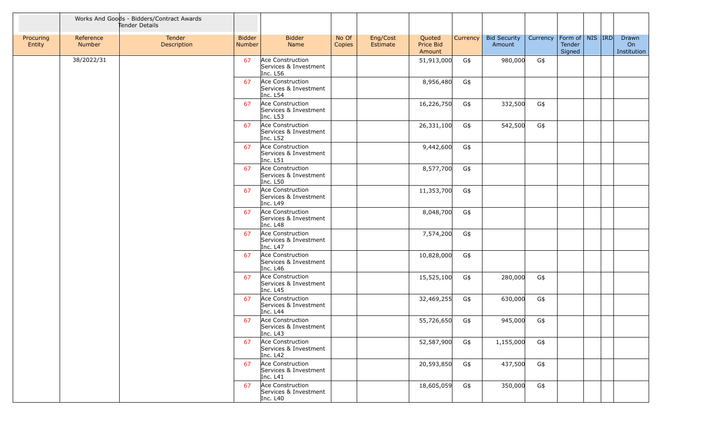|                     |                     | Works And Goods - Bidders/Contract Awards<br>Tender Details |                         |                                                         |                 |                      |                               |          |                               |          |                                          |  |                            |
|---------------------|---------------------|-------------------------------------------------------------|-------------------------|---------------------------------------------------------|-----------------|----------------------|-------------------------------|----------|-------------------------------|----------|------------------------------------------|--|----------------------------|
| Procuring<br>Entity | Reference<br>Number | Tender<br>Description                                       | <b>Bidder</b><br>Number | <b>Bidder</b><br>Name                                   | No Of<br>Copies | Eng/Cost<br>Estimate | Quoted<br>Price Bid<br>Amount | Currency | <b>Bid Security</b><br>Amount | Currency | Form of   NIS   IRD <br>Tender<br>Signed |  | Drawn<br>On<br>Institution |
|                     | 38/2022/31          |                                                             | 67                      | Ace Construction<br>Services & Investment<br>Inc. L56   |                 |                      | 51,913,000                    | G\$      | 980,000                       | G\$      |                                          |  |                            |
|                     |                     |                                                             | 67                      | Ace Construction<br>Services & Investment<br>Inc. L54   |                 |                      | 8,956,480                     | G\$      |                               |          |                                          |  |                            |
|                     |                     |                                                             | 67                      | Ace Construction<br>Services & Investment<br>Inc. L53   |                 |                      | 16,226,750                    | G\$      | 332,500                       | G\$      |                                          |  |                            |
|                     |                     |                                                             | 67                      | Ace Construction<br>Services & Investment<br>Inc. L52   |                 |                      | 26,331,100                    | G\$      | 542,500                       | G\$      |                                          |  |                            |
|                     |                     |                                                             | 67                      | Ace Construction<br>Services & Investment<br>Inc. L51   |                 |                      | 9,442,600                     | G\$      |                               |          |                                          |  |                            |
|                     |                     |                                                             | 67                      | Ace Construction<br>Services & Investment<br>Inc. L50   |                 |                      | 8,577,700                     | G\$      |                               |          |                                          |  |                            |
|                     |                     |                                                             | 67                      | Ace Construction<br>Services & Investment<br>Inc. L49   |                 |                      | 11,353,700                    | G\$      |                               |          |                                          |  |                            |
|                     |                     |                                                             | 67                      | Ace Construction<br>Services & Investment<br>Inc. L48   |                 |                      | 8,048,700                     | G\$      |                               |          |                                          |  |                            |
|                     |                     |                                                             | 67                      | Ace Construction<br>Services & Investment<br>Inc. L47   |                 |                      | 7,574,200                     | G\$      |                               |          |                                          |  |                            |
|                     |                     |                                                             | 67                      | Ace Construction<br>Services & Investment<br>Inc. L46   |                 |                      | 10,828,000                    | G\$      |                               |          |                                          |  |                            |
|                     |                     |                                                             | 67                      | Ace Construction<br>Services & Investment<br>Inc. L45   |                 |                      | 15,525,100                    | G\$      | 280,000                       | G\$      |                                          |  |                            |
|                     |                     |                                                             | 67                      | Ace Construction<br>Services & Investment<br>Inc. L44   |                 |                      | 32,469,255                    | G\$      | 630,000                       | G\$      |                                          |  |                            |
|                     |                     |                                                             | 67                      | Ace Construction<br>Services & Investment<br>Inc. $L43$ |                 |                      | 55,726,650                    | G\$      | 945,000                       | G\$      |                                          |  |                            |
|                     |                     |                                                             | 67                      | Ace Construction<br>Services & Investment<br>Inc. L42   |                 |                      | 52,587,900                    | G\$      | 1,155,000                     | G\$      |                                          |  |                            |
|                     |                     |                                                             | 67                      | Ace Construction<br>Services & Investment<br>Inc. L41   |                 |                      | 20,593,850                    | G\$      | 437,500                       | G\$      |                                          |  |                            |
|                     |                     |                                                             | 67                      | Ace Construction<br>Services & Investment<br>Inc. $L40$ |                 |                      | 18,605,059                    | G\$      | 350,000                       | G\$      |                                          |  |                            |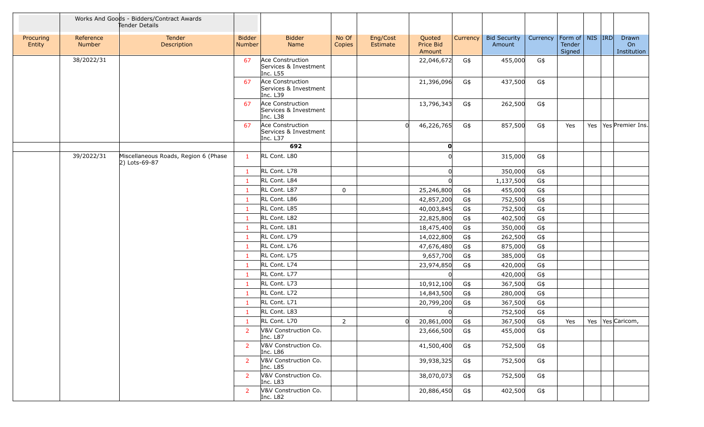|                     |                     | Works And Goods - Bidders/Contract Awards<br>Tender Details |                                |                                                       |                 |                      |                               |          |                               |          |                                         |  |                            |
|---------------------|---------------------|-------------------------------------------------------------|--------------------------------|-------------------------------------------------------|-----------------|----------------------|-------------------------------|----------|-------------------------------|----------|-----------------------------------------|--|----------------------------|
| Procuring<br>Entity | Reference<br>Number | Tender<br>Description                                       | <b>Bidder</b><br><b>Number</b> | <b>Bidder</b><br>Name                                 | No Of<br>Copies | Eng/Cost<br>Estimate | Quoted<br>Price Bid<br>Amount | Currency | <b>Bid Security</b><br>Amount | Currency | Form of   NIS   IRD<br>Tender<br>Signed |  | Drawn<br>On<br>Institution |
|                     | 38/2022/31          |                                                             | 67                             | Ace Construction<br>Services & Investment<br>Inc. L55 |                 |                      | 22,046,672                    | G\$      | 455,000                       | G\$      |                                         |  |                            |
|                     |                     |                                                             | 67                             | Ace Construction<br>Services & Investment<br>Inc. L39 |                 |                      | 21,396,096                    | G\$      | 437,500                       | G\$      |                                         |  |                            |
|                     |                     |                                                             | 67                             | Ace Construction<br>Services & Investment<br>Inc. L38 |                 |                      | 13,796,343                    | G\$      | 262,500                       | G\$      |                                         |  |                            |
|                     |                     |                                                             | 67                             | Ace Construction<br>Services & Investment<br>Inc. L37 |                 | $\Omega$             | 46,226,765                    | G\$      | 857,500                       | G\$      | Yes                                     |  | Yes   Yes   Premier Ins.   |
|                     |                     |                                                             |                                | 692                                                   |                 |                      | O                             |          |                               |          |                                         |  |                            |
|                     | 39/2022/31          | Miscellaneous Roads, Region 6 (Phase<br>2) Lots-69-87       | $\mathbf{1}$                   | RL Cont. L80                                          |                 |                      |                               |          | 315,000                       | G\$      |                                         |  |                            |
|                     |                     |                                                             | -1                             | RL Cont. L78                                          |                 |                      |                               |          | 350,000                       | G\$      |                                         |  |                            |
|                     |                     |                                                             | -1                             | RL Cont. L84                                          |                 |                      |                               |          | 1,137,500                     | G\$      |                                         |  |                            |
|                     |                     |                                                             | $\mathbf{1}$                   | RL Cont. L87                                          | $\mathbf 0$     |                      | 25,246,800                    | G\$      | 455,000                       | G\$      |                                         |  |                            |
|                     |                     |                                                             | $\mathbf{1}$                   | RL Cont. L86                                          |                 |                      | 42,857,200                    | G\$      | 752,500                       | G\$      |                                         |  |                            |
|                     |                     |                                                             | -1                             | RL Cont. L85                                          |                 |                      | 40,003,845                    | G\$      | 752,500                       | G\$      |                                         |  |                            |
|                     |                     |                                                             | $\mathbf{1}$                   | RL Cont. L82                                          |                 |                      | 22,825,800                    | G\$      | 402,500                       | G\$      |                                         |  |                            |
|                     |                     |                                                             | -1                             | RL Cont. L81                                          |                 |                      | 18,475,400                    | G\$      | 350,000                       | G\$      |                                         |  |                            |
|                     |                     |                                                             | $\mathbf{1}$                   | RL Cont. L79                                          |                 |                      | 14,022,800                    | G\$      | 262,500                       | $G\$     |                                         |  |                            |
|                     |                     |                                                             | -1                             | RL Cont. L76                                          |                 |                      | 47,676,480                    | G\$      | 875,000                       | G\$      |                                         |  |                            |
|                     |                     |                                                             | $\mathbf{1}$                   | RL Cont. L75                                          |                 |                      | 9,657,700                     | G\$      | 385,000                       | G\$      |                                         |  |                            |
|                     |                     |                                                             | -1                             | RL Cont. L74                                          |                 |                      | 23,974,850                    | G\$      | 420,000                       | G\$      |                                         |  |                            |
|                     |                     |                                                             | $\mathbf{1}$                   | RL Cont. L77                                          |                 |                      |                               |          | 420,000                       | G\$      |                                         |  |                            |
|                     |                     |                                                             | $\mathbf{1}$                   | RL Cont. L73                                          |                 |                      | 10,912,100                    | G\$      | 367,500                       | G\$      |                                         |  |                            |
|                     |                     |                                                             | -1                             | RL Cont. L72                                          |                 |                      | 14,843,500                    | G\$      | 280,000                       | G\$      |                                         |  |                            |
|                     |                     |                                                             | $\mathbf{1}$                   | RL Cont. L71                                          |                 |                      | 20,799,200                    | G\$      | 367,500                       | G\$      |                                         |  |                            |
|                     |                     |                                                             | -1                             | RL Cont. L83                                          |                 |                      |                               |          | 752,500                       | G\$      |                                         |  |                            |
|                     |                     |                                                             | -1                             | RL Cont. L70                                          | $\overline{2}$  | $\Omega$             | 20,861,000                    | G\$      | 367,500                       | G\$      | Yes                                     |  | Yes   Yes   Caricom,       |
|                     |                     |                                                             | <sup>2</sup>                   | V&V Construction Co.<br>Inc. L87                      |                 |                      | 23,666,500                    | G\$      | 455,000                       | G\$      |                                         |  |                            |
|                     |                     |                                                             | <sup>2</sup>                   | V&V Construction Co.<br>Inc. L86                      |                 |                      | 41,500,400                    | G\$      | 752,500                       | G\$      |                                         |  |                            |
|                     |                     |                                                             | $\overline{2}$                 | V&V Construction Co.<br>Inc. L85                      |                 |                      | 39,938,325                    | G\$      | 752,500                       | G\$      |                                         |  |                            |
|                     |                     |                                                             | 2                              | V&V Construction Co.<br>Inc. L83                      |                 |                      | 38,070,073                    | G\$      | 752,500                       | G\$      |                                         |  |                            |
|                     |                     |                                                             | 2                              | V&V Construction Co.<br>Inc. L82                      |                 |                      | 20,886,450                    | G\$      | 402,500                       | G\$      |                                         |  |                            |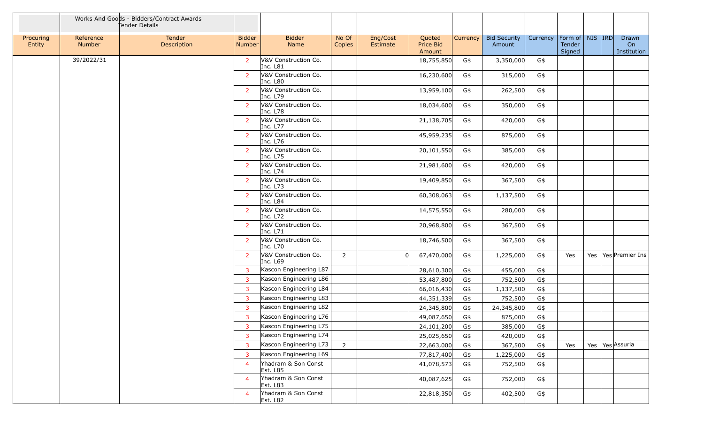|                     |                     | Works And Goods - Bidders/Contract Awards<br>Tender Details |                                |                                  |                 |                      |                               |          |                               |          |                                         |  |                            |
|---------------------|---------------------|-------------------------------------------------------------|--------------------------------|----------------------------------|-----------------|----------------------|-------------------------------|----------|-------------------------------|----------|-----------------------------------------|--|----------------------------|
| Procuring<br>Entity | Reference<br>Number | Tender<br>Description                                       | <b>Bidder</b><br><b>Number</b> | <b>Bidder</b><br>Name            | No Of<br>Copies | Eng/Cost<br>Estimate | Quoted<br>Price Bid<br>Amount | Currency | <b>Bid Security</b><br>Amount | Currency | Form of   NIS   IRD<br>Tender<br>Signed |  | Drawn<br>On<br>Institution |
|                     | 39/2022/31          |                                                             | 2                              | V&V Construction Co.<br>Inc. L81 |                 |                      | 18,755,850                    | G\$      | 3,350,000                     | G\$      |                                         |  |                            |
|                     |                     |                                                             | 2                              | V&V Construction Co.<br>Inc. L80 |                 |                      | 16,230,600                    | G\$      | 315,000                       | G\$      |                                         |  |                            |
|                     |                     |                                                             | 2                              | V&V Construction Co.<br>Inc. L79 |                 |                      | 13,959,100                    | G\$      | 262,500                       | G\$      |                                         |  |                            |
|                     |                     |                                                             | 2                              | V&V Construction Co.<br>Inc. L78 |                 |                      | 18,034,600                    | G\$      | 350,000                       | G\$      |                                         |  |                            |
|                     |                     |                                                             | 2                              | V&V Construction Co.<br>Inc. L77 |                 |                      | 21,138,705                    | G\$      | 420,000                       | G\$      |                                         |  |                            |
|                     |                     |                                                             | 2                              | V&V Construction Co.<br>Inc. L76 |                 |                      | 45,959,235                    | G\$      | 875,000                       | G\$      |                                         |  |                            |
|                     |                     |                                                             | 2                              | V&V Construction Co.<br>Inc. L75 |                 |                      | 20,101,550                    | G\$      | 385,000                       | G\$      |                                         |  |                            |
|                     |                     |                                                             | $\overline{2}$                 | V&V Construction Co.<br>Inc. L74 |                 |                      | 21,981,600                    | G\$      | 420,000                       | G\$      |                                         |  |                            |
|                     |                     |                                                             | 2                              | V&V Construction Co.<br>Inc. L73 |                 |                      | 19,409,850                    | G\$      | 367,500                       | G\$      |                                         |  |                            |
|                     |                     |                                                             | 2                              | V&V Construction Co.<br>Inc. L84 |                 |                      | 60,308,063                    | G\$      | 1,137,500                     | G\$      |                                         |  |                            |
|                     |                     |                                                             | 2                              | V&V Construction Co.<br>Inc. L72 |                 |                      | 14,575,550                    | G\$      | 280,000                       | G\$      |                                         |  |                            |
|                     |                     |                                                             | 2                              | V&V Construction Co.<br>Inc. L71 |                 |                      | 20,968,800                    | G\$      | 367,500                       | G\$      |                                         |  |                            |
|                     |                     |                                                             | 2                              | V&V Construction Co.<br>Inc. L70 |                 |                      | 18,746,500                    | G\$      | 367,500                       | G\$      |                                         |  |                            |
|                     |                     |                                                             | 2                              | V&V Construction Co.<br>Inc. L69 | $2^{\circ}$     | $\Omega$             | 67,470,000                    | G\$      | 1,225,000                     | G\$      | Yes                                     |  | Yes   Yes   Premier Ins    |
|                     |                     |                                                             | 3                              | Kascon Engineering L87           |                 |                      | 28,610,300                    | G\$      | 455,000                       | G\$      |                                         |  |                            |
|                     |                     |                                                             | $\overline{3}$                 | Kascon Engineering L86           |                 |                      | 53,487,800                    | G\$      | 752,500                       | G\$      |                                         |  |                            |
|                     |                     |                                                             | 3                              | Kascon Engineering L84           |                 |                      | 66,016,430                    | G\$      | 1,137,500                     | G\$      |                                         |  |                            |
|                     |                     |                                                             | $\overline{3}$                 | Kascon Engineering L83           |                 |                      | 44,351,339                    | G\$      | 752,500                       | G\$      |                                         |  |                            |
|                     |                     |                                                             | 3                              | Kascon Engineering L82           |                 |                      | 24,345,800                    | G\$      | 24,345,800                    | G\$      |                                         |  |                            |
|                     |                     |                                                             | 3                              | Kascon Engineering L76           |                 |                      | 49,087,650                    | G\$      | 875,000                       | G\$      |                                         |  |                            |
|                     |                     |                                                             | 3                              | Kascon Engineering L75           |                 |                      | 24,101,200                    | G\$      | 385,000                       | G\$      |                                         |  |                            |
|                     |                     |                                                             | 3                              | Kascon Engineering L74           |                 |                      | 25,025,650                    | G\$      | 420,000                       | G\$      |                                         |  |                            |
|                     |                     |                                                             | $\overline{3}$                 | Kascon Engineering L73           | $2^{\circ}$     |                      | 22,663,000                    | G\$      | 367,500                       | G\$      | Yes                                     |  | Yes Yes Assuria            |
|                     |                     |                                                             | 3                              | Kascon Engineering L69           |                 |                      | 77,817,400                    | G\$      | 1,225,000                     | G\$      |                                         |  |                            |
|                     |                     |                                                             | $\overline{4}$                 | Yhadram & Son Const<br>Est. L85  |                 |                      | 41,078,573                    | G\$      | 752,500                       | G\$      |                                         |  |                            |
|                     |                     |                                                             | $\overline{4}$                 | Yhadram & Son Const<br>Est. L83  |                 |                      | 40,087,625                    | G\$      | 752,000                       | G\$      |                                         |  |                            |
|                     |                     |                                                             | $\overline{4}$                 | Yhadram & Son Const<br>Est. L82  |                 |                      | 22,818,350                    | G\$      | 402,500                       | G\$      |                                         |  |                            |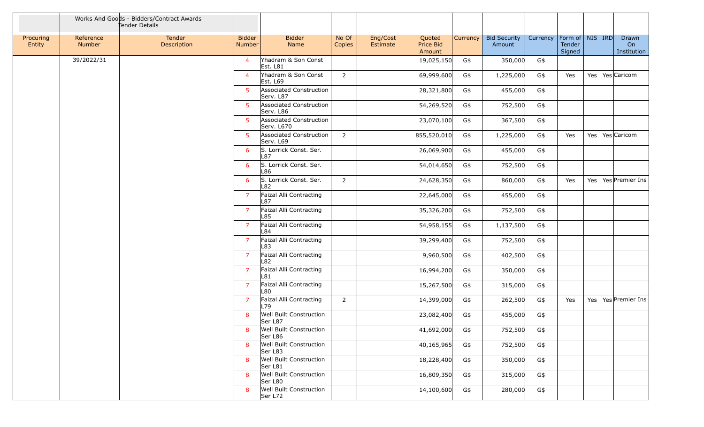|                     |                     | Works And Goods - Bidders/Contract Awards<br>Tender Details |                                |                                       |                 |                      |                               |          |                               |          |                                         |  |                            |
|---------------------|---------------------|-------------------------------------------------------------|--------------------------------|---------------------------------------|-----------------|----------------------|-------------------------------|----------|-------------------------------|----------|-----------------------------------------|--|----------------------------|
| Procuring<br>Entity | Reference<br>Number | Tender<br>Description                                       | <b>Bidder</b><br><b>Number</b> | <b>Bidder</b><br>Name                 | No Of<br>Copies | Eng/Cost<br>Estimate | Quoted<br>Price Bid<br>Amount | Currency | <b>Bid Security</b><br>Amount | Currency | Form of   NIS   IRD<br>Tender<br>Signed |  | Drawn<br>On<br>Institution |
|                     | 39/2022/31          |                                                             | $\overline{4}$                 | Yhadram & Son Const<br>Est. L81       |                 |                      | 19,025,150                    | G\$      | 350,000                       | G\$      |                                         |  |                            |
|                     |                     |                                                             | $\overline{4}$                 | Yhadram & Son Const<br>Est. L69       | $\overline{2}$  |                      | 69,999,600                    | G\$      | 1,225,000                     | G\$      | Yes                                     |  | Yes   Yes   Caricom        |
|                     |                     |                                                             | 5                              | Associated Construction<br>Serv. L87  |                 |                      | 28,321,800                    | G\$      | 455,000                       | G\$      |                                         |  |                            |
|                     |                     |                                                             | 5                              | Associated Construction<br>Serv. L86  |                 |                      | 54,269,520                    | G\$      | 752,500                       | G\$      |                                         |  |                            |
|                     |                     |                                                             | 5                              | Associated Construction<br>Serv. L670 |                 |                      | 23,070,100                    | G\$      | 367,500                       | G\$      |                                         |  |                            |
|                     |                     |                                                             | -5                             | Associated Construction<br>Serv. L69  | $\overline{2}$  |                      | 855,520,010                   | G\$      | 1,225,000                     | G\$      | Yes                                     |  | Yes   Yes   Caricom        |
|                     |                     |                                                             | 6                              | S. Lorrick Const. Ser.<br>L87         |                 |                      | 26,069,900                    | G\$      | 455,000                       | G\$      |                                         |  |                            |
|                     |                     |                                                             | 6                              | S. Lorrick Const. Ser.<br>L86         |                 |                      | 54,014,650                    | G\$      | 752,500                       | G\$      |                                         |  |                            |
|                     |                     |                                                             | 6                              | S. Lorrick Const. Ser.<br>L82         | $\overline{2}$  |                      | 24,628,350                    | G\$      | 860,000                       | G\$      | Yes                                     |  | Yes   Yes   Premier Ins    |
|                     |                     |                                                             | $\overline{7}$                 | Faizal Alli Contracting<br>L87        |                 |                      | 22,645,000                    | G\$      | 455,000                       | G\$      |                                         |  |                            |
|                     |                     |                                                             | $\overline{7}$                 | Faizal Alli Contracting<br>L85        |                 |                      | 35,326,200                    | G\$      | 752,500                       | G\$      |                                         |  |                            |
|                     |                     |                                                             | $\overline{7}$                 | Faizal Alli Contracting<br>L84        |                 |                      | 54,958,155                    | G\$      | 1,137,500                     | G\$      |                                         |  |                            |
|                     |                     |                                                             | $\overline{7}$                 | Faizal Alli Contracting<br>L83        |                 |                      | 39,299,400                    | G\$      | 752,500                       | G\$      |                                         |  |                            |
|                     |                     |                                                             | $\overline{7}$                 | Faizal Alli Contracting<br>L82        |                 |                      | 9,960,500                     | G\$      | 402,500                       | G\$      |                                         |  |                            |
|                     |                     |                                                             | $\overline{7}$                 | Faizal Alli Contracting<br>L81        |                 |                      | 16,994,200                    | G\$      | 350,000                       | G\$      |                                         |  |                            |
|                     |                     |                                                             | $\overline{7}$                 | Faizal Alli Contracting<br>L80        |                 |                      | 15,267,500                    | G\$      | 315,000                       | G\$      |                                         |  |                            |
|                     |                     |                                                             | $\overline{7}$                 | Faizal Alli Contracting<br>L79        | $\overline{2}$  |                      | 14,399,000                    | G\$      | 262,500                       | G\$      | Yes                                     |  | Yes   Yes   Premier Ins    |
|                     |                     |                                                             | 8                              | Well Built Construction<br>Ser L87    |                 |                      | 23,082,400                    | G\$      | 455,000                       | G\$      |                                         |  |                            |
|                     |                     |                                                             | 8                              | Well Built Construction<br>Ser L86    |                 |                      | 41,692,000                    | G\$      | 752,500                       | G\$      |                                         |  |                            |
|                     |                     |                                                             | 8                              | Well Built Construction<br>Ser L83    |                 |                      | 40,165,965                    | G\$      | 752,500                       | G\$      |                                         |  |                            |
|                     |                     |                                                             | 8                              | Well Built Construction<br>Ser L81    |                 |                      | 18,228,400                    | G\$      | 350,000                       | G\$      |                                         |  |                            |
|                     |                     |                                                             | 8                              | Well Built Construction<br>Ser L80    |                 |                      | 16,809,350                    | G\$      | 315,000                       | G\$      |                                         |  |                            |
|                     |                     |                                                             | 8                              | Well Built Construction<br>Ser L72    |                 |                      | 14,100,600                    | G\$      | 280,000                       | G\$      |                                         |  |                            |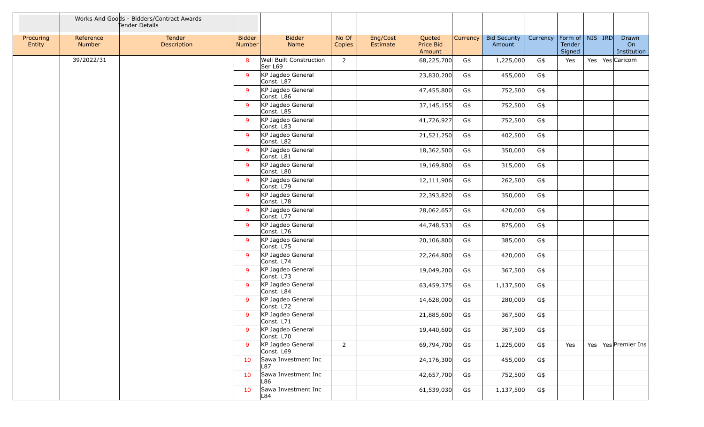|                     |                     | Works And Goods - Bidders/Contract Awards<br>Tender Details |                                |                                           |                 |                      |                               |          |                               |          |                                         |  |                            |
|---------------------|---------------------|-------------------------------------------------------------|--------------------------------|-------------------------------------------|-----------------|----------------------|-------------------------------|----------|-------------------------------|----------|-----------------------------------------|--|----------------------------|
| Procuring<br>Entity | Reference<br>Number | Tender<br>Description                                       | <b>Bidder</b><br><b>Number</b> | <b>Bidder</b><br>Name                     | No Of<br>Copies | Eng/Cost<br>Estimate | Quoted<br>Price Bid<br>Amount | Currency | <b>Bid Security</b><br>Amount | Currency | Form of   NIS  IRD <br>Tender<br>Signed |  | Drawn<br>On<br>Institution |
|                     | 39/2022/31          |                                                             | 8                              | <b>Well Built Construction</b><br>Ser L69 | $\overline{2}$  |                      | 68,225,700                    | G\$      | 1,225,000                     | G\$      | Yes                                     |  | Yes   Yes   Caricom        |
|                     |                     |                                                             | 9                              | KP Jagdeo General<br>Const. L87           |                 |                      | 23,830,200                    | G\$      | 455,000                       | G\$      |                                         |  |                            |
|                     |                     |                                                             | 9                              | KP Jagdeo General<br>Const. L86           |                 |                      | 47,455,800                    | G\$      | 752,500                       | G\$      |                                         |  |                            |
|                     |                     |                                                             | 9                              | KP Jagdeo General<br>Const. L85           |                 |                      | 37, 145, 155                  | G\$      | 752,500                       | G\$      |                                         |  |                            |
|                     |                     |                                                             | 9                              | KP Jagdeo General<br>Const. L83           |                 |                      | 41,726,927                    | G\$      | 752,500                       | G\$      |                                         |  |                            |
|                     |                     |                                                             | 9                              | KP Jagdeo General<br>Const. L82           |                 |                      | 21,521,250                    | G\$      | 402,500                       | G\$      |                                         |  |                            |
|                     |                     |                                                             | 9                              | KP Jagdeo General<br>Const. L81           |                 |                      | 18,362,500                    | G\$      | 350,000                       | G\$      |                                         |  |                            |
|                     |                     |                                                             | 9                              | KP Jagdeo General<br>Const. L80           |                 |                      | 19,169,800                    | G\$      | 315,000                       | G\$      |                                         |  |                            |
|                     |                     |                                                             | 9                              | KP Jagdeo General<br>Const. L79           |                 |                      | 12,111,906                    | G\$      | 262,500                       | G\$      |                                         |  |                            |
|                     |                     |                                                             | 9                              | KP Jagdeo General<br>Const. L78           |                 |                      | 22,393,820                    | G\$      | 350,000                       | G\$      |                                         |  |                            |
|                     |                     |                                                             | 9                              | KP Jagdeo General<br>Const. L77           |                 |                      | 28,062,657                    | G\$      | 420,000                       | G\$      |                                         |  |                            |
|                     |                     |                                                             | 9                              | KP Jagdeo General<br>Const. L76           |                 |                      | 44,748,533                    | G\$      | 875,000                       | G\$      |                                         |  |                            |
|                     |                     |                                                             | 9                              | KP Jagdeo General<br>Const. L75           |                 |                      | 20,106,800                    | G\$      | 385,000                       | G\$      |                                         |  |                            |
|                     |                     |                                                             | 9                              | KP Jagdeo General<br>Const. L74           |                 |                      | 22,264,800                    | G\$      | 420,000                       | G\$      |                                         |  |                            |
|                     |                     |                                                             | 9                              | KP Jagdeo General<br>Const. L73           |                 |                      | 19,049,200                    | G\$      | 367,500                       | G\$      |                                         |  |                            |
|                     |                     |                                                             | 9                              | KP Jagdeo General<br>Const. L84           |                 |                      | 63,459,375                    | G\$      | 1,137,500                     | G\$      |                                         |  |                            |
|                     |                     |                                                             | 9                              | KP Jagdeo General<br>Const. L72           |                 |                      | 14,628,000                    | G\$      | 280,000                       | G\$      |                                         |  |                            |
|                     |                     |                                                             | 9                              | KP Jagdeo General<br>Const. L71           |                 |                      | 21,885,600                    | G\$      | 367,500                       | G\$      |                                         |  |                            |
|                     |                     |                                                             | 9                              | KP Jagdeo General<br>Const. L70           |                 |                      | 19,440,600                    | G\$      | 367,500                       | G\$      |                                         |  |                            |
|                     |                     |                                                             | 9                              | KP Jagdeo General<br>Const. L69           | $\overline{2}$  |                      | 69,794,700                    | G\$      | 1,225,000                     | G\$      | Yes                                     |  | Yes   Yes   Premier Ins    |
|                     |                     |                                                             | 10                             | Sawa Investment Inc<br>L87                |                 |                      | 24,176,300                    | G\$      | 455,000                       | G\$      |                                         |  |                            |
|                     |                     |                                                             | 10                             | Sawa Investment Inc<br>L86                |                 |                      | 42,657,700                    | G\$      | 752,500                       | G\$      |                                         |  |                            |
|                     |                     |                                                             | 10                             | Sawa Investment Inc<br>L84                |                 |                      | 61,539,030                    | G\$      | 1,137,500                     | G\$      |                                         |  |                            |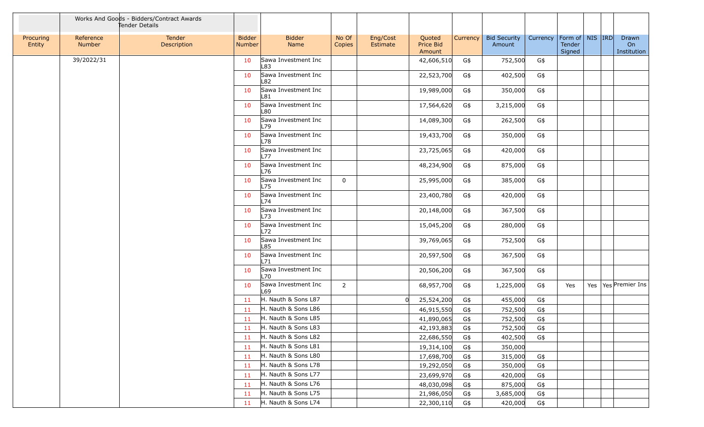|                     |                     | Works And Goods - Bidders/Contract Awards<br>Tender Details |                                |                            |                 |                      |                               |          |                               |          |                                         |  |                            |
|---------------------|---------------------|-------------------------------------------------------------|--------------------------------|----------------------------|-----------------|----------------------|-------------------------------|----------|-------------------------------|----------|-----------------------------------------|--|----------------------------|
| Procuring<br>Entity | Reference<br>Number | Tender<br>Description                                       | <b>Bidder</b><br><b>Number</b> | <b>Bidder</b><br>Name      | No Of<br>Copies | Eng/Cost<br>Estimate | Quoted<br>Price Bid<br>Amount | Currency | <b>Bid Security</b><br>Amount | Currency | Form of   NIS   IRD<br>Tender<br>Signed |  | Drawn<br>On<br>Institution |
|                     | 39/2022/31          |                                                             | 10                             | Sawa Investment Inc<br>L83 |                 |                      | 42,606,510                    | G\$      | 752,500                       | G\$      |                                         |  |                            |
|                     |                     |                                                             | 10                             | Sawa Investment Inc<br>L82 |                 |                      | 22,523,700                    | G\$      | 402,500                       | G\$      |                                         |  |                            |
|                     |                     |                                                             | 10                             | Sawa Investment Inc<br>L81 |                 |                      | 19,989,000                    | G\$      | 350,000                       | G\$      |                                         |  |                            |
|                     |                     |                                                             | 10                             | Sawa Investment Inc<br>L80 |                 |                      | 17,564,620                    | G\$      | 3,215,000                     | G\$      |                                         |  |                            |
|                     |                     |                                                             | 10                             | Sawa Investment Inc<br>L79 |                 |                      | 14,089,300                    | G\$      | 262,500                       | G\$      |                                         |  |                            |
|                     |                     |                                                             | 10                             | Sawa Investment Inc<br>L78 |                 |                      | 19,433,700                    | G\$      | 350,000                       | G\$      |                                         |  |                            |
|                     |                     |                                                             | 10                             | Sawa Investment Inc<br>L77 |                 |                      | 23,725,065                    | G\$      | 420,000                       | G\$      |                                         |  |                            |
|                     |                     |                                                             | 10                             | Sawa Investment Inc<br>L76 |                 |                      | 48,234,900                    | G\$      | 875,000                       | G\$      |                                         |  |                            |
|                     |                     |                                                             | 10                             | Sawa Investment Inc<br>L75 | $\mathbf 0$     |                      | 25,995,000                    | G\$      | 385,000                       | G\$      |                                         |  |                            |
|                     |                     |                                                             | 10                             | Sawa Investment Inc<br>L74 |                 |                      | 23,400,780                    | G\$      | 420,000                       | G\$      |                                         |  |                            |
|                     |                     |                                                             | 10                             | Sawa Investment Inc<br>L73 |                 |                      | 20,148,000                    | G\$      | 367,500                       | G\$      |                                         |  |                            |
|                     |                     |                                                             | 10                             | Sawa Investment Inc<br>L72 |                 |                      | 15,045,200                    | G\$      | 280,000                       | G\$      |                                         |  |                            |
|                     |                     |                                                             | 10                             | Sawa Investment Inc<br>L85 |                 |                      | 39,769,065                    | G\$      | 752,500                       | G\$      |                                         |  |                            |
|                     |                     |                                                             | 10                             | Sawa Investment Inc<br>L71 |                 |                      | 20,597,500                    | G\$      | 367,500                       | G\$      |                                         |  |                            |
|                     |                     |                                                             | 10                             | Sawa Investment Inc<br>L70 |                 |                      | 20,506,200                    | G\$      | 367,500                       | G\$      |                                         |  |                            |
|                     |                     |                                                             | 10                             | Sawa Investment Inc<br>L69 | $\overline{2}$  |                      | 68,957,700                    | G\$      | 1,225,000                     | G\$      | Yes                                     |  | Yes   Yes   Premier Ins    |
|                     |                     |                                                             | 11                             | H. Nauth & Sons L87        |                 | 0l                   | 25,524,200                    | G\$      | 455,000                       | G\$      |                                         |  |                            |
|                     |                     |                                                             | 11                             | H. Nauth & Sons L86        |                 |                      | 46,915,550                    | G\$      | 752,500                       | G\$      |                                         |  |                            |
|                     |                     |                                                             | 11                             | H. Nauth & Sons L85        |                 |                      | 41,890,065                    | G\$      | 752,500                       | G\$      |                                         |  |                            |
|                     |                     |                                                             | 11                             | H. Nauth & Sons L83        |                 |                      | 42,193,883                    | G\$      | 752,500                       | G\$      |                                         |  |                            |
|                     |                     |                                                             | 11                             | H. Nauth & Sons L82        |                 |                      | 22,686,550                    | G\$      | 402,500                       | G\$      |                                         |  |                            |
|                     |                     |                                                             | 11                             | H. Nauth & Sons L81        |                 |                      | 19,314,100                    | G\$      | 350,000                       |          |                                         |  |                            |
|                     |                     |                                                             | 11                             | H. Nauth & Sons L80        |                 |                      | 17,698,700                    | G\$      | 315,000                       | G\$      |                                         |  |                            |
|                     |                     |                                                             | 11                             | H. Nauth & Sons L78        |                 |                      | 19,292,050                    | G\$      | 350,000                       | G\$      |                                         |  |                            |
|                     |                     |                                                             | 11                             | H. Nauth & Sons L77        |                 |                      | 23,699,970                    | G\$      | 420,000                       | G\$      |                                         |  |                            |
|                     |                     |                                                             | 11                             | H. Nauth & Sons L76        |                 |                      | 48,030,098                    | G\$      | 875,000                       | G\$      |                                         |  |                            |
|                     |                     |                                                             | 11                             | H. Nauth & Sons L75        |                 |                      | 21,986,050                    | G\$      | 3,685,000                     | G\$      |                                         |  |                            |
|                     |                     |                                                             | 11                             | H. Nauth & Sons L74        |                 |                      | 22,300,110                    | G\$      | 420,000                       | G\$      |                                         |  |                            |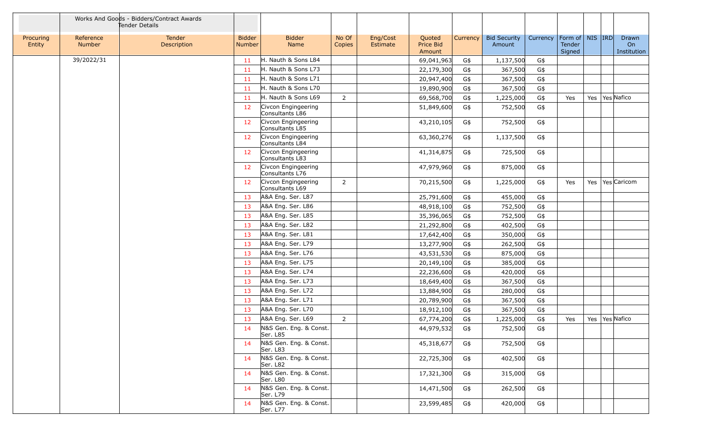|                     |                     | Works And Goods - Bidders/Contract Awards<br>Tender Details |                         |                                        |                 |                      |                               |                 |                               |          |                                         |  |                            |
|---------------------|---------------------|-------------------------------------------------------------|-------------------------|----------------------------------------|-----------------|----------------------|-------------------------------|-----------------|-------------------------------|----------|-----------------------------------------|--|----------------------------|
| Procuring<br>Entity | Reference<br>Number | Tender<br>Description                                       | <b>Bidder</b><br>Number | <b>Bidder</b><br>Name                  | No Of<br>Copies | Eng/Cost<br>Estimate | Quoted<br>Price Bid<br>Amount | <b>Currency</b> | <b>Bid Security</b><br>Amount | Currency | Form of   NIS   IRD<br>Tender<br>Signed |  | Drawn<br>On<br>Institution |
|                     | 39/2022/31          |                                                             | 11                      | H. Nauth & Sons L84                    |                 |                      | 69,041,963                    | G\$             | 1,137,500                     | G\$      |                                         |  |                            |
|                     |                     |                                                             | 11                      | H. Nauth & Sons L73                    |                 |                      | 22,179,300                    | G\$             | 367,500                       | G\$      |                                         |  |                            |
|                     |                     |                                                             | 11                      | H. Nauth & Sons L71                    |                 |                      | 20,947,400                    | G\$             | 367,500                       | G\$      |                                         |  |                            |
|                     |                     |                                                             | 11                      | H. Nauth & Sons L70                    |                 |                      | 19,890,900                    | G\$             | 367,500                       | G\$      |                                         |  |                            |
|                     |                     |                                                             | 11                      | H. Nauth & Sons L69                    | $\overline{2}$  |                      | 69,568,700                    | G\$             | 1,225,000                     | $G\$     | Yes                                     |  | Yes   Yes Nafico           |
|                     |                     |                                                             | 12                      | Civcon Engingeering<br>Consultants L86 |                 |                      | 51,849,600                    | G\$             | 752,500                       | G\$      |                                         |  |                            |
|                     |                     |                                                             | 12                      | Civcon Engingeering<br>Consultants L85 |                 |                      | 43,210,105                    | G\$             | 752,500                       | G\$      |                                         |  |                            |
|                     |                     |                                                             | 12                      | Civcon Engingeering<br>Consultants L84 |                 |                      | 63,360,276                    | G\$             | 1,137,500                     | G\$      |                                         |  |                            |
|                     |                     |                                                             | 12                      | Civcon Engingeering<br>Consultants L83 |                 |                      | 41,314,875                    | G\$             | 725,500                       | G\$      |                                         |  |                            |
|                     |                     |                                                             | 12                      | Civcon Engingeering<br>Consultants L76 |                 |                      | 47,979,960                    | G\$             | 875,000                       | G\$      |                                         |  |                            |
|                     |                     |                                                             | 12                      | Civcon Engingeering<br>Consultants L69 | $\overline{2}$  |                      | 70,215,500                    | G\$             | 1,225,000                     | G\$      | Yes                                     |  | Yes   Yes   Caricom        |
|                     |                     |                                                             | 13                      | A&A Eng. Ser. L87                      |                 |                      | 25,791,600                    | G\$             | 455,000                       | G\$      |                                         |  |                            |
|                     |                     |                                                             | 13                      | A&A Eng. Ser. L86                      |                 |                      | 48,918,100                    | G\$             | 752,500                       | $G\$     |                                         |  |                            |
|                     |                     |                                                             | 13                      | A&A Eng. Ser. L85                      |                 |                      | 35,396,065                    | G\$             | 752,500                       | G\$      |                                         |  |                            |
|                     |                     |                                                             | 13                      | A&A Eng. Ser. L82                      |                 |                      | 21,292,800                    | G\$             | 402,500                       | G\$      |                                         |  |                            |
|                     |                     |                                                             | 13                      | A&A Eng. Ser. L81                      |                 |                      | 17,642,400                    | G\$             | 350,000                       | G\$      |                                         |  |                            |
|                     |                     |                                                             | 13                      | A&A Eng. Ser. L79                      |                 |                      | 13,277,900                    | G\$             | 262,500                       | $G\$     |                                         |  |                            |
|                     |                     |                                                             | 13                      | A&A Eng. Ser. L76                      |                 |                      | 43,531,530                    | G\$             | 875,000                       | $G\$     |                                         |  |                            |
|                     |                     |                                                             | 13                      | A&A Eng. Ser. L75                      |                 |                      | 20,149,100                    | G\$             | 385,000                       | G\$      |                                         |  |                            |
|                     |                     |                                                             | 13                      | A&A Eng. Ser. L74                      |                 |                      | 22,236,600                    | G\$             | 420,000                       | G\$      |                                         |  |                            |
|                     |                     |                                                             | 13                      | A&A Eng. Ser. L73                      |                 |                      | 18,649,400                    | G\$             | 367,500                       | $G\$     |                                         |  |                            |
|                     |                     |                                                             | 13                      | A&A Eng. Ser. L72                      |                 |                      | 13,884,900                    | G\$             | 280,000                       | G\$      |                                         |  |                            |
|                     |                     |                                                             | 13                      | A&A Eng. Ser. L71                      |                 |                      | 20,789,900                    | G\$             | 367,500                       | G\$      |                                         |  |                            |
|                     |                     |                                                             | 13                      | A&A Eng. Ser. L70                      |                 |                      | 18,912,100                    | G\$             | 367,500                       | G\$      |                                         |  |                            |
|                     |                     |                                                             | 13                      | A&A Eng. Ser. L69                      | $\overline{2}$  |                      | 67,774,200                    | G\$             | 1,225,000                     | G\$      | Yes                                     |  | Yes   Yes   Nafico         |
|                     |                     |                                                             | 14                      | N&S Gen. Eng. & Const.<br>Ser. L85     |                 |                      | 44,979,532                    | G\$             | 752,500                       | G\$      |                                         |  |                            |
|                     |                     |                                                             | 14                      | N&S Gen. Eng. & Const.<br>Ser. L83     |                 |                      | 45,318,677                    | G\$             | 752,500                       | G\$      |                                         |  |                            |
|                     |                     |                                                             | 14                      | N&S Gen. Eng. & Const.<br>Ser. L82     |                 |                      | 22,725,300                    | G\$             | 402,500                       | G\$      |                                         |  |                            |
|                     |                     |                                                             | 14                      | N&S Gen. Eng. & Const.<br>Ser. L80     |                 |                      | 17,321,300                    | G\$             | 315,000                       | G\$      |                                         |  |                            |
|                     |                     |                                                             | 14                      | N&S Gen. Eng. & Const.<br>Ser. L79     |                 |                      | 14,471,500                    | G\$             | 262,500                       | G\$      |                                         |  |                            |
|                     |                     |                                                             | 14                      | N&S Gen. Eng. & Const.<br>Ser. L77     |                 |                      | 23,599,485                    | G\$             | 420,000                       | G\$      |                                         |  |                            |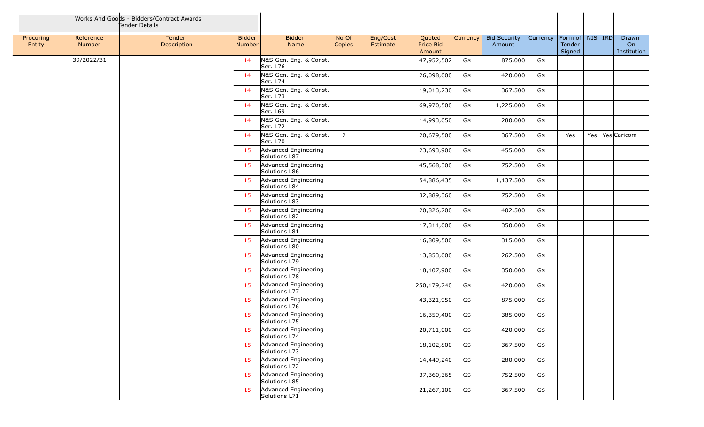|                     |                            | Works And Goods - Bidders/Contract Awards<br>Tender Details |                                |                                       |                 |                      |                                      |          |                               |          |                                         |  |                            |
|---------------------|----------------------------|-------------------------------------------------------------|--------------------------------|---------------------------------------|-----------------|----------------------|--------------------------------------|----------|-------------------------------|----------|-----------------------------------------|--|----------------------------|
| Procuring<br>Entity | Reference<br><b>Number</b> | Tender<br>Description                                       | <b>Bidder</b><br><b>Number</b> | <b>Bidder</b><br><b>Name</b>          | No Of<br>Copies | Eng/Cost<br>Estimate | Quoted<br><b>Price Bid</b><br>Amount | Currency | <b>Bid Security</b><br>Amount | Currency | Form of   NIS   IRD<br>Tender<br>Signed |  | Drawn<br>On<br>Institution |
|                     | 39/2022/31                 |                                                             | 14                             | N&S Gen. Eng. & Const.<br>Ser. L76    |                 |                      | 47,952,502                           | G\$      | 875,000                       | G\$      |                                         |  |                            |
|                     |                            |                                                             | 14                             | N&S Gen. Eng. & Const.<br>Ser. L74    |                 |                      | 26,098,000                           | G\$      | 420,000                       | G\$      |                                         |  |                            |
|                     |                            |                                                             | 14                             | N&S Gen. Eng. & Const.<br>Ser. L73    |                 |                      | 19,013,230                           | G\$      | 367,500                       | G\$      |                                         |  |                            |
|                     |                            |                                                             | 14                             | N&S Gen. Eng. & Const.<br>Ser. L69    |                 |                      | 69,970,500                           | G\$      | 1,225,000                     | G\$      |                                         |  |                            |
|                     |                            |                                                             | 14                             | N&S Gen. Eng. & Const.<br>Ser. L72    |                 |                      | 14,993,050                           | G\$      | 280,000                       | G\$      |                                         |  |                            |
|                     |                            |                                                             | 14                             | N&S Gen. Eng. & Const.<br>Ser. L70    | $\overline{2}$  |                      | 20,679,500                           | G\$      | 367,500                       | G\$      | Yes                                     |  | Yes   Yes Caricom          |
|                     |                            |                                                             | 15                             | Advanced Engineering<br>Solutions L87 |                 |                      | 23,693,900                           | G\$      | 455,000                       | G\$      |                                         |  |                            |
|                     |                            |                                                             | 15                             | Advanced Engineering<br>Solutions L86 |                 |                      | 45,568,300                           | G\$      | 752,500                       | G\$      |                                         |  |                            |
|                     |                            |                                                             | 15                             | Advanced Engineering<br>Solutions L84 |                 |                      | 54,886,435                           | G\$      | 1,137,500                     | G\$      |                                         |  |                            |
|                     |                            |                                                             | 15                             | Advanced Engineering<br>Solutions L83 |                 |                      | 32,889,360                           | G\$      | 752,500                       | G\$      |                                         |  |                            |
|                     |                            |                                                             | 15                             | Advanced Engineering<br>Solutions L82 |                 |                      | 20,826,700                           | G\$      | 402,500                       | G\$      |                                         |  |                            |
|                     |                            |                                                             | 15                             | Advanced Engineering<br>Solutions L81 |                 |                      | 17,311,000                           | G\$      | 350,000                       | G\$      |                                         |  |                            |
|                     |                            |                                                             | 15                             | Advanced Engineering<br>Solutions L80 |                 |                      | 16,809,500                           | G\$      | 315,000                       | G\$      |                                         |  |                            |
|                     |                            |                                                             | 15                             | Advanced Engineering<br>Solutions L79 |                 |                      | 13,853,000                           | G\$      | 262,500                       | G\$      |                                         |  |                            |
|                     |                            |                                                             | 15                             | Advanced Engineering<br>Solutions L78 |                 |                      | 18,107,900                           | G\$      | 350,000                       | G\$      |                                         |  |                            |
|                     |                            |                                                             | 15                             | Advanced Engineering<br>Solutions L77 |                 |                      | 250,179,740                          | G\$      | 420,000                       | G\$      |                                         |  |                            |
|                     |                            |                                                             | 15                             | Advanced Engineering<br>Solutions L76 |                 |                      | 43,321,950                           | G\$      | 875,000                       | G\$      |                                         |  |                            |
|                     |                            |                                                             | 15                             | Advanced Engineering<br>Solutions L75 |                 |                      | 16,359,400                           | G\$      | 385,000                       | G\$      |                                         |  |                            |
|                     |                            |                                                             | 15                             | Advanced Engineering<br>Solutions L74 |                 |                      | 20,711,000                           | G\$      | 420,000                       | G\$      |                                         |  |                            |
|                     |                            |                                                             | 15                             | Advanced Engineering<br>Solutions L73 |                 |                      | 18,102,800                           | G\$      | 367,500                       | G\$      |                                         |  |                            |
|                     |                            |                                                             | 15                             | Advanced Engineering<br>Solutions L72 |                 |                      | 14,449,240                           | G\$      | 280,000                       | G\$      |                                         |  |                            |
|                     |                            |                                                             | 15                             | Advanced Engineering<br>Solutions L85 |                 |                      | 37,360,365                           | G\$      | 752,500                       | G\$      |                                         |  |                            |
|                     |                            |                                                             | 15                             | Advanced Engineering<br>Solutions L71 |                 |                      | 21,267,100                           | G\$      | 367,500                       | G\$      |                                         |  |                            |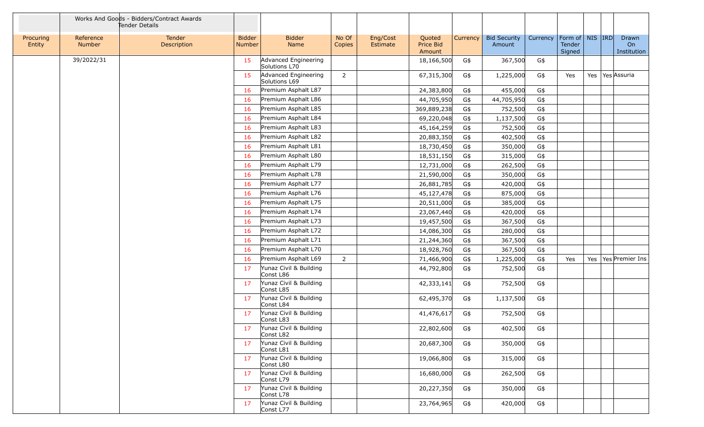|                     |                     | Works And Goods - Bidders/Contract Awards<br>Tender Details |                                |                                       |                 |                      |                               |          |                               |          |                                         |  |                            |
|---------------------|---------------------|-------------------------------------------------------------|--------------------------------|---------------------------------------|-----------------|----------------------|-------------------------------|----------|-------------------------------|----------|-----------------------------------------|--|----------------------------|
| Procuring<br>Entity | Reference<br>Number | Tender<br>Description                                       | <b>Bidder</b><br><b>Number</b> | <b>Bidder</b><br>Name                 | No Of<br>Copies | Eng/Cost<br>Estimate | Quoted<br>Price Bid<br>Amount | Currency | <b>Bid Security</b><br>Amount | Currency | Form of   NIS   IRD<br>Tender<br>Signed |  | Drawn<br>On<br>Institution |
|                     | 39/2022/31          |                                                             | 15                             | Advanced Engineering<br>Solutions L70 |                 |                      | 18,166,500                    | G\$      | 367,500                       | G\$      |                                         |  |                            |
|                     |                     |                                                             | 15                             | Advanced Engineering<br>Solutions L69 | $\overline{2}$  |                      | 67,315,300                    | G\$      | 1,225,000                     | G\$      | Yes                                     |  | Yes   Yes   Assuria        |
|                     |                     |                                                             | 16                             | Premium Asphalt L87                   |                 |                      | 24,383,800                    | G\$      | 455,000                       | G\$      |                                         |  |                            |
|                     |                     |                                                             | 16                             | Premium Asphalt L86                   |                 |                      | 44,705,950                    | G\$      | 44,705,950                    | G\$      |                                         |  |                            |
|                     |                     |                                                             | 16                             | Premium Asphalt L85                   |                 |                      | 369,889,238                   | G\$      | 752,500                       | G\$      |                                         |  |                            |
|                     |                     |                                                             | 16                             | Premium Asphalt L84                   |                 |                      | 69,220,048                    | G\$      | 1,137,500                     | G\$      |                                         |  |                            |
|                     |                     |                                                             | 16                             | Premium Asphalt L83                   |                 |                      | 45,164,259                    | G\$      | 752,500                       | G\$      |                                         |  |                            |
|                     |                     |                                                             | 16                             | Premium Asphalt L82                   |                 |                      | 20,883,350                    | G\$      | 402,500                       | G\$      |                                         |  |                            |
|                     |                     |                                                             | 16                             | Premium Asphalt L81                   |                 |                      | 18,730,450                    | G\$      | 350,000                       | G\$      |                                         |  |                            |
|                     |                     |                                                             | 16                             | Premium Asphalt L80                   |                 |                      | 18,531,150                    | G\$      | 315,000                       | G\$      |                                         |  |                            |
|                     |                     |                                                             | 16                             | Premium Asphalt L79                   |                 |                      | 12,731,000                    | G\$      | 262,500                       | G\$      |                                         |  |                            |
|                     |                     |                                                             | 16                             | Premium Asphalt L78                   |                 |                      | 21,590,000                    | G\$      | 350,000                       | G\$      |                                         |  |                            |
|                     |                     |                                                             | 16                             | Premium Asphalt L77                   |                 |                      | 26,881,785                    | G\$      | 420,000                       | G\$      |                                         |  |                            |
|                     |                     |                                                             | 16                             | Premium Asphalt L76                   |                 |                      | 45,127,478                    | G\$      | 875,000                       | G\$      |                                         |  |                            |
|                     |                     |                                                             | 16                             | Premium Asphalt L75                   |                 |                      | 20,511,000                    | G\$      | 385,000                       | G\$      |                                         |  |                            |
|                     |                     |                                                             | 16                             | Premium Asphalt L74                   |                 |                      | 23,067,440                    | G\$      | 420,000                       | G\$      |                                         |  |                            |
|                     |                     |                                                             | 16                             | Premium Asphalt L73                   |                 |                      | 19,457,500                    | G\$      | 367,500                       | G\$      |                                         |  |                            |
|                     |                     |                                                             | 16                             | Premium Asphalt L72                   |                 |                      | 14,086,300                    | G\$      | 280,000                       | G\$      |                                         |  |                            |
|                     |                     |                                                             | 16                             | Premium Asphalt L71                   |                 |                      | 21,244,360                    | G\$      | 367,500                       | G\$      |                                         |  |                            |
|                     |                     |                                                             | 16                             | Premium Asphalt L70                   |                 |                      | 18,928,760                    | G\$      | 367,500                       | G\$      |                                         |  |                            |
|                     |                     |                                                             | 16                             | Premium Asphalt L69                   | $\overline{2}$  |                      | 71,466,900                    | G\$      | 1,225,000                     | G\$      | Yes                                     |  | Yes   Yes   Premier Ins    |
|                     |                     |                                                             | 17                             | Yunaz Civil & Building<br>Const L86   |                 |                      | 44,792,800                    | G\$      | 752,500                       | G\$      |                                         |  |                            |
|                     |                     |                                                             | 17                             | Yunaz Civil & Building<br>Const L85   |                 |                      | 42,333,141                    | G\$      | 752,500                       | G\$      |                                         |  |                            |
|                     |                     |                                                             | 17                             | Yunaz Civil & Building<br>Const L84   |                 |                      | 62,495,370                    | G\$      | 1,137,500                     | G\$      |                                         |  |                            |
|                     |                     |                                                             | 17                             | Yunaz Civil & Building<br>Const L83   |                 |                      | 41,476,617                    | G\$      | 752,500                       | G\$      |                                         |  |                            |
|                     |                     |                                                             | 17                             | Yunaz Civil & Building<br>Const L82   |                 |                      | 22,802,600                    | G\$      | 402,500                       | G\$      |                                         |  |                            |
|                     |                     |                                                             | 17                             | Yunaz Civil & Building<br>Const L81   |                 |                      | 20,687,300                    | G\$      | 350,000                       | G\$      |                                         |  |                            |
|                     |                     |                                                             | 17                             | Yunaz Civil & Building<br>Const L80   |                 |                      | 19,066,800                    | G\$      | 315,000                       | G\$      |                                         |  |                            |
|                     |                     |                                                             | 17                             | Yunaz Civil & Building<br>Const L79   |                 |                      | 16,680,000                    | G\$      | 262,500                       | G\$      |                                         |  |                            |
|                     |                     |                                                             | 17                             | Yunaz Civil & Building<br>Const L78   |                 |                      | 20,227,350                    | G\$      | 350,000                       | G\$      |                                         |  |                            |
|                     |                     |                                                             | 17                             | Yunaz Civil & Building<br>Const L77   |                 |                      | 23,764,965                    | G\$      | 420,000                       | G\$      |                                         |  |                            |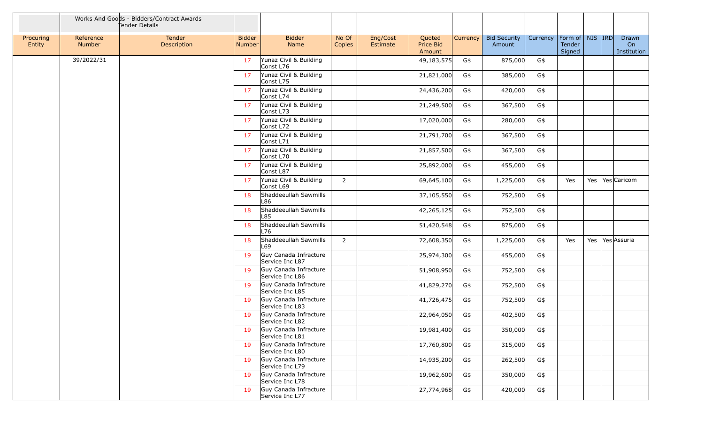|                     |                     | Works And Goods - Bidders/Contract Awards<br>Tender Details |                                |                                          |                 |                      |                               |          |                               |          |                                         |  |                            |
|---------------------|---------------------|-------------------------------------------------------------|--------------------------------|------------------------------------------|-----------------|----------------------|-------------------------------|----------|-------------------------------|----------|-----------------------------------------|--|----------------------------|
| Procuring<br>Entity | Reference<br>Number | Tender<br>Description                                       | <b>Bidder</b><br><b>Number</b> | <b>Bidder</b><br>Name                    | No Of<br>Copies | Eng/Cost<br>Estimate | Quoted<br>Price Bid<br>Amount | Currency | <b>Bid Security</b><br>Amount | Currency | Form of   NIS   IRD<br>Tender<br>Signed |  | Drawn<br>On<br>Institution |
|                     | 39/2022/31          |                                                             | 17                             | Yunaz Civil & Building<br>Const L76      |                 |                      | 49,183,575                    | G\$      | 875,000                       | G\$      |                                         |  |                            |
|                     |                     |                                                             | 17                             | Yunaz Civil & Building<br>Const L75      |                 |                      | 21,821,000                    | G\$      | 385,000                       | G\$      |                                         |  |                            |
|                     |                     |                                                             | 17                             | Yunaz Civil & Building<br>Const L74      |                 |                      | 24,436,200                    | G\$      | 420,000                       | G\$      |                                         |  |                            |
|                     |                     |                                                             | 17                             | Yunaz Civil & Building<br>Const L73      |                 |                      | 21,249,500                    | G\$      | 367,500                       | G\$      |                                         |  |                            |
|                     |                     |                                                             | 17                             | Yunaz Civil & Building<br>Const L72      |                 |                      | 17,020,000                    | G\$      | 280,000                       | G\$      |                                         |  |                            |
|                     |                     |                                                             | 17                             | Yunaz Civil & Building<br>Const L71      |                 |                      | 21,791,700                    | G\$      | 367,500                       | G\$      |                                         |  |                            |
|                     |                     |                                                             | 17                             | Yunaz Civil & Building<br>Const L70      |                 |                      | 21,857,500                    | G\$      | 367,500                       | G\$      |                                         |  |                            |
|                     |                     |                                                             | 17                             | Yunaz Civil & Building<br>Const L87      |                 |                      | 25,892,000                    | G\$      | 455,000                       | G\$      |                                         |  |                            |
|                     |                     |                                                             | 17                             | Yunaz Civil & Building<br>Const L69      | $\overline{2}$  |                      | 69,645,100                    | G\$      | 1,225,000                     | G\$      | Yes                                     |  | Yes   Yes   Caricom        |
|                     |                     |                                                             | 18                             | Shaddeeullah Sawmills<br>L86             |                 |                      | 37,105,550                    | G\$      | 752,500                       | G\$      |                                         |  |                            |
|                     |                     |                                                             | 18                             | Shaddeeullah Sawmills<br>L85             |                 |                      | 42,265,125                    | G\$      | 752,500                       | G\$      |                                         |  |                            |
|                     |                     |                                                             | 18                             | Shaddeeullah Sawmills<br>L76             |                 |                      | 51,420,548                    | G\$      | 875,000                       | G\$      |                                         |  |                            |
|                     |                     |                                                             | 18                             | Shaddeeullah Sawmills<br>L69             | $\overline{2}$  |                      | 72,608,350                    | G\$      | 1,225,000                     | G\$      | Yes                                     |  | Yes   Yes Assuria          |
|                     |                     |                                                             | 19                             | Guy Canada Infracture<br>Service Inc L87 |                 |                      | 25,974,300                    | G\$      | 455,000                       | G\$      |                                         |  |                            |
|                     |                     |                                                             | 19                             | Guy Canada Infracture<br>Service Inc L86 |                 |                      | 51,908,950                    | G\$      | 752,500                       | G\$      |                                         |  |                            |
|                     |                     |                                                             | 19                             | Guy Canada Infracture<br>Service Inc L85 |                 |                      | 41,829,270                    | G\$      | 752,500                       | G\$      |                                         |  |                            |
|                     |                     |                                                             | 19                             | Guy Canada Infracture<br>Service Inc L83 |                 |                      | 41,726,475                    | G\$      | 752,500                       | G\$      |                                         |  |                            |
|                     |                     |                                                             | 19                             | Guy Canada Infracture<br>Service Inc L82 |                 |                      | 22,964,050                    | G\$      | 402,500                       | G\$      |                                         |  |                            |
|                     |                     |                                                             | 19                             | Guy Canada Infracture<br>Service Inc L81 |                 |                      | 19,981,400                    | G\$      | 350,000                       | G\$      |                                         |  |                            |
|                     |                     |                                                             | 19                             | Guy Canada Infracture<br>Service Inc L80 |                 |                      | 17,760,800                    | G\$      | 315,000                       | G\$      |                                         |  |                            |
|                     |                     |                                                             | 19                             | Guy Canada Infracture<br>Service Inc L79 |                 |                      | 14,935,200                    | G\$      | 262,500                       | G\$      |                                         |  |                            |
|                     |                     |                                                             | 19                             | Guy Canada Infracture<br>Service Inc L78 |                 |                      | 19,962,600                    | G\$      | 350,000                       | G\$      |                                         |  |                            |
|                     |                     |                                                             | 19                             | Guy Canada Infracture<br>Service Inc L77 |                 |                      | 27,774,968                    | G\$      | 420,000                       | G\$      |                                         |  |                            |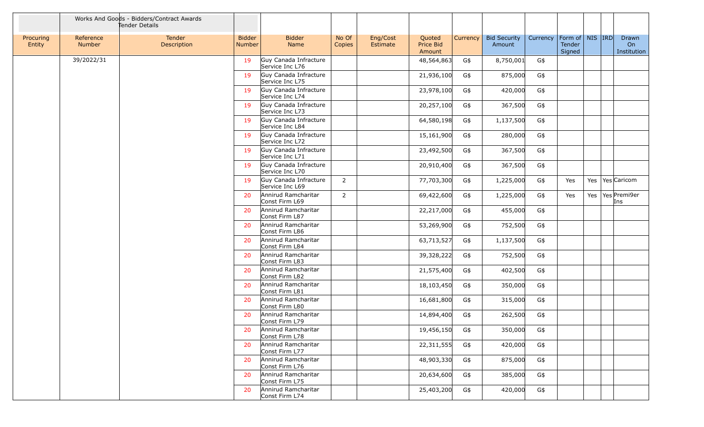|                     |                     | Works And Goods - Bidders/Contract Awards<br>Tender Details |                                |                                          |                 |                      |                               |          |                               |          |                                         |  |                             |
|---------------------|---------------------|-------------------------------------------------------------|--------------------------------|------------------------------------------|-----------------|----------------------|-------------------------------|----------|-------------------------------|----------|-----------------------------------------|--|-----------------------------|
| Procuring<br>Entity | Reference<br>Number | Tender<br>Description                                       | <b>Bidder</b><br><b>Number</b> | <b>Bidder</b><br>Name                    | No Of<br>Copies | Eng/Cost<br>Estimate | Quoted<br>Price Bid<br>Amount | Currency | <b>Bid Security</b><br>Amount | Currency | Form of   NIS   IRD<br>Tender<br>Signed |  | Drawn<br>On<br>Institution  |
|                     | 39/2022/31          |                                                             | 19                             | Guy Canada Infracture<br>Service Inc L76 |                 |                      | 48,564,863                    | G\$      | 8,750,001                     | G\$      |                                         |  |                             |
|                     |                     |                                                             | 19                             | Guy Canada Infracture<br>Service Inc L75 |                 |                      | 21,936,100                    | G\$      | 875,000                       | G\$      |                                         |  |                             |
|                     |                     |                                                             | 19                             | Guy Canada Infracture<br>Service Inc L74 |                 |                      | 23,978,100                    | G\$      | 420,000                       | G\$      |                                         |  |                             |
|                     |                     |                                                             | 19                             | Guy Canada Infracture<br>Service Inc L73 |                 |                      | 20,257,100                    | G\$      | 367,500                       | G\$      |                                         |  |                             |
|                     |                     |                                                             | 19                             | Guy Canada Infracture<br>Service Inc L84 |                 |                      | 64,580,198                    | G\$      | 1,137,500                     | G\$      |                                         |  |                             |
|                     |                     |                                                             | 19                             | Guy Canada Infracture<br>Service Inc L72 |                 |                      | 15,161,900                    | G\$      | 280,000                       | G\$      |                                         |  |                             |
|                     |                     |                                                             | 19                             | Guy Canada Infracture<br>Service Inc L71 |                 |                      | 23,492,500                    | G\$      | 367,500                       | G\$      |                                         |  |                             |
|                     |                     |                                                             | 19                             | Guy Canada Infracture<br>Service Inc L70 |                 |                      | 20,910,400                    | G\$      | 367,500                       | G\$      |                                         |  |                             |
|                     |                     |                                                             | 19                             | Guy Canada Infracture<br>Service Inc L69 | $\overline{2}$  |                      | 77,703,300                    | G\$      | 1,225,000                     | G\$      | Yes                                     |  | Yes   Yes   Caricom         |
|                     |                     |                                                             | 20                             | Annirud Ramcharitar<br>Const Firm L69    | $\overline{2}$  |                      | 69,422,600                    | G\$      | 1,225,000                     | G\$      | Yes                                     |  | Yes   Yes   Premi9er<br>Ins |
|                     |                     |                                                             | 20                             | Annirud Ramcharitar<br>Const Firm L87    |                 |                      | 22,217,000                    | G\$      | 455,000                       | G\$      |                                         |  |                             |
|                     |                     |                                                             | 20                             | Annirud Ramcharitar<br>Const Firm L86    |                 |                      | 53,269,900                    | G\$      | 752,500                       | G\$      |                                         |  |                             |
|                     |                     |                                                             | 20                             | Annirud Ramcharitar<br>Const Firm L84    |                 |                      | 63,713,527                    | G\$      | 1,137,500                     | G\$      |                                         |  |                             |
|                     |                     |                                                             | 20                             | Annirud Ramcharitar<br>Const Firm L83    |                 |                      | 39,328,222                    | G\$      | 752,500                       | G\$      |                                         |  |                             |
|                     |                     |                                                             | 20                             | Annirud Ramcharitar<br>Const Firm L82    |                 |                      | 21,575,400                    | G\$      | 402,500                       | G\$      |                                         |  |                             |
|                     |                     |                                                             | 20                             | Annirud Ramcharitar<br>Const Firm L81    |                 |                      | 18,103,450                    | G\$      | 350,000                       | G\$      |                                         |  |                             |
|                     |                     |                                                             | 20                             | Annirud Ramcharitar<br>Const Firm L80    |                 |                      | 16,681,800                    | G\$      | 315,000                       | G\$      |                                         |  |                             |
|                     |                     |                                                             | 20                             | Annirud Ramcharitar<br>Const Firm L79    |                 |                      | 14,894,400                    | G\$      | 262,500                       | G\$      |                                         |  |                             |
|                     |                     |                                                             | 20                             | Annirud Ramcharitar<br>Const Firm L78    |                 |                      | 19,456,150                    | G\$      | 350,000                       | G\$      |                                         |  |                             |
|                     |                     |                                                             | 20                             | Annirud Ramcharitar<br>Const Firm L77    |                 |                      | 22,311,555                    | G\$      | 420,000                       | G\$      |                                         |  |                             |
|                     |                     |                                                             | 20                             | Annirud Ramcharitar<br>Const Firm L76    |                 |                      | 48,903,330                    | G\$      | 875,000                       | G\$      |                                         |  |                             |
|                     |                     |                                                             | 20                             | Annirud Ramcharitar<br>Const Firm L75    |                 |                      | 20,634,600                    | G\$      | 385,000                       | G\$      |                                         |  |                             |
|                     |                     |                                                             | 20                             | Annirud Ramcharitar<br>Const Firm L74    |                 |                      | 25,403,200                    | G\$      | 420,000                       | G\$      |                                         |  |                             |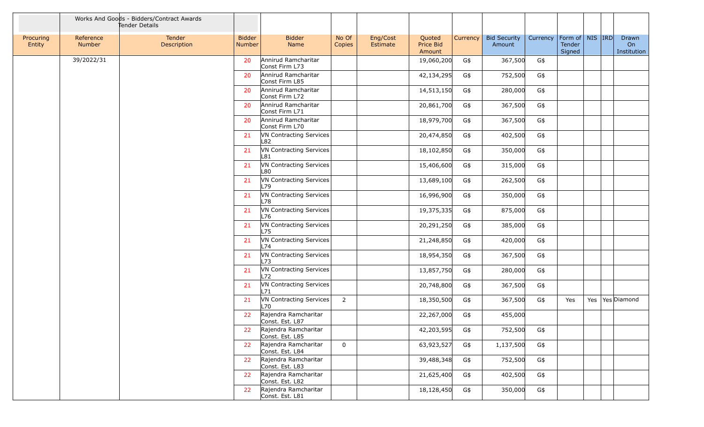|                     |                     | Works And Goods - Bidders/Contract Awards<br>Tender Details |                                |                                         |                 |                      |                                      |          |                               |          |                                         |  |                            |
|---------------------|---------------------|-------------------------------------------------------------|--------------------------------|-----------------------------------------|-----------------|----------------------|--------------------------------------|----------|-------------------------------|----------|-----------------------------------------|--|----------------------------|
| Procuring<br>Entity | Reference<br>Number | Tender<br>Description                                       | <b>Bidder</b><br><b>Number</b> | <b>Bidder</b><br>Name                   | No Of<br>Copies | Eng/Cost<br>Estimate | Quoted<br><b>Price Bid</b><br>Amount | Currency | <b>Bid Security</b><br>Amount | Currency | Form of   NIS   IRD<br>Tender<br>Signed |  | Drawn<br>On<br>Institution |
|                     | 39/2022/31          |                                                             | 20                             | Annirud Ramcharitar<br>Const Firm L73   |                 |                      | 19,060,200                           | G\$      | 367,500                       | G\$      |                                         |  |                            |
|                     |                     |                                                             | 20                             | Annirud Ramcharitar<br>Const Firm L85   |                 |                      | 42,134,295                           | G\$      | 752,500                       | G\$      |                                         |  |                            |
|                     |                     |                                                             | 20                             | Annirud Ramcharitar<br>Const Firm L72   |                 |                      | 14,513,150                           | G\$      | 280,000                       | G\$      |                                         |  |                            |
|                     |                     |                                                             | 20                             | Annirud Ramcharitar<br>Const Firm L71   |                 |                      | 20,861,700                           | G\$      | 367,500                       | G\$      |                                         |  |                            |
|                     |                     |                                                             | 20                             | Annirud Ramcharitar<br>Const Firm L70   |                 |                      | 18,979,700                           | G\$      | 367,500                       | G\$      |                                         |  |                            |
|                     |                     |                                                             | 21                             | VN Contracting Services<br>L82          |                 |                      | 20,474,850                           | G\$      | 402,500                       | G\$      |                                         |  |                            |
|                     |                     |                                                             | 21                             | VN Contracting Services<br>L81          |                 |                      | 18,102,850                           | G\$      | 350,000                       | G\$      |                                         |  |                            |
|                     |                     |                                                             | 21                             | VN Contracting Services<br>L80          |                 |                      | 15,406,600                           | G\$      | 315,000                       | G\$      |                                         |  |                            |
|                     |                     |                                                             | 21                             | VN Contracting Services<br>L79          |                 |                      | 13,689,100                           | G\$      | 262,500                       | G\$      |                                         |  |                            |
|                     |                     |                                                             | 21                             | VN Contracting Services<br>L78          |                 |                      | 16,996,900                           | G\$      | 350,000                       | G\$      |                                         |  |                            |
|                     |                     |                                                             | 21                             | VN Contracting Services<br>L76          |                 |                      | 19,375,335                           | G\$      | 875,000                       | G\$      |                                         |  |                            |
|                     |                     |                                                             | 21                             | VN Contracting Services<br>L75          |                 |                      | 20,291,250                           | G\$      | 385,000                       | G\$      |                                         |  |                            |
|                     |                     |                                                             | 21                             | VN Contracting Services<br>L74          |                 |                      | 21,248,850                           | G\$      | 420,000                       | G\$      |                                         |  |                            |
|                     |                     |                                                             | 21                             | VN Contracting Services<br>L73          |                 |                      | 18,954,350                           | G\$      | 367,500                       | G\$      |                                         |  |                            |
|                     |                     |                                                             | 21                             | VN Contracting Services<br>L72          |                 |                      | 13,857,750                           | G\$      | 280,000                       | G\$      |                                         |  |                            |
|                     |                     |                                                             | 21                             | VN Contracting Services<br>L71          |                 |                      | 20,748,800                           | G\$      | 367,500                       | G\$      |                                         |  |                            |
|                     |                     |                                                             | 21                             | VN Contracting Services<br>L70          | $\overline{2}$  |                      | 18,350,500                           | G\$      | 367,500                       | G\$      | Yes                                     |  | Yes   Yes   Diamond        |
|                     |                     |                                                             | 22                             | Rajendra Ramcharitar<br>Const. Est. L87 |                 |                      | 22,267,000                           | G\$      | 455,000                       |          |                                         |  |                            |
|                     |                     |                                                             | 22                             | Rajendra Ramcharitar<br>Const. Est. L85 |                 |                      | 42,203,595                           | G\$      | 752,500                       | G\$      |                                         |  |                            |
|                     |                     |                                                             | 22                             | Rajendra Ramcharitar<br>Const. Est. L84 | $\overline{0}$  |                      | 63,923,527                           | G\$      | 1,137,500                     | G\$      |                                         |  |                            |
|                     |                     |                                                             | 22                             | Rajendra Ramcharitar<br>Const. Est. L83 |                 |                      | 39,488,348                           | G\$      | 752,500                       | G\$      |                                         |  |                            |
|                     |                     |                                                             | 22                             | Rajendra Ramcharitar<br>Const. Est. L82 |                 |                      | 21,625,400                           | G\$      | 402,500                       | G\$      |                                         |  |                            |
|                     |                     |                                                             | 22                             | Rajendra Ramcharitar<br>Const. Est. L81 |                 |                      | 18,128,450                           | G\$      | 350,000                       | G\$      |                                         |  |                            |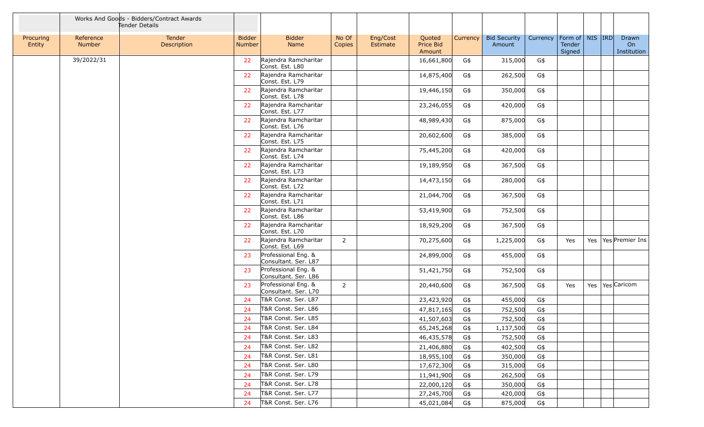|                     |                            | Works And Goods - Bidders/Contract Awards<br>Tender Details |                                |                                             |                 |                      |                               |                 |                               |          |                                         |  |                            |
|---------------------|----------------------------|-------------------------------------------------------------|--------------------------------|---------------------------------------------|-----------------|----------------------|-------------------------------|-----------------|-------------------------------|----------|-----------------------------------------|--|----------------------------|
| Procuring<br>Entity | Reference<br><b>Number</b> | <b>Tender</b><br>Description                                | <b>Bidder</b><br><b>Number</b> | <b>Bidder</b><br>Name                       | No Of<br>Copies | Eng/Cost<br>Estimate | Quoted<br>Price Bid<br>Amount | <b>Currency</b> | <b>Bid Security</b><br>Amount | Currency | Form of   NIS   IRD<br>Tender<br>Signed |  | Drawn<br>On<br>Institution |
|                     | 39/2022/31                 |                                                             | 22                             | Rajendra Ramcharitar<br>Const. Est. L80     |                 |                      | 16,661,800                    | G\$             | 315,000                       | G\$      |                                         |  |                            |
|                     |                            |                                                             | 22                             | Rajendra Ramcharitar<br>Const. Est. L79     |                 |                      | 14,875,400                    | G\$             | 262,500                       | G\$      |                                         |  |                            |
|                     |                            |                                                             | 22                             | Rajendra Ramcharitar<br>Const. Est. L78     |                 |                      | 19,446,150                    | G\$             | 350,000                       | G\$      |                                         |  |                            |
|                     |                            |                                                             | 22                             | Rajendra Ramcharitar<br>Const. Est. L77     |                 |                      | 23,246,055                    | G\$             | 420,000                       | G\$      |                                         |  |                            |
|                     |                            |                                                             | 22                             | Rajendra Ramcharitar<br>Const. Est. L76     |                 |                      | 48,989,430                    | G\$             | 875,000                       | G\$      |                                         |  |                            |
|                     |                            |                                                             | 22                             | Rajendra Ramcharitar<br>Const. Est. L75     |                 |                      | 20,602,600                    | G\$             | 385,000                       | G\$      |                                         |  |                            |
|                     |                            |                                                             | 22                             | Rajendra Ramcharitar<br>Const. Est. L74     |                 |                      | 75,445,200                    | G\$             | 420,000                       | G\$      |                                         |  |                            |
|                     |                            |                                                             | 22                             | Rajendra Ramcharitar<br>Const. Est. L73     |                 |                      | 19,189,950                    | G\$             | 367,500                       | G\$      |                                         |  |                            |
|                     |                            |                                                             | 22                             | Rajendra Ramcharitar<br>Const. Est. L72     |                 |                      | 14,473,150                    | G\$             | 280,000                       | G\$      |                                         |  |                            |
|                     |                            |                                                             | 22                             | Rajendra Ramcharitar<br>Const. Est. L71     |                 |                      | 21,044,700                    | G\$             | 367,500                       | G\$      |                                         |  |                            |
|                     |                            |                                                             | 22                             | Rajendra Ramcharitar<br>Const. Est. L86     |                 |                      | 53,419,900                    | G\$             | 752,500                       | G\$      |                                         |  |                            |
|                     |                            |                                                             | 22                             | Rajendra Ramcharitar<br>Const. Est. L70     |                 |                      | 18,929,200                    | G\$             | 367,500                       | G\$      |                                         |  |                            |
|                     |                            |                                                             | 22                             | Rajendra Ramcharitar<br>Const. Est. L69     | $\overline{2}$  |                      | 70,275,600                    | G\$             | 1,225,000                     | G\$      | Yes                                     |  | Yes   Yes   Premier Ins    |
|                     |                            |                                                             | 23                             | Professional Eng. &<br>Consultant. Ser. L87 |                 |                      | 24,899,000                    | G\$             | 455,000                       | G\$      |                                         |  |                            |
|                     |                            |                                                             | 23                             | Professional Eng. &<br>Consultant. Ser. L86 |                 |                      | 51,421,750                    | G\$             | 752,500                       | G\$      |                                         |  |                            |
|                     |                            |                                                             | 23                             | Professional Eng. &<br>Consultant. Ser. L70 | $\overline{2}$  |                      | 20,440,600                    | G\$             | 367,500                       | G\$      | Yes                                     |  | Yes   Yes   Caricom        |
|                     |                            |                                                             | 24                             | T&R Const. Ser. L87                         |                 |                      | 23,423,920                    | G\$             | 455,000                       | G\$      |                                         |  |                            |
|                     |                            |                                                             | 24                             | T&R Const. Ser. L86                         |                 |                      | 47,817,165                    | G\$             | 752,500                       | G\$      |                                         |  |                            |
|                     |                            |                                                             | 24                             | T&R Const. Ser. L85                         |                 |                      | 41,507,603                    | G\$             | 752,500                       | G\$      |                                         |  |                            |
|                     |                            |                                                             | 24                             | T&R Const. Ser. L84                         |                 |                      | 65,245,268                    | G\$             | 1,137,500                     | G\$      |                                         |  |                            |
|                     |                            |                                                             | -24                            | T&R Const. Ser. L83                         |                 |                      | 46,435,578                    | G\$             | 752,500                       | G\$      |                                         |  |                            |
|                     |                            |                                                             | -24                            | T&R Const. Ser. L82                         |                 |                      | 21,406,880                    | G\$             | 402,500                       | G\$      |                                         |  |                            |
|                     |                            |                                                             | -24                            | T&R Const. Ser. L81                         |                 |                      | 18,955,100                    | G\$             | 350,000                       | G\$      |                                         |  |                            |
|                     |                            |                                                             | 24                             | T&R Const. Ser. L80                         |                 |                      | 17,672,300                    | G\$             | 315,000                       | G\$      |                                         |  |                            |
|                     |                            |                                                             | -24                            | T&R Const. Ser. L79                         |                 |                      | 11,941,900                    | G\$             | 262,500                       | G\$      |                                         |  |                            |
|                     |                            |                                                             | -24                            | T&R Const. Ser. L78                         |                 |                      | 22,000,120                    | G\$             | 350,000                       | G\$      |                                         |  |                            |
|                     |                            |                                                             | -24                            | T&R Const. Ser. L77                         |                 |                      | 27,245,700                    | G\$             | 420,000                       | G\$      |                                         |  |                            |
|                     |                            |                                                             | 24                             | T&R Const. Ser. L76                         |                 |                      | 45,021,084                    | G\$             | 875,000                       | G\$      |                                         |  |                            |